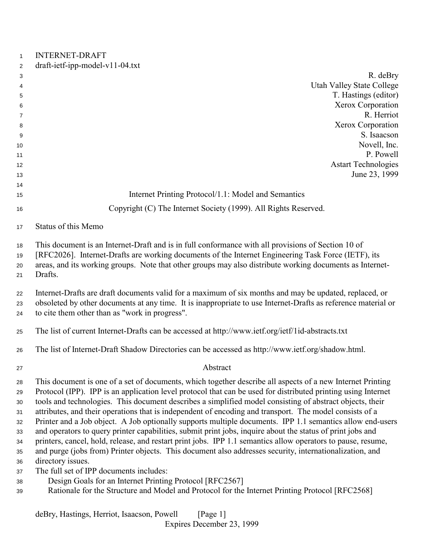## INTERNET-DRAFT

| 2  | draft-ietf-ipp-model-v11-04.txt                                 |                                  |
|----|-----------------------------------------------------------------|----------------------------------|
| 3  |                                                                 | R. deBry                         |
| 4  |                                                                 | <b>Utah Valley State College</b> |
| 5  |                                                                 | T. Hastings (editor)             |
| 6  |                                                                 | Xerox Corporation                |
| 7  |                                                                 | R. Herriot                       |
| 8  |                                                                 | Xerox Corporation                |
| 9  |                                                                 | S. Isaacson                      |
| 10 |                                                                 | Novell, Inc.                     |
| 11 |                                                                 | P. Powell                        |
| 12 |                                                                 | <b>Astart Technologies</b>       |
| 13 |                                                                 | June 23, 1999                    |
| 14 |                                                                 |                                  |
| 15 | Internet Printing Protocol/1.1: Model and Semantics             |                                  |
| 16 | Copyright (C) The Internet Society (1999). All Rights Reserved. |                                  |

#### Status of this Memo

This document is an Internet-Draft and is in full conformance with all provisions of Section 10 of

 [RFC2026]. Internet-Drafts are working documents of the Internet Engineering Task Force (IETF), its areas, and its working groups. Note that other groups may also distribute working documents as Internet-Drafts.

 Internet-Drafts are draft documents valid for a maximum of six months and may be updated, replaced, or obsoleted by other documents at any time. It is inappropriate to use Internet-Drafts as reference material or to cite them other than as "work in progress".

The list of current Internet-Drafts can be accessed at http://www.ietf.org/ietf/1id-abstracts.txt

The list of Internet-Draft Shadow Directories can be accessed as http://www.ietf.org/shadow.html.

### Abstract

 This document is one of a set of documents, which together describe all aspects of a new Internet Printing Protocol (IPP). IPP is an application level protocol that can be used for distributed printing using Internet tools and technologies. This document describes a simplified model consisting of abstract objects, their attributes, and their operations that is independent of encoding and transport. The model consists of a Printer and a Job object. A Job optionally supports multiple documents. IPP 1.1 semantics allow end-users and operators to query printer capabilities, submit print jobs, inquire about the status of print jobs and printers, cancel, hold, release, and restart print jobs. IPP 1.1 semantics allow operators to pause, resume, and purge (jobs from) Printer objects. This document also addresses security, internationalization, and directory issues.

- The full set of IPP documents includes:
- Design Goals for an Internet Printing Protocol [RFC2567]
- Rationale for the Structure and Model and Protocol for the Internet Printing Protocol [RFC2568]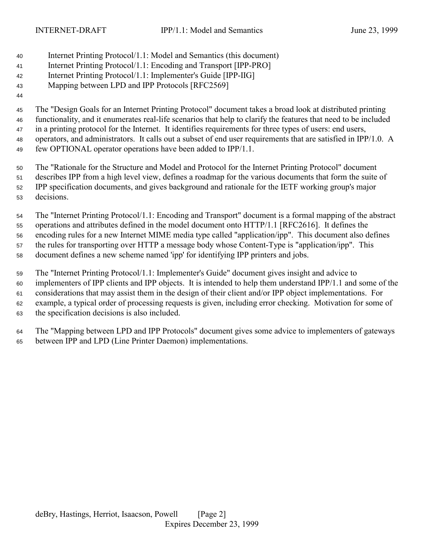- Internet Printing Protocol/1.1: Model and Semantics (this document)
- Internet Printing Protocol/1.1: Encoding and Transport [IPP-PRO]
- Internet Printing Protocol/1.1: Implementer's Guide [IPP-IIG]

# Mapping between LPD and IPP Protocols [RFC2569]

 The "Design Goals for an Internet Printing Protocol" document takes a broad look at distributed printing functionality, and it enumerates real-life scenarios that help to clarify the features that need to be included in a printing protocol for the Internet. It identifies requirements for three types of users: end users, operators, and administrators. It calls out a subset of end user requirements that are satisfied in IPP/1.0. A few OPTIONAL operator operations have been added to IPP/1.1.

 The "Rationale for the Structure and Model and Protocol for the Internet Printing Protocol" document describes IPP from a high level view, defines a roadmap for the various documents that form the suite of IPP specification documents, and gives background and rationale for the IETF working group's major decisions.

 The "Internet Printing Protocol/1.1: Encoding and Transport" document is a formal mapping of the abstract operations and attributes defined in the model document onto HTTP/1.1 [RFC2616]. It defines the encoding rules for a new Internet MIME media type called "application/ipp". This document also defines the rules for transporting over HTTP a message body whose Content-Type is "application/ipp". This document defines a new scheme named 'ipp' for identifying IPP printers and jobs.

 The "Internet Printing Protocol/1.1: Implementer's Guide" document gives insight and advice to implementers of IPP clients and IPP objects. It is intended to help them understand IPP/1.1 and some of the considerations that may assist them in the design of their client and/or IPP object implementations. For example, a typical order of processing requests is given, including error checking. Motivation for some of the specification decisions is also included.

 The "Mapping between LPD and IPP Protocols" document gives some advice to implementers of gateways between IPP and LPD (Line Printer Daemon) implementations.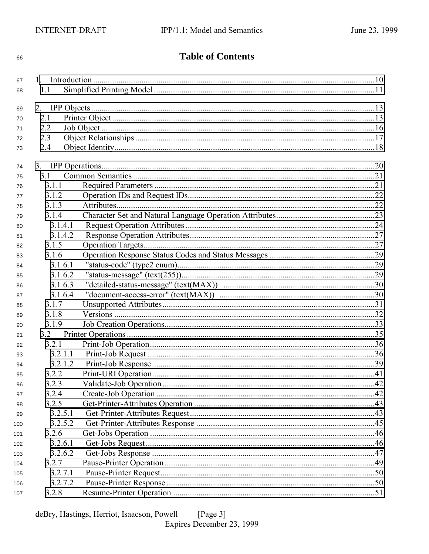#### 66

# **Table of Contents**

| 67       |         |  |  |
|----------|---------|--|--|
| 68       | 1.1     |  |  |
|          |         |  |  |
| 69       | 2.1     |  |  |
| 70<br>71 | 2.2     |  |  |
| 72       | 2.3     |  |  |
| 73       | 2.4     |  |  |
|          |         |  |  |
| 74       |         |  |  |
| 75       | 3.1     |  |  |
| 76       | 3.1.1   |  |  |
| 77       | 3.1.2   |  |  |
| 78       | 3.1.3   |  |  |
| 79       | 3.1.4   |  |  |
| 80       | 3.1.4.1 |  |  |
| 81       | 3.1.4.2 |  |  |
| 82       | 3.1.5   |  |  |
| 83       | 3.1.6   |  |  |
| 84       | 3.1.6.1 |  |  |
| 85       | 3.1.6.2 |  |  |
| 86       | 3.1.6.3 |  |  |
| 87       | 3.1.6.4 |  |  |
| 88       | 3.1.7   |  |  |
| 89       | 3.1.8   |  |  |
| 90       | 3.1.9   |  |  |
| 91       | 3.2     |  |  |
| 92       | 3.2.1   |  |  |
| 93       | 3.2.1.1 |  |  |
| 94       | 3.2.1.2 |  |  |
| 95       | 3.2.2   |  |  |
| 96       | 3.2.3   |  |  |
| 97       | 3.2.4   |  |  |
| 98       | 3.2.5   |  |  |
| 99       | 3.2.5.1 |  |  |
| 100      | 3.2.5.2 |  |  |
| 101      | 3.2.6   |  |  |
| 102      | 3.2.6.1 |  |  |
| 103      | 3.2.6.2 |  |  |
| 104      | 3.2.7   |  |  |
| 105      | 3.2.7.1 |  |  |
| 106      | 3.2.7.2 |  |  |
| 107      | 3.2.8   |  |  |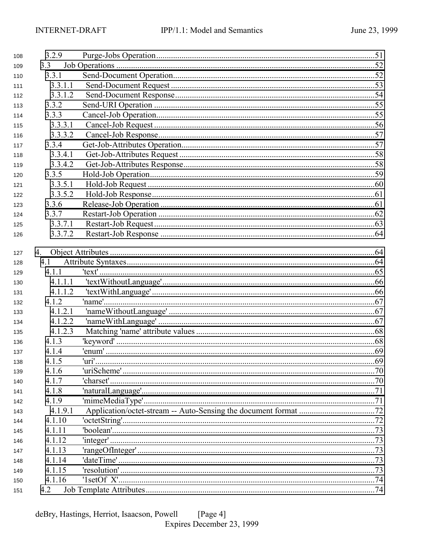| 108 | 3.2.9   |  |
|-----|---------|--|
| 109 | 3.3     |  |
| 110 | 3.3.1   |  |
| 111 | 3.3.1.1 |  |
| 112 | 3.3.1.2 |  |
| 113 | 3.3.2   |  |
| 114 | 3.3.3   |  |
| 115 | 3.3.3.1 |  |
| 116 | 3.3.3.2 |  |
| 117 | 3.3.4   |  |
| 118 | 3.3.4.1 |  |
| 119 | 3.3.4.2 |  |
| 120 | 3.3.5   |  |
| 121 | 3.3.5.1 |  |
| 122 | 3.3.5.2 |  |
| 123 | 3.3.6   |  |
| 124 | 3.3.7   |  |
| 125 | 3.3.7.1 |  |
| 126 | 3.3.7.2 |  |
|     |         |  |
| 127 | 4.      |  |
| 128 | 4.1     |  |
| 129 | 4.1.1   |  |
| 130 | 4.1.1.1 |  |
| 131 | 4.1.1.2 |  |
| 132 | 4.1.2   |  |
| 133 | 4.1.2.1 |  |
| 134 | 4.1.2.2 |  |
| 135 | 4.1.2.3 |  |
| 136 | 4.1.3   |  |
| 137 | 4.1.4   |  |
| 138 | 4.1.5   |  |
| 139 | 4.1.6   |  |
| 140 | 4.1.7   |  |
| 141 | 4.1.8   |  |
| 142 | 4.1.9   |  |
| 143 | 4.1.9.1 |  |
| 144 | 4.1.10  |  |
| 145 | 4.1.11  |  |
| 146 | 4.1.12  |  |
| 147 | 4.1.13  |  |
| 148 | 4.1.14  |  |
| 149 | 4.1.15  |  |
| 150 | 4.1.16  |  |
| 151 | 4.2     |  |
|     |         |  |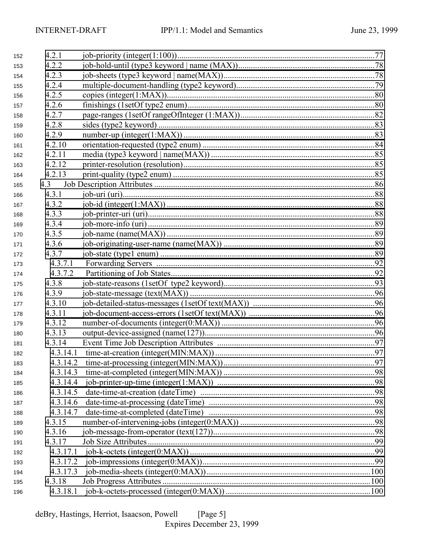| 152 | 4.2.1    |                                                |     |
|-----|----------|------------------------------------------------|-----|
| 153 | 4.2.2    |                                                |     |
| 154 | 4.2.3    |                                                |     |
| 155 | 4.2.4    |                                                |     |
| 156 | 4.2.5    |                                                |     |
| 157 | 4.2.6    |                                                |     |
| 158 | 4.2.7    |                                                |     |
| 159 | 4.2.8    |                                                |     |
| 160 | 4.2.9    |                                                |     |
| 161 | 4.2.10   |                                                |     |
| 162 | 4.2.11   |                                                |     |
| 163 | 4.2.12   |                                                |     |
| 164 | 4.2.13   |                                                |     |
| 165 | 4.3      |                                                |     |
| 166 | 4.3.1    |                                                |     |
| 167 | 4.3.2    |                                                |     |
| 168 | 4.3.3    |                                                |     |
| 169 | 4.3.4    |                                                |     |
| 170 | 4.3.5    |                                                |     |
| 171 | 4.3.6    |                                                |     |
| 172 | 4.3.7    |                                                |     |
| 173 | 4.3.7.1  |                                                |     |
| 174 | 4.3.7.2  |                                                |     |
| 175 | 4.3.8    |                                                |     |
| 176 | 4.3.9    |                                                |     |
| 177 | 4.3.10   |                                                |     |
| 178 | 4.3.11   |                                                |     |
| 179 | 4.3.12   |                                                |     |
| 180 | 4.3.13   |                                                |     |
| 181 | 4.3.14   |                                                |     |
| 182 | 4.3.14.1 |                                                |     |
| 183 |          | 4.3.14.2 time-at-processing (integer(MIN:MAX)) | .97 |
| 184 | 4.3.14.3 |                                                |     |
| 185 | 4.3.14.4 |                                                |     |
| 186 | 4.3.14.5 |                                                |     |
| 187 | 4.3.14.6 |                                                |     |
| 188 | 4.3.14.7 |                                                |     |
| 189 | 4.3.15   |                                                |     |
| 190 | 4.3.16   |                                                |     |
| 191 | 4.3.17   |                                                |     |
| 192 | 4.3.17.1 |                                                |     |
| 193 | 4.3.17.2 |                                                |     |
| 194 | 4.3.17.3 |                                                |     |
| 195 | 4.3.18   |                                                |     |
| 196 | 4.3.18.1 |                                                |     |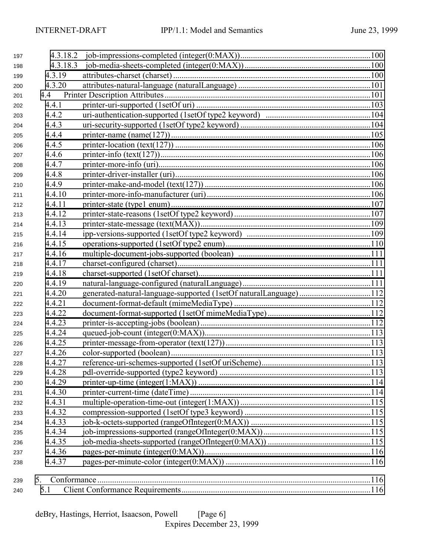| 197 |          |                                                                  |  |
|-----|----------|------------------------------------------------------------------|--|
| 198 | 4.3.18.3 |                                                                  |  |
| 199 | 4.3.19   |                                                                  |  |
| 200 | 4.3.20   |                                                                  |  |
| 201 |          |                                                                  |  |
| 202 | 4.4.1    |                                                                  |  |
| 203 | 4.4.2    |                                                                  |  |
| 204 | 4.4.3    |                                                                  |  |
| 205 | 4.4.4    |                                                                  |  |
| 206 | 4.4.5    |                                                                  |  |
| 207 | 4.4.6    |                                                                  |  |
| 208 | 4.4.7    |                                                                  |  |
| 209 | 4.4.8    |                                                                  |  |
| 210 | 4.4.9    |                                                                  |  |
| 211 | 4.4.10   |                                                                  |  |
| 212 | 4.4.11   |                                                                  |  |
| 213 | 4.4.12   |                                                                  |  |
| 214 | 4.4.13   |                                                                  |  |
| 215 | 4.4.14   |                                                                  |  |
| 216 | 4.4.15   |                                                                  |  |
| 217 | 4.4.16   |                                                                  |  |
| 218 | 4.4.17   |                                                                  |  |
| 219 | 4.4.18   |                                                                  |  |
| 220 | 4.4.19   |                                                                  |  |
| 221 | 4.4.20   | generated-natural-language-supported (1setOf naturalLanguage)112 |  |
| 222 | 4.4.21   |                                                                  |  |
| 223 | 4.4.22   |                                                                  |  |
| 224 | 4.4.23   |                                                                  |  |
| 225 | 4.4.24   |                                                                  |  |
| 226 | 4.4.25   |                                                                  |  |
| 227 | 4.4.26   |                                                                  |  |
| 228 | 4.4.27   |                                                                  |  |
| 229 | 4.4.28   |                                                                  |  |
| 230 | 4.4.29   |                                                                  |  |
| 231 | 4.4.30   |                                                                  |  |
| 232 | 4.4.31   |                                                                  |  |
| 233 | 4.4.32   |                                                                  |  |
| 234 | 4.4.33   |                                                                  |  |
| 235 | 4.4.34   |                                                                  |  |
| 236 | 4.4.35   |                                                                  |  |
| 237 | 4.4.36   |                                                                  |  |
| 238 | 4.4.37   |                                                                  |  |
| 239 | 5.       |                                                                  |  |
| 240 | 5.1      |                                                                  |  |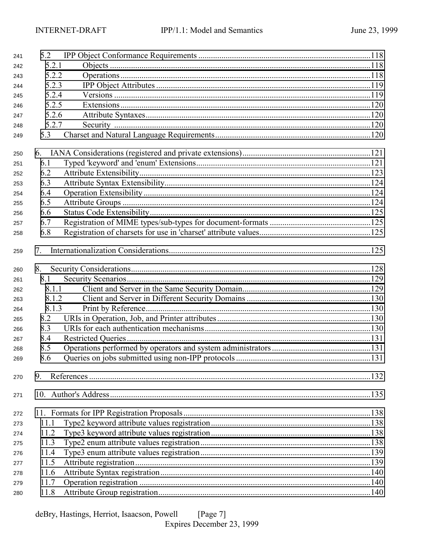| 241 | 5.2   |  |
|-----|-------|--|
| 242 | 5.2.1 |  |
| 243 | 5.2.2 |  |
| 244 | 5.2.3 |  |
| 245 | 5.2.4 |  |
| 246 | 5.2.5 |  |
| 247 | 5.2.6 |  |
| 248 | 5.2.7 |  |
| 249 | 5.3   |  |
| 250 |       |  |
| 251 | 6.1   |  |
| 252 | 6.2   |  |
| 253 | 6.3   |  |
| 254 | 6.4   |  |
| 255 | 6.5   |  |
| 256 | 6.6   |  |
| 257 | 6.7   |  |
| 258 | 6.8   |  |
| 259 | 7.    |  |
| 260 | 8.    |  |
| 261 | 8.1   |  |
| 262 | 8.1.1 |  |
| 263 | 8.1.2 |  |
| 264 | 8.1.3 |  |
| 265 | 8.2   |  |
| 266 | 8.3   |  |
| 267 | 8.4   |  |
| 268 | 8.5   |  |
| 269 | 8.6   |  |
| 270 | 9.    |  |
| 271 |       |  |
| 272 |       |  |
| 273 | 11.1  |  |
| 274 | 11.2  |  |
| 275 | 11.3  |  |
| 276 | 11.4  |  |
| 277 | 11.5  |  |
| 278 | 11.6  |  |
| 279 | 11.7  |  |
| 280 | 11.8  |  |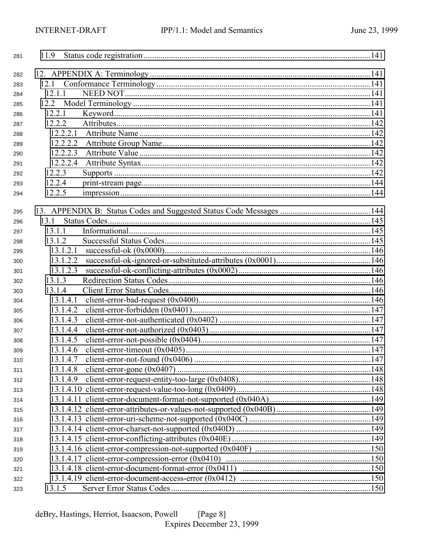| 281 | 11.9     |  |
|-----|----------|--|
| 282 |          |  |
| 283 |          |  |
| 284 | 12.1.1   |  |
| 285 |          |  |
| 286 | 12.2.1   |  |
| 287 | 12.2.2   |  |
| 288 | 12.2.2.1 |  |
| 289 | 12.2.2.2 |  |
| 290 | 12.2.2.3 |  |
| 291 | 12.2.2.4 |  |
| 292 | 12.2.3   |  |
| 293 | 12.2.4   |  |
| 294 | 12.2.5   |  |
|     |          |  |
| 295 |          |  |
| 296 | 13.1     |  |
| 297 | 13.1.1   |  |
| 298 | 13.1.2   |  |
| 299 | 13.1.2.1 |  |
| 300 | 13.1.2.2 |  |
| 301 | 13.1.2.3 |  |
| 302 | 13.1.3   |  |
| 303 | 13.1.4   |  |
| 304 | 13.1.4.1 |  |
| 305 | 13.1.4.2 |  |
| 306 | 13.1.4.3 |  |
| 307 | 13.1.4.4 |  |
| 308 | 13.1.4.5 |  |
| 309 | 13.1.4.6 |  |
| 310 | 13.1.4.7 |  |
| 311 | 13.1.4.8 |  |
| 312 | 13.1.4.9 |  |
| 313 |          |  |
| 314 |          |  |
| 315 |          |  |
| 316 |          |  |
| 317 |          |  |
| 318 |          |  |
| 319 |          |  |
| 320 |          |  |
| 321 |          |  |
| 322 |          |  |
| 323 | 13.1.5   |  |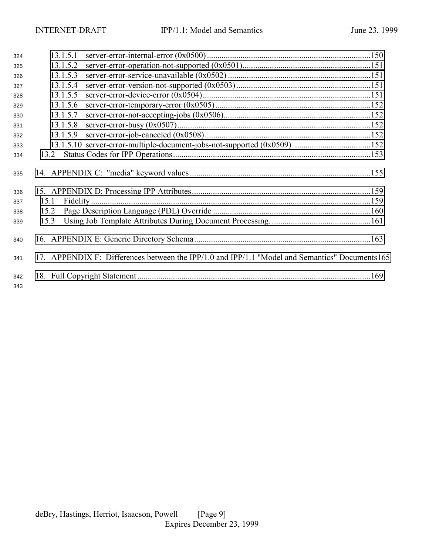| 324        | 13.1.5.1 |                                                                                                 |  |
|------------|----------|-------------------------------------------------------------------------------------------------|--|
| 325        | 13.1.5.2 |                                                                                                 |  |
| 326        | 13.1.5.3 |                                                                                                 |  |
| 327        | 13.1.5.4 |                                                                                                 |  |
| 328        | 13.1.5.5 |                                                                                                 |  |
| 329        | 13.1.5.6 |                                                                                                 |  |
| 330        | 13.1.5.7 |                                                                                                 |  |
| 331        | 13.1.5.8 |                                                                                                 |  |
| 332        | 13.1.5.9 |                                                                                                 |  |
| 333        |          |                                                                                                 |  |
| 334        |          |                                                                                                 |  |
| 335        |          |                                                                                                 |  |
| 336        |          |                                                                                                 |  |
| 337        | 15.1     |                                                                                                 |  |
| 338        | 15.2     |                                                                                                 |  |
| 339        | 15.3     |                                                                                                 |  |
| 340        |          |                                                                                                 |  |
| 341        |          | 17. APPENDIX F: Differences between the IPP/1.0 and IPP/1.1 "Model and Semantics" Documents 165 |  |
| 342<br>343 |          |                                                                                                 |  |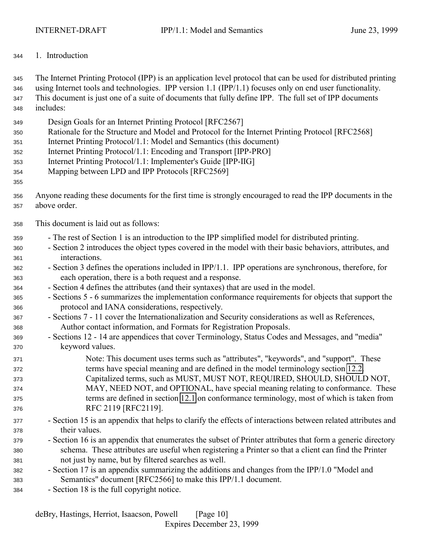<span id="page-9-0"></span>1. Introduction

 The Internet Printing Protocol (IPP) is an application level protocol that can be used for distributed printing using Internet tools and technologies. IPP version 1.1 (IPP/1.1) focuses only on end user functionality. This document is just one of a suite of documents that fully define IPP. The full set of IPP documents includes:

- Design Goals for an Internet Printing Protocol [RFC2567]
- Rationale for the Structure and Model and Protocol for the Internet Printing Protocol [RFC2568]
- Internet Printing Protocol/1.1: Model and Semantics (this document)
- Internet Printing Protocol/1.1: Encoding and Transport [IPP-PRO]
- Internet Printing Protocol/1.1: Implementer's Guide [IPP-IIG]
- Mapping between LPD and IPP Protocols [RFC2569]

#### 

- Anyone reading these documents for the first time is strongly encouraged to read the IPP documents in the above order.
- This document is laid out as follows:
- The rest of Section 1 is an introduction to the IPP simplified model for distributed printing.
- Section 2 introduces the object types covered in the model with their basic behaviors, attributes, and interactions.
- Section 3 defines the operations included in IPP/1.1. IPP operations are synchronous, therefore, for each operation, there is a both request and a response.
- Section 4 defines the attributes (and their syntaxes) that are used in the model.
- Sections 5 6 summarizes the implementation conformance requirements for objects that support the protocol and IANA considerations, respectively.
- Sections 7 11 cover the Internationalization and Security considerations as well as References, Author contact information, and Formats for Registration Proposals.
- Sections 12 14 are appendices that cover Terminology, Status Codes and Messages, and "media" keyword values.
- Note: This document uses terms such as "attributes", "keywords", and "support". These terms have special meaning and are defined in the model terminology section [12.2.](#page-140-0) Capitalized terms, such as MUST, MUST NOT, REQUIRED, SHOULD, SHOULD NOT, MAY, NEED NOT, and OPTIONAL, have special meaning relating to conformance. These
- terms are defined in section [12.1](#page-140-0) on conformance terminology, most of which is taken from RFC 2119 [RFC2119].
- Section 15 is an appendix that helps to clarify the effects of interactions between related attributes and their values.
- Section 16 is an appendix that enumerates the subset of Printer attributes that form a generic directory schema. These attributes are useful when registering a Printer so that a client can find the Printer not just by name, but by filtered searches as well.
- Section 17 is an appendix summarizing the additions and changes from the IPP/1.0 "Model and Semantics" document [RFC2566] to make this IPP/1.1 document.
- Section 18 is the full copyright notice.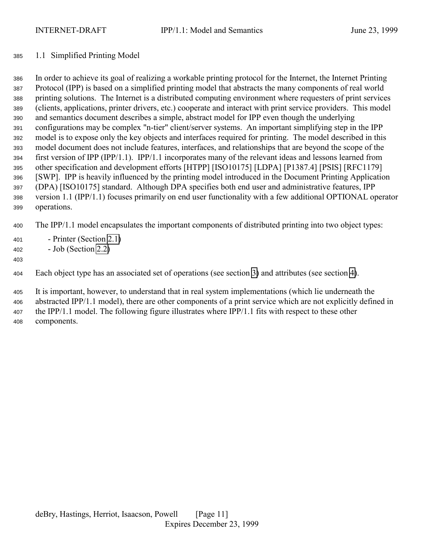#### <span id="page-10-0"></span>1.1 Simplified Printing Model

 In order to achieve its goal of realizing a workable printing protocol for the Internet, the Internet Printing Protocol (IPP) is based on a simplified printing model that abstracts the many components of real world printing solutions. The Internet is a distributed computing environment where requesters of print services (clients, applications, printer drivers, etc.) cooperate and interact with print service providers. This model and semantics document describes a simple, abstract model for IPP even though the underlying configurations may be complex "n-tier" client/server systems. An important simplifying step in the IPP model is to expose only the key objects and interfaces required for printing. The model described in this model document does not include features, interfaces, and relationships that are beyond the scope of the first version of IPP (IPP/1.1). IPP/1.1 incorporates many of the relevant ideas and lessons learned from other specification and development efforts [HTPP] [ISO10175] [LDPA] [P1387.4] [PSIS] [RFC1179] [SWP]. IPP is heavily influenced by the printing model introduced in the Document Printing Application (DPA) [ISO10175] standard. Although DPA specifies both end user and administrative features, IPP version 1.1 (IPP/1.1) focuses primarily on end user functionality with a few additional OPTIONAL operator operations.

The IPP/1.1 model encapsulates the important components of distributed printing into two object types:

- Printer (Section [2.1\)](#page-12-0)
- Job (Section [2.2\)](#page-15-0)
- 

Each object type has an associated set of operations (see section [3\)](#page-19-0) and attributes (see section [4\)](#page-63-0).

 It is important, however, to understand that in real system implementations (which lie underneath the abstracted IPP/1.1 model), there are other components of a print service which are not explicitly defined in the IPP/1.1 model. The following figure illustrates where IPP/1.1 fits with respect to these other components.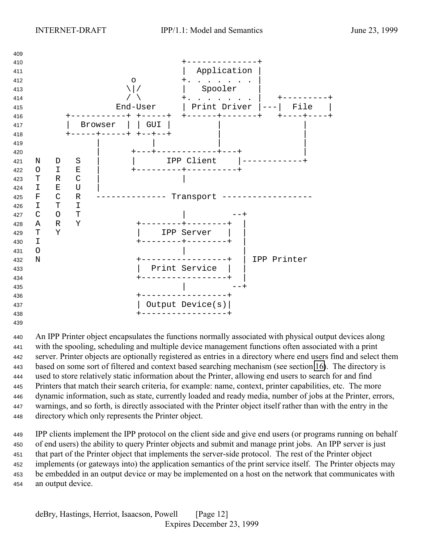

 An IPP Printer object encapsulates the functions normally associated with physical output devices along with the spooling, scheduling and multiple device management functions often associated with a print server. Printer objects are optionally registered as entries in a directory where end users find and select them based on some sort of filtered and context based searching mechanism (see section [16\)](#page-162-0). The directory is used to store relatively static information about the Printer, allowing end users to search for and find Printers that match their search criteria, for example: name, context, printer capabilities, etc. The more dynamic information, such as state, currently loaded and ready media, number of jobs at the Printer, errors, warnings, and so forth, is directly associated with the Printer object itself rather than with the entry in the directory which only represents the Printer object.

 IPP clients implement the IPP protocol on the client side and give end users (or programs running on behalf of end users) the ability to query Printer objects and submit and manage print jobs. An IPP server is just that part of the Printer object that implements the server-side protocol. The rest of the Printer object implements (or gateways into) the application semantics of the print service itself. The Printer objects may be embedded in an output device or may be implemented on a host on the network that communicates with an output device.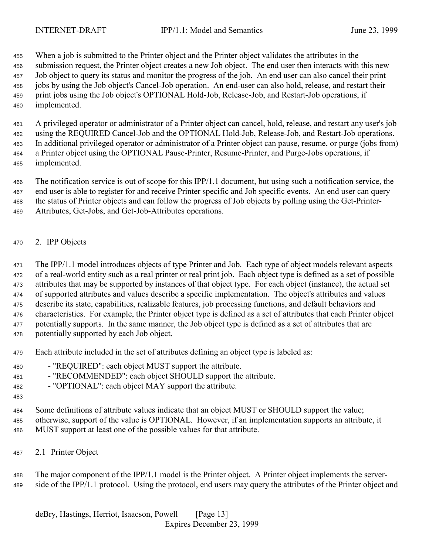<span id="page-12-0"></span> When a job is submitted to the Printer object and the Printer object validates the attributes in the submission request, the Printer object creates a new Job object. The end user then interacts with this new Job object to query its status and monitor the progress of the job. An end user can also cancel their print jobs by using the Job object's Cancel-Job operation. An end-user can also hold, release, and restart their print jobs using the Job object's OPTIONAL Hold-Job, Release-Job, and Restart-Job operations, if implemented.

 A privileged operator or administrator of a Printer object can cancel, hold, release, and restart any user's job using the REQUIRED Cancel-Job and the OPTIONAL Hold-Job, Release-Job, and Restart-Job operations. In additional privileged operator or administrator of a Printer object can pause, resume, or purge (jobs from) a Printer object using the OPTIONAL Pause-Printer, Resume-Printer, and Purge-Jobs operations, if implemented.

 The notification service is out of scope for this IPP/1.1 document, but using such a notification service, the end user is able to register for and receive Printer specific and Job specific events. An end user can query the status of Printer objects and can follow the progress of Job objects by polling using the Get-Printer-Attributes, Get-Jobs, and Get-Job-Attributes operations.

2. IPP Objects

 The IPP/1.1 model introduces objects of type Printer and Job. Each type of object models relevant aspects of a real-world entity such as a real printer or real print job. Each object type is defined as a set of possible attributes that may be supported by instances of that object type. For each object (instance), the actual set of supported attributes and values describe a specific implementation. The object's attributes and values describe its state, capabilities, realizable features, job processing functions, and default behaviors and characteristics. For example, the Printer object type is defined as a set of attributes that each Printer object potentially supports. In the same manner, the Job object type is defined as a set of attributes that are potentially supported by each Job object.

- Each attribute included in the set of attributes defining an object type is labeled as:
- "REQUIRED": each object MUST support the attribute.
- 481 "RECOMMENDED": each object SHOULD support the attribute.
- "OPTIONAL": each object MAY support the attribute.
- 

 Some definitions of attribute values indicate that an object MUST or SHOULD support the value; otherwise, support of the value is OPTIONAL. However, if an implementation supports an attribute, it MUST support at least one of the possible values for that attribute.

2.1 Printer Object

 The major component of the IPP/1.1 model is the Printer object. A Printer object implements the server-side of the IPP/1.1 protocol. Using the protocol, end users may query the attributes of the Printer object and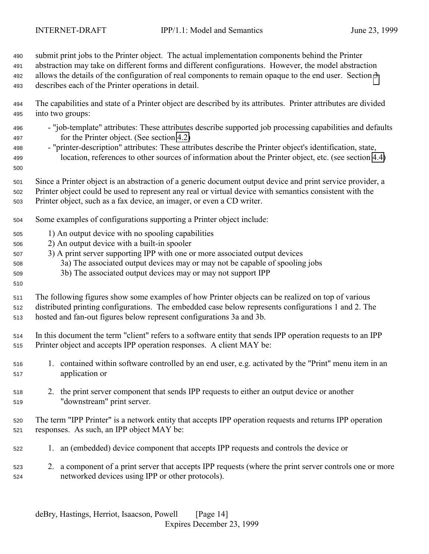submit print jobs to the Printer object. The actual implementation components behind the Printer abstraction may take on different forms and different configurations. However, the model abstraction allows the details of the configuration of real components to remain opaque to the end user. Section [3](#page-19-0) describes each of the Printer operations in detail.

 The capabilities and state of a Printer object are described by its attributes. Printer attributes are divided into two groups:

- "job-template" attributes: These attributes describe supported job processing capabilities and defaults for the Printer object. (See section [4.2\)](#page-73-0)
- "printer-description" attributes: These attributes describe the Printer object's identification, state, location, references to other sources of information about the Printer object, etc. (see section [4.4\)](#page-100-0)
- 

Since a Printer object is an abstraction of a generic document output device and print service provider, a

Printer object could be used to represent any real or virtual device with semantics consistent with the

- Printer object, such as a fax device, an imager, or even a CD writer.
- Some examples of configurations supporting a Printer object include:
- 1) An output device with no spooling capabilities
- 2) An output device with a built-in spooler
- 3) A print server supporting IPP with one or more associated output devices
- 3a) The associated output devices may or may not be capable of spooling jobs
- 3b) The associated output devices may or may not support IPP
- 

- The following figures show some examples of how Printer objects can be realized on top of various distributed printing configurations. The embedded case below represents configurations 1 and 2. The hosted and fan-out figures below represent configurations 3a and 3b.
- In this document the term "client" refers to a software entity that sends IPP operation requests to an IPP Printer object and accepts IPP operation responses. A client MAY be:
- 1. contained within software controlled by an end user, e.g. activated by the "Print" menu item in an application or
- 2. the print server component that sends IPP requests to either an output device or another "downstream" print server.
- The term "IPP Printer" is a network entity that accepts IPP operation requests and returns IPP operation responses. As such, an IPP object MAY be:
- 1. an (embedded) device component that accepts IPP requests and controls the device or
- 2. a component of a print server that accepts IPP requests (where the print server controls one or more networked devices using IPP or other protocols).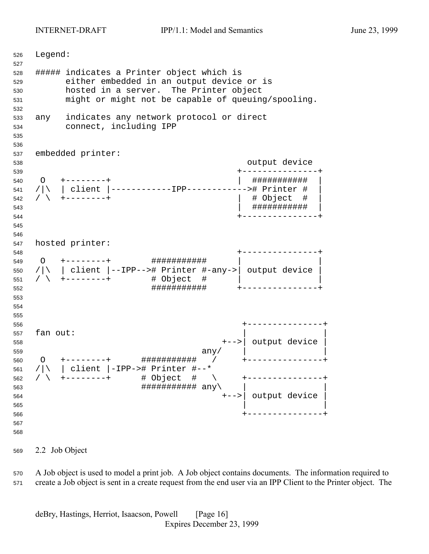<span id="page-15-0"></span> Legend: ##### indicates a Printer object which is either embedded in an output device or is hosted in a server. The Printer object might or might not be capable of queuing/spooling. any indicates any network protocol or direct connect, including IPP embedded printer: output device +---------------+ O +--------+ | ########### | /|\ | client |------------IPP------------># Printer # | / \ +--------+ | # Object # | | ########### | +---------------+ hosted printer: +---------------+ O +--------+ ########### | | /|\ | client |--IPP--># Printer #-any->| output device | /  $\sqrt{ }$  +--------+  $\frac{1}{4}$  Object #  $\frac{1}{4}$  ########### +---------------+ +---------------+ fan out: +-->| output device | any  $\vert$  any  $\vert$  O +--------+ ########### / +---------------+ /|\ | client |-IPP-># Printer #--\* / \ +--------+ # Object # \ +---------------+  $\# \# \# \# \# \# \# \# \# \# \# \text{ any } \setminus$  +-->| output device | | | +---------------+ 

2.2 Job Object

 A Job object is used to model a print job. A Job object contains documents. The information required to create a Job object is sent in a create request from the end user via an IPP Client to the Printer object. The

deBry, Hastings, Herriot, Isaacson, Powell [Page 16] Expires December 23, 1999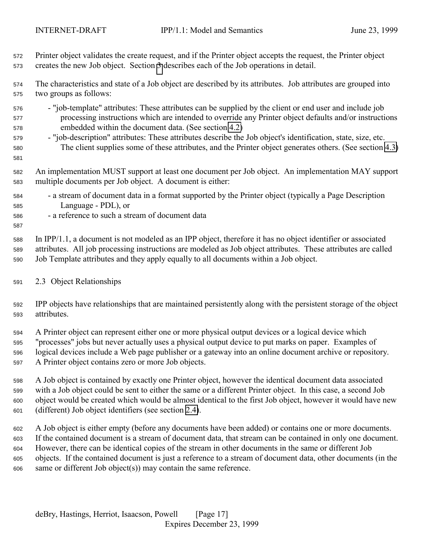<span id="page-16-0"></span> Printer object validates the create request, and if the Printer object accepts the request, the Printer object creates the new Job object. Section [3](#page-19-0) describes each of the Job operations in detail.

 The characteristics and state of a Job object are described by its attributes. Job attributes are grouped into two groups as follows:

- "job-template" attributes: These attributes can be supplied by the client or end user and include job processing instructions which are intended to override any Printer object defaults and/or instructions embedded within the document data. (See section [4.2\)](#page-73-0)
- "job-description" attributes: These attributes describe the Job object's identification, state, size, etc. The client supplies some of these attributes, and the Printer object generates others. (See section [4.3\)](#page-85-0)

 An implementation MUST support at least one document per Job object. An implementation MAY support multiple documents per Job object. A document is either:

- a stream of document data in a format supported by the Printer object (typically a Page Description Language - PDL), or
- a reference to such a stream of document data

 In IPP/1.1, a document is not modeled as an IPP object, therefore it has no object identifier or associated attributes. All job processing instructions are modeled as Job object attributes. These attributes are called Job Template attributes and they apply equally to all documents within a Job object.

#### 2.3 Object Relationships

 IPP objects have relationships that are maintained persistently along with the persistent storage of the object attributes.

 A Printer object can represent either one or more physical output devices or a logical device which "processes" jobs but never actually uses a physical output device to put marks on paper. Examples of logical devices include a Web page publisher or a gateway into an online document archive or repository. A Printer object contains zero or more Job objects.

 A Job object is contained by exactly one Printer object, however the identical document data associated with a Job object could be sent to either the same or a different Printer object. In this case, a second Job object would be created which would be almost identical to the first Job object, however it would have new (different) Job object identifiers (see section [2.4\)](#page-17-0).

 A Job object is either empty (before any documents have been added) or contains one or more documents. If the contained document is a stream of document data, that stream can be contained in only one document. However, there can be identical copies of the stream in other documents in the same or different Job objects. If the contained document is just a reference to a stream of document data, other documents (in the same or different Job object(s)) may contain the same reference.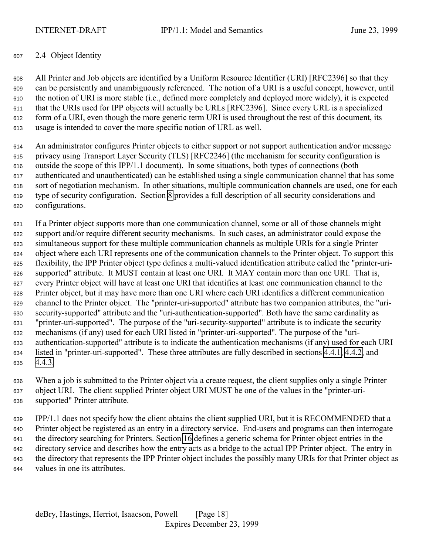#### <span id="page-17-0"></span>2.4 Object Identity

 All Printer and Job objects are identified by a Uniform Resource Identifier (URI) [RFC2396] so that they can be persistently and unambiguously referenced. The notion of a URI is a useful concept, however, until the notion of URI is more stable (i.e., defined more completely and deployed more widely), it is expected that the URIs used for IPP objects will actually be URLs [RFC2396]. Since every URL is a specialized form of a URI, even though the more generic term URI is used throughout the rest of this document, its usage is intended to cover the more specific notion of URL as well.

 An administrator configures Printer objects to either support or not support authentication and/or message privacy using Transport Layer Security (TLS) [RFC2246] (the mechanism for security configuration is outside the scope of this IPP/1.1 document). In some situations, both types of connections (both authenticated and unauthenticated) can be established using a single communication channel that has some sort of negotiation mechanism. In other situations, multiple communication channels are used, one for each type of security configuration. Section [8](#page-128-0) provides a full description of all security considerations and configurations.

 If a Printer object supports more than one communication channel, some or all of those channels might support and/or require different security mechanisms. In such cases, an administrator could expose the simultaneous support for these multiple communication channels as multiple URIs for a single Printer object where each URI represents one of the communication channels to the Printer object. To support this flexibility, the IPP Printer object type defines a multi-valued identification attribute called the "printer-uri- supported" attribute. It MUST contain at least one URI. It MAY contain more than one URI. That is, every Printer object will have at least one URI that identifies at least one communication channel to the Printer object, but it may have more than one URI where each URI identifies a different communication channel to the Printer object. The "printer-uri-supported" attribute has two companion attributes, the "uri- security-supported" attribute and the "uri-authentication-supported". Both have the same cardinality as "printer-uri-supported". The purpose of the "uri-security-supported" attribute is to indicate the security mechanisms (if any) used for each URI listed in "printer-uri-supported". The purpose of the "uri- authentication-supported" attribute is to indicate the authentication mechanisms (if any) used for each URI listed in "printer-uri-supported". These three attributes are fully described in sections [4.4.1,](#page-102-0) [4.4.2,](#page-103-0) and [4.4.3.](#page-103-0)

 When a job is submitted to the Printer object via a create request, the client supplies only a single Printer object URI. The client supplied Printer object URI MUST be one of the values in the "printer-uri-supported" Printer attribute.

 IPP/1.1 does not specify how the client obtains the client supplied URI, but it is RECOMMENDED that a Printer object be registered as an entry in a directory service. End-users and programs can then interrogate the directory searching for Printers. Section [16](#page-162-0) defines a generic schema for Printer object entries in the directory service and describes how the entry acts as a bridge to the actual IPP Printer object. The entry in the directory that represents the IPP Printer object includes the possibly many URIs for that Printer object as values in one its attributes.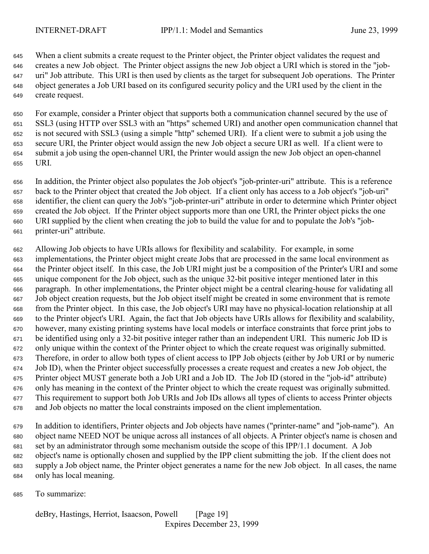When a client submits a create request to the Printer object, the Printer object validates the request and creates a new Job object. The Printer object assigns the new Job object a URI which is stored in the "job- uri" Job attribute. This URI is then used by clients as the target for subsequent Job operations. The Printer object generates a Job URI based on its configured security policy and the URI used by the client in the create request.

 For example, consider a Printer object that supports both a communication channel secured by the use of SSL3 (using HTTP over SSL3 with an "https" schemed URI) and another open communication channel that is not secured with SSL3 (using a simple "http" schemed URI). If a client were to submit a job using the secure URI, the Printer object would assign the new Job object a secure URI as well. If a client were to submit a job using the open-channel URI, the Printer would assign the new Job object an open-channel URI.

 In addition, the Printer object also populates the Job object's "job-printer-uri" attribute. This is a reference back to the Printer object that created the Job object. If a client only has access to a Job object's "job-uri" identifier, the client can query the Job's "job-printer-uri" attribute in order to determine which Printer object created the Job object. If the Printer object supports more than one URI, the Printer object picks the one URI supplied by the client when creating the job to build the value for and to populate the Job's "job-printer-uri" attribute.

 Allowing Job objects to have URIs allows for flexibility and scalability. For example, in some implementations, the Printer object might create Jobs that are processed in the same local environment as the Printer object itself. In this case, the Job URI might just be a composition of the Printer's URI and some unique component for the Job object, such as the unique 32-bit positive integer mentioned later in this paragraph. In other implementations, the Printer object might be a central clearing-house for validating all Job object creation requests, but the Job object itself might be created in some environment that is remote from the Printer object. In this case, the Job object's URI may have no physical-location relationship at all to the Printer object's URI. Again, the fact that Job objects have URIs allows for flexibility and scalability, however, many existing printing systems have local models or interface constraints that force print jobs to be identified using only a 32-bit positive integer rather than an independent URI. This numeric Job ID is only unique within the context of the Printer object to which the create request was originally submitted. Therefore, in order to allow both types of client access to IPP Job objects (either by Job URI or by numeric Job ID), when the Printer object successfully processes a create request and creates a new Job object, the Printer object MUST generate both a Job URI and a Job ID. The Job ID (stored in the "job-id" attribute) only has meaning in the context of the Printer object to which the create request was originally submitted. This requirement to support both Job URIs and Job IDs allows all types of clients to access Printer objects and Job objects no matter the local constraints imposed on the client implementation.

 In addition to identifiers, Printer objects and Job objects have names ("printer-name" and "job-name"). An object name NEED NOT be unique across all instances of all objects. A Printer object's name is chosen and set by an administrator through some mechanism outside the scope of this IPP/1.1 document. A Job object's name is optionally chosen and supplied by the IPP client submitting the job. If the client does not supply a Job object name, the Printer object generates a name for the new Job object. In all cases, the name only has local meaning.

To summarize: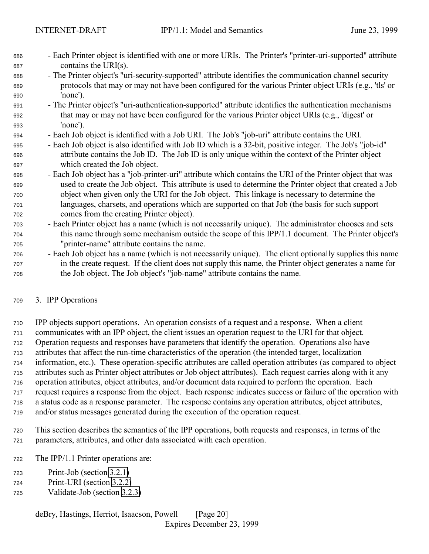- <span id="page-19-0"></span> - Each Printer object is identified with one or more URIs. The Printer's "printer-uri-supported" attribute contains the URI(s).
- The Printer object's "uri-security-supported" attribute identifies the communication channel security protocols that may or may not have been configured for the various Printer object URIs (e.g., 'tls' or 'none').
- The Printer object's "uri-authentication-supported" attribute identifies the authentication mechanisms that may or may not have been configured for the various Printer object URIs (e.g., 'digest' or 'none').
- Each Job object is identified with a Job URI. The Job's "job-uri" attribute contains the URI.
- Each Job object is also identified with Job ID which is a 32-bit, positive integer. The Job's "job-id" attribute contains the Job ID. The Job ID is only unique within the context of the Printer object which created the Job object.
- Each Job object has a "job-printer-uri" attribute which contains the URI of the Printer object that was used to create the Job object. This attribute is used to determine the Printer object that created a Job object when given only the URI for the Job object. This linkage is necessary to determine the languages, charsets, and operations which are supported on that Job (the basis for such support comes from the creating Printer object).
- Each Printer object has a name (which is not necessarily unique). The administrator chooses and sets this name through some mechanism outside the scope of this IPP/1.1 document. The Printer object's "printer-name" attribute contains the name.
- Each Job object has a name (which is not necessarily unique). The client optionally supplies this name in the create request. If the client does not supply this name, the Printer object generates a name for the Job object. The Job object's "job-name" attribute contains the name.

### 3. IPP Operations

 IPP objects support operations. An operation consists of a request and a response. When a client communicates with an IPP object, the client issues an operation request to the URI for that object. Operation requests and responses have parameters that identify the operation. Operations also have attributes that affect the run-time characteristics of the operation (the intended target, localization information, etc.). These operation-specific attributes are called operation attributes (as compared to object attributes such as Printer object attributes or Job object attributes). Each request carries along with it any operation attributes, object attributes, and/or document data required to perform the operation. Each request requires a response from the object. Each response indicates success or failure of the operation with a status code as a response parameter. The response contains any operation attributes, object attributes, and/or status messages generated during the execution of the operation request.

- This section describes the semantics of the IPP operations, both requests and responses, in terms of the parameters, attributes, and other data associated with each operation.
- The IPP/1.1 Printer operations are:
- Print-Job (section [3.2.1\)](#page-35-0)
- Print-URI (section [3.2.2\)](#page-40-0)
- Validate-Job (section [3.2.3\)](#page-41-0)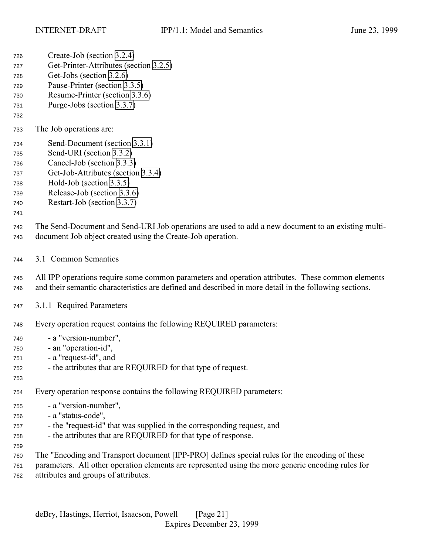<span id="page-20-0"></span>Create-Job (section [3.2.4\)](#page-41-0)

| 727<br>728<br>729<br>730<br>731<br>732               | Get-Printer-Attributes (section 3.2.5)<br>Get-Jobs (section 3.2.6)<br>Pause-Printer (section 3.3.5)<br>Resume-Printer (section 3.3.6)<br>Purge-Jobs (section 3.3.7)                                                                          |
|------------------------------------------------------|----------------------------------------------------------------------------------------------------------------------------------------------------------------------------------------------------------------------------------------------|
| 733                                                  | The Job operations are:                                                                                                                                                                                                                      |
| 734<br>735<br>736<br>737<br>738<br>739<br>740<br>741 | Send-Document (section 3.3.1)<br>Send-URI (section 3.3.2)<br>Cancel-Job (section 3.3.3)<br>Get-Job-Attributes (section 3.3.4)<br>Hold-Job (section 3.3.5)<br>Release-Job (section 3.3.6)<br>Restart-Job (section 3.3.7)                      |
| 742<br>743                                           | The Send-Document and Send-URI Job operations are used to add a new document to an existing multi-<br>document Job object created using the Create-Job operation.                                                                            |
| 744                                                  | 3.1 Common Semantics                                                                                                                                                                                                                         |
| 745<br>746                                           | All IPP operations require some common parameters and operation attributes. These common elements<br>and their semantic characteristics are defined and described in more detail in the following sections.                                  |
| 747                                                  | 3.1.1 Required Parameters                                                                                                                                                                                                                    |
| 748                                                  | Every operation request contains the following REQUIRED parameters:                                                                                                                                                                          |
| 749<br>750<br>751<br>752<br>753                      | - a "version-number",<br>- an "operation-id",<br>- a "request-id", and<br>- the attributes that are REQUIRED for that type of request.                                                                                                       |
| 754                                                  | Every operation response contains the following REQUIRED parameters:                                                                                                                                                                         |
| 755<br>756<br>757<br>758<br>759                      | - a "version-number",<br>- a "status-code",<br>- the "request-id" that was supplied in the corresponding request, and<br>- the attributes that are REQUIRED for that type of response.                                                       |
| 760<br>761<br>762                                    | The "Encoding and Transport document [IPP-PRO] defines special rules for the encoding of these<br>parameters. All other operation elements are represented using the more generic encoding rules for<br>attributes and groups of attributes. |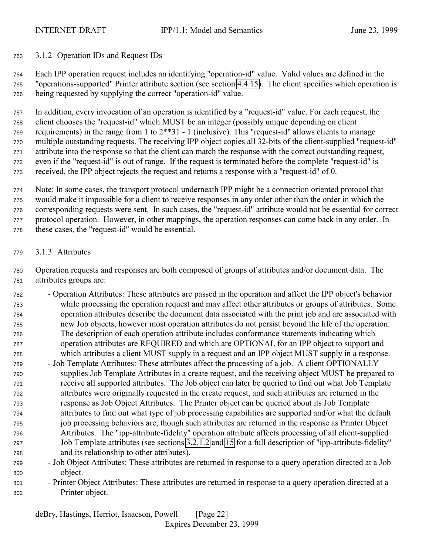<span id="page-21-0"></span>3.1.2 Operation IDs and Request IDs

 Each IPP operation request includes an identifying "operation-id" value. Valid values are defined in the "operations-supported" Printer attribute section (see section [4.4.15\)](#page-109-0). The client specifies which operation is being requested by supplying the correct "operation-id" value.

 In addition, every invocation of an operation is identified by a "request-id" value. For each request, the client chooses the "request-id" which MUST be an integer (possibly unique depending on client requirements) in the range from 1 to 2\*\*31 - 1 (inclusive). This "request-id" allows clients to manage multiple outstanding requests. The receiving IPP object copies all 32-bits of the client-supplied "request-id" attribute into the response so that the client can match the response with the correct outstanding request, even if the "request-id" is out of range. If the request is terminated before the complete "request-id" is received, the IPP object rejects the request and returns a response with a "request-id" of 0.

 Note: In some cases, the transport protocol underneath IPP might be a connection oriented protocol that would make it impossible for a client to receive responses in any order other than the order in which the corresponding requests were sent. In such cases, the "request-id" attribute would not be essential for correct protocol operation. However, in other mappings, the operation responses can come back in any order. In these cases, the "request-id" would be essential.

3.1.3 Attributes

 Operation requests and responses are both composed of groups of attributes and/or document data. The attributes groups are:

- Operation Attributes: These attributes are passed in the operation and affect the IPP object's behavior while processing the operation request and may affect other attributes or groups of attributes. Some operation attributes describe the document data associated with the print job and are associated with new Job objects, however most operation attributes do not persist beyond the life of the operation. The description of each operation attribute includes conformance statements indicating which operation attributes are REQUIRED and which are OPTIONAL for an IPP object to support and which attributes a client MUST supply in a request and an IPP object MUST supply in a response.
- Job Template Attributes: These attributes affect the processing of a job. A client OPTIONALLY supplies Job Template Attributes in a create request, and the receiving object MUST be prepared to receive all supported attributes. The Job object can later be queried to find out what Job Template attributes were originally requested in the create request, and such attributes are returned in the response as Job Object Attributes. The Printer object can be queried about its Job Template attributes to find out what type of job processing capabilities are supported and/or what the default job processing behaviors are, though such attributes are returned in the response as Printer Object Attributes. The "ipp-attribute-fidelity" operation attribute affects processing of all client-supplied Job Template attributes (see sections [3.2.1.2](#page-38-0) and [15](#page-158-0) for a full description of "ipp-attribute-fidelity" and its relationship to other attributes).
- Job Object Attributes: These attributes are returned in response to a query operation directed at a Job object.
- Printer Object Attributes: These attributes are returned in response to a query operation directed at a Printer object.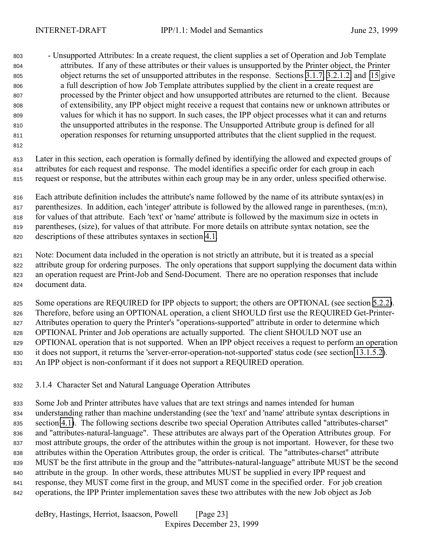<span id="page-22-0"></span> - Unsupported Attributes: In a create request, the client supplies a set of Operation and Job Template attributes. If any of these attributes or their values is unsupported by the Printer object, the Printer object returns the set of unsupported attributes in the response. Sections [3.1.7,](#page-30-0) [3.2.1.2,](#page-38-0) and [15](#page-158-0) give a full description of how Job Template attributes supplied by the client in a create request are processed by the Printer object and how unsupported attributes are returned to the client. Because of extensibility, any IPP object might receive a request that contains new or unknown attributes or values for which it has no support. In such cases, the IPP object processes what it can and returns the unsupported attributes in the response. The Unsupported Attribute group is defined for all operation responses for returning unsupported attributes that the client supplied in the request.

 Later in this section, each operation is formally defined by identifying the allowed and expected groups of attributes for each request and response. The model identifies a specific order for each group in each request or response, but the attributes within each group may be in any order, unless specified otherwise.

 Each attribute definition includes the attribute's name followed by the name of its attribute syntax(es) in parenthesizes. In addition, each 'integer' attribute is followed by the allowed range in parentheses, (m:n), for values of that attribute. Each 'text' or 'name' attribute is followed by the maximum size in octets in parentheses, (size), for values of that attribute. For more details on attribute syntax notation, see the descriptions of these attributes syntaxes in section [4.1.](#page-63-0)

 Note: Document data included in the operation is not strictly an attribute, but it is treated as a special attribute group for ordering purposes. The only operations that support supplying the document data within an operation request are Print-Job and Send-Document. There are no operation responses that include document data.

825 Some operations are REQUIRED for IPP objects to support; the others are OPTIONAL (see section [5.2.2\)](#page-117-0). Therefore, before using an OPTIONAL operation, a client SHOULD first use the REQUIRED Get-Printer- Attributes operation to query the Printer's "operations-supported" attribute in order to determine which 828 OPTIONAL Printer and Job operations are actually supported. The client SHOULD NOT use an OPTIONAL operation that is not supported. When an IPP object receives a request to perform an operation it does not support, it returns the 'server-error-operation-not-supported' status code (see section [13.1.5.2\)](#page-150-0). An IPP object is non-conformant if it does not support a REQUIRED operation.

### 3.1.4 Character Set and Natural Language Operation Attributes

 Some Job and Printer attributes have values that are text strings and names intended for human understanding rather than machine understanding (see the 'text' and 'name' attribute syntax descriptions in section [4.1\)](#page-63-0). The following sections describe two special Operation Attributes called "attributes-charset" and "attributes-natural-language". These attributes are always part of the Operation Attributes group. For most attribute groups, the order of the attributes within the group is not important. However, for these two attributes within the Operation Attributes group, the order is critical. The "attributes-charset" attribute MUST be the first attribute in the group and the "attributes-natural-language" attribute MUST be the second attribute in the group. In other words, these attributes MUST be supplied in every IPP request and response, they MUST come first in the group, and MUST come in the specified order. For job creation operations, the IPP Printer implementation saves these two attributes with the new Job object as Job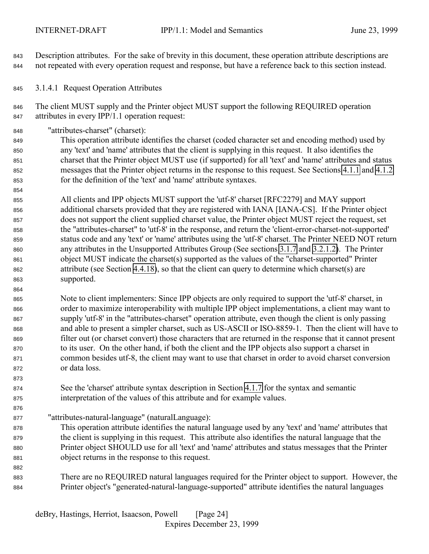<span id="page-23-0"></span> Description attributes. For the sake of brevity in this document, these operation attribute descriptions are not repeated with every operation request and response, but have a reference back to this section instead.

3.1.4.1 Request Operation Attributes

 The client MUST supply and the Printer object MUST support the following REQUIRED operation attributes in every IPP/1.1 operation request:

"attributes-charset" (charset):

 This operation attribute identifies the charset (coded character set and encoding method) used by any 'text' and 'name' attributes that the client is supplying in this request. It also identifies the charset that the Printer object MUST use (if supported) for all 'text' and 'name' attributes and status messages that the Printer object returns in the response to this request. See Sections [4.1.1](#page-64-0) and [4.1.2](#page-66-0) for the definition of the 'text' and 'name' attribute syntaxes.

 All clients and IPP objects MUST support the 'utf-8' charset [RFC2279] and MAY support additional charsets provided that they are registered with IANA [IANA-CS]. If the Printer object does not support the client supplied charset value, the Printer object MUST reject the request, set the "attributes-charset" to 'utf-8' in the response, and return the 'client-error-charset-not-supported' status code and any 'text' or 'name' attributes using the 'utf-8' charset. The Printer NEED NOT return any attributes in the Unsupported Attributes Group (See sections [3.1.7](#page-30-0) and [3.2.1.2\)](#page-38-0). The Printer object MUST indicate the charset(s) supported as the values of the "charset-supported" Printer attribute (see Section [4.4.18\)](#page-110-0), so that the client can query to determine which charset(s) are supported.

 Note to client implementers: Since IPP objects are only required to support the 'utf-8' charset, in order to maximize interoperability with multiple IPP object implementations, a client may want to supply 'utf-8' in the "attributes-charset" operation attribute, even though the client is only passing and able to present a simpler charset, such as US-ASCII or ISO-8859-1. Then the client will have to filter out (or charset convert) those characters that are returned in the response that it cannot present to its user. On the other hand, if both the client and the IPP objects also support a charset in common besides utf-8, the client may want to use that charset in order to avoid charset conversion or data loss.

 See the 'charset' attribute syntax description in Section [4.1.7](#page-69-0) for the syntax and semantic interpretation of the values of this attribute and for example values.

"attributes-natural-language" (naturalLanguage):

- This operation attribute identifies the natural language used by any 'text' and 'name' attributes that the client is supplying in this request. This attribute also identifies the natural language that the Printer object SHOULD use for all 'text' and 'name' attributes and status messages that the Printer object returns in the response to this request.
- There are no REQUIRED natural languages required for the Printer object to support. However, the Printer object's "generated-natural-language-supported" attribute identifies the natural languages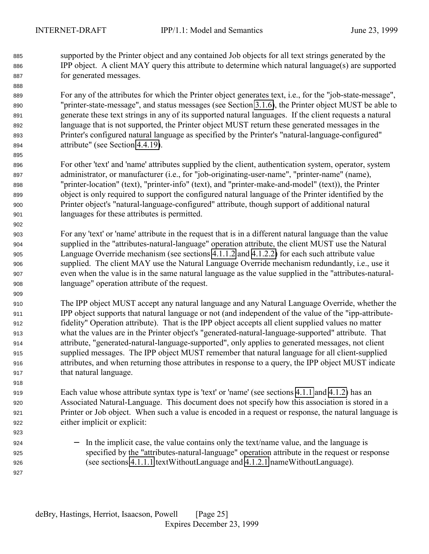supported by the Printer object and any contained Job objects for all text strings generated by the IPP object. A client MAY query this attribute to determine which natural language(s) are supported for generated messages.

 For any of the attributes for which the Printer object generates text, i.e., for the "job-state-message", "printer-state-message", and status messages (see Section [3.1.6\)](#page-28-0), the Printer object MUST be able to generate these text strings in any of its supported natural languages. If the client requests a natural language that is not supported, the Printer object MUST return these generated messages in the Printer's configured natural language as specified by the Printer's "natural-language-configured" attribute" (see Section [4.4.19\)](#page-110-0).

- For other 'text' and 'name' attributes supplied by the client, authentication system, operator, system administrator, or manufacturer (i.e., for "job-originating-user-name", "printer-name" (name), "printer-location" (text), "printer-info" (text), and "printer-make-and-model" (text)), the Printer object is only required to support the configured natural language of the Printer identified by the Printer object's "natural-language-configured" attribute, though support of additional natural languages for these attributes is permitted.
- For any 'text' or 'name' attribute in the request that is in a different natural language than the value supplied in the "attributes-natural-language" operation attribute, the client MUST use the Natural Language Override mechanism (see sections [4.1.1.2](#page-65-0) and [4.1.2.2\)](#page-66-0) for each such attribute value supplied. The client MAY use the Natural Language Override mechanism redundantly, i.e., use it even when the value is in the same natural language as the value supplied in the "attributes-natural-language" operation attribute of the request.
- The IPP object MUST accept any natural language and any Natural Language Override, whether the IPP object supports that natural language or not (and independent of the value of the "ipp-attribute- fidelity" Operation attribute). That is the IPP object accepts all client supplied values no matter what the values are in the Printer object's "generated-natural-language-supported" attribute. That attribute, "generated-natural-language-supported", only applies to generated messages, not client supplied messages. The IPP object MUST remember that natural language for all client-supplied attributes, and when returning those attributes in response to a query, the IPP object MUST indicate that natural language.

 Each value whose attribute syntax type is 'text' or 'name' (see sections [4.1.1](#page-64-0) and [4.1.2\)](#page-66-0) has an Associated Natural-Language. This document does not specify how this association is stored in a Printer or Job object. When such a value is encoded in a request or response, the natural language is either implicit or explicit:

 − In the implicit case, the value contains only the text/name value, and the language is specified by the "attributes-natural-language" operation attribute in the request or response (see sections [4.1.1.1](#page-65-0) textWithoutLanguage and [4.1.2.1](#page-66-0) nameWithoutLanguage).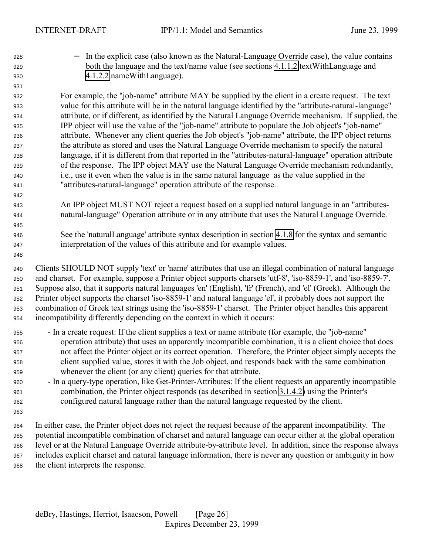− In the explicit case (also known as the Natural-Language Override case), the value contains both the language and the text/name value (see sections [4.1.1.2](#page-65-0) textWithLanguage and [4.1.2.2](#page-66-0) nameWithLanguage).

 For example, the "job-name" attribute MAY be supplied by the client in a create request. The text value for this attribute will be in the natural language identified by the "attribute-natural-language" attribute, or if different, as identified by the Natural Language Override mechanism. If supplied, the IPP object will use the value of the "job-name" attribute to populate the Job object's "job-name" attribute. Whenever any client queries the Job object's "job-name" attribute, the IPP object returns the attribute as stored and uses the Natural Language Override mechanism to specify the natural language, if it is different from that reported in the "attributes-natural-language" operation attribute of the response. The IPP object MAY use the Natural Language Override mechanism redundantly, i.e., use it even when the value is in the same natural language as the value supplied in the "attributes-natural-language" operation attribute of the response.

- An IPP object MUST NOT reject a request based on a supplied natural language in an "attributes-natural-language" Operation attribute or in any attribute that uses the Natural Language Override.
- See the 'naturalLanguage' attribute syntax description in section [4.1.8](#page-70-0) for the syntax and semantic interpretation of the values of this attribute and for example values.
- Clients SHOULD NOT supply 'text' or 'name' attributes that use an illegal combination of natural language and charset. For example, suppose a Printer object supports charsets 'utf-8', 'iso-8859-1', and 'iso-8859-7'. Suppose also, that it supports natural languages 'en' (English), 'fr' (French), and 'el' (Greek). Although the Printer object supports the charset 'iso-8859-1' and natural language 'el', it probably does not support the combination of Greek text strings using the 'iso-8859-1' charset. The Printer object handles this apparent incompatibility differently depending on the context in which it occurs:
- In a create request: If the client supplies a text or name attribute (for example, the "job-name" operation attribute) that uses an apparently incompatible combination, it is a client choice that does not affect the Printer object or its correct operation. Therefore, the Printer object simply accepts the client supplied value, stores it with the Job object, and responds back with the same combination whenever the client (or any client) queries for that attribute.
- In a query-type operation, like Get-Printer-Attributes: If the client requests an apparently incompatible combination, the Printer object responds (as described in section [3.1.4.2\)](#page-26-0) using the Printer's configured natural language rather than the natural language requested by the client.
- 
- In either case, the Printer object does not reject the request because of the apparent incompatibility. The potential incompatible combination of charset and natural language can occur either at the global operation level or at the Natural Language Override attribute-by-attribute level. In addition, since the response always includes explicit charset and natural language information, there is never any question or ambiguity in how the client interprets the response.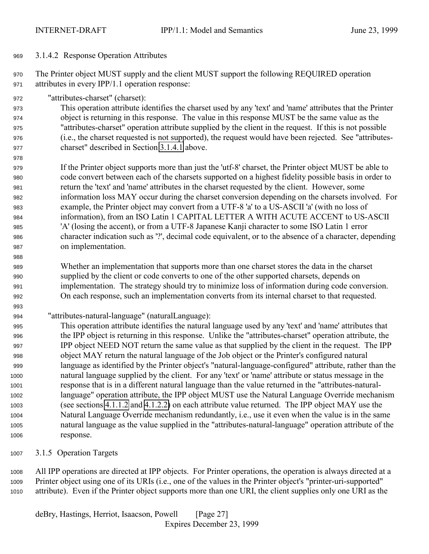#### <span id="page-26-0"></span>3.1.4.2 Response Operation Attributes

 The Printer object MUST supply and the client MUST support the following REQUIRED operation attributes in every IPP/1.1 operation response:

"attributes-charset" (charset):

 This operation attribute identifies the charset used by any 'text' and 'name' attributes that the Printer object is returning in this response. The value in this response MUST be the same value as the "attributes-charset" operation attribute supplied by the client in the request. If this is not possible (i.e., the charset requested is not supported), the request would have been rejected. See "attributes-charset" described in Section [3.1.4.1](#page-23-0) above.

 If the Printer object supports more than just the 'utf-8' charset, the Printer object MUST be able to code convert between each of the charsets supported on a highest fidelity possible basis in order to return the 'text' and 'name' attributes in the charset requested by the client. However, some information loss MAY occur during the charset conversion depending on the charsets involved. For example, the Printer object may convert from a UTF-8 'a' to a US-ASCII 'a' (with no loss of information), from an ISO Latin 1 CAPITAL LETTER A WITH ACUTE ACCENT to US-ASCII 'A' (losing the accent), or from a UTF-8 Japanese Kanji character to some ISO Latin 1 error character indication such as '?', decimal code equivalent, or to the absence of a character, depending on implementation.

 Whether an implementation that supports more than one charset stores the data in the charset supplied by the client or code converts to one of the other supported charsets, depends on implementation. The strategy should try to minimize loss of information during code conversion. On each response, such an implementation converts from its internal charset to that requested.

"attributes-natural-language" (naturalLanguage):

 This operation attribute identifies the natural language used by any 'text' and 'name' attributes that the IPP object is returning in this response. Unlike the "attributes-charset" operation attribute, the IPP object NEED NOT return the same value as that supplied by the client in the request. The IPP object MAY return the natural language of the Job object or the Printer's configured natural language as identified by the Printer object's "natural-language-configured" attribute, rather than the natural language supplied by the client. For any 'text' or 'name' attribute or status message in the response that is in a different natural language than the value returned in the "attributes-natural- language" operation attribute, the IPP object MUST use the Natural Language Override mechanism (see sections [4.1.1.2](#page-65-0) and [4.1.2.2\)](#page-66-0) on each attribute value returned. The IPP object MAY use the Natural Language Override mechanism redundantly, i.e., use it even when the value is in the same natural language as the value supplied in the "attributes-natural-language" operation attribute of the response.

3.1.5 Operation Targets

 All IPP operations are directed at IPP objects. For Printer operations, the operation is always directed at a Printer object using one of its URIs (i.e., one of the values in the Printer object's "printer-uri-supported" attribute). Even if the Printer object supports more than one URI, the client supplies only one URI as the

deBry, Hastings, Herriot, Isaacson, Powell [Page 27] Expires December 23, 1999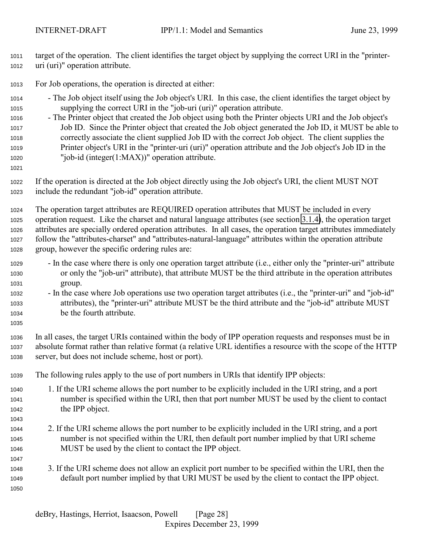target of the operation. The client identifies the target object by supplying the correct URI in the "printer-uri (uri)" operation attribute.

- For Job operations, the operation is directed at either:
- The Job object itself using the Job object's URI. In this case, the client identifies the target object by supplying the correct URI in the "job-uri (uri)" operation attribute.
- The Printer object that created the Job object using both the Printer objects URI and the Job object's Job ID. Since the Printer object that created the Job object generated the Job ID, it MUST be able to correctly associate the client supplied Job ID with the correct Job object. The client supplies the Printer object's URI in the "printer-uri (uri)" operation attribute and the Job object's Job ID in the "job-id (integer(1:MAX))" operation attribute.
- 

 If the operation is directed at the Job object directly using the Job object's URI, the client MUST NOT include the redundant "job-id" operation attribute.

 The operation target attributes are REQUIRED operation attributes that MUST be included in every operation request. Like the charset and natural language attributes (see section [3.1.4\)](#page-22-0), the operation target attributes are specially ordered operation attributes. In all cases, the operation target attributes immediately follow the "attributes-charset" and "attributes-natural-language" attributes within the operation attribute group, however the specific ordering rules are:

- In the case where there is only one operation target attribute (i.e., either only the "printer-uri" attribute or only the "job-uri" attribute), that attribute MUST be the third attribute in the operation attributes group.
- In the case where Job operations use two operation target attributes (i.e., the "printer-uri" and "job-id" attributes), the "printer-uri" attribute MUST be the third attribute and the "job-id" attribute MUST be the fourth attribute.
- In all cases, the target URIs contained within the body of IPP operation requests and responses must be in absolute format rather than relative format (a relative URL identifies a resource with the scope of the HTTP server, but does not include scheme, host or port).
- The following rules apply to the use of port numbers in URIs that identify IPP objects:
- 1. If the URI scheme allows the port number to be explicitly included in the URI string, and a port number is specified within the URI, then that port number MUST be used by the client to contact the IPP object.
- 2. If the URI scheme allows the port number to be explicitly included in the URI string, and a port number is not specified within the URI, then default port number implied by that URI scheme MUST be used by the client to contact the IPP object.
- 3. If the URI scheme does not allow an explicit port number to be specified within the URI, then the default port number implied by that URI MUST be used by the client to contact the IPP object.
-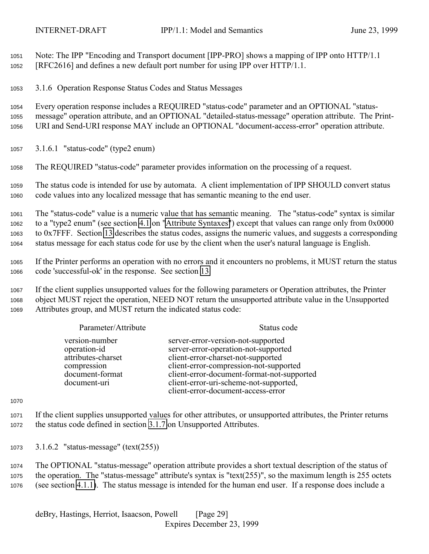<span id="page-28-0"></span> Note: The IPP "Encoding and Transport document [IPP-PRO] shows a mapping of IPP onto HTTP/1.1 [RFC2616] and defines a new default port number for using IPP over HTTP/1.1.

3.1.6 Operation Response Status Codes and Status Messages

 Every operation response includes a REQUIRED "status-code" parameter and an OPTIONAL "status- message" operation attribute, and an OPTIONAL "detailed-status-message" operation attribute. The Print-URI and Send-URI response MAY include an OPTIONAL "document-access-error" operation attribute.

3.1.6.1 "status-code" (type2 enum)

The REQUIRED "status-code" parameter provides information on the processing of a request.

 The status code is intended for use by automata. A client implementation of IPP SHOULD convert status code values into any localized message that has semantic meaning to the end user.

 The "status-code" value is a numeric value that has semantic meaning. The "status-code" syntax is similar to a "type2 enum" (see section [4.1](#page-63-0) on ["Attribute Syntaxes"](#page-63-0)) except that values can range only from 0x0000 to 0x7FFF. Section [13](#page-143-0) describes the status codes, assigns the numeric values, and suggests a corresponding status message for each status code for use by the client when the user's natural language is English.

 If the Printer performs an operation with no errors and it encounters no problems, it MUST return the status code 'successful-ok' in the response. See section [13.](#page-143-0)

 If the client supplies unsupported values for the following parameters or Operation attributes, the Printer object MUST reject the operation, NEED NOT return the unsupported attribute value in the Unsupported Attributes group, and MUST return the indicated status code:

| Parameter/Attribute                                                                                    | Status code                                                                                                                                                                                                                                                                              |
|--------------------------------------------------------------------------------------------------------|------------------------------------------------------------------------------------------------------------------------------------------------------------------------------------------------------------------------------------------------------------------------------------------|
| version-number<br>operation-id<br>attributes-charset<br>compression<br>document-format<br>document-uri | server-error-version-not-supported<br>server-error-operation-not-supported<br>client-error-charset-not-supported<br>client-error-compression-not-supported<br>client-error-document-format-not-supported<br>client-error-uri-scheme-not-supported,<br>client-error-document-access-error |

 If the client supplies unsupported values for other attributes, or unsupported attributes, the Printer returns the status code defined in section [3.1.7](#page-30-0) on Unsupported Attributes.

3.1.6.2 "status-message" (text(255))

 The OPTIONAL "status-message" operation attribute provides a short textual description of the status of the operation. The "status-message" attribute's syntax is "text(255)", so the maximum length is 255 octets (see section [4.1.1\)](#page-64-0). The status message is intended for the human end user. If a response does include a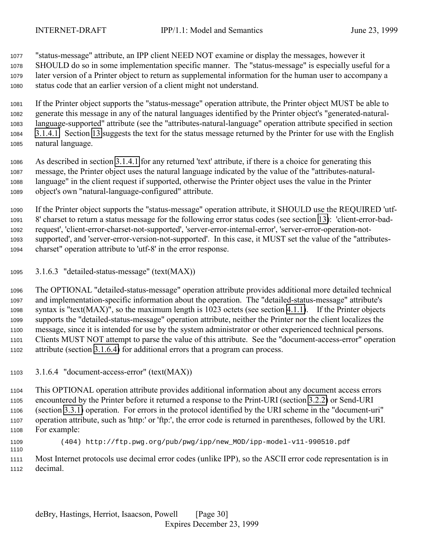<span id="page-29-0"></span>

"status-message" attribute, an IPP client NEED NOT examine or display the messages, however it

 SHOULD do so in some implementation specific manner. The "status-message" is especially useful for a later version of a Printer object to return as supplemental information for the human user to accompany a status code that an earlier version of a client might not understand.

 If the Printer object supports the "status-message" operation attribute, the Printer object MUST be able to generate this message in any of the natural languages identified by the Printer object's "generated-natural- language-supported" attribute (see the "attributes-natural-language" operation attribute specified in section [3.1.4.1.](#page-23-0) Section [13](#page-143-0) suggests the text for the status message returned by the Printer for use with the English natural language.

 As described in section [3.1.4.1](#page-23-0) for any returned 'text' attribute, if there is a choice for generating this message, the Printer object uses the natural language indicated by the value of the "attributes-natural- language" in the client request if supported, otherwise the Printer object uses the value in the Printer object's own "natural-language-configured" attribute.

 If the Printer object supports the "status-message" operation attribute, it SHOULD use the REQUIRED 'utf- 8' charset to return a status message for the following error status codes (see section [13\)](#page-143-0): 'client-error-bad- request', 'client-error-charset-not-supported', 'server-error-internal-error', 'server-error-operation-not- supported', and 'server-error-version-not-supported'. In this case, it MUST set the value of the "attributes-charset" operation attribute to 'utf-8' in the error response.

3.1.6.3 "detailed-status-message" (text(MAX))

 The OPTIONAL "detailed-status-message" operation attribute provides additional more detailed technical and implementation-specific information about the operation. The "detailed-status-message" attribute's syntax is "text(MAX)", so the maximum length is 1023 octets (see section [4.1.1\)](#page-64-0). If the Printer objects supports the "detailed-status-message" operation attribute, neither the Printer nor the client localizes the message, since it is intended for use by the system administrator or other experienced technical persons. Clients MUST NOT attempt to parse the value of this attribute. See the "document-access-error" operation attribute (section 3.1.6.4) for additional errors that a program can process.

3.1.6.4 "document-access-error" (text(MAX))

 This OPTIONAL operation attribute provides additional information about any document access errors encountered by the Printer before it returned a response to the Print-URI (section [3.2.2\)](#page-40-0) or Send-URI (section [3.3.1\)](#page-51-0) operation. For errors in the protocol identified by the URI scheme in the "document-uri" operation attribute, such as 'http:' or 'ftp:', the error code is returned in parentheses, followed by the URI. For example:

 (404) http://ftp.pwg.org/pub/pwg/ipp/new\_MOD/ipp-model-v11-990510.pdf 

 Most Internet protocols use decimal error codes (unlike IPP), so the ASCII error code representation is in decimal.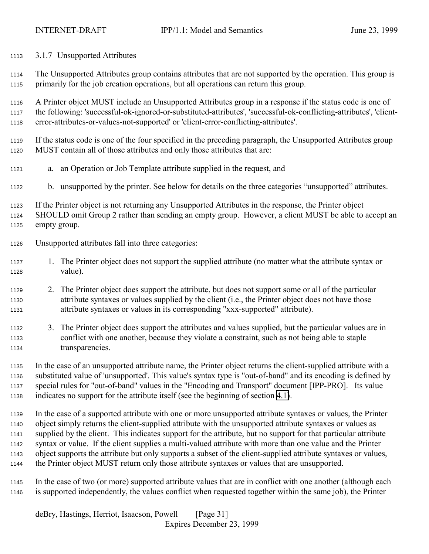<span id="page-30-0"></span>3.1.7 Unsupported Attributes

 The Unsupported Attributes group contains attributes that are not supported by the operation. This group is primarily for the job creation operations, but all operations can return this group.

 A Printer object MUST include an Unsupported Attributes group in a response if the status code is one of the following: 'successful-ok-ignored-or-substituted-attributes', 'successful-ok-conflicting-attributes', 'client-error-attributes-or-values-not-supported' or 'client-error-conflicting-attributes'.

 If the status code is one of the four specified in the preceding paragraph, the Unsupported Attributes group MUST contain all of those attributes and only those attributes that are:

- a. an Operation or Job Template attribute supplied in the request, and
- b. unsupported by the printer. See below for details on the three categories "unsupported" attributes.

 If the Printer object is not returning any Unsupported Attributes in the response, the Printer object SHOULD omit Group 2 rather than sending an empty group. However, a client MUST be able to accept an empty group.

- Unsupported attributes fall into three categories:
- 1. The Printer object does not support the supplied attribute (no matter what the attribute syntax or value).
- 2. The Printer object does support the attribute, but does not support some or all of the particular attribute syntaxes or values supplied by the client (i.e., the Printer object does not have those attribute syntaxes or values in its corresponding "xxx-supported" attribute).

 3. The Printer object does support the attributes and values supplied, but the particular values are in conflict with one another, because they violate a constraint, such as not being able to staple transparencies.

 In the case of an unsupported attribute name, the Printer object returns the client-supplied attribute with a substituted value of 'unsupported'. This value's syntax type is "out-of-band" and its encoding is defined by special rules for "out-of-band" values in the "Encoding and Transport" document [IPP-PRO]. Its value indicates no support for the attribute itself (see the beginning of section [4.1\)](#page-63-0).

 In the case of a supported attribute with one or more unsupported attribute syntaxes or values, the Printer object simply returns the client-supplied attribute with the unsupported attribute syntaxes or values as supplied by the client. This indicates support for the attribute, but no support for that particular attribute syntax or value. If the client supplies a multi-valued attribute with more than one value and the Printer object supports the attribute but only supports a subset of the client-supplied attribute syntaxes or values, the Printer object MUST return only those attribute syntaxes or values that are unsupported.

 In the case of two (or more) supported attribute values that are in conflict with one another (although each is supported independently, the values conflict when requested together within the same job), the Printer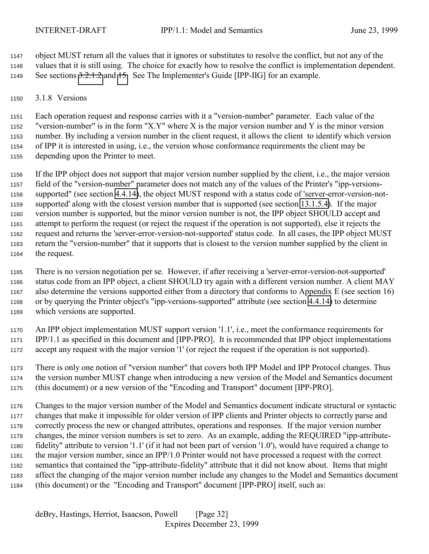<span id="page-31-0"></span> object MUST return all the values that it ignores or substitutes to resolve the conflict, but not any of the values that it is still using. The choice for exactly how to resolve the conflict is implementation dependent. See sections [3.2.1.2](#page-38-0) and [15.](#page-158-0) See The Implementer's Guide [IPP-IIG] for an example.

3.1.8 Versions

 Each operation request and response carries with it a "version-number" parameter. Each value of the "version-number" is in the form "X.Y" where X is the major version number and Y is the minor version number. By including a version number in the client request, it allows the client to identify which version of IPP it is interested in using, i.e., the version whose conformance requirements the client may be depending upon the Printer to meet.

 If the IPP object does not support that major version number supplied by the client, i.e., the major version field of the "version-number" parameter does not match any of the values of the Printer's "ipp-versions- supported" (see section [4.4.14\)](#page-108-0), the object MUST respond with a status code of 'server-error-version-not- supported' along with the closest version number that is supported (see section [13.1.5.4\)](#page-150-0). If the major version number is supported, but the minor version number is not, the IPP object SHOULD accept and attempt to perform the request (or reject the request if the operation is not supported), else it rejects the request and returns the 'server-error-version-not-supported' status code. In all cases, the IPP object MUST return the "version-number" that it supports that is closest to the version number supplied by the client in the request.

 There is no version negotiation per se. However, if after receiving a 'server-error-version-not-supported' status code from an IPP object, a client SHOULD try again with a different version number. A client MAY also determine the versions supported either from a directory that conforms to Appendix E (see section 16) or by querying the Printer object's "ipp-versions-supported" attribute (see section [4.4.14\)](#page-108-0) to determine which versions are supported.

 An IPP object implementation MUST support version '1.1', i.e., meet the conformance requirements for IPP/1.1 as specified in this document and [IPP-PRO]. It is recommended that IPP object implementations accept any request with the major version '1' (or reject the request if the operation is not supported).

 There is only one notion of "version number" that covers both IPP Model and IPP Protocol changes. Thus the version number MUST change when introducing a new version of the Model and Semantics document (this document) or a new version of the "Encoding and Transport" document [IPP-PRO].

 Changes to the major version number of the Model and Semantics document indicate structural or syntactic changes that make it impossible for older version of IPP clients and Printer objects to correctly parse and correctly process the new or changed attributes, operations and responses. If the major version number changes, the minor version numbers is set to zero. As an example, adding the REQUIRED "ipp-attribute- fidelity" attribute to version '1.1' (if it had not been part of version '1.0'), would have required a change to the major version number, since an IPP/1.0 Printer would not have processed a request with the correct semantics that contained the "ipp-attribute-fidelity" attribute that it did not know about. Items that might affect the changing of the major version number include any changes to the Model and Semantics document (this document) or the "Encoding and Transport" document [IPP-PRO] itself, such as: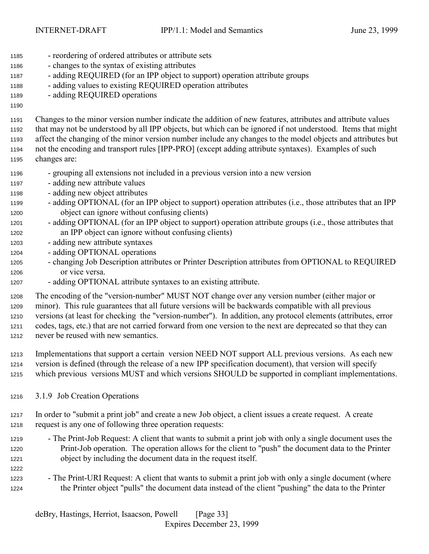- <span id="page-32-0"></span>- reordering of ordered attributes or attribute sets
- changes to the syntax of existing attributes
- adding REQUIRED (for an IPP object to support) operation attribute groups
- adding values to existing REQUIRED operation attributes
- adding REQUIRED operations
- 

 Changes to the minor version number indicate the addition of new features, attributes and attribute values that may not be understood by all IPP objects, but which can be ignored if not understood. Items that might affect the changing of the minor version number include any changes to the model objects and attributes but not the encoding and transport rules [IPP-PRO] (except adding attribute syntaxes). Examples of such changes are:

- grouping all extensions not included in a previous version into a new version
- adding new attribute values
- adding new object attributes
- adding OPTIONAL (for an IPP object to support) operation attributes (i.e., those attributes that an IPP object can ignore without confusing clients)
- adding OPTIONAL (for an IPP object to support) operation attribute groups (i.e., those attributes that an IPP object can ignore without confusing clients)
- adding new attribute syntaxes
- adding OPTIONAL operations
- changing Job Description attributes or Printer Description attributes from OPTIONAL to REQUIRED or vice versa.
- adding OPTIONAL attribute syntaxes to an existing attribute.

 The encoding of the "version-number" MUST NOT change over any version number (either major or minor). This rule guarantees that all future versions will be backwards compatible with all previous versions (at least for checking the "version-number"). In addition, any protocol elements (attributes, error codes, tags, etc.) that are not carried forward from one version to the next are deprecated so that they can never be reused with new semantics.

- Implementations that support a certain version NEED NOT support ALL previous versions. As each new version is defined (through the release of a new IPP specification document), that version will specify which previous versions MUST and which versions SHOULD be supported in compliant implementations.
- 3.1.9 Job Creation Operations
- In order to "submit a print job" and create a new Job object, a client issues a create request. A create request is any one of following three operation requests:
- The Print-Job Request: A client that wants to submit a print job with only a single document uses the Print-Job operation. The operation allows for the client to "push" the document data to the Printer object by including the document data in the request itself.
- The Print-URI Request: A client that wants to submit a print job with only a single document (where the Printer object "pulls" the document data instead of the client "pushing" the data to the Printer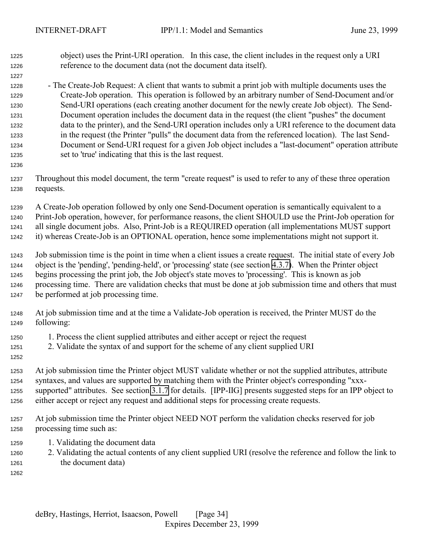object) uses the Print-URI operation. In this case, the client includes in the request only a URI reference to the document data (not the document data itself).

 - The Create-Job Request: A client that wants to submit a print job with multiple documents uses the Create-Job operation. This operation is followed by an arbitrary number of Send-Document and/or Send-URI operations (each creating another document for the newly create Job object). The Send- Document operation includes the document data in the request (the client "pushes" the document data to the printer), and the Send-URI operation includes only a URI reference to the document data in the request (the Printer "pulls" the document data from the referenced location). The last Send- Document or Send-URI request for a given Job object includes a "last-document" operation attribute set to 'true' indicating that this is the last request.

 Throughout this model document, the term "create request" is used to refer to any of these three operation requests.

 A Create-Job operation followed by only one Send-Document operation is semantically equivalent to a Print-Job operation, however, for performance reasons, the client SHOULD use the Print-Job operation for all single document jobs. Also, Print-Job is a REQUIRED operation (all implementations MUST support it) whereas Create-Job is an OPTIONAL operation, hence some implementations might not support it.

 Job submission time is the point in time when a client issues a create request. The initial state of every Job object is the 'pending', 'pending-held', or 'processing' state (see section [4.3.7\)](#page-88-0). When the Printer object begins processing the print job, the Job object's state moves to 'processing'. This is known as job processing time. There are validation checks that must be done at job submission time and others that must be performed at job processing time.

- At job submission time and at the time a Validate-Job operation is received, the Printer MUST do the following:
- 1. Process the client supplied attributes and either accept or reject the request
- 2. Validate the syntax of and support for the scheme of any client supplied URI
- At job submission time the Printer object MUST validate whether or not the supplied attributes, attribute syntaxes, and values are supported by matching them with the Printer object's corresponding "xxx- supported" attributes. See section [3.1.7](#page-30-0) for details. [IPP-IIG] presents suggested steps for an IPP object to either accept or reject any request and additional steps for processing create requests.
- At job submission time the Printer object NEED NOT perform the validation checks reserved for job processing time such as:
- 1. Validating the document data
- 2. Validating the actual contents of any client supplied URI (resolve the reference and follow the link to the document data)
-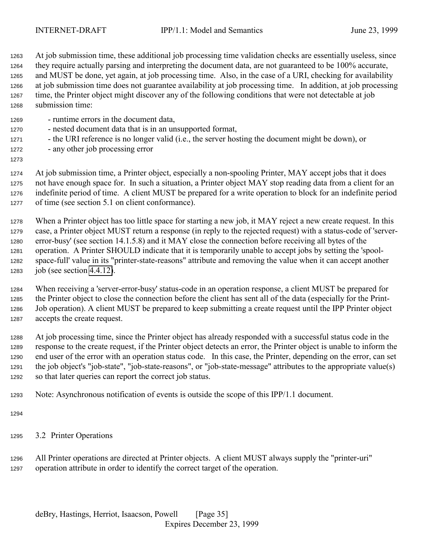<span id="page-34-0"></span> At job submission time, these additional job processing time validation checks are essentially useless, since they require actually parsing and interpreting the document data, are not guaranteed to be 100% accurate, and MUST be done, yet again, at job processing time. Also, in the case of a URI, checking for availability at job submission time does not guarantee availability at job processing time. In addition, at job processing time, the Printer object might discover any of the following conditions that were not detectable at job submission time:

- runtime errors in the document data,
- nested document data that is in an unsupported format,
- the URI reference is no longer valid (i.e., the server hosting the document might be down), or
- any other job processing error
- 

 At job submission time, a Printer object, especially a non-spooling Printer, MAY accept jobs that it does not have enough space for. In such a situation, a Printer object MAY stop reading data from a client for an indefinite period of time. A client MUST be prepared for a write operation to block for an indefinite period of time (see section 5.1 on client conformance).

 When a Printer object has too little space for starting a new job, it MAY reject a new create request. In this case, a Printer object MUST return a response (in reply to the rejected request) with a status-code of 'server- error-busy' (see section 14.1.5.8) and it MAY close the connection before receiving all bytes of the operation. A Printer SHOULD indicate that it is temporarily unable to accept jobs by setting the 'spool- space-full' value in its "printer-state-reasons" attribute and removing the value when it can accept another job (see section [4.4.12\)](#page-106-0).

 When receiving a 'server-error-busy' status-code in an operation response, a client MUST be prepared for the Printer object to close the connection before the client has sent all of the data (especially for the Print- Job operation). A client MUST be prepared to keep submitting a create request until the IPP Printer object accepts the create request.

 At job processing time, since the Printer object has already responded with a successful status code in the response to the create request, if the Printer object detects an error, the Printer object is unable to inform the end user of the error with an operation status code. In this case, the Printer, depending on the error, can set the job object's "job-state", "job-state-reasons", or "job-state-message" attributes to the appropriate value(s) so that later queries can report the correct job status.

Note: Asynchronous notification of events is outside the scope of this IPP/1.1 document.

- 
- 3.2 Printer Operations

 All Printer operations are directed at Printer objects. A client MUST always supply the "printer-uri" operation attribute in order to identify the correct target of the operation.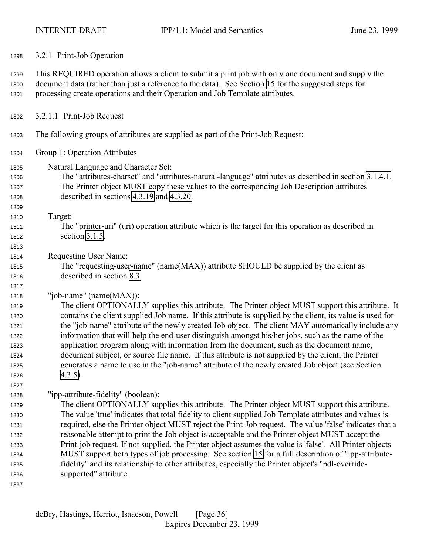<span id="page-35-0"></span>3.2.1 Print-Job Operation

 This REQUIRED operation allows a client to submit a print job with only one document and supply the document data (rather than just a reference to the data). See Section [15](#page-158-0) for the suggested steps for processing create operations and their Operation and Job Template attributes.

- 3.2.1.1 Print-Job Request
- The following groups of attributes are supplied as part of the Print-Job Request:
- Group 1: Operation Attributes
- Natural Language and Character Set:
- The "attributes-charset" and "attributes-natural-language" attributes as described in section [3.1.4.1.](#page-23-0) The Printer object MUST copy these values to the corresponding Job Description attributes described in sections [4.3.19](#page-99-0) and [4.3.20.](#page-100-0)
- Target:

- The "printer-uri" (uri) operation attribute which is the target for this operation as described in section [3.1.5.](#page-26-0)
- Requesting User Name:
- The "requesting-user-name" (name(MAX)) attribute SHOULD be supplied by the client as described in section [8.3.](#page-130-0)
- "job-name" (name(MAX)):

 The client OPTIONALLY supplies this attribute. The Printer object MUST support this attribute. It contains the client supplied Job name. If this attribute is supplied by the client, its value is used for the "job-name" attribute of the newly created Job object. The client MAY automatically include any information that will help the end-user distinguish amongst his/her jobs, such as the name of the application program along with information from the document, such as the document name, document subject, or source file name. If this attribute is not supplied by the client, the Printer generates a name to use in the "job-name" attribute of the newly created Job object (see Section  $4.3.5$ ).

"ipp-attribute-fidelity" (boolean):

 The client OPTIONALLY supplies this attribute. The Printer object MUST support this attribute. The value 'true' indicates that total fidelity to client supplied Job Template attributes and values is required, else the Printer object MUST reject the Print-Job request. The value 'false' indicates that a reasonable attempt to print the Job object is acceptable and the Printer object MUST accept the Print-job request. If not supplied, the Printer object assumes the value is 'false'. All Printer objects MUST support both types of job processing. See section [15](#page-158-0) for a full description of "ipp-attribute- fidelity" and its relationship to other attributes, especially the Printer object's "pdl-override-supported" attribute.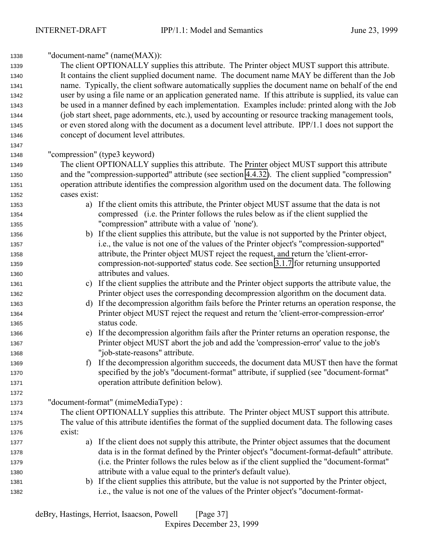| 1338 | "document-name" (name(MAX)):                                                                             |  |  |
|------|----------------------------------------------------------------------------------------------------------|--|--|
| 1339 | The client OPTIONALLY supplies this attribute. The Printer object MUST support this attribute.           |  |  |
| 1340 | It contains the client supplied document name. The document name MAY be different than the Job           |  |  |
| 1341 | name. Typically, the client software automatically supplies the document name on behalf of the end       |  |  |
| 1342 | user by using a file name or an application generated name. If this attribute is supplied, its value can |  |  |
| 1343 | be used in a manner defined by each implementation. Examples include: printed along with the Job         |  |  |
| 1344 | (job start sheet, page adornments, etc.), used by accounting or resource tracking management tools,      |  |  |
| 1345 | or even stored along with the document as a document level attribute. IPP/1.1 does not support the       |  |  |
| 1346 | concept of document level attributes.                                                                    |  |  |
| 1347 |                                                                                                          |  |  |
| 1348 | "compression" (type3 keyword)                                                                            |  |  |
| 1349 | The client OPTIONALLY supplies this attribute. The Printer object MUST support this attribute            |  |  |
| 1350 | and the "compression-supported" attribute (see section 4.4.32). The client supplied "compression"        |  |  |
| 1351 | operation attribute identifies the compression algorithm used on the document data. The following        |  |  |
| 1352 | cases exist:                                                                                             |  |  |
| 1353 | a) If the client omits this attribute, the Printer object MUST assume that the data is not               |  |  |
| 1354 | compressed (i.e. the Printer follows the rules below as if the client supplied the                       |  |  |
| 1355 | "compression" attribute with a value of 'none').                                                         |  |  |
| 1356 | b) If the client supplies this attribute, but the value is not supported by the Printer object,          |  |  |
| 1357 | i.e., the value is not one of the values of the Printer object's "compression-supported"                 |  |  |
| 1358 | attribute, the Printer object MUST reject the request, and return the 'client-error-                     |  |  |
| 1359 | compression-not-supported' status code. See section 3.1.7 for returning unsupported                      |  |  |
| 1360 | attributes and values.                                                                                   |  |  |
| 1361 | c) If the client supplies the attribute and the Printer object supports the attribute value, the         |  |  |
| 1362 | Printer object uses the corresponding decompression algorithm on the document data.                      |  |  |
| 1363 | If the decompression algorithm fails before the Printer returns an operation response, the<br>d)         |  |  |
| 1364 | Printer object MUST reject the request and return the 'client-error-compression-error'                   |  |  |
| 1365 | status code.                                                                                             |  |  |
| 1366 | If the decompression algorithm fails after the Printer returns an operation response, the<br>e)          |  |  |
| 1367 | Printer object MUST abort the job and add the 'compression-error' value to the job's                     |  |  |
| 1368 | "job-state-reasons" attribute.                                                                           |  |  |
| 1369 | f) If the decompression algorithm succeeds, the document data MUST then have the format                  |  |  |
| 1370 | specified by the job's "document-format" attribute, if supplied (see "document-format"                   |  |  |
| 1371 | operation attribute definition below).                                                                   |  |  |
| 1372 |                                                                                                          |  |  |
| 1373 | "document-format" (mimeMediaType):                                                                       |  |  |
| 1374 | The client OPTIONALLY supplies this attribute. The Printer object MUST support this attribute.           |  |  |
| 1375 | The value of this attribute identifies the format of the supplied document data. The following cases     |  |  |
| 1376 | exist:                                                                                                   |  |  |
| 1377 | If the client does not supply this attribute, the Printer object assumes that the document<br>a)         |  |  |
| 1378 | data is in the format defined by the Printer object's "document-format-default" attribute.               |  |  |
| 1379 | (i.e. the Printer follows the rules below as if the client supplied the "document-format"                |  |  |
| 1380 | attribute with a value equal to the printer's default value).                                            |  |  |
| 1381 | b) If the client supplies this attribute, but the value is not supported by the Printer object,          |  |  |
| 1382 | i.e., the value is not one of the values of the Printer object's "document-format-                       |  |  |
|      |                                                                                                          |  |  |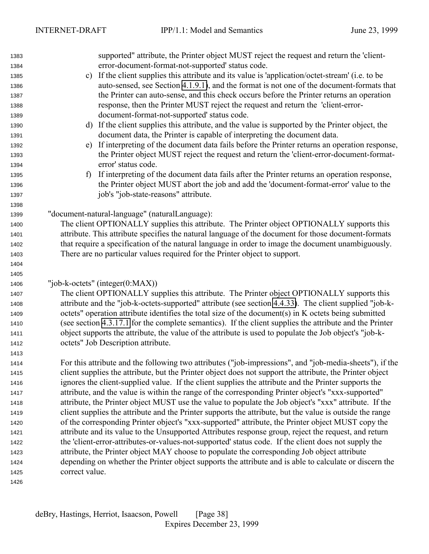supported" attribute, the Printer object MUST reject the request and return the 'client- error-document-format-not-supported' status code. c) If the client supplies this attribute and its value is 'application/octet-stream' (i.e. to be auto-sensed, see Section [4.1.9.1\)](#page-71-0), and the format is not one of the document-formats that the Printer can auto-sense, and this check occurs before the Printer returns an operation response, then the Printer MUST reject the request and return the 'client-error- document-format-not-supported' status code. d) If the client supplies this attribute, and the value is supported by the Printer object, the document data, the Printer is capable of interpreting the document data. e) If interpreting of the document data fails before the Printer returns an operation response, the Printer object MUST reject the request and return the 'client-error-document-format- error' status code. f) If interpreting of the document data fails after the Printer returns an operation response, the Printer object MUST abort the job and add the 'document-format-error' value to the job's "job-state-reasons" attribute. "document-natural-language" (naturalLanguage): The client OPTIONALLY supplies this attribute. The Printer object OPTIONALLY supports this attribute. This attribute specifies the natural language of the document for those document-formats that require a specification of the natural language in order to image the document unambiguously. There are no particular values required for the Printer object to support. "job-k-octets" (integer(0:MAX)) The client OPTIONALLY supplies this attribute. The Printer object OPTIONALLY supports this attribute and the "job-k-octets-supported" attribute (see section [4.4.33\)](#page-114-0). The client supplied "job-k- octets" operation attribute identifies the total size of the document(s) in K octets being submitted (see section [4.3.17.1](#page-98-0) for the complete semantics). If the client supplies the attribute and the Printer object supports the attribute, the value of the attribute is used to populate the Job object's "job-k- octets" Job Description attribute. For this attribute and the following two attributes ("job-impressions", and "job-media-sheets"), if the client supplies the attribute, but the Printer object does not support the attribute, the Printer object ignores the client-supplied value. If the client supplies the attribute and the Printer supports the attribute, and the value is within the range of the corresponding Printer object's "xxx-supported" attribute, the Printer object MUST use the value to populate the Job object's "xxx" attribute. If the client supplies the attribute and the Printer supports the attribute, but the value is outside the range of the corresponding Printer object's "xxx-supported" attribute, the Printer object MUST copy the attribute and its value to the Unsupported Attributes response group, reject the request, and return the 'client-error-attributes-or-values-not-supported' status code. If the client does not supply the attribute, the Printer object MAY choose to populate the corresponding Job object attribute depending on whether the Printer object supports the attribute and is able to calculate or discern the correct value.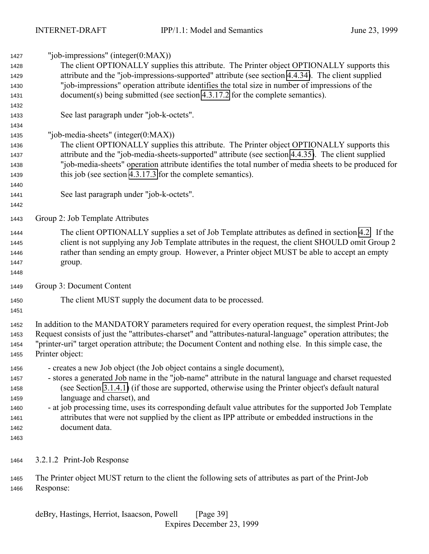<span id="page-38-0"></span>

| 1427 | "job-impressions" (integer $(0:MAX)$ )                                                                        |  |  |
|------|---------------------------------------------------------------------------------------------------------------|--|--|
| 1428 | The client OPTIONALLY supplies this attribute. The Printer object OPTIONALLY supports this                    |  |  |
| 1429 | attribute and the "job-impressions-supported" attribute (see section 4.4.34). The client supplied             |  |  |
| 1430 | "job-impressions" operation attribute identifies the total size in number of impressions of the               |  |  |
| 1431 | document(s) being submitted (see section 4.3.17.2 for the complete semantics).                                |  |  |
| 1432 |                                                                                                               |  |  |
| 1433 | See last paragraph under "job-k-octets".                                                                      |  |  |
| 1434 |                                                                                                               |  |  |
| 1435 | "job-media-sheets" (integer $(0:MAX)$ )                                                                       |  |  |
| 1436 | The client OPTIONALLY supplies this attribute. The Printer object OPTIONALLY supports this                    |  |  |
| 1437 | attribute and the "job-media-sheets-supported" attribute (see section 4.4.35). The client supplied            |  |  |
| 1438 | "job-media-sheets" operation attribute identifies the total number of media sheets to be produced for         |  |  |
| 1439 | this job (see section 4.3.17.3 for the complete semantics).                                                   |  |  |
| 1440 |                                                                                                               |  |  |
| 1441 | See last paragraph under "job-k-octets".                                                                      |  |  |
| 1442 |                                                                                                               |  |  |
| 1443 | Group 2: Job Template Attributes                                                                              |  |  |
| 1444 | The client OPTIONALLY supplies a set of Job Template attributes as defined in section 4.2. If the             |  |  |
| 1445 | client is not supplying any Job Template attributes in the request, the client SHOULD omit Group 2            |  |  |
| 1446 | rather than sending an empty group. However, a Printer object MUST be able to accept an empty                 |  |  |
| 1447 | group.                                                                                                        |  |  |
| 1448 |                                                                                                               |  |  |
| 1449 | Group 3: Document Content                                                                                     |  |  |
| 1450 | The client MUST supply the document data to be processed.                                                     |  |  |
| 1451 |                                                                                                               |  |  |
|      |                                                                                                               |  |  |
| 1452 | In addition to the MANDATORY parameters required for every operation request, the simplest Print-Job          |  |  |
| 1453 | Request consists of just the "attributes-charset" and "attributes-natural-language" operation attributes; the |  |  |
| 1454 | "printer-uri" target operation attribute; the Document Content and nothing else. In this simple case, the     |  |  |
| 1455 | Printer object:                                                                                               |  |  |
| 1456 | - creates a new Job object (the Job object contains a single document),                                       |  |  |
| 1457 | - stores a generated Job name in the "job-name" attribute in the natural language and charset requested       |  |  |
| 1458 | (see Section 3.1.4.1) (if those are supported, otherwise using the Printer object's default natural           |  |  |
| 1459 | language and charset), and                                                                                    |  |  |
| 1460 | - at job processing time, uses its corresponding default value attributes for the supported Job Template      |  |  |
| 1461 | attributes that were not supplied by the client as IPP attribute or embedded instructions in the              |  |  |
| 1462 | document data.                                                                                                |  |  |
| 1463 |                                                                                                               |  |  |
| 1464 | 3.2.1.2 Print-Job Response                                                                                    |  |  |
|      |                                                                                                               |  |  |
| 1465 | The Printer object MUST return to the client the following sets of attributes as part of the Print-Job        |  |  |

Response: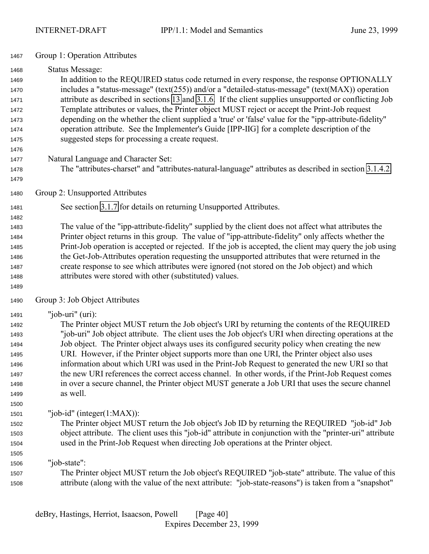- Group 1: Operation Attributes
- Status Message: In addition to the REQUIRED status code returned in every response, the response OPTIONALLY includes a "status-message" (text(255)) and/or a "detailed-status-message" (text(MAX)) operation attribute as described in sections [13](#page-143-0) and [3.1.6.](#page-28-0) If the client supplies unsupported or conflicting Job Template attributes or values, the Printer object MUST reject or accept the Print-Job request depending on the whether the client supplied a 'true' or 'false' value for the "ipp-attribute-fidelity" operation attribute. See the Implementer's Guide [IPP-IIG] for a complete description of the suggested steps for processing a create request.
- 
- 

 Natural Language and Character Set: The "attributes-charset" and "attributes-natural-language" attributes as described in section [3.1.4.2.](#page-26-0)

- 
- Group 2: Unsupported Attributes
- See section [3.1.7](#page-30-0) for details on returning Unsupported Attributes.
- The value of the "ipp-attribute-fidelity" supplied by the client does not affect what attributes the Printer object returns in this group. The value of "ipp-attribute-fidelity" only affects whether the Print-Job operation is accepted or rejected. If the job is accepted, the client may query the job using the Get-Job-Attributes operation requesting the unsupported attributes that were returned in the create response to see which attributes were ignored (not stored on the Job object) and which attributes were stored with other (substituted) values.
- Group 3: Job Object Attributes
- "job-uri" (uri):

 The Printer object MUST return the Job object's URI by returning the contents of the REQUIRED "job-uri" Job object attribute. The client uses the Job object's URI when directing operations at the Job object. The Printer object always uses its configured security policy when creating the new URI. However, if the Printer object supports more than one URI, the Printer object also uses information about which URI was used in the Print-Job Request to generated the new URI so that the new URI references the correct access channel. In other words, if the Print-Job Request comes in over a secure channel, the Printer object MUST generate a Job URI that uses the secure channel as well.

- "job-id" (integer(1:MAX)):
- The Printer object MUST return the Job object's Job ID by returning the REQUIRED "job-id" Job object attribute. The client uses this "job-id" attribute in conjunction with the "printer-uri" attribute used in the Print-Job Request when directing Job operations at the Printer object.
- "job-state": The Printer object MUST return the Job object's REQUIRED "job-state" attribute. The value of this attribute (along with the value of the next attribute: "job-state-reasons") is taken from a "snapshot"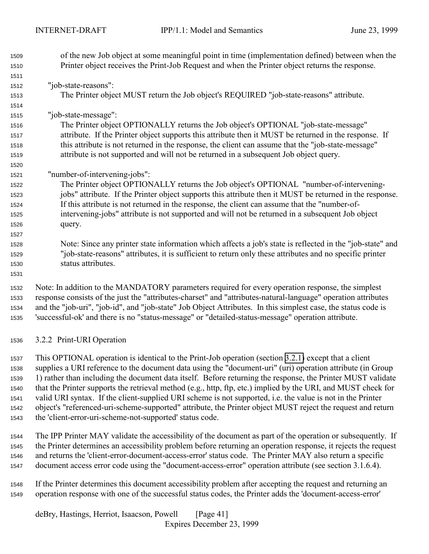<span id="page-40-0"></span>

| 1509 | of the new Job object at some meaningful point in time (implementation defined) between when the              |
|------|---------------------------------------------------------------------------------------------------------------|
| 1510 | Printer object receives the Print-Job Request and when the Printer object returns the response.               |
| 1511 |                                                                                                               |
| 1512 | "job-state-reasons":                                                                                          |
| 1513 | The Printer object MUST return the Job object's REQUIRED "job-state-reasons" attribute.                       |
| 1514 |                                                                                                               |
| 1515 | "job-state-message":                                                                                          |
| 1516 | The Printer object OPTIONALLY returns the Job object's OPTIONAL "job-state-message"                           |
| 1517 | attribute. If the Printer object supports this attribute then it MUST be returned in the response. If         |
| 1518 | this attribute is not returned in the response, the client can assume that the "job-state-message"            |
| 1519 | attribute is not supported and will not be returned in a subsequent Job object query.                         |
| 1520 |                                                                                                               |
| 1521 | "number-of-intervening-jobs":                                                                                 |
| 1522 | The Printer object OPTIONALLY returns the Job object's OPTIONAL "number-of-intervening-                       |
| 1523 | jobs" attribute. If the Printer object supports this attribute then it MUST be returned in the response.      |
| 1524 | If this attribute is not returned in the response, the client can assume that the "number-of-                 |
| 1525 | intervening-jobs" attribute is not supported and will not be returned in a subsequent Job object              |
| 1526 | query.                                                                                                        |
| 1527 |                                                                                                               |
| 1528 | Note: Since any printer state information which affects a job's state is reflected in the "job-state" and     |
| 1529 | "job-state-reasons" attributes, it is sufficient to return only these attributes and no specific printer      |
| 1530 | status attributes.                                                                                            |
| 1531 |                                                                                                               |
| 1532 | Note: In addition to the MANDATORY parameters required for every operation response, the simplest             |
| 1533 | response consists of the just the "attributes-charset" and "attributes-natural-language" operation attributes |
| 1534 | and the "job-uri", "job-id", and "job-state" Job Object Attributes. In this simplest case, the status code is |
| 1535 | 'successful-ok' and there is no "status-message" or "detailed-status-message" operation attribute.            |
|      |                                                                                                               |

3.2.2 Print-URI Operation

 This OPTIONAL operation is identical to the Print-Job operation (section [3.2.1\)](#page-35-0) except that a client supplies a URI reference to the document data using the "document-uri" (uri) operation attribute (in Group 1) rather than including the document data itself. Before returning the response, the Printer MUST validate that the Printer supports the retrieval method (e.g., http, ftp, etc.) implied by the URI, and MUST check for valid URI syntax. If the client-supplied URI scheme is not supported, i.e. the value is not in the Printer object's "referenced-uri-scheme-supported" attribute, the Printer object MUST reject the request and return the 'client-error-uri-scheme-not-supported' status code.

 The IPP Printer MAY validate the accessibility of the document as part of the operation or subsequently. If the Printer determines an accessibility problem before returning an operation response, it rejects the request and returns the 'client-error-document-access-error' status code. The Printer MAY also return a specific document access error code using the "document-access-error" operation attribute (see section 3.1.6.4).

 If the Printer determines this document accessibility problem after accepting the request and returning an operation response with one of the successful status codes, the Printer adds the 'document-access-error'

deBry, Hastings, Herriot, Isaacson, Powell [Page 41] Expires December 23, 1999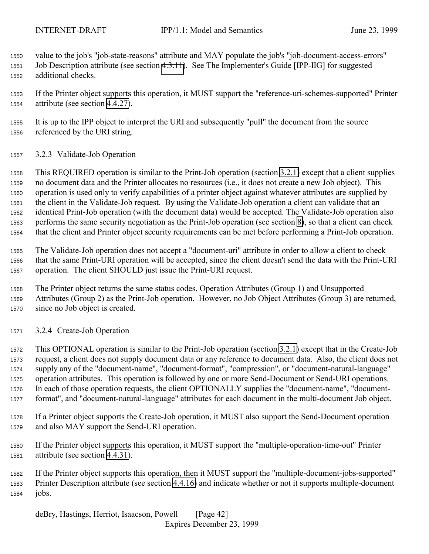value to the job's "job-state-reasons" attribute and MAY populate the job's "job-document-access-errors" Job Description attribute (see section [4.3.11\)](#page-95-0). See The Implementer's Guide [IPP-IIG] for suggested additional checks.

 If the Printer object supports this operation, it MUST support the "reference-uri-schemes-supported" Printer attribute (see section [4.4.27\)](#page-112-0).

 It is up to the IPP object to interpret the URI and subsequently "pull" the document from the source referenced by the URI string.

3.2.3 Validate-Job Operation

 This REQUIRED operation is similar to the Print-Job operation (section [3.2.1\)](#page-35-0) except that a client supplies no document data and the Printer allocates no resources (i.e., it does not create a new Job object). This operation is used only to verify capabilities of a printer object against whatever attributes are supplied by the client in the Validate-Job request. By using the Validate-Job operation a client can validate that an identical Print-Job operation (with the document data) would be accepted. The Validate-Job operation also performs the same security negotiation as the Print-Job operation (see section [8\)](#page-128-0), so that a client can check that the client and Printer object security requirements can be met before performing a Print-Job operation.

 The Validate-Job operation does not accept a "document-uri" attribute in order to allow a client to check that the same Print-URI operation will be accepted, since the client doesn't send the data with the Print-URI operation. The client SHOULD just issue the Print-URI request.

 The Printer object returns the same status codes, Operation Attributes (Group 1) and Unsupported Attributes (Group 2) as the Print-Job operation. However, no Job Object Attributes (Group 3) are returned, since no Job object is created.

3.2.4 Create-Job Operation

 This OPTIONAL operation is similar to the Print-Job operation (section [3.2.1\)](#page-35-0) except that in the Create-Job request, a client does not supply document data or any reference to document data. Also, the client does not supply any of the "document-name", "document-format", "compression", or "document-natural-language" operation attributes. This operation is followed by one or more Send-Document or Send-URI operations. In each of those operation requests, the client OPTIONALLY supplies the "document-name", "document-format", and "document-natural-language" attributes for each document in the multi-document Job object.

 If a Printer object supports the Create-Job operation, it MUST also support the Send-Document operation and also MAY support the Send-URI operation.

 If the Printer object supports this operation, it MUST support the "multiple-operation-time-out" Printer attribute (see section [4.4.31\)](#page-114-0).

 If the Printer object supports this operation, then it MUST support the "multiple-document-jobs-supported" Printer Description attribute (see section [4.4.16\)](#page-110-0) and indicate whether or not it supports multiple-document jobs.

deBry, Hastings, Herriot, Isaacson, Powell [Page 42] Expires December 23, 1999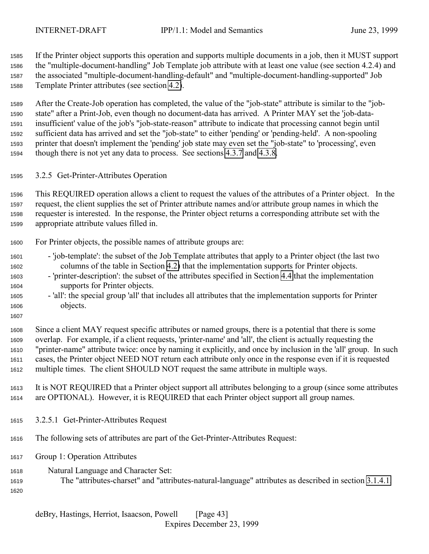<span id="page-42-0"></span>

 If the Printer object supports this operation and supports multiple documents in a job, then it MUST support the "multiple-document-handling" Job Template job attribute with at least one value (see section 4.2.4) and the associated "multiple-document-handling-default" and "multiple-document-handling-supported" Job Template Printer attributes (see section [4.2\)](#page-73-0).

 After the Create-Job operation has completed, the value of the "job-state" attribute is similar to the "job- state" after a Print-Job, even though no document-data has arrived. A Printer MAY set the 'job-data- insufficient' value of the job's "job-state-reason" attribute to indicate that processing cannot begin until sufficient data has arrived and set the "job-state" to either 'pending' or 'pending-held'. A non-spooling printer that doesn't implement the 'pending' job state may even set the "job-state" to 'processing', even though there is not yet any data to process. See sections [4.3.7](#page-88-0) and [4.3.8.](#page-92-0)

3.2.5 Get-Printer-Attributes Operation

 This REQUIRED operation allows a client to request the values of the attributes of a Printer object. In the request, the client supplies the set of Printer attribute names and/or attribute group names in which the requester is interested. In the response, the Printer object returns a corresponding attribute set with the appropriate attribute values filled in.

## For Printer objects, the possible names of attribute groups are:

- 'job-template': the subset of the Job Template attributes that apply to a Printer object (the last two columns of the table in Section [4.2\)](#page-73-0) that the implementation supports for Printer objects.
- 'printer-description': the subset of the attributes specified in Section [4.4](#page-100-0) that the implementation supports for Printer objects.
- 'all': the special group 'all' that includes all attributes that the implementation supports for Printer objects.
- 

 Since a client MAY request specific attributes or named groups, there is a potential that there is some overlap. For example, if a client requests, 'printer-name' and 'all', the client is actually requesting the "printer-name" attribute twice: once by naming it explicitly, and once by inclusion in the 'all' group. In such cases, the Printer object NEED NOT return each attribute only once in the response even if it is requested multiple times. The client SHOULD NOT request the same attribute in multiple ways.

 It is NOT REQUIRED that a Printer object support all attributes belonging to a group (since some attributes are OPTIONAL). However, it is REQUIRED that each Printer object support all group names.

- 3.2.5.1 Get-Printer-Attributes Request
- The following sets of attributes are part of the Get-Printer-Attributes Request:
- Group 1: Operation Attributes
- Natural Language and Character Set:
- The "attributes-charset" and "attributes-natural-language" attributes as described in section [3.1.4.1.](#page-23-0)
-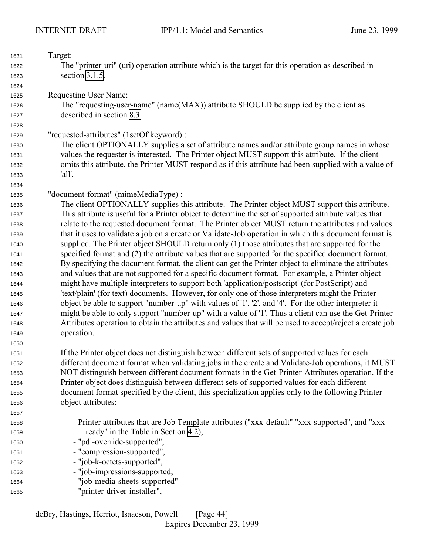| The "printer-uri" (uri) operation attribute which is the target for this operation as described in<br>1622<br>section 3.1.5.<br>1623<br>1624<br><b>Requesting User Name:</b><br>1625<br>The "requesting-user-name" (name(MAX)) attribute SHOULD be supplied by the client as<br>1626<br>described in section 8.3.<br>1627<br>1628<br>"requested-attributes" (1setOf keyword) :<br>1629<br>The client OPTIONALLY supplies a set of attribute names and/or attribute group names in whose<br>1630<br>values the requester is interested. The Printer object MUST support this attribute. If the client<br>1631<br>omits this attribute, the Printer MUST respond as if this attribute had been supplied with a value of<br>1632<br>'all'.<br>1633<br>1634<br>"document-format" (mimeMediaType) :<br>1635<br>The client OPTIONALLY supplies this attribute. The Printer object MUST support this attribute.<br>1636<br>This attribute is useful for a Printer object to determine the set of supported attribute values that<br>1637<br>relate to the requested document format. The Printer object MUST return the attributes and values<br>1638<br>that it uses to validate a job on a create or Validate-Job operation in which this document format is<br>1639<br>supplied. The Printer object SHOULD return only (1) those attributes that are supported for the<br>1640<br>specified format and (2) the attribute values that are supported for the specified document format.<br>1641<br>By specifying the document format, the client can get the Printer object to eliminate the attributes<br>1642<br>and values that are not supported for a specific document format. For example, a Printer object<br>1643<br>might have multiple interpreters to support both 'application/postscript' (for PostScript) and<br>1644<br>'text/plain' (for text) documents. However, for only one of those interpreters might the Printer<br>1645<br>object be able to support "number-up" with values of '1', '2', and '4'. For the other interpreter it<br>1646<br>might be able to only support "number-up" with a value of '1'. Thus a client can use the Get-Printer-<br>1647<br>Attributes operation to obtain the attributes and values that will be used to accept/reject a create job<br>1648<br>operation.<br>1649<br>1650<br>If the Printer object does not distinguish between different sets of supported values for each<br>1651<br>different document format when validating jobs in the create and Validate-Job operations, it MUST<br>1652<br>NOT distinguish between different document formats in the Get-Printer-Attributes operation. If the<br>1653<br>Printer object does distinguish between different sets of supported values for each different<br>1654<br>document format specified by the client, this specialization applies only to the following Printer<br>1655 | 1621 | Target:            |  |  |  |
|-------------------------------------------------------------------------------------------------------------------------------------------------------------------------------------------------------------------------------------------------------------------------------------------------------------------------------------------------------------------------------------------------------------------------------------------------------------------------------------------------------------------------------------------------------------------------------------------------------------------------------------------------------------------------------------------------------------------------------------------------------------------------------------------------------------------------------------------------------------------------------------------------------------------------------------------------------------------------------------------------------------------------------------------------------------------------------------------------------------------------------------------------------------------------------------------------------------------------------------------------------------------------------------------------------------------------------------------------------------------------------------------------------------------------------------------------------------------------------------------------------------------------------------------------------------------------------------------------------------------------------------------------------------------------------------------------------------------------------------------------------------------------------------------------------------------------------------------------------------------------------------------------------------------------------------------------------------------------------------------------------------------------------------------------------------------------------------------------------------------------------------------------------------------------------------------------------------------------------------------------------------------------------------------------------------------------------------------------------------------------------------------------------------------------------------------------------------------------------------------------------------------------------------------------------------------------------------------------------------------------------------------------------------------------------------------------------------------------------------------------------------------------------------------------------------------------------------------------------------------------------------------|------|--------------------|--|--|--|
|                                                                                                                                                                                                                                                                                                                                                                                                                                                                                                                                                                                                                                                                                                                                                                                                                                                                                                                                                                                                                                                                                                                                                                                                                                                                                                                                                                                                                                                                                                                                                                                                                                                                                                                                                                                                                                                                                                                                                                                                                                                                                                                                                                                                                                                                                                                                                                                                                                                                                                                                                                                                                                                                                                                                                                                                                                                                                           |      |                    |  |  |  |
|                                                                                                                                                                                                                                                                                                                                                                                                                                                                                                                                                                                                                                                                                                                                                                                                                                                                                                                                                                                                                                                                                                                                                                                                                                                                                                                                                                                                                                                                                                                                                                                                                                                                                                                                                                                                                                                                                                                                                                                                                                                                                                                                                                                                                                                                                                                                                                                                                                                                                                                                                                                                                                                                                                                                                                                                                                                                                           |      |                    |  |  |  |
|                                                                                                                                                                                                                                                                                                                                                                                                                                                                                                                                                                                                                                                                                                                                                                                                                                                                                                                                                                                                                                                                                                                                                                                                                                                                                                                                                                                                                                                                                                                                                                                                                                                                                                                                                                                                                                                                                                                                                                                                                                                                                                                                                                                                                                                                                                                                                                                                                                                                                                                                                                                                                                                                                                                                                                                                                                                                                           |      |                    |  |  |  |
|                                                                                                                                                                                                                                                                                                                                                                                                                                                                                                                                                                                                                                                                                                                                                                                                                                                                                                                                                                                                                                                                                                                                                                                                                                                                                                                                                                                                                                                                                                                                                                                                                                                                                                                                                                                                                                                                                                                                                                                                                                                                                                                                                                                                                                                                                                                                                                                                                                                                                                                                                                                                                                                                                                                                                                                                                                                                                           |      |                    |  |  |  |
|                                                                                                                                                                                                                                                                                                                                                                                                                                                                                                                                                                                                                                                                                                                                                                                                                                                                                                                                                                                                                                                                                                                                                                                                                                                                                                                                                                                                                                                                                                                                                                                                                                                                                                                                                                                                                                                                                                                                                                                                                                                                                                                                                                                                                                                                                                                                                                                                                                                                                                                                                                                                                                                                                                                                                                                                                                                                                           |      |                    |  |  |  |
|                                                                                                                                                                                                                                                                                                                                                                                                                                                                                                                                                                                                                                                                                                                                                                                                                                                                                                                                                                                                                                                                                                                                                                                                                                                                                                                                                                                                                                                                                                                                                                                                                                                                                                                                                                                                                                                                                                                                                                                                                                                                                                                                                                                                                                                                                                                                                                                                                                                                                                                                                                                                                                                                                                                                                                                                                                                                                           |      |                    |  |  |  |
|                                                                                                                                                                                                                                                                                                                                                                                                                                                                                                                                                                                                                                                                                                                                                                                                                                                                                                                                                                                                                                                                                                                                                                                                                                                                                                                                                                                                                                                                                                                                                                                                                                                                                                                                                                                                                                                                                                                                                                                                                                                                                                                                                                                                                                                                                                                                                                                                                                                                                                                                                                                                                                                                                                                                                                                                                                                                                           |      |                    |  |  |  |
|                                                                                                                                                                                                                                                                                                                                                                                                                                                                                                                                                                                                                                                                                                                                                                                                                                                                                                                                                                                                                                                                                                                                                                                                                                                                                                                                                                                                                                                                                                                                                                                                                                                                                                                                                                                                                                                                                                                                                                                                                                                                                                                                                                                                                                                                                                                                                                                                                                                                                                                                                                                                                                                                                                                                                                                                                                                                                           |      |                    |  |  |  |
|                                                                                                                                                                                                                                                                                                                                                                                                                                                                                                                                                                                                                                                                                                                                                                                                                                                                                                                                                                                                                                                                                                                                                                                                                                                                                                                                                                                                                                                                                                                                                                                                                                                                                                                                                                                                                                                                                                                                                                                                                                                                                                                                                                                                                                                                                                                                                                                                                                                                                                                                                                                                                                                                                                                                                                                                                                                                                           |      |                    |  |  |  |
|                                                                                                                                                                                                                                                                                                                                                                                                                                                                                                                                                                                                                                                                                                                                                                                                                                                                                                                                                                                                                                                                                                                                                                                                                                                                                                                                                                                                                                                                                                                                                                                                                                                                                                                                                                                                                                                                                                                                                                                                                                                                                                                                                                                                                                                                                                                                                                                                                                                                                                                                                                                                                                                                                                                                                                                                                                                                                           |      |                    |  |  |  |
|                                                                                                                                                                                                                                                                                                                                                                                                                                                                                                                                                                                                                                                                                                                                                                                                                                                                                                                                                                                                                                                                                                                                                                                                                                                                                                                                                                                                                                                                                                                                                                                                                                                                                                                                                                                                                                                                                                                                                                                                                                                                                                                                                                                                                                                                                                                                                                                                                                                                                                                                                                                                                                                                                                                                                                                                                                                                                           |      |                    |  |  |  |
|                                                                                                                                                                                                                                                                                                                                                                                                                                                                                                                                                                                                                                                                                                                                                                                                                                                                                                                                                                                                                                                                                                                                                                                                                                                                                                                                                                                                                                                                                                                                                                                                                                                                                                                                                                                                                                                                                                                                                                                                                                                                                                                                                                                                                                                                                                                                                                                                                                                                                                                                                                                                                                                                                                                                                                                                                                                                                           |      |                    |  |  |  |
|                                                                                                                                                                                                                                                                                                                                                                                                                                                                                                                                                                                                                                                                                                                                                                                                                                                                                                                                                                                                                                                                                                                                                                                                                                                                                                                                                                                                                                                                                                                                                                                                                                                                                                                                                                                                                                                                                                                                                                                                                                                                                                                                                                                                                                                                                                                                                                                                                                                                                                                                                                                                                                                                                                                                                                                                                                                                                           |      |                    |  |  |  |
|                                                                                                                                                                                                                                                                                                                                                                                                                                                                                                                                                                                                                                                                                                                                                                                                                                                                                                                                                                                                                                                                                                                                                                                                                                                                                                                                                                                                                                                                                                                                                                                                                                                                                                                                                                                                                                                                                                                                                                                                                                                                                                                                                                                                                                                                                                                                                                                                                                                                                                                                                                                                                                                                                                                                                                                                                                                                                           |      |                    |  |  |  |
|                                                                                                                                                                                                                                                                                                                                                                                                                                                                                                                                                                                                                                                                                                                                                                                                                                                                                                                                                                                                                                                                                                                                                                                                                                                                                                                                                                                                                                                                                                                                                                                                                                                                                                                                                                                                                                                                                                                                                                                                                                                                                                                                                                                                                                                                                                                                                                                                                                                                                                                                                                                                                                                                                                                                                                                                                                                                                           |      |                    |  |  |  |
|                                                                                                                                                                                                                                                                                                                                                                                                                                                                                                                                                                                                                                                                                                                                                                                                                                                                                                                                                                                                                                                                                                                                                                                                                                                                                                                                                                                                                                                                                                                                                                                                                                                                                                                                                                                                                                                                                                                                                                                                                                                                                                                                                                                                                                                                                                                                                                                                                                                                                                                                                                                                                                                                                                                                                                                                                                                                                           |      |                    |  |  |  |
|                                                                                                                                                                                                                                                                                                                                                                                                                                                                                                                                                                                                                                                                                                                                                                                                                                                                                                                                                                                                                                                                                                                                                                                                                                                                                                                                                                                                                                                                                                                                                                                                                                                                                                                                                                                                                                                                                                                                                                                                                                                                                                                                                                                                                                                                                                                                                                                                                                                                                                                                                                                                                                                                                                                                                                                                                                                                                           |      |                    |  |  |  |
|                                                                                                                                                                                                                                                                                                                                                                                                                                                                                                                                                                                                                                                                                                                                                                                                                                                                                                                                                                                                                                                                                                                                                                                                                                                                                                                                                                                                                                                                                                                                                                                                                                                                                                                                                                                                                                                                                                                                                                                                                                                                                                                                                                                                                                                                                                                                                                                                                                                                                                                                                                                                                                                                                                                                                                                                                                                                                           |      |                    |  |  |  |
|                                                                                                                                                                                                                                                                                                                                                                                                                                                                                                                                                                                                                                                                                                                                                                                                                                                                                                                                                                                                                                                                                                                                                                                                                                                                                                                                                                                                                                                                                                                                                                                                                                                                                                                                                                                                                                                                                                                                                                                                                                                                                                                                                                                                                                                                                                                                                                                                                                                                                                                                                                                                                                                                                                                                                                                                                                                                                           |      |                    |  |  |  |
|                                                                                                                                                                                                                                                                                                                                                                                                                                                                                                                                                                                                                                                                                                                                                                                                                                                                                                                                                                                                                                                                                                                                                                                                                                                                                                                                                                                                                                                                                                                                                                                                                                                                                                                                                                                                                                                                                                                                                                                                                                                                                                                                                                                                                                                                                                                                                                                                                                                                                                                                                                                                                                                                                                                                                                                                                                                                                           |      |                    |  |  |  |
|                                                                                                                                                                                                                                                                                                                                                                                                                                                                                                                                                                                                                                                                                                                                                                                                                                                                                                                                                                                                                                                                                                                                                                                                                                                                                                                                                                                                                                                                                                                                                                                                                                                                                                                                                                                                                                                                                                                                                                                                                                                                                                                                                                                                                                                                                                                                                                                                                                                                                                                                                                                                                                                                                                                                                                                                                                                                                           |      |                    |  |  |  |
|                                                                                                                                                                                                                                                                                                                                                                                                                                                                                                                                                                                                                                                                                                                                                                                                                                                                                                                                                                                                                                                                                                                                                                                                                                                                                                                                                                                                                                                                                                                                                                                                                                                                                                                                                                                                                                                                                                                                                                                                                                                                                                                                                                                                                                                                                                                                                                                                                                                                                                                                                                                                                                                                                                                                                                                                                                                                                           |      |                    |  |  |  |
|                                                                                                                                                                                                                                                                                                                                                                                                                                                                                                                                                                                                                                                                                                                                                                                                                                                                                                                                                                                                                                                                                                                                                                                                                                                                                                                                                                                                                                                                                                                                                                                                                                                                                                                                                                                                                                                                                                                                                                                                                                                                                                                                                                                                                                                                                                                                                                                                                                                                                                                                                                                                                                                                                                                                                                                                                                                                                           |      |                    |  |  |  |
|                                                                                                                                                                                                                                                                                                                                                                                                                                                                                                                                                                                                                                                                                                                                                                                                                                                                                                                                                                                                                                                                                                                                                                                                                                                                                                                                                                                                                                                                                                                                                                                                                                                                                                                                                                                                                                                                                                                                                                                                                                                                                                                                                                                                                                                                                                                                                                                                                                                                                                                                                                                                                                                                                                                                                                                                                                                                                           |      |                    |  |  |  |
|                                                                                                                                                                                                                                                                                                                                                                                                                                                                                                                                                                                                                                                                                                                                                                                                                                                                                                                                                                                                                                                                                                                                                                                                                                                                                                                                                                                                                                                                                                                                                                                                                                                                                                                                                                                                                                                                                                                                                                                                                                                                                                                                                                                                                                                                                                                                                                                                                                                                                                                                                                                                                                                                                                                                                                                                                                                                                           |      |                    |  |  |  |
|                                                                                                                                                                                                                                                                                                                                                                                                                                                                                                                                                                                                                                                                                                                                                                                                                                                                                                                                                                                                                                                                                                                                                                                                                                                                                                                                                                                                                                                                                                                                                                                                                                                                                                                                                                                                                                                                                                                                                                                                                                                                                                                                                                                                                                                                                                                                                                                                                                                                                                                                                                                                                                                                                                                                                                                                                                                                                           |      |                    |  |  |  |
|                                                                                                                                                                                                                                                                                                                                                                                                                                                                                                                                                                                                                                                                                                                                                                                                                                                                                                                                                                                                                                                                                                                                                                                                                                                                                                                                                                                                                                                                                                                                                                                                                                                                                                                                                                                                                                                                                                                                                                                                                                                                                                                                                                                                                                                                                                                                                                                                                                                                                                                                                                                                                                                                                                                                                                                                                                                                                           |      |                    |  |  |  |
|                                                                                                                                                                                                                                                                                                                                                                                                                                                                                                                                                                                                                                                                                                                                                                                                                                                                                                                                                                                                                                                                                                                                                                                                                                                                                                                                                                                                                                                                                                                                                                                                                                                                                                                                                                                                                                                                                                                                                                                                                                                                                                                                                                                                                                                                                                                                                                                                                                                                                                                                                                                                                                                                                                                                                                                                                                                                                           |      |                    |  |  |  |
|                                                                                                                                                                                                                                                                                                                                                                                                                                                                                                                                                                                                                                                                                                                                                                                                                                                                                                                                                                                                                                                                                                                                                                                                                                                                                                                                                                                                                                                                                                                                                                                                                                                                                                                                                                                                                                                                                                                                                                                                                                                                                                                                                                                                                                                                                                                                                                                                                                                                                                                                                                                                                                                                                                                                                                                                                                                                                           |      |                    |  |  |  |
|                                                                                                                                                                                                                                                                                                                                                                                                                                                                                                                                                                                                                                                                                                                                                                                                                                                                                                                                                                                                                                                                                                                                                                                                                                                                                                                                                                                                                                                                                                                                                                                                                                                                                                                                                                                                                                                                                                                                                                                                                                                                                                                                                                                                                                                                                                                                                                                                                                                                                                                                                                                                                                                                                                                                                                                                                                                                                           |      |                    |  |  |  |
|                                                                                                                                                                                                                                                                                                                                                                                                                                                                                                                                                                                                                                                                                                                                                                                                                                                                                                                                                                                                                                                                                                                                                                                                                                                                                                                                                                                                                                                                                                                                                                                                                                                                                                                                                                                                                                                                                                                                                                                                                                                                                                                                                                                                                                                                                                                                                                                                                                                                                                                                                                                                                                                                                                                                                                                                                                                                                           |      |                    |  |  |  |
|                                                                                                                                                                                                                                                                                                                                                                                                                                                                                                                                                                                                                                                                                                                                                                                                                                                                                                                                                                                                                                                                                                                                                                                                                                                                                                                                                                                                                                                                                                                                                                                                                                                                                                                                                                                                                                                                                                                                                                                                                                                                                                                                                                                                                                                                                                                                                                                                                                                                                                                                                                                                                                                                                                                                                                                                                                                                                           |      |                    |  |  |  |
|                                                                                                                                                                                                                                                                                                                                                                                                                                                                                                                                                                                                                                                                                                                                                                                                                                                                                                                                                                                                                                                                                                                                                                                                                                                                                                                                                                                                                                                                                                                                                                                                                                                                                                                                                                                                                                                                                                                                                                                                                                                                                                                                                                                                                                                                                                                                                                                                                                                                                                                                                                                                                                                                                                                                                                                                                                                                                           |      |                    |  |  |  |
|                                                                                                                                                                                                                                                                                                                                                                                                                                                                                                                                                                                                                                                                                                                                                                                                                                                                                                                                                                                                                                                                                                                                                                                                                                                                                                                                                                                                                                                                                                                                                                                                                                                                                                                                                                                                                                                                                                                                                                                                                                                                                                                                                                                                                                                                                                                                                                                                                                                                                                                                                                                                                                                                                                                                                                                                                                                                                           |      |                    |  |  |  |
|                                                                                                                                                                                                                                                                                                                                                                                                                                                                                                                                                                                                                                                                                                                                                                                                                                                                                                                                                                                                                                                                                                                                                                                                                                                                                                                                                                                                                                                                                                                                                                                                                                                                                                                                                                                                                                                                                                                                                                                                                                                                                                                                                                                                                                                                                                                                                                                                                                                                                                                                                                                                                                                                                                                                                                                                                                                                                           | 1656 | object attributes: |  |  |  |
| 1657                                                                                                                                                                                                                                                                                                                                                                                                                                                                                                                                                                                                                                                                                                                                                                                                                                                                                                                                                                                                                                                                                                                                                                                                                                                                                                                                                                                                                                                                                                                                                                                                                                                                                                                                                                                                                                                                                                                                                                                                                                                                                                                                                                                                                                                                                                                                                                                                                                                                                                                                                                                                                                                                                                                                                                                                                                                                                      |      |                    |  |  |  |
| - Printer attributes that are Job Template attributes ("xxx-default" "xxx-supported", and "xxx-<br>1658                                                                                                                                                                                                                                                                                                                                                                                                                                                                                                                                                                                                                                                                                                                                                                                                                                                                                                                                                                                                                                                                                                                                                                                                                                                                                                                                                                                                                                                                                                                                                                                                                                                                                                                                                                                                                                                                                                                                                                                                                                                                                                                                                                                                                                                                                                                                                                                                                                                                                                                                                                                                                                                                                                                                                                                   |      |                    |  |  |  |
| ready" in the Table in Section 4.2),<br>1659                                                                                                                                                                                                                                                                                                                                                                                                                                                                                                                                                                                                                                                                                                                                                                                                                                                                                                                                                                                                                                                                                                                                                                                                                                                                                                                                                                                                                                                                                                                                                                                                                                                                                                                                                                                                                                                                                                                                                                                                                                                                                                                                                                                                                                                                                                                                                                                                                                                                                                                                                                                                                                                                                                                                                                                                                                              |      |                    |  |  |  |
| - "pdl-override-supported",<br>1660                                                                                                                                                                                                                                                                                                                                                                                                                                                                                                                                                                                                                                                                                                                                                                                                                                                                                                                                                                                                                                                                                                                                                                                                                                                                                                                                                                                                                                                                                                                                                                                                                                                                                                                                                                                                                                                                                                                                                                                                                                                                                                                                                                                                                                                                                                                                                                                                                                                                                                                                                                                                                                                                                                                                                                                                                                                       |      |                    |  |  |  |
| - "compression-supported",<br>1661                                                                                                                                                                                                                                                                                                                                                                                                                                                                                                                                                                                                                                                                                                                                                                                                                                                                                                                                                                                                                                                                                                                                                                                                                                                                                                                                                                                                                                                                                                                                                                                                                                                                                                                                                                                                                                                                                                                                                                                                                                                                                                                                                                                                                                                                                                                                                                                                                                                                                                                                                                                                                                                                                                                                                                                                                                                        |      |                    |  |  |  |
| - "job-k-octets-supported",<br>1662                                                                                                                                                                                                                                                                                                                                                                                                                                                                                                                                                                                                                                                                                                                                                                                                                                                                                                                                                                                                                                                                                                                                                                                                                                                                                                                                                                                                                                                                                                                                                                                                                                                                                                                                                                                                                                                                                                                                                                                                                                                                                                                                                                                                                                                                                                                                                                                                                                                                                                                                                                                                                                                                                                                                                                                                                                                       |      |                    |  |  |  |
| - "job-impressions-supported,<br>1663                                                                                                                                                                                                                                                                                                                                                                                                                                                                                                                                                                                                                                                                                                                                                                                                                                                                                                                                                                                                                                                                                                                                                                                                                                                                                                                                                                                                                                                                                                                                                                                                                                                                                                                                                                                                                                                                                                                                                                                                                                                                                                                                                                                                                                                                                                                                                                                                                                                                                                                                                                                                                                                                                                                                                                                                                                                     |      |                    |  |  |  |
| - "job-media-sheets-supported"<br>1664                                                                                                                                                                                                                                                                                                                                                                                                                                                                                                                                                                                                                                                                                                                                                                                                                                                                                                                                                                                                                                                                                                                                                                                                                                                                                                                                                                                                                                                                                                                                                                                                                                                                                                                                                                                                                                                                                                                                                                                                                                                                                                                                                                                                                                                                                                                                                                                                                                                                                                                                                                                                                                                                                                                                                                                                                                                    |      |                    |  |  |  |
| - "printer-driver-installer",<br>1665                                                                                                                                                                                                                                                                                                                                                                                                                                                                                                                                                                                                                                                                                                                                                                                                                                                                                                                                                                                                                                                                                                                                                                                                                                                                                                                                                                                                                                                                                                                                                                                                                                                                                                                                                                                                                                                                                                                                                                                                                                                                                                                                                                                                                                                                                                                                                                                                                                                                                                                                                                                                                                                                                                                                                                                                                                                     |      |                    |  |  |  |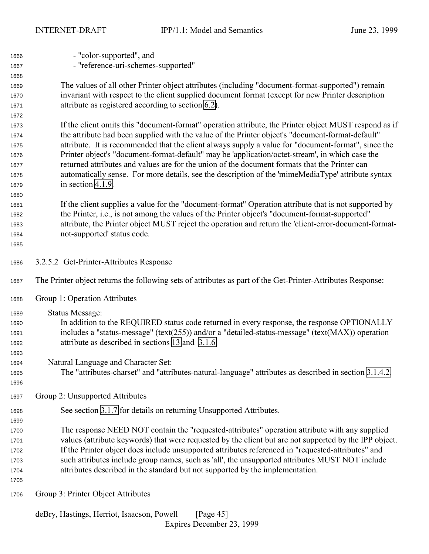| 1666 | - "color-supported", and                                                                                    |  |  |  |
|------|-------------------------------------------------------------------------------------------------------------|--|--|--|
| 1667 | - "reference-uri-schemes-supported"                                                                         |  |  |  |
| 1668 |                                                                                                             |  |  |  |
| 1669 | The values of all other Printer object attributes (including "document-format-supported") remain            |  |  |  |
| 1670 | invariant with respect to the client supplied document format (except for new Printer description           |  |  |  |
| 1671 | attribute as registered according to section 6.2).                                                          |  |  |  |
| 1672 |                                                                                                             |  |  |  |
| 1673 | If the client omits this "document-format" operation attribute, the Printer object MUST respond as if       |  |  |  |
| 1674 | the attribute had been supplied with the value of the Printer object's "document-format-default"            |  |  |  |
| 1675 | attribute. It is recommended that the client always supply a value for "document-format", since the         |  |  |  |
| 1676 | Printer object's "document-format-default" may be 'application/octet-stream', in which case the             |  |  |  |
| 1677 | returned attributes and values are for the union of the document formats that the Printer can               |  |  |  |
| 1678 | automatically sense. For more details, see the description of the 'mimeMediaType' attribute syntax          |  |  |  |
| 1679 | in section 4.1.9.                                                                                           |  |  |  |
| 1680 |                                                                                                             |  |  |  |
| 1681 | If the client supplies a value for the "document-format" Operation attribute that is not supported by       |  |  |  |
| 1682 | the Printer, i.e., is not among the values of the Printer object's "document-format-supported"              |  |  |  |
| 1683 | attribute, the Printer object MUST reject the operation and return the 'client-error-document-format-       |  |  |  |
| 1684 | not-supported' status code.                                                                                 |  |  |  |
| 1685 |                                                                                                             |  |  |  |
|      |                                                                                                             |  |  |  |
| 1686 | 3.2.5.2 Get-Printer-Attributes Response                                                                     |  |  |  |
| 1687 | The Printer object returns the following sets of attributes as part of the Get-Printer-Attributes Response: |  |  |  |
| 1688 | Group 1: Operation Attributes                                                                               |  |  |  |
| 1689 | <b>Status Message:</b>                                                                                      |  |  |  |
| 1690 | In addition to the REQUIRED status code returned in every response, the response OPTIONALLY                 |  |  |  |
| 1691 | includes a "status-message" (text(255)) and/or a "detailed-status-message" (text( $MAX$ )) operation        |  |  |  |
| 1692 | attribute as described in sections 13 and 3.1.6.                                                            |  |  |  |
| 1693 |                                                                                                             |  |  |  |
| 1694 | Natural Language and Character Set:                                                                         |  |  |  |
| 1695 | The "attributes-charset" and "attributes-natural-language" attributes as described in section 3.1.4.2.      |  |  |  |
| 1696 |                                                                                                             |  |  |  |
| 1697 | Group 2: Unsupported Attributes                                                                             |  |  |  |
| 1698 | See section 3.1.7 for details on returning Unsupported Attributes.                                          |  |  |  |
| 1699 |                                                                                                             |  |  |  |
| 1700 | The response NEED NOT contain the "requested-attributes" operation attribute with any supplied              |  |  |  |
| 1701 | values (attribute keywords) that were requested by the client but are not supported by the IPP object.      |  |  |  |
| 1702 | If the Printer object does include unsupported attributes referenced in "requested-attributes" and          |  |  |  |
| 1703 | such attributes include group names, such as 'all', the unsupported attributes MUST NOT include             |  |  |  |
| 1704 | attributes described in the standard but not supported by the implementation.                               |  |  |  |
| 1705 |                                                                                                             |  |  |  |
|      |                                                                                                             |  |  |  |
| 1706 | Group 3: Printer Object Attributes                                                                          |  |  |  |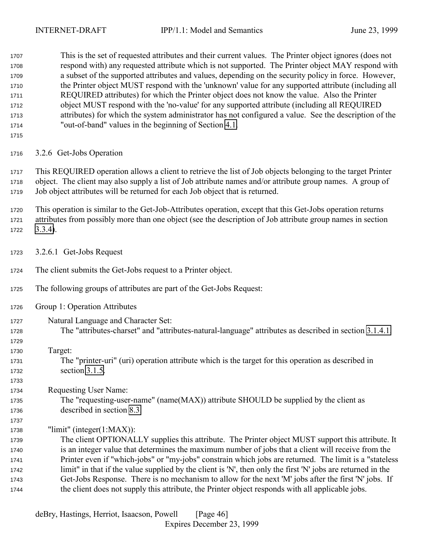This is the set of requested attributes and their current values. The Printer object ignores (does not respond with) any requested attribute which is not supported. The Printer object MAY respond with a subset of the supported attributes and values, depending on the security policy in force. However, the Printer object MUST respond with the 'unknown' value for any supported attribute (including all REQUIRED attributes) for which the Printer object does not know the value. Also the Printer object MUST respond with the 'no-value' for any supported attribute (including all REQUIRED attributes) for which the system administrator has not configured a value. See the description of the "out-of-band" values in the beginning of Section [4.1.](#page-63-0)

3.2.6 Get-Jobs Operation

 This REQUIRED operation allows a client to retrieve the list of Job objects belonging to the target Printer object. The client may also supply a list of Job attribute names and/or attribute group names. A group of Job object attributes will be returned for each Job object that is returned.

 This operation is similar to the Get-Job-Attributes operation, except that this Get-Jobs operation returns attributes from possibly more than one object (see the description of Job attribute group names in section [3.3.4\)](#page-56-0).

- 3.2.6.1 Get-Jobs Request
- The client submits the Get-Jobs request to a Printer object.
- The following groups of attributes are part of the Get-Jobs Request:
- Group 1: Operation Attributes
- Natural Language and Character Set: The "attributes-charset" and "attributes-natural-language" attributes as described in section [3.1.4.1.](#page-23-0) Target: The "printer-uri" (uri) operation attribute which is the target for this operation as described in section [3.1.5.](#page-26-0) Requesting User Name: The "requesting-user-name" (name(MAX)) attribute SHOULD be supplied by the client as described in section [8.3.](#page-130-0)
- "limit" (integer(1:MAX)):

 The client OPTIONALLY supplies this attribute. The Printer object MUST support this attribute. It is an integer value that determines the maximum number of jobs that a client will receive from the Printer even if "which-jobs" or "my-jobs" constrain which jobs are returned. The limit is a "stateless limit" in that if the value supplied by the client is 'N', then only the first 'N' jobs are returned in the Get-Jobs Response. There is no mechanism to allow for the next 'M' jobs after the first 'N' jobs. If the client does not supply this attribute, the Printer object responds with all applicable jobs.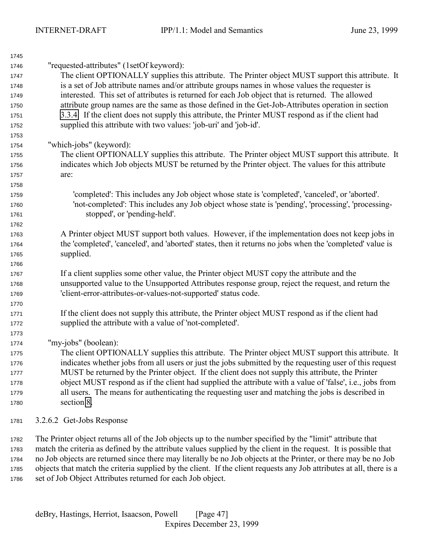| 1745 |                                                                                                          |
|------|----------------------------------------------------------------------------------------------------------|
| 1746 | "requested-attributes" (1setOf keyword):                                                                 |
| 1747 | The client OPTIONALLY supplies this attribute. The Printer object MUST support this attribute. It        |
| 1748 | is a set of Job attribute names and/or attribute groups names in whose values the requester is           |
| 1749 | interested. This set of attributes is returned for each Job object that is returned. The allowed         |
| 1750 | attribute group names are the same as those defined in the Get-Job-Attributes operation in section       |
| 1751 | 3.3.4. If the client does not supply this attribute, the Printer MUST respond as if the client had       |
| 1752 | supplied this attribute with two values: 'job-uri' and 'job-id'.                                         |
| 1753 |                                                                                                          |
| 1754 | "which-jobs" (keyword):                                                                                  |
| 1755 | The client OPTIONALLY supplies this attribute. The Printer object MUST support this attribute. It        |
| 1756 | indicates which Job objects MUST be returned by the Printer object. The values for this attribute        |
| 1757 | are:                                                                                                     |
| 1758 |                                                                                                          |
| 1759 | 'completed': This includes any Job object whose state is 'completed', 'canceled', or 'aborted'.          |
| 1760 | 'not-completed': This includes any Job object whose state is 'pending', 'processing', 'processing-       |
| 1761 | stopped', or 'pending-held'.                                                                             |
| 1762 |                                                                                                          |
| 1763 | A Printer object MUST support both values. However, if the implementation does not keep jobs in          |
| 1764 | the 'completed', 'canceled', and 'aborted' states, then it returns no jobs when the 'completed' value is |
| 1765 | supplied.                                                                                                |
| 1766 |                                                                                                          |
| 1767 | If a client supplies some other value, the Printer object MUST copy the attribute and the                |
| 1768 | unsupported value to the Unsupported Attributes response group, reject the request, and return the       |
| 1769 | 'client-error-attributes-or-values-not-supported' status code.                                           |
| 1770 |                                                                                                          |
| 1771 | If the client does not supply this attribute, the Printer object MUST respond as if the client had       |
| 1772 | supplied the attribute with a value of 'not-completed'.                                                  |
| 1773 |                                                                                                          |
| 1774 | "my-jobs" (boolean):                                                                                     |
| 1775 | The client OPTIONALLY supplies this attribute. The Printer object MUST support this attribute. It        |
| 1776 | indicates whether jobs from all users or just the jobs submitted by the requesting user of this request  |
| 1777 | MUST be returned by the Printer object. If the client does not supply this attribute, the Printer        |
| 1778 | object MUST respond as if the client had supplied the attribute with a value of 'false', i.e., jobs from |
| 1779 | all users. The means for authenticating the requesting user and matching the jobs is described in        |
| 1780 | section 8.                                                                                               |
| 1781 | 3.2.6.2 Get-Jobs Response                                                                                |

 The Printer object returns all of the Job objects up to the number specified by the "limit" attribute that match the criteria as defined by the attribute values supplied by the client in the request. It is possible that no Job objects are returned since there may literally be no Job objects at the Printer, or there may be no Job objects that match the criteria supplied by the client. If the client requests any Job attributes at all, there is a set of Job Object Attributes returned for each Job object.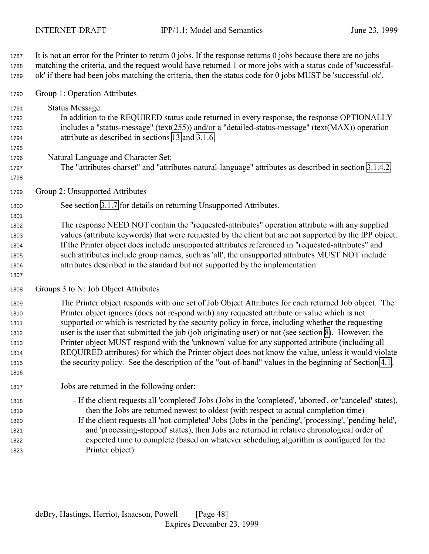It is not an error for the Printer to return 0 jobs. If the response returns 0 jobs because there are no jobs matching the criteria, and the request would have returned 1 or more jobs with a status code of 'successful-ok' if there had been jobs matching the criteria, then the status code for 0 jobs MUST be 'successful-ok'.

Group 1: Operation Attributes

 Status Message: In addition to the REQUIRED status code returned in every response, the response OPTIONALLY includes a "status-message" (text(255)) and/or a "detailed-status-message" (text(MAX)) operation attribute as described in sections [13](#page-143-0) and [3.1.6.](#page-28-0)

- Natural Language and Character Set:
- The "attributes-charset" and "attributes-natural-language" attributes as described in section [3.1.4.2.](#page-26-0)
- Group 2: Unsupported Attributes
- See section [3.1.7](#page-30-0) for details on returning Unsupported Attributes.

 The response NEED NOT contain the "requested-attributes" operation attribute with any supplied values (attribute keywords) that were requested by the client but are not supported by the IPP object. If the Printer object does include unsupported attributes referenced in "requested-attributes" and such attributes include group names, such as 'all', the unsupported attributes MUST NOT include attributes described in the standard but not supported by the implementation.

## Groups 3 to N: Job Object Attributes

 The Printer object responds with one set of Job Object Attributes for each returned Job object. The Printer object ignores (does not respond with) any requested attribute or value which is not supported or which is restricted by the security policy in force, including whether the requesting user is the user that submitted the job (job originating user) or not (see section [8\)](#page-128-0). However, the Printer object MUST respond with the 'unknown' value for any supported attribute (including all REQUIRED attributes) for which the Printer object does not know the value, unless it would violate the security policy. See the description of the "out-of-band" values in the beginning of Section [4.1.](#page-63-0)

Jobs are returned in the following order:

 - If the client requests all 'completed' Jobs (Jobs in the 'completed', 'aborted', or 'canceled' states), then the Jobs are returned newest to oldest (with respect to actual completion time)

 - If the client requests all 'not-completed' Jobs (Jobs in the 'pending', 'processing', 'pending-held', and 'processing-stopped' states), then Jobs are returned in relative chronological order of expected time to complete (based on whatever scheduling algorithm is configured for the Printer object).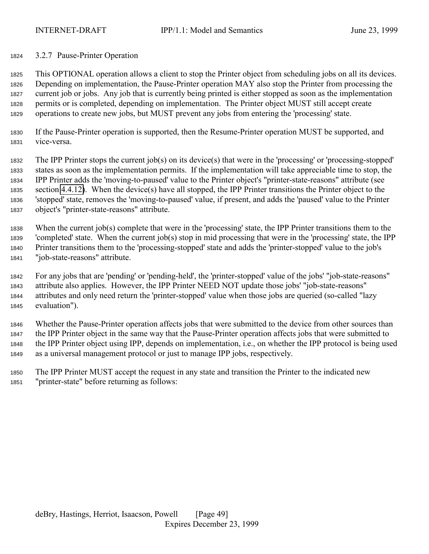### 3.2.7 Pause-Printer Operation

 This OPTIONAL operation allows a client to stop the Printer object from scheduling jobs on all its devices. Depending on implementation, the Pause-Printer operation MAY also stop the Printer from processing the current job or jobs. Any job that is currently being printed is either stopped as soon as the implementation permits or is completed, depending on implementation. The Printer object MUST still accept create operations to create new jobs, but MUST prevent any jobs from entering the 'processing' state.

 If the Pause-Printer operation is supported, then the Resume-Printer operation MUST be supported, and vice-versa.

 The IPP Printer stops the current job(s) on its device(s) that were in the 'processing' or 'processing-stopped' states as soon as the implementation permits. If the implementation will take appreciable time to stop, the IPP Printer adds the 'moving-to-paused' value to the Printer object's "printer-state-reasons" attribute (see section [4.4.12\)](#page-106-0). When the device(s) have all stopped, the IPP Printer transitions the Printer object to the 'stopped' state, removes the 'moving-to-paused' value, if present, and adds the 'paused' value to the Printer object's "printer-state-reasons" attribute.

 When the current job(s) complete that were in the 'processing' state, the IPP Printer transitions them to the 'completed' state. When the current job(s) stop in mid processing that were in the 'processing' state, the IPP Printer transitions them to the 'processing-stopped' state and adds the 'printer-stopped' value to the job's "job-state-reasons" attribute.

 For any jobs that are 'pending' or 'pending-held', the 'printer-stopped' value of the jobs' "job-state-reasons" attribute also applies. However, the IPP Printer NEED NOT update those jobs' "job-state-reasons" attributes and only need return the 'printer-stopped' value when those jobs are queried (so-called "lazy evaluation").

 Whether the Pause-Printer operation affects jobs that were submitted to the device from other sources than the IPP Printer object in the same way that the Pause-Printer operation affects jobs that were submitted to the IPP Printer object using IPP, depends on implementation, i.e., on whether the IPP protocol is being used as a universal management protocol or just to manage IPP jobs, respectively.

 The IPP Printer MUST accept the request in any state and transition the Printer to the indicated new "printer-state" before returning as follows: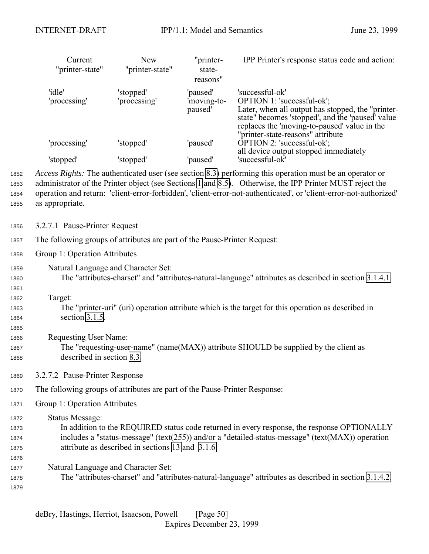<span id="page-49-0"></span>

|                              | Current<br>"printer-state"                                                                                                                                                                                                                                                                                                                                    | <b>New</b><br>"printer-state" | "printer-<br>state-<br>reasons"    | IPP Printer's response status code and action:                                                                                                                                                         |
|------------------------------|---------------------------------------------------------------------------------------------------------------------------------------------------------------------------------------------------------------------------------------------------------------------------------------------------------------------------------------------------------------|-------------------------------|------------------------------------|--------------------------------------------------------------------------------------------------------------------------------------------------------------------------------------------------------|
|                              | 'idle'<br>'processing'                                                                                                                                                                                                                                                                                                                                        | 'stopped'<br>'processing'     | 'paused'<br>'moving-to-<br>paused' | 'successful-ok'<br>OPTION 1: 'successful-ok';<br>Later, when all output has stopped, the "printer-<br>state" becomes 'stopped', and the 'paused' value<br>replaces the 'moving-to-paused' value in the |
|                              | 'processing'                                                                                                                                                                                                                                                                                                                                                  | 'stopped'                     | 'paused'                           | "printer-state-reasons" attribute<br>OPTION 2: 'successful-ok';<br>all device output stopped immediately                                                                                               |
|                              | 'stopped'                                                                                                                                                                                                                                                                                                                                                     | 'stopped'                     | 'paused'                           | 'successful-ok'                                                                                                                                                                                        |
| 1852<br>1853<br>1854<br>1855 | Access Rights: The authenticated user (see section 8.3) performing this operation must be an operator or<br>administrator of the Printer object (see Sections 1 and 8.5). Otherwise, the IPP Printer MUST reject the<br>operation and return: 'client-error-forbidden', 'client-error-not-authenticated', or 'client-error-not-authorized'<br>as appropriate. |                               |                                    |                                                                                                                                                                                                        |
| 1856                         | 3.2.7.1 Pause-Printer Request                                                                                                                                                                                                                                                                                                                                 |                               |                                    |                                                                                                                                                                                                        |
| 1857                         | The following groups of attributes are part of the Pause-Printer Request:                                                                                                                                                                                                                                                                                     |                               |                                    |                                                                                                                                                                                                        |
| 1858                         | Group 1: Operation Attributes                                                                                                                                                                                                                                                                                                                                 |                               |                                    |                                                                                                                                                                                                        |
| 1859<br>1860<br>1861         | Natural Language and Character Set:<br>The "attributes-charset" and "attributes-natural-language" attributes as described in section 3.1.4.1.                                                                                                                                                                                                                 |                               |                                    |                                                                                                                                                                                                        |
| 1862<br>1863<br>1864<br>1865 | Target:<br>The "printer-uri" (uri) operation attribute which is the target for this operation as described in<br>section 3.1.5.                                                                                                                                                                                                                               |                               |                                    |                                                                                                                                                                                                        |
| 1866<br>1867<br>1868         | <b>Requesting User Name:</b><br>The "requesting-user-name" (name(MAX)) attribute SHOULD be supplied by the client as<br>described in section 8.3.                                                                                                                                                                                                             |                               |                                    |                                                                                                                                                                                                        |
| 1869                         | 3.2.7.2 Pause-Printer Response                                                                                                                                                                                                                                                                                                                                |                               |                                    |                                                                                                                                                                                                        |
| 1870                         | The following groups of attributes are part of the Pause-Printer Response:                                                                                                                                                                                                                                                                                    |                               |                                    |                                                                                                                                                                                                        |
| 1871                         | Group 1: Operation Attributes                                                                                                                                                                                                                                                                                                                                 |                               |                                    |                                                                                                                                                                                                        |
| 1872<br>1873<br>1874<br>1875 | <b>Status Message:</b><br>In addition to the REQUIRED status code returned in every response, the response OPTIONALLY<br>includes a "status-message" (text(255)) and/or a "detailed-status-message" (text(MAX)) operation<br>attribute as described in sections 13 and 3.1.6.                                                                                 |                               |                                    |                                                                                                                                                                                                        |
| 1876<br>1877<br>1878<br>1879 | Natural Language and Character Set:<br>The "attributes-charset" and "attributes-natural-language" attributes as described in section 3.1.4.2.                                                                                                                                                                                                                 |                               |                                    |                                                                                                                                                                                                        |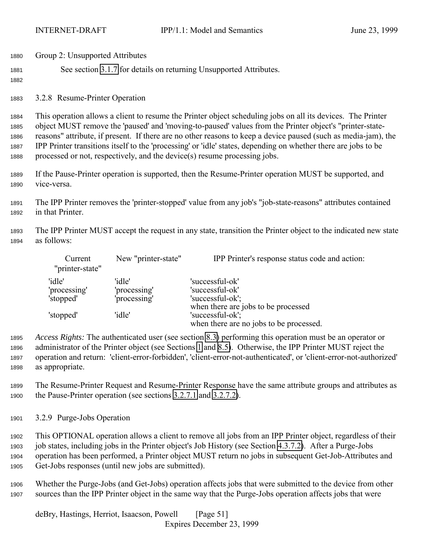| 1880 | Group 2: Unsupported Attributes                                    |
|------|--------------------------------------------------------------------|
| 1881 | See section 3.1.7 for details on returning Unsupported Attributes. |

3.2.8 Resume-Printer Operation

 This operation allows a client to resume the Printer object scheduling jobs on all its devices. The Printer object MUST remove the 'paused' and 'moving-to-paused' values from the Printer object's "printer-state- reasons" attribute, if present. If there are no other reasons to keep a device paused (such as media-jam), the IPP Printer transitions itself to the 'processing' or 'idle' states, depending on whether there are jobs to be processed or not, respectively, and the device(s) resume processing jobs.

 If the Pause-Printer operation is supported, then the Resume-Printer operation MUST be supported, and vice-versa.

 The IPP Printer removes the 'printer-stopped' value from any job's "job-state-reasons" attributes contained in that Printer.

 The IPP Printer MUST accept the request in any state, transition the Printer object to the indicated new state as follows:

| Current<br>"printer-state" | New "printer-state" | IPP Printer's response status code and action: |
|----------------------------|---------------------|------------------------------------------------|
| 'idle'                     | 'idle'              | 'successful-ok'                                |
| 'processing'               | 'processing'        | 'successful-ok'                                |
| 'stopped'                  | 'processing'        | 'successful-ok';                               |
|                            |                     | when there are jobs to be processed            |
| 'stopped'                  | 'idle'              | 'successful-ok';                               |
|                            |                     | when there are no jobs to be processed.        |

 *Access Rights:* The authenticated user (see section [8.3\)](#page-130-0) performing this operation must be an operator or administrator of the Printer object (see Sections [1](#page-9-0) and [8.5\)](#page-130-0). Otherwise, the IPP Printer MUST reject the operation and return: 'client-error-forbidden', 'client-error-not-authenticated', or 'client-error-not-authorized' as appropriate.

 The Resume-Printer Request and Resume-Printer Response have the same attribute groups and attributes as the Pause-Printer operation (see sections [3.2.7.1](#page-49-0) and [3.2.7.2\)](#page-49-0).

3.2.9 Purge-Jobs Operation

 This OPTIONAL operation allows a client to remove all jobs from an IPP Printer object, regardless of their job states, including jobs in the Printer object's Job History (see Section [4.3.7.2\)](#page-91-0). After a Purge-Jobs operation has been performed, a Printer object MUST return no jobs in subsequent Get-Job-Attributes and Get-Jobs responses (until new jobs are submitted).

 Whether the Purge-Jobs (and Get-Jobs) operation affects jobs that were submitted to the device from other sources than the IPP Printer object in the same way that the Purge-Jobs operation affects jobs that were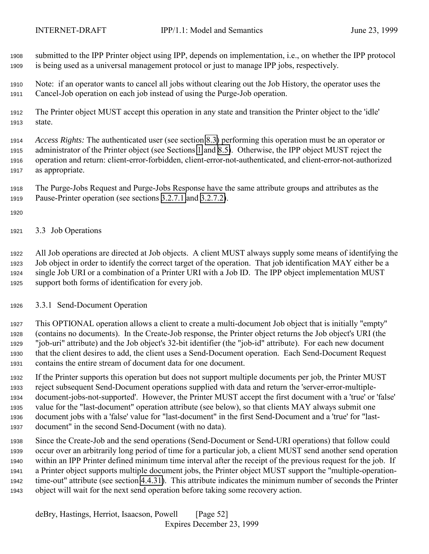<span id="page-51-0"></span>

 submitted to the IPP Printer object using IPP, depends on implementation, i.e., on whether the IPP protocol is being used as a universal management protocol or just to manage IPP jobs, respectively.

 Note: if an operator wants to cancel all jobs without clearing out the Job History, the operator uses the Cancel-Job operation on each job instead of using the Purge-Job operation.

 The Printer object MUST accept this operation in any state and transition the Printer object to the 'idle' state.

 *Access Rights:* The authenticated user (see section [8.3\)](#page-130-0) performing this operation must be an operator or administrator of the Printer object (see Sections [1](#page-9-0) and [8.5\)](#page-130-0). Otherwise, the IPP object MUST reject the operation and return: client-error-forbidden, client-error-not-authenticated, and client-error-not-authorized as appropriate.

 The Purge-Jobs Request and Purge-Jobs Response have the same attribute groups and attributes as the Pause-Printer operation (see sections [3.2.7.1](#page-49-0) and [3.2.7.2\)](#page-49-0).

- 
- 3.3 Job Operations

 All Job operations are directed at Job objects. A client MUST always supply some means of identifying the Job object in order to identify the correct target of the operation. That job identification MAY either be a single Job URI or a combination of a Printer URI with a Job ID. The IPP object implementation MUST support both forms of identification for every job.

3.3.1 Send-Document Operation

 This OPTIONAL operation allows a client to create a multi-document Job object that is initially "empty" (contains no documents). In the Create-Job response, the Printer object returns the Job object's URI (the "job-uri" attribute) and the Job object's 32-bit identifier (the "job-id" attribute). For each new document that the client desires to add, the client uses a Send-Document operation. Each Send-Document Request contains the entire stream of document data for one document.

 If the Printer supports this operation but does not support multiple documents per job, the Printer MUST reject subsequent Send-Document operations supplied with data and return the 'server-error-multiple- document-jobs-not-supported'. However, the Printer MUST accept the first document with a 'true' or 'false' value for the "last-document" operation attribute (see below), so that clients MAY always submit one document jobs with a 'false' value for "last-document" in the first Send-Document and a 'true' for "last-document" in the second Send-Document (with no data).

 Since the Create-Job and the send operations (Send-Document or Send-URI operations) that follow could occur over an arbitrarily long period of time for a particular job, a client MUST send another send operation within an IPP Printer defined minimum time interval after the receipt of the previous request for the job. If a Printer object supports multiple document jobs, the Printer object MUST support the "multiple-operation- time-out" attribute (see section [4.4.31\)](#page-114-0). This attribute indicates the minimum number of seconds the Printer object will wait for the next send operation before taking some recovery action.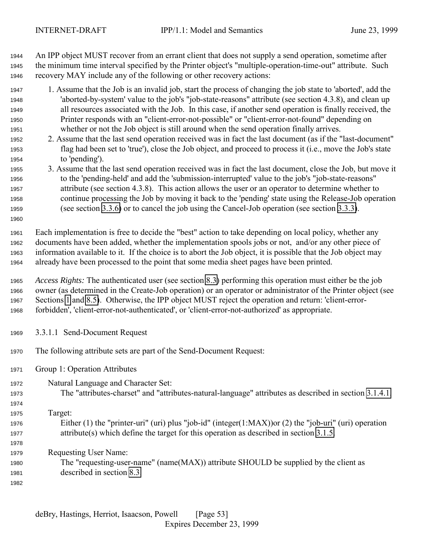An IPP object MUST recover from an errant client that does not supply a send operation, sometime after the minimum time interval specified by the Printer object's "multiple-operation-time-out" attribute. Such recovery MAY include any of the following or other recovery actions:

- 1. Assume that the Job is an invalid job, start the process of changing the job state to 'aborted', add the 'aborted-by-system' value to the job's "job-state-reasons" attribute (see section 4.3.8), and clean up all resources associated with the Job. In this case, if another send operation is finally received, the Printer responds with an "client-error-not-possible" or "client-error-not-found" depending on whether or not the Job object is still around when the send operation finally arrives.
- 2. Assume that the last send operation received was in fact the last document (as if the "last-document" flag had been set to 'true'), close the Job object, and proceed to process it (i.e., move the Job's state to 'pending').
- 3. Assume that the last send operation received was in fact the last document, close the Job, but move it to the 'pending-held' and add the 'submission-interrupted' value to the job's "job-state-reasons" attribute (see section 4.3.8). This action allows the user or an operator to determine whether to continue processing the Job by moving it back to the 'pending' state using the Release-Job operation (see section [3.3.6\)](#page-60-0) or to cancel the job using the Cancel-Job operation (see section [3.3.3\)](#page-54-0).

 Each implementation is free to decide the "best" action to take depending on local policy, whether any documents have been added, whether the implementation spools jobs or not, and/or any other piece of information available to it. If the choice is to abort the Job object, it is possible that the Job object may already have been processed to the point that some media sheet pages have been printed.

 *Access Rights:* The authenticated user (see section [8.3\)](#page-130-0) performing this operation must either be the job owner (as determined in the Create-Job operation) or an operator or administrator of the Printer object (see Sections [1](#page-9-0) and [8.5\)](#page-130-0). Otherwise, the IPP object MUST reject the operation and return: 'client-error-forbidden', 'client-error-not-authenticated', or 'client-error-not-authorized' as appropriate.

- 3.3.1.1 Send-Document Request
- The following attribute sets are part of the Send-Document Request:
- Group 1: Operation Attributes
- Natural Language and Character Set:
- The "attributes-charset" and "attributes-natural-language" attributes as described in section [3.1.4.1.](#page-23-0)

Target:

- Either (1) the "printer-uri" (uri) plus "job-id" (integer(1:MAX))or (2) the "job-uri" (uri) operation attribute(s) which define the target for this operation as described in section [3.1.5.](#page-26-0)
- Requesting User Name:
- The "requesting-user-name" (name(MAX)) attribute SHOULD be supplied by the client as described in section [8.3.](#page-130-0)
	- deBry, Hastings, Herriot, Isaacson, Powell [Page 53] Expires December 23, 1999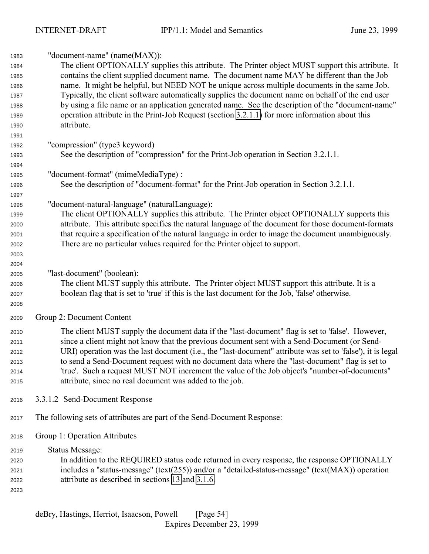| 1983 | "document-name" (name(MAX)):                                                                               |  |  |
|------|------------------------------------------------------------------------------------------------------------|--|--|
| 1984 | The client OPTIONALLY supplies this attribute. The Printer object MUST support this attribute. It          |  |  |
| 1985 | contains the client supplied document name. The document name MAY be different than the Job                |  |  |
| 1986 | name. It might be helpful, but NEED NOT be unique across multiple documents in the same Job.               |  |  |
| 1987 | Typically, the client software automatically supplies the document name on behalf of the end user          |  |  |
| 1988 | by using a file name or an application generated name. See the description of the "document-name"          |  |  |
| 1989 | operation attribute in the Print-Job Request (section 3.2.1.1) for more information about this             |  |  |
| 1990 | attribute.                                                                                                 |  |  |
| 1991 |                                                                                                            |  |  |
| 1992 | "compression" (type3 keyword)                                                                              |  |  |
| 1993 | See the description of "compression" for the Print-Job operation in Section 3.2.1.1.                       |  |  |
| 1994 |                                                                                                            |  |  |
| 1995 | "document-format" (mimeMediaType) :                                                                        |  |  |
| 1996 | See the description of "document-format" for the Print-Job operation in Section 3.2.1.1.                   |  |  |
| 1997 |                                                                                                            |  |  |
| 1998 | "document-natural-language" (naturalLanguage):                                                             |  |  |
| 1999 | The client OPTIONALLY supplies this attribute. The Printer object OPTIONALLY supports this                 |  |  |
| 2000 | attribute. This attribute specifies the natural language of the document for those document-formats        |  |  |
| 2001 | that require a specification of the natural language in order to image the document unambiguously.         |  |  |
| 2002 | There are no particular values required for the Printer object to support.                                 |  |  |
| 2003 |                                                                                                            |  |  |
| 2004 |                                                                                                            |  |  |
| 2005 | "last-document" (boolean):                                                                                 |  |  |
| 2006 | The client MUST supply this attribute. The Printer object MUST support this attribute. It is a             |  |  |
| 2007 | boolean flag that is set to 'true' if this is the last document for the Job, 'false' otherwise.            |  |  |
| 2008 |                                                                                                            |  |  |
| 2009 | Group 2: Document Content                                                                                  |  |  |
| 2010 | The client MUST supply the document data if the "last-document" flag is set to 'false'. However,           |  |  |
| 2011 | since a client might not know that the previous document sent with a Send-Document (or Send-               |  |  |
| 2012 | URI) operation was the last document (i.e., the "last-document" attribute was set to 'false'), it is legal |  |  |
| 2013 | to send a Send-Document request with no document data where the "last-document" flag is set to             |  |  |
| 2014 | 'true'. Such a request MUST NOT increment the value of the Job object's "number-of-documents"              |  |  |
| 2015 | attribute, since no real document was added to the job.                                                    |  |  |
| 2016 | 3.3.1.2 Send-Document Response                                                                             |  |  |
| 2017 | The following sets of attributes are part of the Send-Document Response:                                   |  |  |
| 2018 | Group 1: Operation Attributes                                                                              |  |  |
| 2019 | <b>Status Message:</b>                                                                                     |  |  |
| 2020 | In addition to the REQUIRED status code returned in every response, the response OPTIONALLY                |  |  |
| 2021 | includes a "status-message" (text(255)) and/or a "detailed-status-message" (text(MAX)) operation           |  |  |
| 2022 | attribute as described in sections 13 and 3.1.6.                                                           |  |  |
| 2023 |                                                                                                            |  |  |
|      |                                                                                                            |  |  |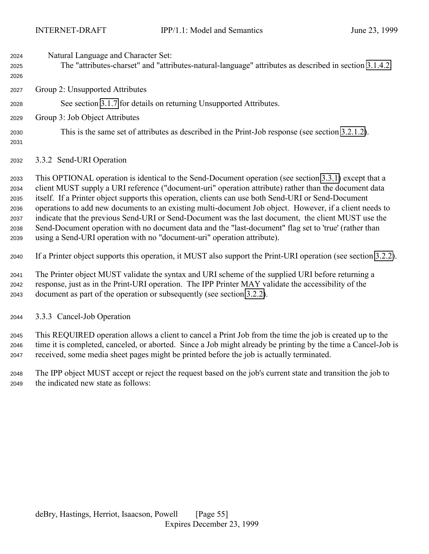<span id="page-54-0"></span>

| 2024 | Natural Language and Character Set:                                                                    |
|------|--------------------------------------------------------------------------------------------------------|
| 2025 | The "attributes-charset" and "attributes-natural-language" attributes as described in section 3.1.4.2. |
| 2026 |                                                                                                        |
| 2027 | Group 2: Unsupported Attributes                                                                        |
| 2028 | See section 3.1.7 for details on returning Unsupported Attributes.                                     |
| 2029 | Group 3: Job Object Attributes                                                                         |
| 2030 | This is the same set of attributes as described in the Print-Job response (see section 3.2.1.2).       |
| 2031 |                                                                                                        |
| 2032 | 3.3.2 Send-URI Operation                                                                               |

 This OPTIONAL operation is identical to the Send-Document operation (see section [3.3.1\)](#page-51-0) except that a client MUST supply a URI reference ("document-uri" operation attribute) rather than the document data itself. If a Printer object supports this operation, clients can use both Send-URI or Send-Document operations to add new documents to an existing multi-document Job object. However, if a client needs to indicate that the previous Send-URI or Send-Document was the last document, the client MUST use the Send-Document operation with no document data and the "last-document" flag set to 'true' (rather than using a Send-URI operation with no "document-uri" operation attribute).

If a Printer object supports this operation, it MUST also support the Print-URI operation (see section [3.2.2\)](#page-40-0).

 The Printer object MUST validate the syntax and URI scheme of the supplied URI before returning a response, just as in the Print-URI operation. The IPP Printer MAY validate the accessibility of the document as part of the operation or subsequently (see section [3.2.2\)](#page-40-0).

3.3.3 Cancel-Job Operation

 This REQUIRED operation allows a client to cancel a Print Job from the time the job is created up to the time it is completed, canceled, or aborted. Since a Job might already be printing by the time a Cancel-Job is received, some media sheet pages might be printed before the job is actually terminated.

 The IPP object MUST accept or reject the request based on the job's current state and transition the job to the indicated new state as follows: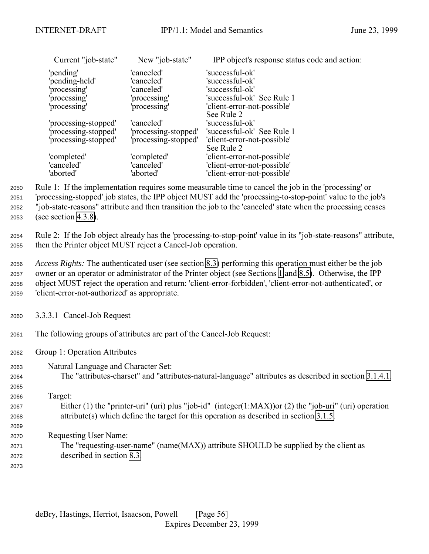<span id="page-55-0"></span>

| New "job-state" | IPP object's response status code and action:               |
|-----------------|-------------------------------------------------------------|
| 'canceled'      | 'successful-ok'                                             |
| 'canceled'      | 'successful-ok'                                             |
| 'canceled'      | 'successful-ok'                                             |
| 'processing'    | 'successful-ok' See Rule 1                                  |
| 'processing'    | 'client-error-not-possible'                                 |
|                 | See Rule 2                                                  |
| 'canceled'      | 'successful-ok'                                             |
|                 | 'successful-ok' See Rule 1                                  |
|                 | 'client-error-not-possible'                                 |
|                 | See Rule 2                                                  |
|                 | 'client-error-not-possible'                                 |
| 'canceled'      | 'client-error-not-possible'                                 |
| 'aborted'       | 'client-error-not-possible'                                 |
|                 | 'processing-stopped'<br>'processing-stopped'<br>'completed' |

 Rule 1: If the implementation requires some measurable time to cancel the job in the 'processing' or 'processing-stopped' job states, the IPP object MUST add the 'processing-to-stop-point' value to the job's "job-state-reasons" attribute and then transition the job to the 'canceled' state when the processing ceases (see section [4.3.8\)](#page-92-0).

<sup>2054</sup> Rule 2: If the Job object already has the 'processing-to-stop-point' value in its "job-state-reasons" attribute, <sup>2055</sup> then the Printer object MUST reject a Cancel-Job operation.

 *Access Rights:* The authenticated user (see section [8.3\)](#page-130-0) performing this operation must either be the job owner or an operator or administrator of the Printer object (see Sections [1](#page-9-0) and [8.5\)](#page-130-0). Otherwise, the IPP object MUST reject the operation and return: 'client-error-forbidden', 'client-error-not-authenticated', or 'client-error-not-authorized' as appropriate.

<sup>2060</sup> 3.3.3.1 Cancel-Job Request

<sup>2061</sup> The following groups of attributes are part of the Cancel-Job Request:

- <sup>2062</sup> Group 1: Operation Attributes
- <sup>2063</sup> Natural Language and Character Set:

<sup>2064</sup> The "attributes-charset" and "attributes-natural-language" attributes as described in section [3.1.4.1.](#page-23-0)

2065

2069

- <sup>2066</sup> Target: <sup>2067</sup> Either (1) the "printer-uri" (uri) plus "job-id" (integer(1:MAX))or (2) the "job-uri" (uri) operation <sup>2068</sup> attribute(s) which define the target for this operation as described in section [3.1.5.](#page-26-0)
- <sup>2070</sup> Requesting User Name:
- <sup>2071</sup> The "requesting-user-name" (name(MAX)) attribute SHOULD be supplied by the client as <sup>2072</sup> described in section [8.3.](#page-130-0)
- 2073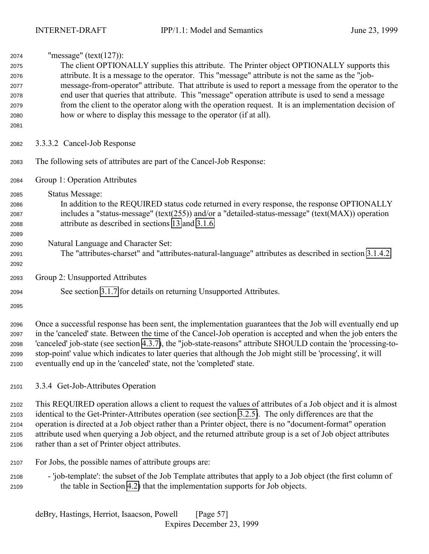<span id="page-56-0"></span>

| 2074 | "message" ( $text(127)$ ):                                                                             |  |  |
|------|--------------------------------------------------------------------------------------------------------|--|--|
| 2075 | The client OPTIONALLY supplies this attribute. The Printer object OPTIONALLY supports this             |  |  |
| 2076 | attribute. It is a message to the operator. This "message" attribute is not the same as the "job-      |  |  |
| 2077 | message-from-operator" attribute. That attribute is used to report a message from the operator to the  |  |  |
| 2078 | end user that queries that attribute. This "message" operation attribute is used to send a message     |  |  |
| 2079 | from the client to the operator along with the operation request. It is an implementation decision of  |  |  |
| 2080 | how or where to display this message to the operator (if at all).                                      |  |  |
| 2081 |                                                                                                        |  |  |
| 2082 | 3.3.3.2 Cancel-Job Response                                                                            |  |  |
| 2083 | The following sets of attributes are part of the Cancel-Job Response:                                  |  |  |
| 2084 | Group 1: Operation Attributes                                                                          |  |  |
| 2085 | Status Message:                                                                                        |  |  |
| 2086 | In addition to the REQUIRED status code returned in every response, the response OPTIONALLY            |  |  |
| 2087 | includes a "status-message" (text(255)) and/or a "detailed-status-message" (text(MAX)) operation       |  |  |
| 2088 | attribute as described in sections 13 and 3.1.6.                                                       |  |  |
| 2089 |                                                                                                        |  |  |
| 2090 | Natural Language and Character Set:                                                                    |  |  |
| 2091 | The "attributes-charset" and "attributes-natural-language" attributes as described in section 3.1.4.2. |  |  |
| 2092 |                                                                                                        |  |  |
| 2093 | Group 2: Unsupported Attributes                                                                        |  |  |
| 2094 | See section 3.1.7 for details on returning Unsupported Attributes.                                     |  |  |
| 2095 |                                                                                                        |  |  |
|      |                                                                                                        |  |  |

 Once a successful response has been sent, the implementation guarantees that the Job will eventually end up in the 'canceled' state. Between the time of the Cancel-Job operation is accepted and when the job enters the 'canceled' job-state (see section [4.3.7\)](#page-88-0), the "job-state-reasons" attribute SHOULD contain the 'processing-to- stop-point' value which indicates to later queries that although the Job might still be 'processing', it will eventually end up in the 'canceled' state, not the 'completed' state.

# 3.3.4 Get-Job-Attributes Operation

 This REQUIRED operation allows a client to request the values of attributes of a Job object and it is almost identical to the Get-Printer-Attributes operation (see section [3.2.5\)](#page-42-0). The only differences are that the operation is directed at a Job object rather than a Printer object, there is no "document-format" operation attribute used when querying a Job object, and the returned attribute group is a set of Job object attributes rather than a set of Printer object attributes.

- For Jobs, the possible names of attribute groups are:
- 'job-template': the subset of the Job Template attributes that apply to a Job object (the first column of the table in Section [4.2\)](#page-73-0) that the implementation supports for Job objects.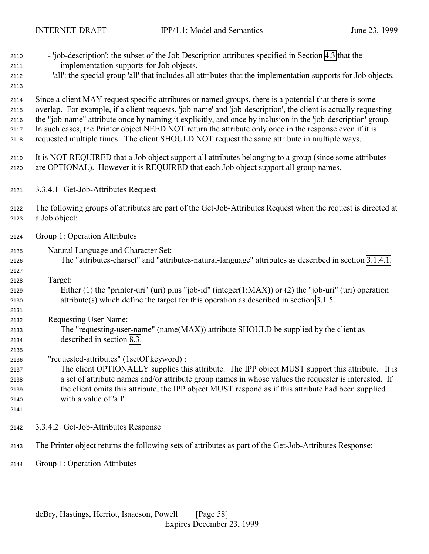| 2110<br>2111 | - 'job-description': the subset of the Job Description attributes specified in Section 4.3 that the<br>implementation supports for Job objects.                                                           |
|--------------|-----------------------------------------------------------------------------------------------------------------------------------------------------------------------------------------------------------|
| 2112<br>2113 | - 'all': the special group 'all' that includes all attributes that the implementation supports for Job objects.                                                                                           |
| 2114         | Since a client MAY request specific attributes or named groups, there is a potential that there is some                                                                                                   |
| 2115         | overlap. For example, if a client requests, 'job-name' and 'job-description', the client is actually requesting                                                                                           |
| 2116         | the "job-name" attribute once by naming it explicitly, and once by inclusion in the 'job-description' group.                                                                                              |
| 2117<br>2118 | In such cases, the Printer object NEED NOT return the attribute only once in the response even if it is<br>requested multiple times. The client SHOULD NOT request the same attribute in multiple ways.   |
|              |                                                                                                                                                                                                           |
| 2119         | It is NOT REQUIRED that a Job object support all attributes belonging to a group (since some attributes                                                                                                   |
| 2120         | are OPTIONAL). However it is REQUIRED that each Job object support all group names.                                                                                                                       |
| 2121         | 3.3.4.1 Get-Job-Attributes Request                                                                                                                                                                        |
| 2122         | The following groups of attributes are part of the Get-Job-Attributes Request when the request is directed at                                                                                             |
| 2123         | a Job object:                                                                                                                                                                                             |
| 2124         | Group 1: Operation Attributes                                                                                                                                                                             |
| 2125         | Natural Language and Character Set:                                                                                                                                                                       |
| 2126         | The "attributes-charset" and "attributes-natural-language" attributes as described in section 3.1.4.1.                                                                                                    |
| 2127         |                                                                                                                                                                                                           |
| 2128         | Target:                                                                                                                                                                                                   |
| 2129         | Either (1) the "printer-uri" (uri) plus "job-id" (integer(1:MAX)) or (2) the "job-uri" (uri) operation                                                                                                    |
| 2130         | $attribute(s)$ which define the target for this operation as described in section 3.1.5.                                                                                                                  |
| 2131         |                                                                                                                                                                                                           |
| 2132         | Requesting User Name:                                                                                                                                                                                     |
| 2133         | The "requesting-user-name" (name(MAX)) attribute SHOULD be supplied by the client as                                                                                                                      |
| 2134         | described in section 8.3.                                                                                                                                                                                 |
| 2135         |                                                                                                                                                                                                           |
| 2136         | "requested-attributes" (1setOf keyword) :                                                                                                                                                                 |
| 2137         | The client OPTIONALLY supplies this attribute. The IPP object MUST support this attribute. It is<br>a set of attribute names and/or attribute group names in whose values the requester is interested. If |
| 2138<br>2139 | the client omits this attribute, the IPP object MUST respond as if this attribute had been supplied                                                                                                       |
| 2140         | with a value of 'all'.                                                                                                                                                                                    |
| 2141         |                                                                                                                                                                                                           |
| 2142         | 3.3.4.2 Get-Job-Attributes Response                                                                                                                                                                       |
| 2143         | The Printer object returns the following sets of attributes as part of the Get-Job-Attributes Response:                                                                                                   |
| 2144         | Group 1: Operation Attributes                                                                                                                                                                             |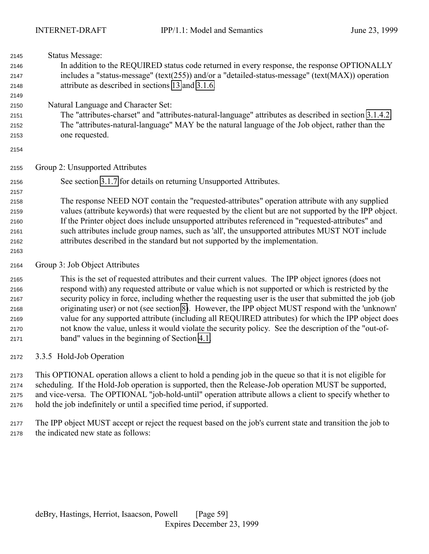| 2145<br>2146<br>2147<br>2148         | <b>Status Message:</b><br>In addition to the REQUIRED status code returned in every response, the response OPTIONALLY<br>includes a "status-message" (text(255)) and/or a "detailed-status-message" (text( $MAX$ )) operation<br>attribute as described in sections 13 and 3.1.6. |
|--------------------------------------|-----------------------------------------------------------------------------------------------------------------------------------------------------------------------------------------------------------------------------------------------------------------------------------|
| 2149<br>2150<br>2151<br>2152<br>2153 | Natural Language and Character Set:<br>The "attributes-charset" and "attributes-natural-language" attributes as described in section 3.1.4.2.<br>The "attributes-natural-language" MAY be the natural language of the Job object, rather than the<br>one requested.               |
| 2154                                 |                                                                                                                                                                                                                                                                                   |
| 2155                                 | Group 2: Unsupported Attributes                                                                                                                                                                                                                                                   |
| 2156                                 | See section 3.1.7 for details on returning Unsupported Attributes.                                                                                                                                                                                                                |
| 2157                                 |                                                                                                                                                                                                                                                                                   |
| 2158                                 | The response NEED NOT contain the "requested-attributes" operation attribute with any supplied                                                                                                                                                                                    |
| 2159                                 | values (attribute keywords) that were requested by the client but are not supported by the IPP object.                                                                                                                                                                            |
| 2160                                 | If the Printer object does include unsupported attributes referenced in "requested-attributes" and                                                                                                                                                                                |
| 2161                                 | such attributes include group names, such as 'all', the unsupported attributes MUST NOT include                                                                                                                                                                                   |
| 2162<br>2163                         | attributes described in the standard but not supported by the implementation.                                                                                                                                                                                                     |
| 2164                                 | Group 3: Job Object Attributes                                                                                                                                                                                                                                                    |
| 2165                                 | This is the set of requested attributes and their current values. The IPP object ignores (does not                                                                                                                                                                                |
| 2166                                 | respond with) any requested attribute or value which is not supported or which is restricted by the                                                                                                                                                                               |
| 2167                                 | security policy in force, including whether the requesting user is the user that submitted the job (job                                                                                                                                                                           |
| 2168                                 | originating user) or not (see section 8). However, the IPP object MUST respond with the 'unknown'                                                                                                                                                                                 |
| 2169                                 | value for any supported attribute (including all REQUIRED attributes) for which the IPP object does                                                                                                                                                                               |
| 2170                                 | not know the value, unless it would violate the security policy. See the description of the "out-of-                                                                                                                                                                              |
| 2171                                 | band" values in the beginning of Section 4.1.                                                                                                                                                                                                                                     |
| 2172                                 | 3.3.5 Hold-Job Operation                                                                                                                                                                                                                                                          |

 This OPTIONAL operation allows a client to hold a pending job in the queue so that it is not eligible for scheduling. If the Hold-Job operation is supported, then the Release-Job operation MUST be supported, and vice-versa. The OPTIONAL "job-hold-until" operation attribute allows a client to specify whether to hold the job indefinitely or until a specified time period, if supported.

 The IPP object MUST accept or reject the request based on the job's current state and transition the job to the indicated new state as follows: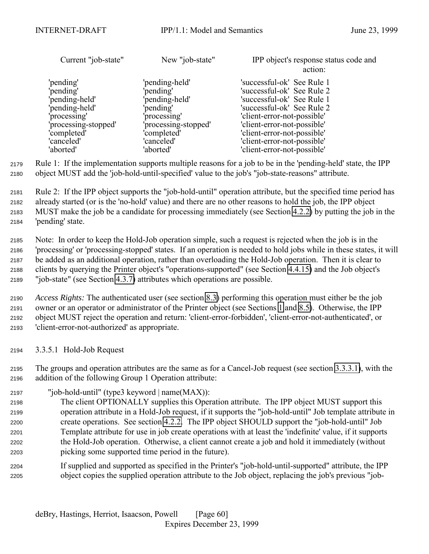| Current "job-state"  | New "job-state"      | IPP object's response status code and<br>action: |
|----------------------|----------------------|--------------------------------------------------|
| 'pending'            | 'pending-held'       | 'successful-ok' See Rule 1                       |
| 'pending'            | 'pending'            | 'successful-ok' See Rule 2                       |
| 'pending-held'       | pending-held'        | 'successful-ok' See Rule 1                       |
| 'pending-held'       | 'pending'            | 'successful-ok' See Rule 2                       |
| processing'          | 'processing'         | 'client-error-not-possible'                      |
| 'processing-stopped' | 'processing-stopped' | 'client-error-not-possible'                      |
| 'completed'          | 'completed'          | 'client-error-not-possible'                      |
| 'canceled'           | 'canceled'           | 'client-error-not-possible'                      |
| 'aborted'            | 'aborted'            | 'client-error-not-possible'                      |

 Rule 1: If the implementation supports multiple reasons for a job to be in the 'pending-held' state, the IPP object MUST add the 'job-hold-until-specified' value to the job's "job-state-reasons" attribute.

 Rule 2: If the IPP object supports the "job-hold-until" operation attribute, but the specified time period has already started (or is the 'no-hold' value) and there are no other reasons to hold the job, the IPP object MUST make the job be a candidate for processing immediately (see Section [4.2.2\)](#page-77-0) by putting the job in the 'pending' state.

 Note: In order to keep the Hold-Job operation simple, such a request is rejected when the job is in the 'processing' or 'processing-stopped' states. If an operation is needed to hold jobs while in these states, it will be added as an additional operation, rather than overloading the Hold-Job operation. Then it is clear to clients by querying the Printer object's "operations-supported" (see Section [4.4.15\)](#page-109-0) and the Job object's "job-state" (see Section [4.3.7\)](#page-88-0) attributes which operations are possible.

 *Access Rights:* The authenticated user (see section [8.3\)](#page-130-0) performing this operation must either be the job owner or an operator or administrator of the Printer object (see Sections [1](#page-9-0) and [8.5\)](#page-130-0). Otherwise, the IPP object MUST reject the operation and return: 'client-error-forbidden', 'client-error-not-authenticated', or 'client-error-not-authorized' as appropriate.

3.3.5.1 Hold-Job Request

 The groups and operation attributes are the same as for a Cancel-Job request (see section [3.3.3.1\)](#page-55-0), with the addition of the following Group 1 Operation attribute:

- "job-hold-until" (type3 keyword | name(MAX)):
- The client OPTIONALLY supplies this Operation attribute. The IPP object MUST support this operation attribute in a Hold-Job request, if it supports the "job-hold-until" Job template attribute in create operations. See section [4.2.2.](#page-77-0) The IPP object SHOULD support the "job-hold-until" Job Template attribute for use in job create operations with at least the 'indefinite' value, if it supports the Hold-Job operation. Otherwise, a client cannot create a job and hold it immediately (without picking some supported time period in the future).
- If supplied and supported as specified in the Printer's "job-hold-until-supported" attribute, the IPP object copies the supplied operation attribute to the Job object, replacing the job's previous "job-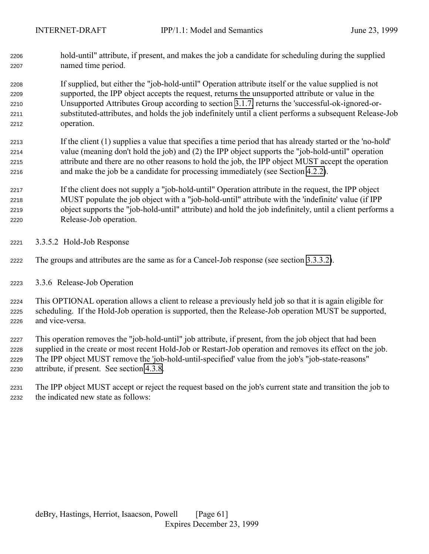<span id="page-60-0"></span> hold-until" attribute, if present, and makes the job a candidate for scheduling during the supplied named time period.

 If supplied, but either the "job-hold-until" Operation attribute itself or the value supplied is not supported, the IPP object accepts the request, returns the unsupported attribute or value in the Unsupported Attributes Group according to section [3.1.7,](#page-30-0) returns the 'successful-ok-ignored-or- substituted-attributes, and holds the job indefinitely until a client performs a subsequent Release-Job operation.

- If the client (1) supplies a value that specifies a time period that has already started or the 'no-hold' value (meaning don't hold the job) and (2) the IPP object supports the "job-hold-until" operation attribute and there are no other reasons to hold the job, the IPP object MUST accept the operation and make the job be a candidate for processing immediately (see Section [4.2.2\)](#page-77-0).
- If the client does not supply a "job-hold-until" Operation attribute in the request, the IPP object MUST populate the job object with a "job-hold-until" attribute with the 'indefinite' value (if IPP object supports the "job-hold-until" attribute) and hold the job indefinitely, until a client performs a Release-Job operation.
- 3.3.5.2 Hold-Job Response
- The groups and attributes are the same as for a Cancel-Job response (see section [3.3.3.2\)](#page-56-0).
- 3.3.6 Release-Job Operation

 This OPTIONAL operation allows a client to release a previously held job so that it is again eligible for scheduling. If the Hold-Job operation is supported, then the Release-Job operation MUST be supported, and vice-versa.

 This operation removes the "job-hold-until" job attribute, if present, from the job object that had been supplied in the create or most recent Hold-Job or Restart-Job operation and removes its effect on the job. The IPP object MUST remove the 'job-hold-until-specified' value from the job's "job-state-reasons" attribute, if present. See section [4.3.8.](#page-92-0)

 The IPP object MUST accept or reject the request based on the job's current state and transition the job to the indicated new state as follows: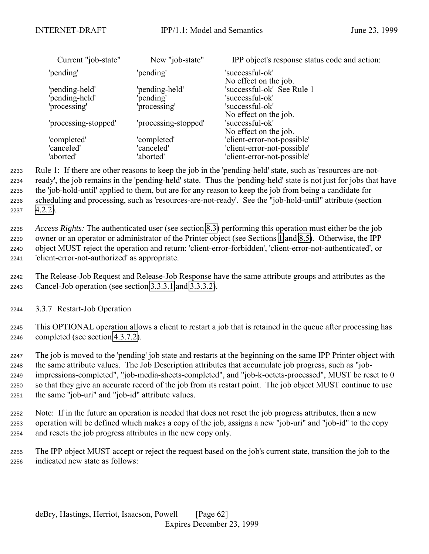| Current "job-state"  | New "job-state"      | IPP object's response status code and action:                     |
|----------------------|----------------------|-------------------------------------------------------------------|
| 'pending'            | 'pending'            | 'successful-ok'                                                   |
| 'pending-held'       | 'pending-held'       | No effect on the job.<br>'successful-ok' See Rule 1               |
| 'pending-held'       | 'pending'            | 'successful-ok'                                                   |
| 'processing'         | 'processing'         | 'successful-ok'                                                   |
| 'processing-stopped' | 'processing-stopped' | No effect on the job.<br>'successful-ok'<br>No effect on the job. |
| 'completed'          | 'completed'          | 'client-error-not-possible'                                       |
| 'canceled'           | 'canceled'           | 'client-error-not-possible'                                       |
| 'aborted'            | 'aborted'            | 'client-error-not-possible'                                       |

 Rule 1: If there are other reasons to keep the job in the 'pending-held' state, such as 'resources-are-not- ready', the job remains in the 'pending-held' state. Thus the 'pending-held' state is not just for jobs that have the 'job-hold-until' applied to them, but are for any reason to keep the job from being a candidate for scheduling and processing, such as 'resources-are-not-ready'. See the "job-hold-until" attribute (section [4.2.2\)](#page-77-0).

 *Access Rights:* The authenticated user (see section [8.3\)](#page-130-0) performing this operation must either be the job owner or an operator or administrator of the Printer object (see Sections [1](#page-9-0) and [8.5\)](#page-130-0). Otherwise, the IPP object MUST reject the operation and return: 'client-error-forbidden', 'client-error-not-authenticated', or 'client-error-not-authorized' as appropriate.

 The Release-Job Request and Release-Job Response have the same attribute groups and attributes as the Cancel-Job operation (see section [3.3.3.1](#page-55-0) and [3.3.3.2\)](#page-56-0).

3.3.7 Restart-Job Operation

 This OPTIONAL operation allows a client to restart a job that is retained in the queue after processing has completed (see section [4.3.7.2\)](#page-91-0).

 The job is moved to the 'pending' job state and restarts at the beginning on the same IPP Printer object with the same attribute values. The Job Description attributes that accumulate job progress, such as "job- impressions-completed", "job-media-sheets-completed", and "job-k-octets-processed", MUST be reset to 0 so that they give an accurate record of the job from its restart point. The job object MUST continue to use the same "job-uri" and "job-id" attribute values.

 Note: If in the future an operation is needed that does not reset the job progress attributes, then a new operation will be defined which makes a copy of the job, assigns a new "job-uri" and "job-id" to the copy and resets the job progress attributes in the new copy only.

 The IPP object MUST accept or reject the request based on the job's current state, transition the job to the indicated new state as follows: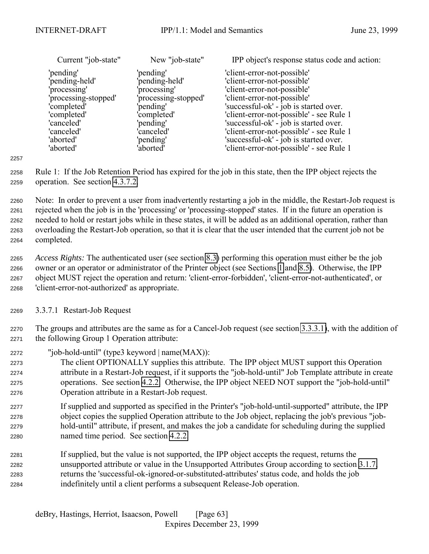| Current "job-state"  | New "job-state"      | IPP object's response status code and action: |
|----------------------|----------------------|-----------------------------------------------|
| 'pending'            | 'pending'            | 'client-error-not-possible'                   |
| 'pending-held'       | 'pending-held'       | 'client-error-not-possible'                   |
| 'processing'         | 'processing'         | 'client-error-not-possible'                   |
| 'processing-stopped' | 'processing-stopped' | 'client-error-not-possible'                   |
| 'completed'          | 'pending'            | 'successful-ok' - job is started over.        |
| 'completed'          | 'completed'          | 'client-error-not-possible' - see Rule 1      |
| 'canceled'           | 'pending'            | 'successful-ok' - job is started over.        |
| 'canceled'           | 'canceled'           | 'client-error-not-possible' - see Rule 1      |
| 'aborted'            | 'pending'            | 'successful-ok' - job is started over.        |
| 'aborted'            | 'aborted'            | 'client-error-not-possible' - see Rule 1      |

 Rule 1: If the Job Retention Period has expired for the job in this state, then the IPP object rejects the operation. See section [4.3.7.2.](#page-91-0)

 Note: In order to prevent a user from inadvertently restarting a job in the middle, the Restart-Job request is rejected when the job is in the 'processing' or 'processing-stopped' states. If in the future an operation is needed to hold or restart jobs while in these states, it will be added as an additional operation, rather than overloading the Restart-Job operation, so that it is clear that the user intended that the current job not be completed.

 *Access Rights:* The authenticated user (see section [8.3\)](#page-130-0) performing this operation must either be the job owner or an operator or administrator of the Printer object (see Sections [1](#page-9-0) and [8.5\)](#page-130-0). Otherwise, the IPP object MUST reject the operation and return: 'client-error-forbidden', 'client-error-not-authenticated', or 'client-error-not-authorized' as appropriate.

3.3.7.1 Restart-Job Request

 The groups and attributes are the same as for a Cancel-Job request (see section [3.3.3.1\)](#page-55-0), with the addition of the following Group 1 Operation attribute:

"job-hold-until" (type3 keyword | name(MAX)):

 The client OPTIONALLY supplies this attribute. The IPP object MUST support this Operation attribute in a Restart-Job request, if it supports the "job-hold-until" Job Template attribute in create operations. See section [4.2.2.](#page-77-0) Otherwise, the IPP object NEED NOT support the "job-hold-until" Operation attribute in a Restart-Job request.

- If supplied and supported as specified in the Printer's "job-hold-until-supported" attribute, the IPP object copies the supplied Operation attribute to the Job object, replacing the job's previous "job- hold-until" attribute, if present, and makes the job a candidate for scheduling during the supplied named time period. See section [4.2.2.](#page-77-0)
- If supplied, but the value is not supported, the IPP object accepts the request, returns the unsupported attribute or value in the Unsupported Attributes Group according to section [3.1.7,](#page-30-0) returns the 'successful-ok-ignored-or-substituted-attributes' status code, and holds the job indefinitely until a client performs a subsequent Release-Job operation.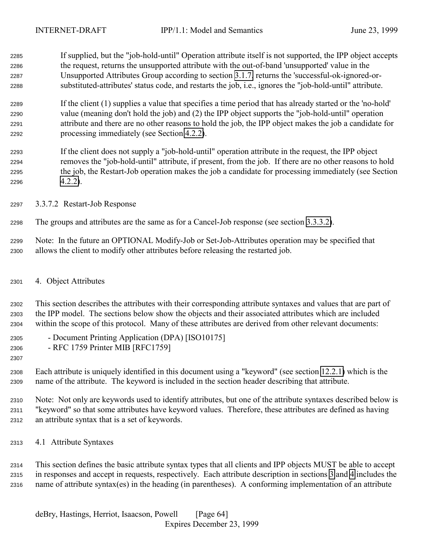<span id="page-63-0"></span> If supplied, but the "job-hold-until" Operation attribute itself is not supported, the IPP object accepts the request, returns the unsupported attribute with the out-of-band 'unsupported' value in the Unsupported Attributes Group according to section [3.1.7,](#page-30-0) returns the 'successful-ok-ignored-or-substituted-attributes' status code, and restarts the job, i.e., ignores the "job-hold-until" attribute.

 If the client (1) supplies a value that specifies a time period that has already started or the 'no-hold' value (meaning don't hold the job) and (2) the IPP object supports the "job-hold-until" operation attribute and there are no other reasons to hold the job, the IPP object makes the job a candidate for processing immediately (see Section [4.2.2\)](#page-77-0).

- If the client does not supply a "job-hold-until" operation attribute in the request, the IPP object removes the "job-hold-until" attribute, if present, from the job. If there are no other reasons to hold the job, the Restart-Job operation makes the job a candidate for processing immediately (see Section [4.2.2\)](#page-77-0).
- 3.3.7.2 Restart-Job Response

The groups and attributes are the same as for a Cancel-Job response (see section [3.3.3.2\)](#page-56-0).

 Note: In the future an OPTIONAL Modify-Job or Set-Job-Attributes operation may be specified that allows the client to modify other attributes before releasing the restarted job.

4. Object Attributes

 This section describes the attributes with their corresponding attribute syntaxes and values that are part of the IPP model. The sections below show the objects and their associated attributes which are included within the scope of this protocol. Many of these attributes are derived from other relevant documents:

- Document Printing Application (DPA) [ISO10175]
- RFC 1759 Printer MIB [RFC1759]
- 

 Each attribute is uniquely identified in this document using a "keyword" (see section [12.2.1\)](#page-140-0) which is the name of the attribute. The keyword is included in the section header describing that attribute.

 Note: Not only are keywords used to identify attributes, but one of the attribute syntaxes described below is "keyword" so that some attributes have keyword values. Therefore, these attributes are defined as having an attribute syntax that is a set of keywords.

4.1 Attribute Syntaxes

 This section defines the basic attribute syntax types that all clients and IPP objects MUST be able to accept in responses and accept in requests, respectively. Each attribute description in sections [3](#page-19-0) and 4 includes the name of attribute syntax(es) in the heading (in parentheses). A conforming implementation of an attribute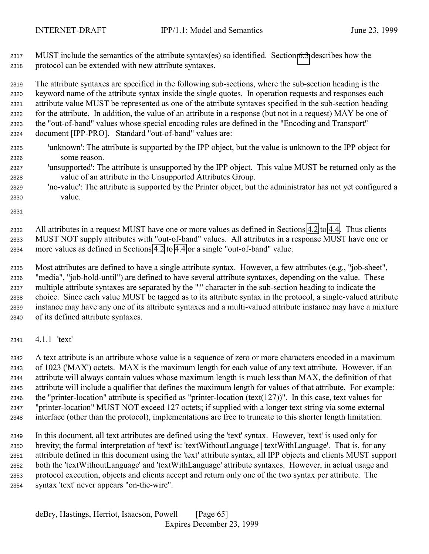MUST include the semantics of the attribute syntax(es) so identified. Section [6.3](#page-123-0) describes how the protocol can be extended with new attribute syntaxes.

 The attribute syntaxes are specified in the following sub-sections, where the sub-section heading is the keyword name of the attribute syntax inside the single quotes. In operation requests and responses each attribute value MUST be represented as one of the attribute syntaxes specified in the sub-section heading for the attribute. In addition, the value of an attribute in a response (but not in a request) MAY be one of the "out-of-band" values whose special encoding rules are defined in the "Encoding and Transport" document [IPP-PRO]. Standard "out-of-band" values are:

- 'unknown': The attribute is supported by the IPP object, but the value is unknown to the IPP object for some reason.
- 'unsupported': The attribute is unsupported by the IPP object. This value MUST be returned only as the value of an attribute in the Unsupported Attributes Group.
- 'no-value': The attribute is supported by the Printer object, but the administrator has not yet configured a value.

 All attributes in a request MUST have one or more values as defined in Sections [4.2](#page-73-0) to [4.4.](#page-100-0) Thus clients MUST NOT supply attributes with "out-of-band" values. All attributes in a response MUST have one or more values as defined in Sections [4.2](#page-73-0) to [4.4](#page-100-0) or a single "out-of-band" value.

 Most attributes are defined to have a single attribute syntax. However, a few attributes (e.g., "job-sheet", "media", "job-hold-until") are defined to have several attribute syntaxes, depending on the value. These multiple attribute syntaxes are separated by the "|" character in the sub-section heading to indicate the choice. Since each value MUST be tagged as to its attribute syntax in the protocol, a single-valued attribute instance may have any one of its attribute syntaxes and a multi-valued attribute instance may have a mixture of its defined attribute syntaxes.

4.1.1 'text'

 A text attribute is an attribute whose value is a sequence of zero or more characters encoded in a maximum of 1023 ('MAX') octets. MAX is the maximum length for each value of any text attribute. However, if an attribute will always contain values whose maximum length is much less than MAX, the definition of that attribute will include a qualifier that defines the maximum length for values of that attribute. For example: the "printer-location" attribute is specified as "printer-location (text(127))". In this case, text values for "printer-location" MUST NOT exceed 127 octets; if supplied with a longer text string via some external interface (other than the protocol), implementations are free to truncate to this shorter length limitation.

 In this document, all text attributes are defined using the 'text' syntax. However, 'text' is used only for brevity; the formal interpretation of 'text' is: 'textWithoutLanguage | textWithLanguage'. That is, for any attribute defined in this document using the 'text' attribute syntax, all IPP objects and clients MUST support both the 'textWithoutLanguage' and 'textWithLanguage' attribute syntaxes. However, in actual usage and protocol execution, objects and clients accept and return only one of the two syntax per attribute. The syntax 'text' never appears "on-the-wire".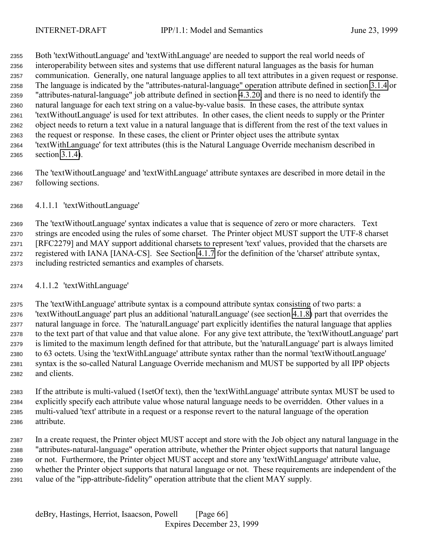Both 'textWithoutLanguage' and 'textWithLanguage' are needed to support the real world needs of interoperability between sites and systems that use different natural languages as the basis for human communication. Generally, one natural language applies to all text attributes in a given request or response. The language is indicated by the "attributes-natural-language" operation attribute defined in section [3.1.4](#page-22-0) or "attributes-natural-language" job attribute defined in section [4.3.20,](#page-100-0) and there is no need to identify the natural language for each text string on a value-by-value basis. In these cases, the attribute syntax 'textWithoutLanguage' is used for text attributes. In other cases, the client needs to supply or the Printer object needs to return a text value in a natural language that is different from the rest of the text values in the request or response. In these cases, the client or Printer object uses the attribute syntax 'textWithLanguage' for text attributes (this is the Natural Language Override mechanism described in section [3.1.4\)](#page-22-0).

 The 'textWithoutLanguage' and 'textWithLanguage' attribute syntaxes are described in more detail in the following sections.

## 4.1.1.1 'textWithoutLanguage'

 The 'textWithoutLanguage' syntax indicates a value that is sequence of zero or more characters. Text strings are encoded using the rules of some charset. The Printer object MUST support the UTF-8 charset [RFC2279] and MAY support additional charsets to represent 'text' values, provided that the charsets are registered with IANA [IANA-CS]. See Section [4.1.7](#page-69-0) for the definition of the 'charset' attribute syntax, including restricted semantics and examples of charsets.

## 4.1.1.2 'textWithLanguage'

 The 'textWithLanguage' attribute syntax is a compound attribute syntax consisting of two parts: a 'textWithoutLanguage' part plus an additional 'naturalLanguage' (see section [4.1.8\)](#page-70-0) part that overrides the natural language in force. The 'naturalLanguage' part explicitly identifies the natural language that applies to the text part of that value and that value alone. For any give text attribute, the 'textWithoutLanguage' part is limited to the maximum length defined for that attribute, but the 'naturalLanguage' part is always limited to 63 octets. Using the 'textWithLanguage' attribute syntax rather than the normal 'textWithoutLanguage' syntax is the so-called Natural Language Override mechanism and MUST be supported by all IPP objects and clients.

 If the attribute is multi-valued (1setOf text), then the 'textWithLanguage' attribute syntax MUST be used to explicitly specify each attribute value whose natural language needs to be overridden. Other values in a multi-valued 'text' attribute in a request or a response revert to the natural language of the operation attribute.

 In a create request, the Printer object MUST accept and store with the Job object any natural language in the "attributes-natural-language" operation attribute, whether the Printer object supports that natural language or not. Furthermore, the Printer object MUST accept and store any 'textWithLanguage' attribute value, whether the Printer object supports that natural language or not. These requirements are independent of the value of the "ipp-attribute-fidelity" operation attribute that the client MAY supply.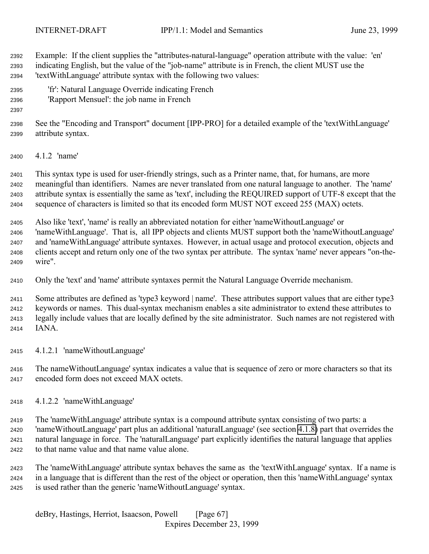Example: If the client supplies the "attributes-natural-language" operation attribute with the value: 'en' indicating English, but the value of the "job-name" attribute is in French, the client MUST use the 'textWithLanguage' attribute syntax with the following two values:

- 'fr': Natural Language Override indicating French
- 'Rapport Mensuel': the job name in French

 See the "Encoding and Transport" document [IPP-PRO] for a detailed example of the 'textWithLanguage' attribute syntax.

4.1.2 'name'

 This syntax type is used for user-friendly strings, such as a Printer name, that, for humans, are more meaningful than identifiers. Names are never translated from one natural language to another. The 'name' attribute syntax is essentially the same as 'text', including the REQUIRED support of UTF-8 except that the sequence of characters is limited so that its encoded form MUST NOT exceed 255 (MAX) octets.

 Also like 'text', 'name' is really an abbreviated notation for either 'nameWithoutLanguage' or 'nameWithLanguage'. That is, all IPP objects and clients MUST support both the 'nameWithoutLanguage' and 'nameWithLanguage' attribute syntaxes. However, in actual usage and protocol execution, objects and clients accept and return only one of the two syntax per attribute. The syntax 'name' never appears "on-the-wire".

Only the 'text' and 'name' attribute syntaxes permit the Natural Language Override mechanism.

 Some attributes are defined as 'type3 keyword | name'. These attributes support values that are either type3 keywords or names. This dual-syntax mechanism enables a site administrator to extend these attributes to legally include values that are locally defined by the site administrator. Such names are not registered with IANA.

4.1.2.1 'nameWithoutLanguage'

 The nameWithoutLanguage' syntax indicates a value that is sequence of zero or more characters so that its encoded form does not exceed MAX octets.

4.1.2.2 'nameWithLanguage'

 The 'nameWithLanguage' attribute syntax is a compound attribute syntax consisting of two parts: a 'nameWithoutLanguage' part plus an additional 'naturalLanguage' (see section [4.1.8\)](#page-70-0) part that overrides the natural language in force. The 'naturalLanguage' part explicitly identifies the natural language that applies to that name value and that name value alone.

 The 'nameWithLanguage' attribute syntax behaves the same as the 'textWithLanguage' syntax. If a name is in a language that is different than the rest of the object or operation, then this 'nameWithLanguage' syntax is used rather than the generic 'nameWithoutLanguage' syntax.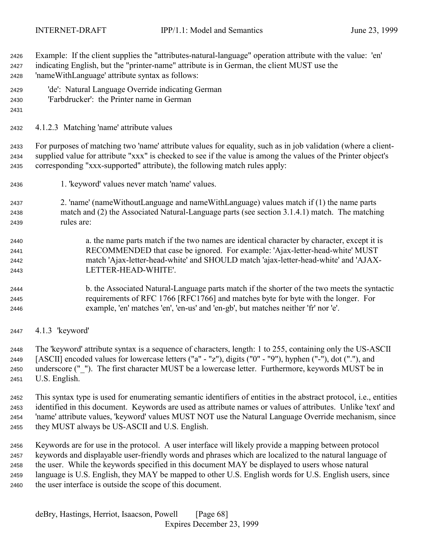Example: If the client supplies the "attributes-natural-language" operation attribute with the value: 'en' indicating English, but the "printer-name" attribute is in German, the client MUST use the 'nameWithLanguage' attribute syntax as follows:

- 'de': Natural Language Override indicating German
- 'Farbdrucker': the Printer name in German
- 

4.1.2.3 Matching 'name' attribute values

 For purposes of matching two 'name' attribute values for equality, such as in job validation (where a client- supplied value for attribute "xxx" is checked to see if the value is among the values of the Printer object's corresponding "xxx-supported" attribute), the following match rules apply:

- 1. 'keyword' values never match 'name' values.
- 2. 'name' (nameWithoutLanguage and nameWithLanguage) values match if (1) the name parts match and (2) the Associated Natural-Language parts (see section 3.1.4.1) match. The matching rules are:
- a. the name parts match if the two names are identical character by character, except it is RECOMMENDED that case be ignored. For example: 'Ajax-letter-head-white' MUST match 'Ajax-letter-head-white' and SHOULD match 'ajax-letter-head-white' and 'AJAX-LETTER-HEAD-WHITE'.
- b. the Associated Natural-Language parts match if the shorter of the two meets the syntactic requirements of RFC 1766 [RFC1766] and matches byte for byte with the longer. For example, 'en' matches 'en', 'en-us' and 'en-gb', but matches neither 'fr' nor 'e'.
- 4.1.3 'keyword'

 The 'keyword' attribute syntax is a sequence of characters, length: 1 to 255, containing only the US-ASCII [ASCII] encoded values for lowercase letters ("a" - "z"), digits ("0" - "9"), hyphen ("-"), dot ("."), and underscore ("\_"). The first character MUST be a lowercase letter. Furthermore, keywords MUST be in U.S. English.

 This syntax type is used for enumerating semantic identifiers of entities in the abstract protocol, i.e., entities identified in this document. Keywords are used as attribute names or values of attributes. Unlike 'text' and 'name' attribute values, 'keyword' values MUST NOT use the Natural Language Override mechanism, since they MUST always be US-ASCII and U.S. English.

 Keywords are for use in the protocol. A user interface will likely provide a mapping between protocol keywords and displayable user-friendly words and phrases which are localized to the natural language of the user. While the keywords specified in this document MAY be displayed to users whose natural language is U.S. English, they MAY be mapped to other U.S. English words for U.S. English users, since the user interface is outside the scope of this document.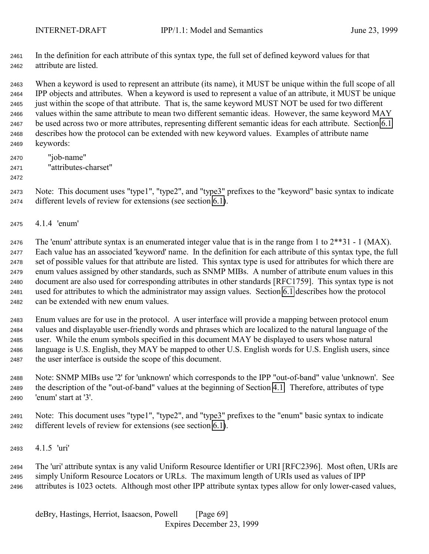In the definition for each attribute of this syntax type, the full set of defined keyword values for that attribute are listed.

 When a keyword is used to represent an attribute (its name), it MUST be unique within the full scope of all IPP objects and attributes. When a keyword is used to represent a value of an attribute, it MUST be unique just within the scope of that attribute. That is, the same keyword MUST NOT be used for two different values within the same attribute to mean two different semantic ideas. However, the same keyword MAY be used across two or more attributes, representing different semantic ideas for each attribute. Section [6.1](#page-120-0) describes how the protocol can be extended with new keyword values. Examples of attribute name keywords:

- "job-name" "attributes-charset"
- 

 Note: This document uses "type1", "type2", and "type3" prefixes to the "keyword" basic syntax to indicate different levels of review for extensions (see section [6.1\)](#page-120-0).

4.1.4 'enum'

2476 The 'enum' attribute syntax is an enumerated integer value that is in the range from 1 to  $2^{**}31 - 1$  (MAX). Each value has an associated 'keyword' name. In the definition for each attribute of this syntax type, the full set of possible values for that attribute are listed. This syntax type is used for attributes for which there are enum values assigned by other standards, such as SNMP MIBs. A number of attribute enum values in this document are also used for corresponding attributes in other standards [RFC1759]. This syntax type is not used for attributes to which the administrator may assign values. Section [6.1](#page-120-0) describes how the protocol can be extended with new enum values.

 Enum values are for use in the protocol. A user interface will provide a mapping between protocol enum values and displayable user-friendly words and phrases which are localized to the natural language of the user. While the enum symbols specified in this document MAY be displayed to users whose natural language is U.S. English, they MAY be mapped to other U.S. English words for U.S. English users, since the user interface is outside the scope of this document.

 Note: SNMP MIBs use '2' for 'unknown' which corresponds to the IPP "out-of-band" value 'unknown'. See the description of the "out-of-band" values at the beginning of Section [4.1.](#page-63-0) Therefore, attributes of type 'enum' start at '3'.

 Note: This document uses "type1", "type2", and "type3" prefixes to the "enum" basic syntax to indicate different levels of review for extensions (see section [6.1\)](#page-120-0).

4.1.5 'uri'

 The 'uri' attribute syntax is any valid Uniform Resource Identifier or URI [RFC2396]. Most often, URIs are simply Uniform Resource Locators or URLs. The maximum length of URIs used as values of IPP attributes is 1023 octets. Although most other IPP attribute syntax types allow for only lower-cased values,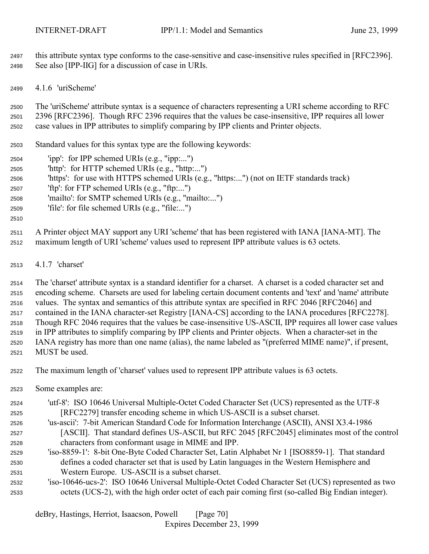<span id="page-69-0"></span> this attribute syntax type conforms to the case-sensitive and case-insensitive rules specified in [RFC2396]. See also [IPP-IIG] for a discussion of case in URIs.

4.1.6 'uriScheme'

 The 'uriScheme' attribute syntax is a sequence of characters representing a URI scheme according to RFC 2396 [RFC2396]. Though RFC 2396 requires that the values be case-insensitive, IPP requires all lower case values in IPP attributes to simplify comparing by IPP clients and Printer objects.

Standard values for this syntax type are the following keywords:

- 'ipp': for IPP schemed URIs (e.g., "ipp:...")
- 'http': for HTTP schemed URIs (e.g., "http:...")
- 'https': for use with HTTPS schemed URIs (e.g., "https:...") (not on IETF standards track)
- 'ftp': for FTP schemed URIs (e.g., "ftp:...")
- 'mailto': for SMTP schemed URIs (e.g., "mailto:...")
- 'file': for file schemed URIs (e.g., "file:...")
- 

 A Printer object MAY support any URI 'scheme' that has been registered with IANA [IANA-MT]. The maximum length of URI 'scheme' values used to represent IPP attribute values is 63 octets.

4.1.7 'charset'

 The 'charset' attribute syntax is a standard identifier for a charset. A charset is a coded character set and encoding scheme. Charsets are used for labeling certain document contents and 'text' and 'name' attribute values. The syntax and semantics of this attribute syntax are specified in RFC 2046 [RFC2046] and contained in the IANA character-set Registry [IANA-CS] according to the IANA procedures [RFC2278]. Though RFC 2046 requires that the values be case-insensitive US-ASCII, IPP requires all lower case values in IPP attributes to simplify comparing by IPP clients and Printer objects. When a character-set in the IANA registry has more than one name (alias), the name labeled as "(preferred MIME name)", if present, MUST be used.

The maximum length of 'charset' values used to represent IPP attribute values is 63 octets.

Some examples are:

 'utf-8': ISO 10646 Universal Multiple-Octet Coded Character Set (UCS) represented as the UTF-8 [RFC2279] transfer encoding scheme in which US-ASCII is a subset charset.

- 'us-ascii': 7-bit American Standard Code for Information Interchange (ASCII), ANSI X3.4-1986 [ASCII]. That standard defines US-ASCII, but RFC 2045 [RFC2045] eliminates most of the control characters from conformant usage in MIME and IPP.
- 'iso-8859-1': 8-bit One-Byte Coded Character Set, Latin Alphabet Nr 1 [ISO8859-1]. That standard defines a coded character set that is used by Latin languages in the Western Hemisphere and Western Europe. US-ASCII is a subset charset.
- 'iso-10646-ucs-2': ISO 10646 Universal Multiple-Octet Coded Character Set (UCS) represented as two octets (UCS-2), with the high order octet of each pair coming first (so-called Big Endian integer).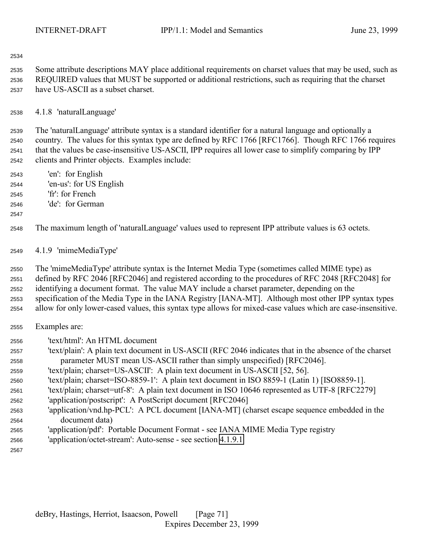<span id="page-70-0"></span>

 Some attribute descriptions MAY place additional requirements on charset values that may be used, such as REQUIRED values that MUST be supported or additional restrictions, such as requiring that the charset have US-ASCII as a subset charset.

4.1.8 'naturalLanguage'

 The 'naturalLanguage' attribute syntax is a standard identifier for a natural language and optionally a country. The values for this syntax type are defined by RFC 1766 [RFC1766]. Though RFC 1766 requires that the values be case-insensitive US-ASCII, IPP requires all lower case to simplify comparing by IPP clients and Printer objects. Examples include:

- 'en': for English 'en-us': for US English
- 'fr': for French
- 'de': for German
- 

The maximum length of 'naturalLanguage' values used to represent IPP attribute values is 63 octets.

4.1.9 'mimeMediaType'

 The 'mimeMediaType' attribute syntax is the Internet Media Type (sometimes called MIME type) as defined by RFC 2046 [RFC2046] and registered according to the procedures of RFC 2048 [RFC2048] for identifying a document format. The value MAY include a charset parameter, depending on the specification of the Media Type in the IANA Registry [IANA-MT]. Although most other IPP syntax types allow for only lower-cased values, this syntax type allows for mixed-case values which are case-insensitive.

- Examples are:
- 'text/html': An HTML document
- 'text/plain': A plain text document in US-ASCII (RFC 2046 indicates that in the absence of the charset parameter MUST mean US-ASCII rather than simply unspecified) [RFC2046].
- 'text/plain; charset=US-ASCII': A plain text document in US-ASCII [52, 56].
- 'text/plain; charset=ISO-8859-1': A plain text document in ISO 8859-1 (Latin 1) [ISO8859-1].
- 'text/plain; charset=utf-8': A plain text document in ISO 10646 represented as UTF-8 [RFC2279]
- 'application/postscript': A PostScript document [RFC2046]
- 'application/vnd.hp-PCL': A PCL document [IANA-MT] (charset escape sequence embedded in the document data)
- 'application/pdf': Portable Document Format see IANA MIME Media Type registry
- 'application/octet-stream': Auto-sense see section [4.1.9.1](#page-71-0)
-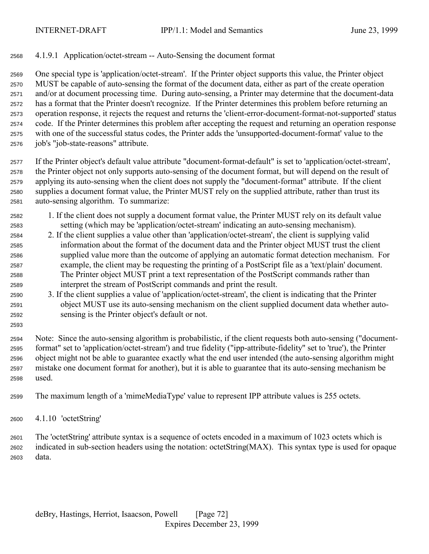### <span id="page-71-0"></span>4.1.9.1 Application/octet-stream -- Auto-Sensing the document format

 One special type is 'application/octet-stream'. If the Printer object supports this value, the Printer object MUST be capable of auto-sensing the format of the document data, either as part of the create operation and/or at document processing time. During auto-sensing, a Printer may determine that the document-data has a format that the Printer doesn't recognize. If the Printer determines this problem before returning an operation response, it rejects the request and returns the 'client-error-document-format-not-supported' status code. If the Printer determines this problem after accepting the request and returning an operation response with one of the successful status codes, the Printer adds the 'unsupported-document-format' value to the job's "job-state-reasons" attribute.

 If the Printer object's default value attribute "document-format-default" is set to 'application/octet-stream', the Printer object not only supports auto-sensing of the document format, but will depend on the result of applying its auto-sensing when the client does not supply the "document-format" attribute. If the client supplies a document format value, the Printer MUST rely on the supplied attribute, rather than trust its auto-sensing algorithm. To summarize:

- 1. If the client does not supply a document format value, the Printer MUST rely on its default value setting (which may be 'application/octet-stream' indicating an auto-sensing mechanism).
- 2. If the client supplies a value other than 'application/octet-stream', the client is supplying valid information about the format of the document data and the Printer object MUST trust the client supplied value more than the outcome of applying an automatic format detection mechanism. For example, the client may be requesting the printing of a PostScript file as a 'text/plain' document. The Printer object MUST print a text representation of the PostScript commands rather than interpret the stream of PostScript commands and print the result.
- 3. If the client supplies a value of 'application/octet-stream', the client is indicating that the Printer object MUST use its auto-sensing mechanism on the client supplied document data whether auto-sensing is the Printer object's default or not.
- Note: Since the auto-sensing algorithm is probabilistic, if the client requests both auto-sensing ("document- format" set to 'application/octet-stream') and true fidelity ("ipp-attribute-fidelity" set to 'true'), the Printer object might not be able to guarantee exactly what the end user intended (the auto-sensing algorithm might mistake one document format for another), but it is able to guarantee that its auto-sensing mechanism be used.
- The maximum length of a 'mimeMediaType' value to represent IPP attribute values is 255 octets.
- 4.1.10 'octetString'

 The 'octetString' attribute syntax is a sequence of octets encoded in a maximum of 1023 octets which is indicated in sub-section headers using the notation: octetString(MAX). This syntax type is used for opaque data.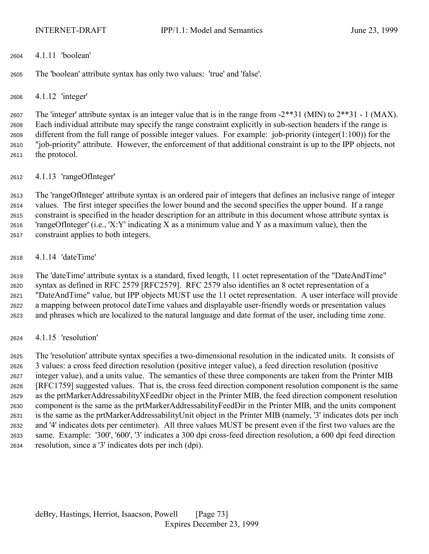4.1.11 'boolean'

The 'boolean' attribute syntax has only two values: 'true' and 'false'.

4.1.12 'integer'

 The 'integer' attribute syntax is an integer value that is in the range from -2\*\*31 (MIN) to 2\*\*31 - 1 (MAX). Each individual attribute may specify the range constraint explicitly in sub-section headers if the range is different from the full range of possible integer values. For example: job-priority (integer(1:100)) for the "job-priority" attribute. However, the enforcement of that additional constraint is up to the IPP objects, not the protocol.

4.1.13 'rangeOfInteger'

 The 'rangeOfInteger' attribute syntax is an ordered pair of integers that defines an inclusive range of integer values. The first integer specifies the lower bound and the second specifies the upper bound. If a range constraint is specified in the header description for an attribute in this document whose attribute syntax is 2616 'rangeOfInteger' (i.e., 'X:Y' indicating X as a minimum value and Y as a maximum value), then the constraint applies to both integers.

4.1.14 'dateTime'

 The 'dateTime' attribute syntax is a standard, fixed length, 11 octet representation of the "DateAndTime" syntax as defined in RFC 2579 [RFC2579]. RFC 2579 also identifies an 8 octet representation of a "DateAndTime" value, but IPP objects MUST use the 11 octet representation. A user interface will provide a mapping between protocol dateTime values and displayable user-friendly words or presentation values and phrases which are localized to the natural language and date format of the user, including time zone.

4.1.15 'resolution'

 The 'resolution' attribute syntax specifies a two-dimensional resolution in the indicated units. It consists of 3 values: a cross feed direction resolution (positive integer value), a feed direction resolution (positive integer value), and a units value. The semantics of these three components are taken from the Printer MIB [RFC1759] suggested values. That is, the cross feed direction component resolution component is the same as the prtMarkerAddressabilityXFeedDir object in the Printer MIB, the feed direction component resolution component is the same as the prtMarkerAddressabilityFeedDir in the Printer MIB, and the units component is the same as the prtMarkerAddressabilityUnit object in the Printer MIB (namely, '3' indicates dots per inch and '4' indicates dots per centimeter). All three values MUST be present even if the first two values are the same. Example: '300', '600', '3' indicates a 300 dpi cross-feed direction resolution, a 600 dpi feed direction resolution, since a '3' indicates dots per inch (dpi).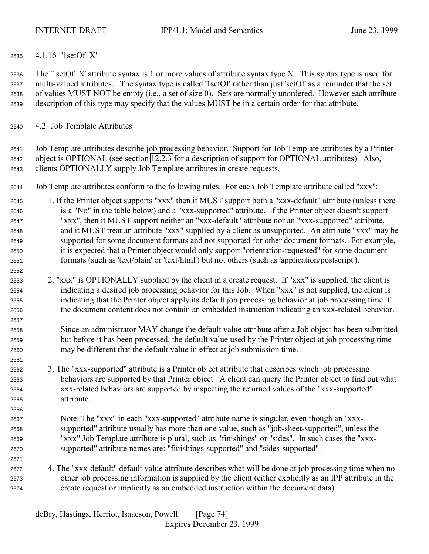# <span id="page-73-0"></span>4.1.16 '1setOf X'

 The '1setOf X' attribute syntax is 1 or more values of attribute syntax type X. This syntax type is used for multi-valued attributes. The syntax type is called '1setOf' rather than just 'setOf' as a reminder that the set of values MUST NOT be empty (i.e., a set of size 0). Sets are normally unordered. However each attribute description of this type may specify that the values MUST be in a certain order for that attribute.

# 4.2 Job Template Attributes

 Job Template attributes describe job processing behavior. Support for Job Template attributes by a Printer object is OPTIONAL (see section [12.2.3](#page-141-0) for a description of support for OPTIONAL attributes). Also, clients OPTIONALLY supply Job Template attributes in create requests.

- Job Template attributes conform to the following rules. For each Job Template attribute called "xxx":
- 1. If the Printer object supports "xxx" then it MUST support both a "xxx-default" attribute (unless there is a "No" in the table below) and a "xxx-supported" attribute. If the Printer object doesn't support "xxx", then it MUST support neither an "xxx-default" attribute nor an "xxx-supported" attribute, and it MUST treat an attribute "xxx" supplied by a client as unsupported. An attribute "xxx" may be supported for some document formats and not supported for other document formats. For example, it is expected that a Printer object would only support "orientation-requested" for some document formats (such as 'text/plain' or 'text/html') but not others (such as 'application/postscript').
- 2. "xxx" is OPTIONALLY supplied by the client in a create request. If "xxx" is supplied, the client is indicating a desired job processing behavior for this Job. When "xxx" is not supplied, the client is indicating that the Printer object apply its default job processing behavior at job processing time if the document content does not contain an embedded instruction indicating an xxx-related behavior.
- Since an administrator MAY change the default value attribute after a Job object has been submitted but before it has been processed, the default value used by the Printer object at job processing time may be different that the default value in effect at job submission time.
- 3. The "xxx-supported" attribute is a Printer object attribute that describes which job processing behaviors are supported by that Printer object. A client can query the Printer object to find out what xxx-related behaviors are supported by inspecting the returned values of the "xxx-supported" attribute.
- Note: The "xxx" in each "xxx-supported" attribute name is singular, even though an "xxx- supported" attribute usually has more than one value, such as "job-sheet-supported", unless the "xxx" Job Template attribute is plural, such as "finishings" or "sides". In such cases the "xxx-supported" attribute names are: "finishings-supported" and "sides-supported".
- 4. The "xxx-default" default value attribute describes what will be done at job processing time when no other job processing information is supplied by the client (either explicitly as an IPP attribute in the create request or implicitly as an embedded instruction within the document data).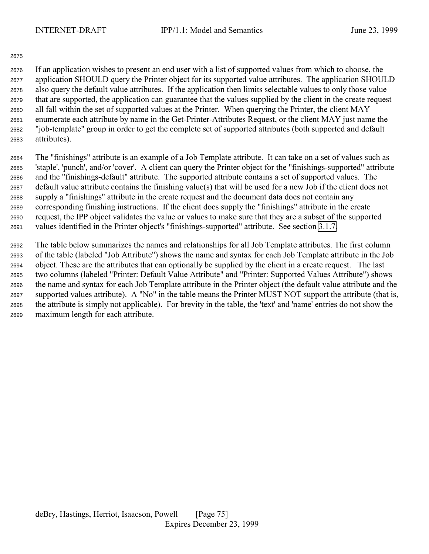#### 

 If an application wishes to present an end user with a list of supported values from which to choose, the application SHOULD query the Printer object for its supported value attributes. The application SHOULD also query the default value attributes. If the application then limits selectable values to only those value that are supported, the application can guarantee that the values supplied by the client in the create request all fall within the set of supported values at the Printer. When querying the Printer, the client MAY enumerate each attribute by name in the Get-Printer-Attributes Request, or the client MAY just name the "job-template" group in order to get the complete set of supported attributes (both supported and default attributes).

 The "finishings" attribute is an example of a Job Template attribute. It can take on a set of values such as 'staple', 'punch', and/or 'cover'. A client can query the Printer object for the "finishings-supported" attribute and the "finishings-default" attribute. The supported attribute contains a set of supported values. The default value attribute contains the finishing value(s) that will be used for a new Job if the client does not supply a "finishings" attribute in the create request and the document data does not contain any corresponding finishing instructions. If the client does supply the "finishings" attribute in the create request, the IPP object validates the value or values to make sure that they are a subset of the supported values identified in the Printer object's "finishings-supported" attribute. See section [3.1.7.](#page-30-0)

 The table below summarizes the names and relationships for all Job Template attributes. The first column of the table (labeled "Job Attribute") shows the name and syntax for each Job Template attribute in the Job object. These are the attributes that can optionally be supplied by the client in a create request. The last two columns (labeled "Printer: Default Value Attribute" and "Printer: Supported Values Attribute") shows the name and syntax for each Job Template attribute in the Printer object (the default value attribute and the supported values attribute). A "No" in the table means the Printer MUST NOT support the attribute (that is, the attribute is simply not applicable). For brevity in the table, the 'text' and 'name' entries do not show the maximum length for each attribute.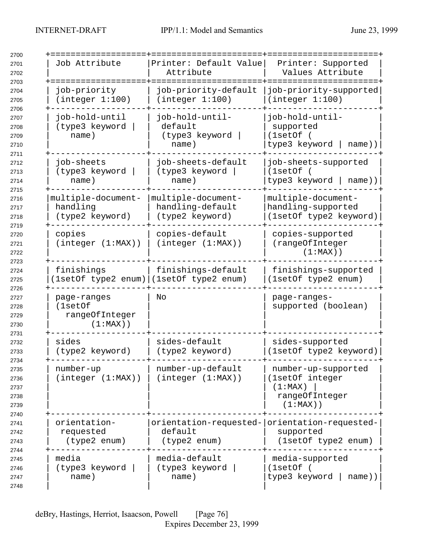| Job Attribute                                           | Printer: Default Value<br>Attribute                                      | Printer: Supported<br>Values Attribute                                             |
|---------------------------------------------------------|--------------------------------------------------------------------------|------------------------------------------------------------------------------------|
| job-priority<br>(integer 1:100)                         | job-priority-default<br>(integer 1:100)                                  | job-priority-supported<br>(integer 1:100)                                          |
| job-hold-until<br>(type3 keyword<br>name)               | job-hold-until-<br>default<br>(type3 keyword<br>name)                    | job-hold-until-<br>supported<br>(1setOf)<br>type3 keyword<br>$name)$ )             |
| job-sheets<br>(type3 keyword<br>name)                   | job-sheets-default<br>(type3 keyword<br>name)                            | job-sheets-supported<br>(1setOf)<br>type3 keyword  <br>name))                      |
| multiple-document-<br>handling<br>(type2 keyword)       | multiple-document-<br>handling-default<br>(type2 keyword)                | multiple-document-<br>handling-supported<br>(1setOf type2 keyword)                 |
| copies<br>(integer (1:MAX))                             | copies-default<br>(integer (1:MAX))                                      | copies-supported<br>(rangeOfInteger<br>$(1:MAX)$ )                                 |
| finishings<br>(1setOf type2 enum) (1setOf type2 enum)   | finishings-default                                                       | finishings-supported<br>(1setOf type2 enum)                                        |
| page-ranges<br>(1setOf<br>rangeOfInteger<br>$(1:MAX)$ ) | Νo                                                                       | page-ranges-<br>supported (boolean)                                                |
| sides<br>(type2 keyword)                                | sides-default<br>(type2 keyword)                                         | sides-supported<br>(1setOf type2 keyword)                                          |
| number-up<br>(integer (1:MAX))                          | number-up-default<br>(integer (1:MAX))                                   | number-up-supported<br>(1setOf integer<br>(1:MAX)<br>rangeOfInteger<br>$(1:MAX)$ ) |
| orientation-<br>requested<br>(type2 enum)               | orientation-requested- orientation-requested-<br>default<br>(type2 enum) | supported<br>(1setOf type2 enum)                                                   |
| media<br>(type3 keyword<br>name)                        | media-default<br>(type3 keyword<br>name)                                 | media-supported<br>(1setOf (<br>type3 keyword<br>name))                            |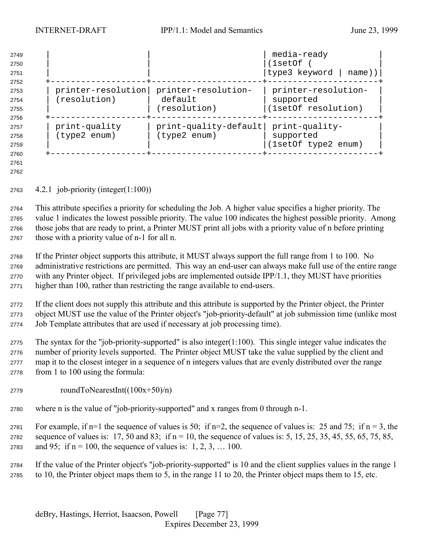| 2749<br>2750<br>2751 |                    |                         | media-ready<br>(1setOf<br>type3 keyword   name)) |
|----------------------|--------------------|-------------------------|--------------------------------------------------|
| 2752                 |                    |                         |                                                  |
| 2753                 | printer-resolution | printer-resolution-     | printer-resolution-                              |
| 2754                 | (resolution)       | default                 | supported                                        |
| 2755                 |                    | (resolution)            | (1setOf resolution)                              |
| 2756                 |                    |                         |                                                  |
| 2757                 | print-quality      | $print-quality-default$ | print-quality-                                   |
| 2758                 | (type2 enum)       | (type2 enum)            | supported                                        |
| 2759                 |                    |                         | (1setOf type2 enum)                              |
| 2760                 |                    |                         |                                                  |

 

4.2.1 job-priority (integer(1:100))

 This attribute specifies a priority for scheduling the Job. A higher value specifies a higher priority. The value 1 indicates the lowest possible priority. The value 100 indicates the highest possible priority. Among those jobs that are ready to print, a Printer MUST print all jobs with a priority value of n before printing those with a priority value of n-1 for all n.

 If the Printer object supports this attribute, it MUST always support the full range from 1 to 100. No administrative restrictions are permitted. This way an end-user can always make full use of the entire range with any Printer object. If privileged jobs are implemented outside IPP/1.1, they MUST have priorities higher than 100, rather than restricting the range available to end-users.

 If the client does not supply this attribute and this attribute is supported by the Printer object, the Printer object MUST use the value of the Printer object's "job-priority-default" at job submission time (unlike most Job Template attributes that are used if necessary at job processing time).

 The syntax for the "job-priority-supported" is also integer(1:100). This single integer value indicates the number of priority levels supported. The Printer object MUST take the value supplied by the client and map it to the closest integer in a sequence of n integers values that are evenly distributed over the range from 1 to 100 using the formula:

- roundToNearestInt( $(100x+50)/n$ )
- where n is the value of "job-priority-supported" and x ranges from 0 through n-1.
- 2781 For example, if n=1 the sequence of values is 50; if n=2, the sequence of values is: 25 and 75; if n = 3, the 2782 sequence of values is: 17, 50 and 83; if  $n = 10$ , the sequence of values is: 5, 15, 25, 35, 45, 55, 65, 75, 85, 2783 and 95; if  $n = 100$ , the sequence of values is: 1, 2, 3, ... 100.

 If the value of the Printer object's "job-priority-supported" is 10 and the client supplies values in the range 1 to 10, the Printer object maps them to 5, in the range 11 to 20, the Printer object maps them to 15, etc.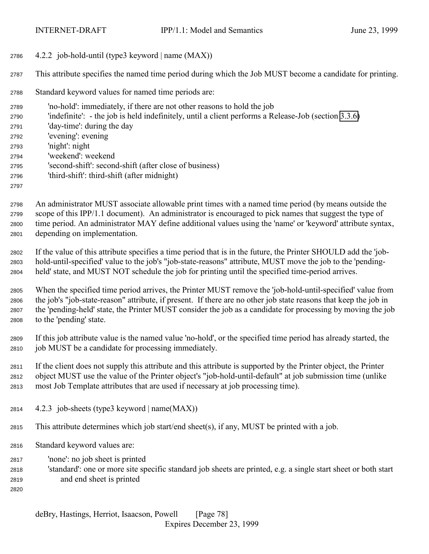4.2.2 job-hold-until (type3 keyword | name (MAX))

This attribute specifies the named time period during which the Job MUST become a candidate for printing.

Standard keyword values for named time periods are:

 'no-hold': immediately, if there are not other reasons to hold the job 'indefinite': - the job is held indefinitely, until a client performs a Release-Job (section [3.3.6\)](#page-60-0) 'day-time': during the day 'evening': evening 'night': night 'weekend': weekend 'second-shift': second-shift (after close of business) 'third-shift': third-shift (after midnight) 

 An administrator MUST associate allowable print times with a named time period (by means outside the scope of this IPP/1.1 document). An administrator is encouraged to pick names that suggest the type of time period. An administrator MAY define additional values using the 'name' or 'keyword' attribute syntax, depending on implementation.

 If the value of this attribute specifies a time period that is in the future, the Printer SHOULD add the 'job- hold-until-specified' value to the job's "job-state-reasons" attribute, MUST move the job to the 'pending-held' state, and MUST NOT schedule the job for printing until the specified time-period arrives.

 When the specified time period arrives, the Printer MUST remove the 'job-hold-until-specified' value from the job's "job-state-reason" attribute, if present. If there are no other job state reasons that keep the job in the 'pending-held' state, the Printer MUST consider the job as a candidate for processing by moving the job to the 'pending' state.

 If this job attribute value is the named value 'no-hold', or the specified time period has already started, the job MUST be a candidate for processing immediately.

 If the client does not supply this attribute and this attribute is supported by the Printer object, the Printer object MUST use the value of the Printer object's "job-hold-until-default" at job submission time (unlike most Job Template attributes that are used if necessary at job processing time).

- 2814  $4.2.3$  job-sheets (type3 keyword | name $(MAX)$ )
- This attribute determines which job start/end sheet(s), if any, MUST be printed with a job.
- Standard keyword values are:
- 'none': no job sheet is printed
- 'standard': one or more site specific standard job sheets are printed, e.g. a single start sheet or both start and end sheet is printed
-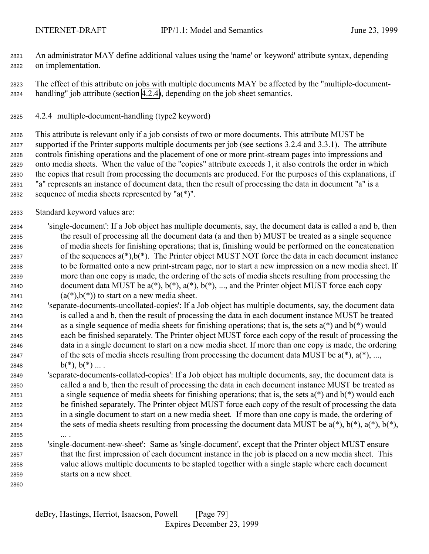<span id="page-78-0"></span> An administrator MAY define additional values using the 'name' or 'keyword' attribute syntax, depending on implementation.

 The effect of this attribute on jobs with multiple documents MAY be affected by the "multiple-document-handling" job attribute (section 4.2.4), depending on the job sheet semantics.

4.2.4 multiple-document-handling (type2 keyword)

 This attribute is relevant only if a job consists of two or more documents. This attribute MUST be supported if the Printer supports multiple documents per job (see sections 3.2.4 and 3.3.1). The attribute controls finishing operations and the placement of one or more print-stream pages into impressions and onto media sheets. When the value of the "copies" attribute exceeds 1, it also controls the order in which the copies that result from processing the documents are produced. For the purposes of this explanations, if "a" represents an instance of document data, then the result of processing the data in document "a" is a 2832 sequence of media sheets represented by " $a(*)$ ".

Standard keyword values are:

 'single-document': If a Job object has multiple documents, say, the document data is called a and b, then the result of processing all the document data (a and then b) MUST be treated as a single sequence of media sheets for finishing operations; that is, finishing would be performed on the concatenation 2837 of the sequences  $a(*)$ ,  $b(*)$ . The Printer object MUST NOT force the data in each document instance to be formatted onto a new print-stream page, nor to start a new impression on a new media sheet. If more than one copy is made, the ordering of the sets of media sheets resulting from processing the 2840 document data MUST be  $a(*)$ ,  $b(*)$ ,  $a(*)$ ,  $b(*)$ , ..., and the Printer object MUST force each copy  $(a(*)$ ,  $b(*)$ ) to start on a new media sheet.

- 'separate-documents-uncollated-copies': If a Job object has multiple documents, say, the document data is called a and b, then the result of processing the data in each document instance MUST be treated 2844 as a single sequence of media sheets for finishing operations; that is, the sets  $a(*)$  and  $b(*)$  would each be finished separately. The Printer object MUST force each copy of the result of processing the data in a single document to start on a new media sheet. If more than one copy is made, the ordering of the sets of media sheets resulting from processing the document data MUST be a(\*), a(\*), ..., 2848 b(\*),  $b(*)$  ....
- 'separate-documents-collated-copies': If a Job object has multiple documents, say, the document data is called a and b, then the result of processing the data in each document instance MUST be treated as a single sequence of media sheets for finishing operations; that is, the sets a(\*) and b(\*) would each be finished separately. The Printer object MUST force each copy of the result of processing the data in a single document to start on a new media sheet. If more than one copy is made, the ordering of 2854 the sets of media sheets resulting from processing the document data MUST be  $a(*)$ ,  $b(*)$ ,  $a(*)$ ,  $b(*)$ ,  $b(*)$ ,
- ... .

 'single-document-new-sheet': Same as 'single-document', except that the Printer object MUST ensure that the first impression of each document instance in the job is placed on a new media sheet. This value allows multiple documents to be stapled together with a single staple where each document starts on a new sheet.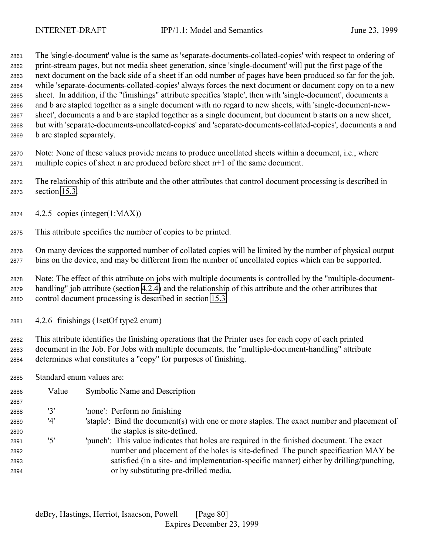The 'single-document' value is the same as 'separate-documents-collated-copies' with respect to ordering of print-stream pages, but not media sheet generation, since 'single-document' will put the first page of the next document on the back side of a sheet if an odd number of pages have been produced so far for the job, while 'separate-documents-collated-copies' always forces the next document or document copy on to a new sheet. In addition, if the "finishings" attribute specifies 'staple', then with 'single-document', documents a and b are stapled together as a single document with no regard to new sheets, with 'single-document-new- sheet', documents a and b are stapled together as a single document, but document b starts on a new sheet, but with 'separate-documents-uncollated-copies' and 'separate-documents-collated-copies', documents a and b are stapled separately.

 Note: None of these values provide means to produce uncollated sheets within a document, i.e., where multiple copies of sheet n are produced before sheet n+1 of the same document.

 The relationship of this attribute and the other attributes that control document processing is described in section [15.3.](#page-160-0)

- 4.2.5 copies (integer(1:MAX))
- This attribute specifies the number of copies to be printed.

 On many devices the supported number of collated copies will be limited by the number of physical output bins on the device, and may be different from the number of uncollated copies which can be supported.

 Note: The effect of this attribute on jobs with multiple documents is controlled by the "multiple-document- handling" job attribute (section [4.2.4\)](#page-78-0) and the relationship of this attribute and the other attributes that control document processing is described in section [15.3.](#page-160-0)

4.2.6 finishings (1setOf type2 enum)

 This attribute identifies the finishing operations that the Printer uses for each copy of each printed document in the Job. For Jobs with multiple documents, the "multiple-document-handling" attribute determines what constitutes a "copy" for purposes of finishing.

Standard enum values are:

| 2886 | Value | Symbolic Name and Description                                                              |
|------|-------|--------------------------------------------------------------------------------------------|
| 2887 |       |                                                                                            |
| 2888 | '3'   | 'none': Perform no finishing                                                               |
| 2889 | '4'   | 'staple': Bind the document(s) with one or more staples. The exact number and placement of |
| 2890 |       | the staples is site-defined.                                                               |
| 2891 | '5'   | 'punch': This value indicates that holes are required in the finished document. The exact  |
| 2892 |       | number and placement of the holes is site-defined. The punch specification MAY be          |
| 2893 |       | satisfied (in a site- and implementation-specific manner) either by drilling/punching,     |
| 2894 |       | or by substituting pre-drilled media.                                                      |
|      |       |                                                                                            |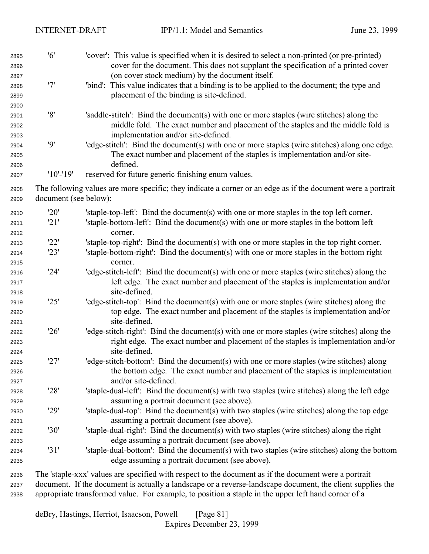| 2895<br>2896<br>2897         | '6'                   | 'cover': This value is specified when it is desired to select a non-printed (or pre-printed)<br>cover for the document. This does not supplant the specification of a printed cover<br>(on cover stock medium) by the document itself. |
|------------------------------|-----------------------|----------------------------------------------------------------------------------------------------------------------------------------------------------------------------------------------------------------------------------------|
| 2898<br>2899<br>2900         | '7'                   | 'bind': This value indicates that a binding is to be applied to the document; the type and<br>placement of the binding is site-defined.                                                                                                |
| 2901<br>2902<br>2903         | '8'                   | 'saddle-stitch': Bind the document(s) with one or more staples (wire stitches) along the<br>middle fold. The exact number and placement of the staples and the middle fold is<br>implementation and/or site-defined.                   |
| 2904<br>2905<br>2906         | 9'                    | 'edge-stitch': Bind the document(s) with one or more staples (wire stitches) along one edge.<br>The exact number and placement of the staples is implementation and/or site-<br>defined.                                               |
| 2907                         | $'10'$ -'19'          | reserved for future generic finishing enum values.                                                                                                                                                                                     |
| 2908<br>2909                 | document (see below): | The following values are more specific; they indicate a corner or an edge as if the document were a portrait                                                                                                                           |
| 2910                         | '20'                  | 'staple-top-left': Bind the document(s) with one or more staples in the top left corner.                                                                                                                                               |
| 2911<br>2912                 | '21'                  | 'staple-bottom-left': Bind the document(s) with one or more staples in the bottom left<br>corner.                                                                                                                                      |
| 2913                         | '22'                  | 'staple-top-right': Bind the document(s) with one or more staples in the top right corner.                                                                                                                                             |
| 2914                         | '23'                  | 'staple-bottom-right': Bind the document(s) with one or more staples in the bottom right                                                                                                                                               |
| 2915                         |                       | corner.                                                                                                                                                                                                                                |
| 2916<br>2917                 | '24'                  | 'edge-stitch-left': Bind the document(s) with one or more staples (wire stitches) along the<br>left edge. The exact number and placement of the staples is implementation and/or                                                       |
| 2918<br>2919<br>2920         | '25'                  | site-defined.<br>'edge-stitch-top': Bind the document(s) with one or more staples (wire stitches) along the<br>top edge. The exact number and placement of the staples is implementation and/or                                        |
| 2921<br>2922<br>2923<br>2924 | '26'                  | site-defined.<br>'edge-stitch-right': Bind the document(s) with one or more staples (wire stitches) along the<br>right edge. The exact number and placement of the staples is implementation and/or<br>site-defined.                   |
| 2925<br>2926<br>2927         | '27'                  | 'edge-stitch-bottom': Bind the document(s) with one or more staples (wire stitches) along<br>the bottom edge. The exact number and placement of the staples is implementation<br>and/or site-defined.                                  |
| 2928<br>2929                 | '28'                  | 'staple-dual-left': Bind the document(s) with two staples (wire stitches) along the left edge<br>assuming a portrait document (see above).                                                                                             |
| 2930<br>2931                 | '29'                  | 'staple-dual-top': Bind the document(s) with two staples (wire stitches) along the top edge<br>assuming a portrait document (see above).                                                                                               |
| 2932                         | '30'                  | 'staple-dual-right': Bind the document(s) with two staples (wire stitches) along the right                                                                                                                                             |
| 2933                         | '31'                  | edge assuming a portrait document (see above).<br>'staple-dual-bottom': Bind the document(s) with two staples (wire stitches) along the bottom                                                                                         |
| 2934<br>2935                 |                       | edge assuming a portrait document (see above).                                                                                                                                                                                         |
| 202c                         |                       | The staple-vy values are specified with respect to the document as if the document were a portrait                                                                                                                                     |

 The 'staple-xxx' values are specified with respect to the document as if the document were a portrait document. If the document is actually a landscape or a reverse-landscape document, the client supplies the appropriate transformed value. For example, to position a staple in the upper left hand corner of a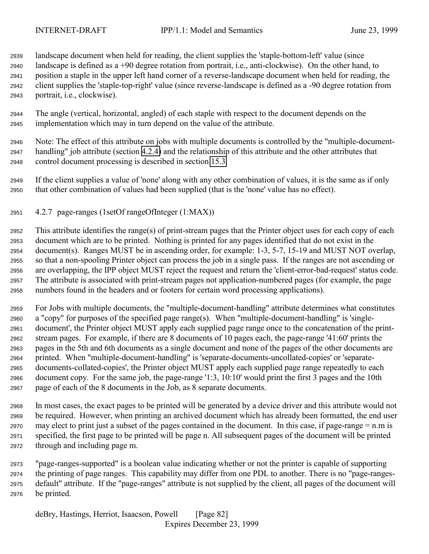landscape document when held for reading, the client supplies the 'staple-bottom-left' value (since landscape is defined as a +90 degree rotation from portrait, i.e., anti-clockwise). On the other hand, to position a staple in the upper left hand corner of a reverse-landscape document when held for reading, the client supplies the 'staple-top-right' value (since reverse-landscape is defined as a -90 degree rotation from portrait, i.e., clockwise).

- The angle (vertical, horizontal, angled) of each staple with respect to the document depends on the implementation which may in turn depend on the value of the attribute.
- Note: The effect of this attribute on jobs with multiple documents is controlled by the "multiple-document- handling" job attribute (section [4.2.4\)](#page-78-0) and the relationship of this attribute and the other attributes that control document processing is described in section [15.3.](#page-160-0)
- If the client supplies a value of 'none' along with any other combination of values, it is the same as if only that other combination of values had been supplied (that is the 'none' value has no effect).
- 4.2.7 page-ranges (1setOf rangeOfInteger (1:MAX))

 This attribute identifies the range(s) of print-stream pages that the Printer object uses for each copy of each document which are to be printed. Nothing is printed for any pages identified that do not exist in the document(s). Ranges MUST be in ascending order, for example: 1-3, 5-7, 15-19 and MUST NOT overlap, so that a non-spooling Printer object can process the job in a single pass. If the ranges are not ascending or are overlapping, the IPP object MUST reject the request and return the 'client-error-bad-request' status code. The attribute is associated with print-stream pages not application-numbered pages (for example, the page numbers found in the headers and or footers for certain word processing applications).

 For Jobs with multiple documents, the "multiple-document-handling" attribute determines what constitutes a "copy" for purposes of the specified page range(s). When "multiple-document-handling" is 'single- document', the Printer object MUST apply each supplied page range once to the concatenation of the print- stream pages. For example, if there are 8 documents of 10 pages each, the page-range '41:60' prints the pages in the 5th and 6th documents as a single document and none of the pages of the other documents are printed. When "multiple-document-handling" is 'separate-documents-uncollated-copies' or 'separate- documents-collated-copies', the Printer object MUST apply each supplied page range repeatedly to each document copy. For the same job, the page-range '1:3, 10:10' would print the first 3 pages and the 10th page of each of the 8 documents in the Job, as 8 separate documents.

- In most cases, the exact pages to be printed will be generated by a device driver and this attribute would not be required. However, when printing an archived document which has already been formatted, the end user may elect to print just a subset of the pages contained in the document. In this case, if page-range = n.m is specified, the first page to be printed will be page n. All subsequent pages of the document will be printed through and including page m.
- "page-ranges-supported" is a boolean value indicating whether or not the printer is capable of supporting the printing of page ranges. This capability may differ from one PDL to another. There is no "page-ranges- default" attribute. If the "page-ranges" attribute is not supplied by the client, all pages of the document will be printed.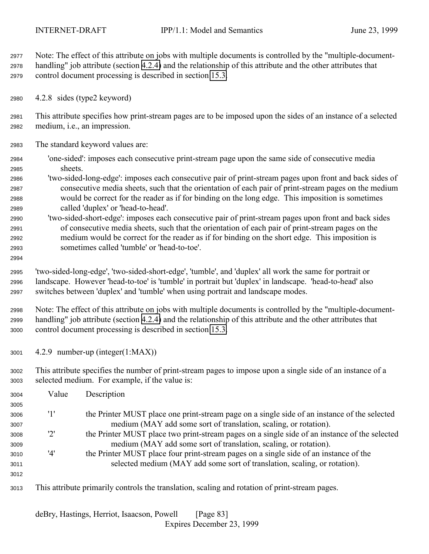Note: The effect of this attribute on jobs with multiple documents is controlled by the "multiple-document- handling" job attribute (section [4.2.4\)](#page-78-0) and the relationship of this attribute and the other attributes that control document processing is described in section [15.3.](#page-160-0)

4.2.8 sides (type2 keyword)

 This attribute specifies how print-stream pages are to be imposed upon the sides of an instance of a selected medium, i.e., an impression.

- The standard keyword values are:
- 'one-sided': imposes each consecutive print-stream page upon the same side of consecutive media sheets.
- 'two-sided-long-edge': imposes each consecutive pair of print-stream pages upon front and back sides of consecutive media sheets, such that the orientation of each pair of print-stream pages on the medium would be correct for the reader as if for binding on the long edge. This imposition is sometimes called 'duplex' or 'head-to-head'.
- 'two-sided-short-edge': imposes each consecutive pair of print-stream pages upon front and back sides of consecutive media sheets, such that the orientation of each pair of print-stream pages on the medium would be correct for the reader as if for binding on the short edge. This imposition is sometimes called 'tumble' or 'head-to-toe'.
- 

 'two-sided-long-edge', 'two-sided-short-edge', 'tumble', and 'duplex' all work the same for portrait or landscape. However 'head-to-toe' is 'tumble' in portrait but 'duplex' in landscape. 'head-to-head' also switches between 'duplex' and 'tumble' when using portrait and landscape modes.

 Note: The effect of this attribute on jobs with multiple documents is controlled by the "multiple-document- handling" job attribute (section [4.2.4\)](#page-78-0) and the relationship of this attribute and the other attributes that control document processing is described in section [15.3.](#page-160-0)

- 4.2.9 number-up (integer(1:MAX))
- This attribute specifies the number of print-stream pages to impose upon a single side of an instance of a selected medium. For example, if the value is:

| 3004 | Value | Description                                                                                    |
|------|-------|------------------------------------------------------------------------------------------------|
| 3005 |       |                                                                                                |
| 3006 | '1'   | the Printer MUST place one print-stream page on a single side of an instance of the selected   |
| 3007 |       | medium (MAY add some sort of translation, scaling, or rotation).                               |
| 3008 | '2'   | the Printer MUST place two print-stream pages on a single side of an instance of the selected  |
| 3009 |       | medium (MAY add some sort of translation, scaling, or rotation).                               |
| 3010 | '4'   | the Printer MUST place four print-stream pages on a single side of an instance of the          |
| 3011 |       | selected medium (MAY add some sort of translation, scaling, or rotation).                      |
| 3012 |       |                                                                                                |
| 3013 |       | This attribute primarily controls the translation, scaling and rotation of print-stream pages. |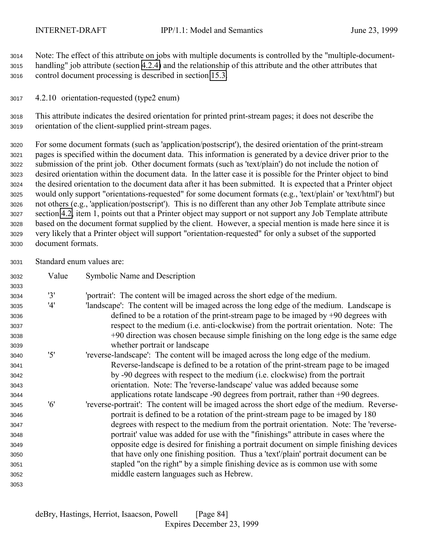Note: The effect of this attribute on jobs with multiple documents is controlled by the "multiple-document- handling" job attribute (section [4.2.4\)](#page-78-0) and the relationship of this attribute and the other attributes that control document processing is described in section [15.3.](#page-160-0)

4.2.10 orientation-requested (type2 enum)

 This attribute indicates the desired orientation for printed print-stream pages; it does not describe the orientation of the client-supplied print-stream pages.

 For some document formats (such as 'application/postscript'), the desired orientation of the print-stream pages is specified within the document data. This information is generated by a device driver prior to the submission of the print job. Other document formats (such as 'text/plain') do not include the notion of desired orientation within the document data. In the latter case it is possible for the Printer object to bind the desired orientation to the document data after it has been submitted. It is expected that a Printer object would only support "orientations-requested" for some document formats (e.g., 'text/plain' or 'text/html') but not others (e.g., 'application/postscript'). This is no different than any other Job Template attribute since section [4.2,](#page-73-0) item 1, points out that a Printer object may support or not support any Job Template attribute based on the document format supplied by the client. However, a special mention is made here since it is very likely that a Printer object will support "orientation-requested" for only a subset of the supported document formats.

Standard enum values are:

| 3032 | Value | Symbolic Name and Description                                                                |
|------|-------|----------------------------------------------------------------------------------------------|
| 3033 |       |                                                                                              |
| 3034 | '3'   | 'portrait': The content will be imaged across the short edge of the medium.                  |
| 3035 | '4'   | 'landscape': The content will be imaged across the long edge of the medium. Landscape is     |
| 3036 |       | defined to be a rotation of the print-stream page to be imaged by $+90$ degrees with         |
| 3037 |       | respect to the medium (i.e. anti-clockwise) from the portrait orientation. Note: The         |
| 3038 |       | +90 direction was chosen because simple finishing on the long edge is the same edge          |
| 3039 |       | whether portrait or landscape                                                                |
| 3040 | '5'   | 'reverse-landscape': The content will be imaged across the long edge of the medium.          |
| 3041 |       | Reverse-landscape is defined to be a rotation of the print-stream page to be imaged          |
| 3042 |       | by -90 degrees with respect to the medium (i.e. clockwise) from the portrait                 |
| 3043 |       | orientation. Note: The 'reverse-landscape' value was added because some                      |
| 3044 |       | applications rotate landscape $-90$ degrees from portrait, rather than $+90$ degrees.        |
| 3045 | '6'   | 'reverse-portrait': The content will be imaged across the short edge of the medium. Reverse- |
| 3046 |       | portrait is defined to be a rotation of the print-stream page to be imaged by 180            |
| 3047 |       | degrees with respect to the medium from the portrait orientation. Note: The 'reverse-        |
| 3048 |       | portrait' value was added for use with the "finishings" attribute in cases where the         |
| 3049 |       | opposite edge is desired for finishing a portrait document on simple finishing devices       |
| 3050 |       | that have only one finishing position. Thus a 'text'/plain' portrait document can be         |
| 3051 |       | stapled "on the right" by a simple finishing device as is common use with some               |
| 3052 |       | middle eastern languages such as Hebrew.                                                     |
| 3053 |       |                                                                                              |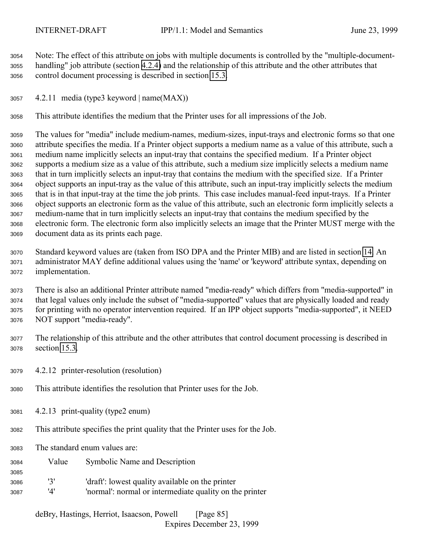Note: The effect of this attribute on jobs with multiple documents is controlled by the "multiple-document- handling" job attribute (section [4.2.4\)](#page-78-0) and the relationship of this attribute and the other attributes that control document processing is described in section [15.3.](#page-160-0)

4.2.11 media (type3 keyword | name(MAX))

This attribute identifies the medium that the Printer uses for all impressions of the Job.

 The values for "media" include medium-names, medium-sizes, input-trays and electronic forms so that one attribute specifies the media. If a Printer object supports a medium name as a value of this attribute, such a medium name implicitly selects an input-tray that contains the specified medium. If a Printer object supports a medium size as a value of this attribute, such a medium size implicitly selects a medium name that in turn implicitly selects an input-tray that contains the medium with the specified size. If a Printer object supports an input-tray as the value of this attribute, such an input-tray implicitly selects the medium that is in that input-tray at the time the job prints. This case includes manual-feed input-trays. If a Printer object supports an electronic form as the value of this attribute, such an electronic form implicitly selects a medium-name that in turn implicitly selects an input-tray that contains the medium specified by the electronic form. The electronic form also implicitly selects an image that the Printer MUST merge with the document data as its prints each page.

 Standard keyword values are (taken from ISO DPA and the Printer MIB) and are listed in section [14.](#page-154-0) An administrator MAY define additional values using the 'name' or 'keyword' attribute syntax, depending on implementation.

 There is also an additional Printer attribute named "media-ready" which differs from "media-supported" in that legal values only include the subset of "media-supported" values that are physically loaded and ready for printing with no operator intervention required. If an IPP object supports "media-supported", it NEED NOT support "media-ready".

- The relationship of this attribute and the other attributes that control document processing is described in section [15.3.](#page-160-0)
- 4.2.12 printer-resolution (resolution)
- This attribute identifies the resolution that Printer uses for the Job.
- 4.2.13 print-quality (type2 enum)
- This attribute specifies the print quality that the Printer uses for the Job.
- The standard enum values are:

- Value Symbolic Name and Description
- '3' 'draft': lowest quality available on the printer '4' 'normal': normal or intermediate quality on the printer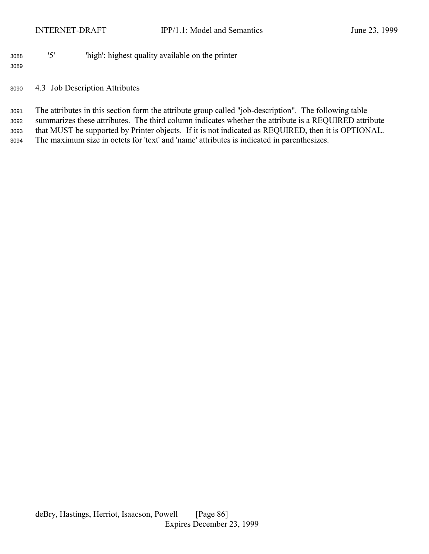# '5' 'high': highest quality available on the printer

# 4.3 Job Description Attributes

 The attributes in this section form the attribute group called "job-description". The following table summarizes these attributes. The third column indicates whether the attribute is a REQUIRED attribute that MUST be supported by Printer objects. If it is not indicated as REQUIRED, then it is OPTIONAL. The maximum size in octets for 'text' and 'name' attributes is indicated in parenthesizes.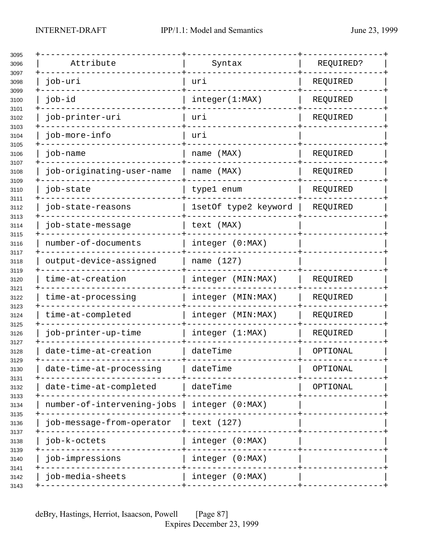|           | Attribute                  | Syntax               | REQUIRED? |
|-----------|----------------------------|----------------------|-----------|
| job-uri   |                            | uri                  | REQUIRED  |
| job-id    |                            | integer(1:MAX)       | REQUIRED  |
|           | job-printer-uri            | uri                  | REQUIRED  |
|           | job-more-info              | uri                  |           |
| job-name  |                            | name (MAX)           | REQUIRED  |
|           | job-originating-user-name  | name (MAX)           | REQUIRED  |
| job-state |                            | type1 enum           | REQUIRED  |
|           | job-state-reasons          | 1setOf type2 keyword | REQUIRED  |
|           | job-state-message          | text (MAX)           |           |
|           | number-of-documents        | integer (0:MAX)      |           |
|           | output-device-assigned     | name (127)           |           |
|           | time-at-creation           | integer (MIN:MAX)    | REQUIRED  |
|           | time-at-processing         | integer (MIN:MAX)    | REQUIRED  |
|           | time-at-completed          | integer (MIN:MAX)    | REQUIRED  |
|           | job-printer-up-time        | integer (1:MAX)      | REQUIRED  |
|           | date-time-at-creation      | dateTime             | OPTIONAL  |
|           | date-time-at-processing    | dateTime             | OPTIONAL  |
|           | date-time-at-completed     | dateTime             | OPTIONAL  |
|           | number-of-intervening-jobs | integer (0:MAX)      |           |
|           | job-message-from-operator  | text (127)           |           |
|           | job-k-octets               | integer (0:MAX)      |           |
|           | job-impressions            | integer (0:MAX)      |           |
|           | job-media-sheets           | integer (0:MAX)      |           |
|           |                            |                      |           |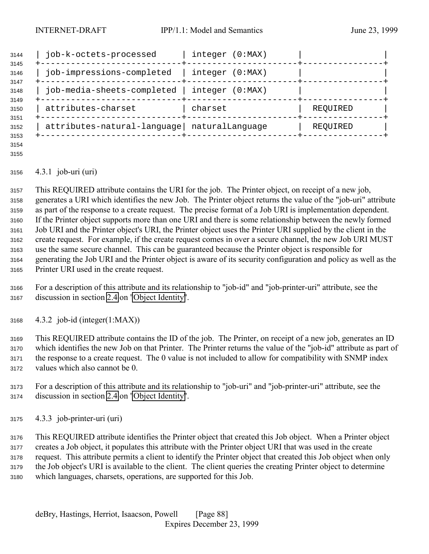| 3144                         | job-k-octets-processed                      | integer (0:MAX)    |          |
|------------------------------|---------------------------------------------|--------------------|----------|
| 3145<br>3146<br>3147         | job-impressions-completed                   | integer<br>(0:MAX) |          |
| 3148                         | job-media-sheets-completed                  | integer<br>(0:MAX) |          |
| 3149<br>3150                 | attributes-charset                          | charset            | REQUIRED |
| 3151<br>3152<br>3153<br>3154 | attributes-natural-language naturalLanguage |                    | REQUIRED |

#### 4.3.1 job-uri (uri)

 This REQUIRED attribute contains the URI for the job. The Printer object, on receipt of a new job, generates a URI which identifies the new Job. The Printer object returns the value of the "job-uri" attribute as part of the response to a create request. The precise format of a Job URI is implementation dependent. If the Printer object supports more than one URI and there is some relationship between the newly formed Job URI and the Printer object's URI, the Printer object uses the Printer URI supplied by the client in the create request. For example, if the create request comes in over a secure channel, the new Job URI MUST use the same secure channel. This can be guaranteed because the Printer object is responsible for generating the Job URI and the Printer object is aware of its security configuration and policy as well as the Printer URI used in the create request.

- For a description of this attribute and its relationship to "job-id" and "job-printer-uri" attribute, see the discussion in section [2.4](#page-17-0) on ["Object Identity"](#page-17-0).
- 4.3.2 job-id (integer(1:MAX))

 This REQUIRED attribute contains the ID of the job. The Printer, on receipt of a new job, generates an ID which identifies the new Job on that Printer. The Printer returns the value of the "job-id" attribute as part of the response to a create request. The 0 value is not included to allow for compatibility with SNMP index values which also cannot be 0.

- For a description of this attribute and its relationship to "job-uri" and "job-printer-uri" attribute, see the discussion in section [2.4](#page-17-0) on ["Object Identity"](#page-17-0).
- 4.3.3 job-printer-uri (uri)

 This REQUIRED attribute identifies the Printer object that created this Job object. When a Printer object creates a Job object, it populates this attribute with the Printer object URI that was used in the create request. This attribute permits a client to identify the Printer object that created this Job object when only the Job object's URI is available to the client. The client queries the creating Printer object to determine which languages, charsets, operations, are supported for this Job.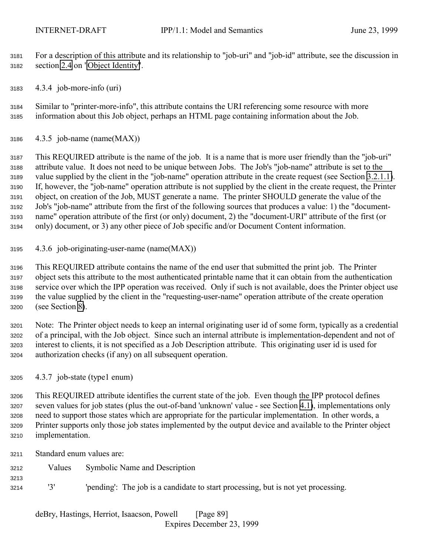For a description of this attribute and its relationship to "job-uri" and "job-id" attribute, see the discussion in section [2.4](#page-17-0) on ["Object Identity"](#page-17-0).

4.3.4 job-more-info (uri)

 Similar to "printer-more-info", this attribute contains the URI referencing some resource with more information about this Job object, perhaps an HTML page containing information about the Job.

4.3.5 job-name (name(MAX))

 This REQUIRED attribute is the name of the job. It is a name that is more user friendly than the "job-uri" attribute value. It does not need to be unique between Jobs. The Job's "job-name" attribute is set to the value supplied by the client in the "job-name" operation attribute in the create request (see Section [3.2.1.1\)](#page-35-0). If, however, the "job-name" operation attribute is not supplied by the client in the create request, the Printer object, on creation of the Job, MUST generate a name. The printer SHOULD generate the value of the Job's "job-name" attribute from the first of the following sources that produces a value: 1) the "document- name" operation attribute of the first (or only) document, 2) the "document-URI" attribute of the first (or only) document, or 3) any other piece of Job specific and/or Document Content information.

4.3.6 job-originating-user-name (name(MAX))

 This REQUIRED attribute contains the name of the end user that submitted the print job. The Printer object sets this attribute to the most authenticated printable name that it can obtain from the authentication service over which the IPP operation was received. Only if such is not available, does the Printer object use the value supplied by the client in the "requesting-user-name" operation attribute of the create operation (see Section [8\)](#page-128-0).

 Note: The Printer object needs to keep an internal originating user id of some form, typically as a credential of a principal, with the Job object. Since such an internal attribute is implementation-dependent and not of interest to clients, it is not specified as a Job Description attribute. This originating user id is used for authorization checks (if any) on all subsequent operation.

4.3.7 job-state (type1 enum)

 This REQUIRED attribute identifies the current state of the job. Even though the IPP protocol defines seven values for job states (plus the out-of-band 'unknown' value - see Section [4.1\)](#page-63-0), implementations only need to support those states which are appropriate for the particular implementation. In other words, a Printer supports only those job states implemented by the output device and available to the Printer object implementation.

Standard enum values are:

- Values Symbolic Name and Description
- '3' 'pending': The job is a candidate to start processing, but is not yet processing.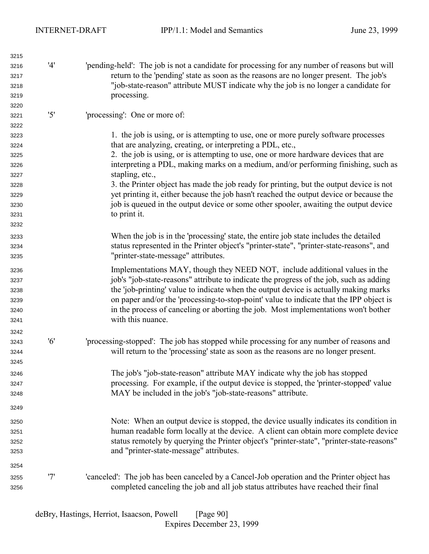| 3215 |     |                                                                                              |
|------|-----|----------------------------------------------------------------------------------------------|
| 3216 | '4' | 'pending-held': The job is not a candidate for processing for any number of reasons but will |
| 3217 |     | return to the 'pending' state as soon as the reasons are no longer present. The job's        |
| 3218 |     | "job-state-reason" attribute MUST indicate why the job is no longer a candidate for          |
| 3219 |     | processing.                                                                                  |
| 3220 |     |                                                                                              |
| 3221 | '5' | 'processing': One or more of:                                                                |
| 3222 |     |                                                                                              |
| 3223 |     | 1. the job is using, or is attempting to use, one or more purely software processes          |
| 3224 |     | that are analyzing, creating, or interpreting a PDL, etc.,                                   |
| 3225 |     | 2. the job is using, or is attempting to use, one or more hardware devices that are          |
| 3226 |     | interpreting a PDL, making marks on a medium, and/or performing finishing, such as           |
| 3227 |     | stapling, etc.,                                                                              |
| 3228 |     | 3. the Printer object has made the job ready for printing, but the output device is not      |
| 3229 |     | yet printing it, either because the job hasn't reached the output device or because the      |
| 3230 |     | job is queued in the output device or some other spooler, awaiting the output device         |
| 3231 |     | to print it.                                                                                 |
| 3232 |     |                                                                                              |
| 3233 |     | When the job is in the 'processing' state, the entire job state includes the detailed        |
|      |     | status represented in the Printer object's "printer-state", "printer-state-reasons", and     |
| 3234 |     | "printer-state-message" attributes.                                                          |
| 3235 |     |                                                                                              |
| 3236 |     | Implementations MAY, though they NEED NOT, include additional values in the                  |
| 3237 |     | job's "job-state-reasons" attribute to indicate the progress of the job, such as adding      |
| 3238 |     | the 'job-printing' value to indicate when the output device is actually making marks         |
| 3239 |     | on paper and/or the 'processing-to-stop-point' value to indicate that the IPP object is      |
| 3240 |     | in the process of canceling or aborting the job. Most implementations won't bother           |
| 3241 |     | with this nuance.                                                                            |
| 3242 |     |                                                                                              |
| 3243 | '6' | 'processing-stopped': The job has stopped while processing for any number of reasons and     |
| 3244 |     | will return to the 'processing' state as soon as the reasons are no longer present.          |
| 3245 |     |                                                                                              |
| 3246 |     | The job's "job-state-reason" attribute MAY indicate why the job has stopped                  |
| 3247 |     | processing. For example, if the output device is stopped, the 'printer-stopped' value        |
| 3248 |     | MAY be included in the job's "job-state-reasons" attribute.                                  |
|      |     |                                                                                              |
| 3249 |     |                                                                                              |
| 3250 |     | Note: When an output device is stopped, the device usually indicates its condition in        |
| 3251 |     | human readable form locally at the device. A client can obtain more complete device          |
| 3252 |     | status remotely by querying the Printer object's "printer-state", "printer-state-reasons"    |
| 3253 |     | and "printer-state-message" attributes.                                                      |
| 3254 |     |                                                                                              |
| 3255 | '7' | 'canceled': The job has been canceled by a Cancel-Job operation and the Printer object has   |
| 3256 |     | completed canceling the job and all job status attributes have reached their final           |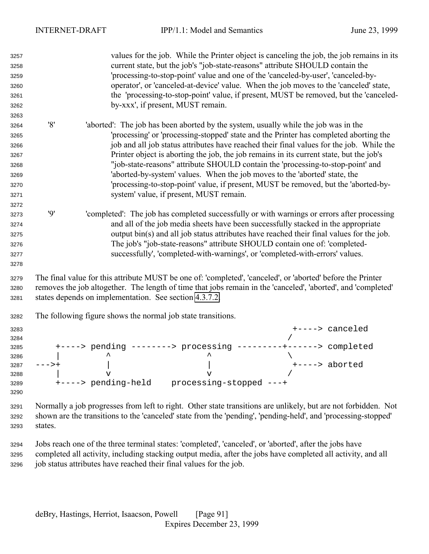| 3257<br>3258<br>3259<br>3260<br>3261<br>3262                                 |         | values for the job. While the Printer object is canceling the job, the job remains in its<br>current state, but the job's "job-state-reasons" attribute SHOULD contain the<br>'processing-to-stop-point' value and one of the 'canceled-by-user', 'canceled-by-<br>operator', or 'canceled-at-device' value. When the job moves to the 'canceled' state,<br>the 'processing-to-stop-point' value, if present, MUST be removed, but the 'canceled-<br>by-xxx', if present, MUST remain.                                                                                                                                                                                 |
|------------------------------------------------------------------------------|---------|------------------------------------------------------------------------------------------------------------------------------------------------------------------------------------------------------------------------------------------------------------------------------------------------------------------------------------------------------------------------------------------------------------------------------------------------------------------------------------------------------------------------------------------------------------------------------------------------------------------------------------------------------------------------|
| 3263<br>3264<br>3265<br>3266<br>3267<br>3268<br>3269<br>3270<br>3271<br>3272 | '8'     | 'aborted': The job has been aborted by the system, usually while the job was in the<br>'processing' or 'processing-stopped' state and the Printer has completed aborting the<br>job and all job status attributes have reached their final values for the job. While the<br>Printer object is aborting the job, the job remains in its current state, but the job's<br>"job-state-reasons" attribute SHOULD contain the 'processing-to-stop-point' and<br>'aborted-by-system' values. When the job moves to the 'aborted' state, the<br>'processing-to-stop-point' value, if present, MUST be removed, but the 'aborted-by-<br>system' value, if present, MUST remain. |
| 3273<br>3274<br>3275<br>3276<br>3277<br>3278                                 | 9'      | 'completed': The job has completed successfully or with warnings or errors after processing<br>and all of the job media sheets have been successfully stacked in the appropriate<br>output bin(s) and all job status attributes have reached their final values for the job.<br>The job's "job-state-reasons" attribute SHOULD contain one of: 'completed-<br>successfully', 'completed-with-warnings', or 'completed-with-errors' values.                                                                                                                                                                                                                             |
| 3279<br>3280<br>3281                                                         |         | The final value for this attribute MUST be one of: 'completed', 'canceled', or 'aborted' before the Printer<br>removes the job altogether. The length of time that jobs remain in the 'canceled', 'aborted', and 'completed'<br>states depends on implementation. See section 4.3.7.2.                                                                                                                                                                                                                                                                                                                                                                                 |
| 3282                                                                         |         | The following figure shows the normal job state transitions.                                                                                                                                                                                                                                                                                                                                                                                                                                                                                                                                                                                                           |
| 3283<br>3284<br>3285<br>3286<br>3287<br>3288<br>3289<br>3290                 | --->+   | +----> canceled<br>+----> pending --------> processing ---<br>-----> completed<br>+----> aborted<br>$\mathbf v$<br>$\mathbf v$                                                                                                                                                                                                                                                                                                                                                                                                                                                                                                                                         |
| 3291<br>3292<br>3293                                                         | states. | Normally a job progresses from left to right. Other state transitions are unlikely, but are not forbidden. Not<br>shown are the transitions to the 'canceled' state from the 'pending', 'pending-held', and 'processing-stopped'                                                                                                                                                                                                                                                                                                                                                                                                                                       |
| 3294                                                                         |         | Jobs reach one of the three terminal states: 'completed', 'canceled', or 'aborted', after the jobs have                                                                                                                                                                                                                                                                                                                                                                                                                                                                                                                                                                |

 completed all activity, including stacking output media, after the jobs have completed all activity, and all job status attributes have reached their final values for the job.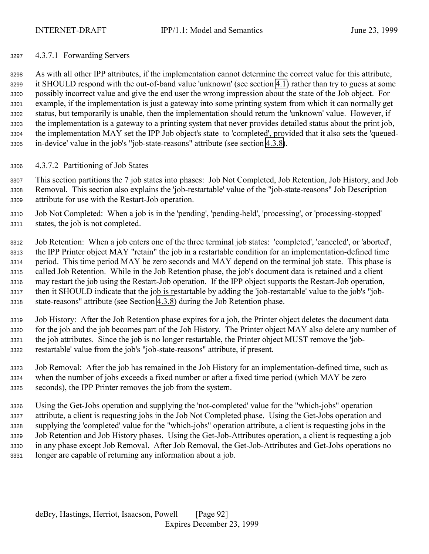## <span id="page-91-0"></span>4.3.7.1 Forwarding Servers

 As with all other IPP attributes, if the implementation cannot determine the correct value for this attribute, it SHOULD respond with the out-of-band value 'unknown' (see section [4.1\)](#page-63-0) rather than try to guess at some possibly incorrect value and give the end user the wrong impression about the state of the Job object. For example, if the implementation is just a gateway into some printing system from which it can normally get status, but temporarily is unable, then the implementation should return the 'unknown' value. However, if the implementation is a gateway to a printing system that never provides detailed status about the print job, the implementation MAY set the IPP Job object's state to 'completed', provided that it also sets the 'queued-in-device' value in the job's "job-state-reasons" attribute (see section [4.3.8\)](#page-92-0).

# 4.3.7.2 Partitioning of Job States

 This section partitions the 7 job states into phases: Job Not Completed, Job Retention, Job History, and Job Removal. This section also explains the 'job-restartable' value of the "job-state-reasons" Job Description attribute for use with the Restart-Job operation.

- Job Not Completed: When a job is in the 'pending', 'pending-held', 'processing', or 'processing-stopped' states, the job is not completed.
- Job Retention: When a job enters one of the three terminal job states: 'completed', 'canceled', or 'aborted', the IPP Printer object MAY "retain" the job in a restartable condition for an implementation-defined time period. This time period MAY be zero seconds and MAY depend on the terminal job state. This phase is called Job Retention. While in the Job Retention phase, the job's document data is retained and a client may restart the job using the Restart-Job operation. If the IPP object supports the Restart-Job operation, then it SHOULD indicate that the job is restartable by adding the 'job-restartable' value to the job's "job-state-reasons" attribute (see Section [4.3.8\)](#page-92-0) during the Job Retention phase.
- Job History: After the Job Retention phase expires for a job, the Printer object deletes the document data for the job and the job becomes part of the Job History. The Printer object MAY also delete any number of the job attributes. Since the job is no longer restartable, the Printer object MUST remove the 'job-restartable' value from the job's "job-state-reasons" attribute, if present.
- Job Removal: After the job has remained in the Job History for an implementation-defined time, such as when the number of jobs exceeds a fixed number or after a fixed time period (which MAY be zero seconds), the IPP Printer removes the job from the system.
- Using the Get-Jobs operation and supplying the 'not-completed' value for the "which-jobs" operation attribute, a client is requesting jobs in the Job Not Completed phase. Using the Get-Jobs operation and supplying the 'completed' value for the "which-jobs" operation attribute, a client is requesting jobs in the Job Retention and Job History phases. Using the Get-Job-Attributes operation, a client is requesting a job in any phase except Job Removal. After Job Removal, the Get-Job-Attributes and Get-Jobs operations no longer are capable of returning any information about a job.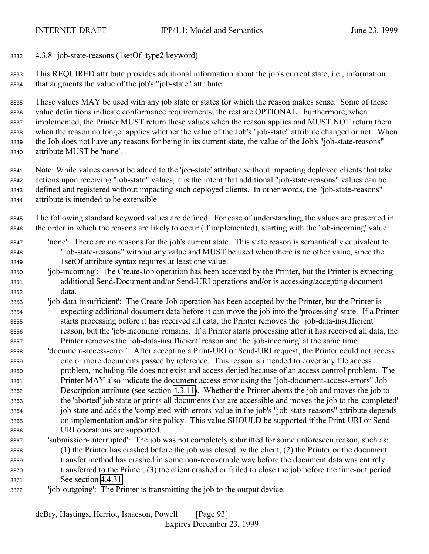<span id="page-92-0"></span>4.3.8 job-state-reasons (1setOf type2 keyword)

 This REQUIRED attribute provides additional information about the job's current state, i.e., information that augments the value of the job's "job-state" attribute.

 These values MAY be used with any job state or states for which the reason makes sense. Some of these value definitions indicate conformance requirements; the rest are OPTIONAL. Furthermore, when implemented, the Printer MUST return these values when the reason applies and MUST NOT return them when the reason no longer applies whether the value of the Job's "job-state" attribute changed or not. When the Job does not have any reasons for being in its current state, the value of the Job's "job-state-reasons" attribute MUST be 'none'.

 Note: While values cannot be added to the 'job-state' attribute without impacting deployed clients that take actions upon receiving "job-state" values, it is the intent that additional "job-state-reasons" values can be defined and registered without impacting such deployed clients. In other words, the "job-state-reasons" attribute is intended to be extensible.

- The following standard keyword values are defined. For ease of understanding, the values are presented in the order in which the reasons are likely to occur (if implemented), starting with the 'job-incoming' value:
- 'none': There are no reasons for the job's current state. This state reason is semantically equivalent to "job-state-reasons" without any value and MUST be used when there is no other value, since the 1setOf attribute syntax requires at least one value.
- 'job-incoming': The Create-Job operation has been accepted by the Printer, but the Printer is expecting additional Send-Document and/or Send-URI operations and/or is accessing/accepting document data.
- 'job-data-insufficient': The Create-Job operation has been accepted by the Printer, but the Printer is expecting additional document data before it can move the job into the 'processing' state. If a Printer starts processing before it has received all data, the Printer removes the 'job-data-insufficient' reason, but the 'job-incoming' remains. If a Printer starts processing after it has received all data, the Printer removes the 'job-data-insufficient' reason and the 'job-incoming' at the same time.
- 'document-access-error': After accepting a Print-URI or Send-URI request, the Printer could not access one or more documents passed by reference. This reason is intended to cover any file access problem, including file does not exist and access denied because of an access control problem. The Printer MAY also indicate the document access error using the "job-document-access-errors" Job Description attribute (see section [4.3.11\)](#page-95-0). Whether the Printer aborts the job and moves the job to the 'aborted' job state or prints all documents that are accessible and moves the job to the 'completed' job state and adds the 'completed-with-errors' value in the job's "job-state-reasons" attribute depends on implementation and/or site policy. This value SHOULD be supported if the Print-URI or Send-URI operations are supported.
- 'submission-interrupted': The job was not completely submitted for some unforeseen reason, such as: (1) the Printer has crashed before the job was closed by the client, (2) the Printer or the document transfer method has crashed in some non-recoverable way before the document data was entirely transferred to the Printer, (3) the client crashed or failed to close the job before the time-out period. See section [4.4.31.](#page-114-0)
- 'job-outgoing': The Printer is transmitting the job to the output device.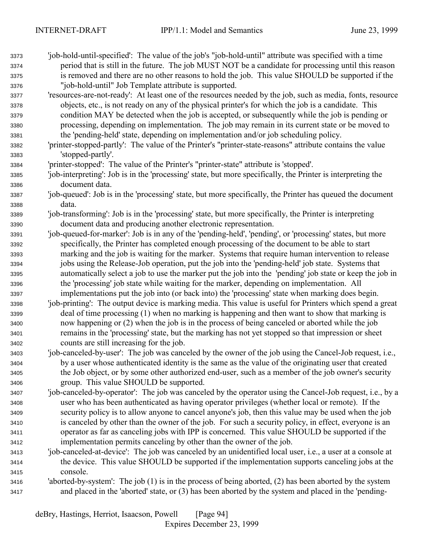| 3373<br>3374 | 'job-hold-until-specified': The value of the job's "job-hold-until" attribute was specified with a time<br>period that is still in the future. The job MUST NOT be a candidate for processing until this reason |
|--------------|-----------------------------------------------------------------------------------------------------------------------------------------------------------------------------------------------------------------|
| 3375         | is removed and there are no other reasons to hold the job. This value SHOULD be supported if the                                                                                                                |
| 3376         | "job-hold-until" Job Template attribute is supported.                                                                                                                                                           |
| 3377         | 'resources-are-not-ready': At least one of the resources needed by the job, such as media, fonts, resource                                                                                                      |
| 3378         | objects, etc., is not ready on any of the physical printer's for which the job is a candidate. This                                                                                                             |
| 3379         | condition MAY be detected when the job is accepted, or subsequently while the job is pending or                                                                                                                 |
| 3380         | processing, depending on implementation. The job may remain in its current state or be moved to                                                                                                                 |
| 3381         | the 'pending-held' state, depending on implementation and/or job scheduling policy.                                                                                                                             |
| 3382         | 'printer-stopped-partly': The value of the Printer's "printer-state-reasons" attribute contains the value                                                                                                       |
| 3383         | 'stopped-partly'.                                                                                                                                                                                               |
| 3384         | 'printer-stopped': The value of the Printer's "printer-state" attribute is 'stopped'.                                                                                                                           |
| 3385         | 'job-interpreting': Job is in the 'processing' state, but more specifically, the Printer is interpreting the                                                                                                    |
| 3386         | document data.                                                                                                                                                                                                  |
| 3387         | 'job-queued': Job is in the 'processing' state, but more specifically, the Printer has queued the document                                                                                                      |
| 3388         | data.                                                                                                                                                                                                           |
| 3389         | 'job-transforming': Job is in the 'processing' state, but more specifically, the Printer is interpreting                                                                                                        |
| 3390         | document data and producing another electronic representation.                                                                                                                                                  |
| 3391         | 'job-queued-for-marker': Job is in any of the 'pending-held', 'pending', or 'processing' states, but more                                                                                                       |
| 3392         | specifically, the Printer has completed enough processing of the document to be able to start                                                                                                                   |
| 3393         | marking and the job is waiting for the marker. Systems that require human intervention to release                                                                                                               |
| 3394         | jobs using the Release-Job operation, put the job into the 'pending-held' job state. Systems that                                                                                                               |
| 3395         | automatically select a job to use the marker put the job into the 'pending' job state or keep the job in                                                                                                        |
| 3396         | the 'processing' job state while waiting for the marker, depending on implementation. All                                                                                                                       |
| 3397         | implementations put the job into (or back into) the 'processing' state when marking does begin.                                                                                                                 |
| 3398         | 'job-printing': The output device is marking media. This value is useful for Printers which spend a great                                                                                                       |
| 3399         | deal of time processing (1) when no marking is happening and then want to show that marking is                                                                                                                  |
| 3400         | now happening or (2) when the job is in the process of being canceled or aborted while the job                                                                                                                  |
| 3401         | remains in the 'processing' state, but the marking has not yet stopped so that impression or sheet                                                                                                              |
| 3402         | counts are still increasing for the job.                                                                                                                                                                        |
| 3403         | 'job-canceled-by-user': The job was canceled by the owner of the job using the Cancel-Job request, i.e.,                                                                                                        |
| 3404         | by a user whose authenticated identity is the same as the value of the originating user that created                                                                                                            |
| 3405         | the Job object, or by some other authorized end-user, such as a member of the job owner's security                                                                                                              |
| 3406         | group. This value SHOULD be supported.                                                                                                                                                                          |
| 3407         | 'job-canceled-by-operator': The job was canceled by the operator using the Cancel-Job request, i.e., by a                                                                                                       |
| 3408         | user who has been authenticated as having operator privileges (whether local or remote). If the                                                                                                                 |
| 3409         | security policy is to allow anyone to cancel anyone's job, then this value may be used when the job                                                                                                             |
| 3410         | is canceled by other than the owner of the job. For such a security policy, in effect, everyone is an                                                                                                           |
| 3411         | operator as far as canceling jobs with IPP is concerned. This value SHOULD be supported if the                                                                                                                  |
| 3412         | implementation permits canceling by other than the owner of the job.                                                                                                                                            |
| 3413         | 'job-canceled-at-device': The job was canceled by an unidentified local user, i.e., a user at a console at                                                                                                      |
| 3414         | the device. This value SHOULD be supported if the implementation supports canceling jobs at the                                                                                                                 |
| 3415         | console.                                                                                                                                                                                                        |

 'aborted-by-system': The job (1) is in the process of being aborted, (2) has been aborted by the system and placed in the 'aborted' state, or (3) has been aborted by the system and placed in the 'pending-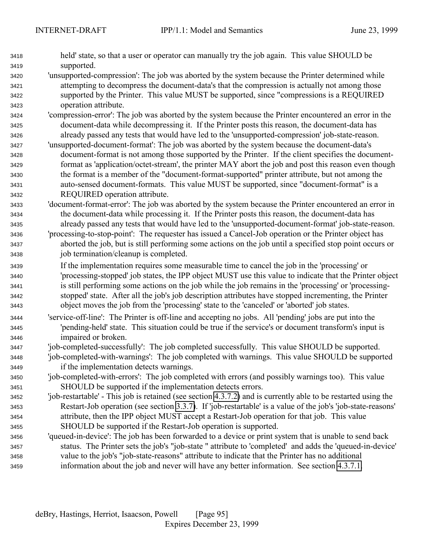| 3418 | held' state, so that a user or operator can manually try the job again. This value SHOULD be                   |
|------|----------------------------------------------------------------------------------------------------------------|
| 3419 | supported.                                                                                                     |
| 3420 | 'unsupported-compression': The job was aborted by the system because the Printer determined while              |
| 3421 | attempting to decompress the document-data's that the compression is actually not among those                  |
| 3422 | supported by the Printer. This value MUST be supported, since "compressions is a REQUIRED                      |
| 3423 | operation attribute.                                                                                           |
| 3424 | 'compression-error': The job was aborted by the system because the Printer encountered an error in the         |
| 3425 | document-data while decompressing it. If the Printer posts this reason, the document-data has                  |
| 3426 | already passed any tests that would have led to the 'unsupported-compression' job-state-reason.                |
| 3427 | 'unsupported-document-format': The job was aborted by the system because the document-data's                   |
| 3428 | document-format is not among those supported by the Printer. If the client specifies the document-             |
| 3429 | format as 'application/octet-stream', the printer MAY abort the job and post this reason even though           |
| 3430 | the format is a member of the "document-format-supported" printer attribute, but not among the                 |
| 3431 | auto-sensed document-formats. This value MUST be supported, since "document-format" is a                       |
| 3432 | REQUIRED operation attribute.                                                                                  |
| 3433 | 'document-format-error': The job was aborted by the system because the Printer encountered an error in         |
| 3434 | the document-data while processing it. If the Printer posts this reason, the document-data has                 |
| 3435 | already passed any tests that would have led to the 'unsupported-document-format' job-state-reason.            |
| 3436 | 'processing-to-stop-point': The requester has issued a Cancel-Job operation or the Printer object has          |
| 3437 | aborted the job, but is still performing some actions on the job until a specified stop point occurs or        |
| 3438 | job termination/cleanup is completed.                                                                          |
| 3439 | If the implementation requires some measurable time to cancel the job in the 'processing' or                   |
| 3440 | 'processing-stopped' job states, the IPP object MUST use this value to indicate that the Printer object        |
| 3441 | is still performing some actions on the job while the job remains in the 'processing' or 'processing-          |
| 3442 | stopped' state. After all the job's job description attributes have stopped incrementing, the Printer          |
| 3443 | object moves the job from the 'processing' state to the 'canceled' or 'aborted' job states.                    |
| 3444 | 'service-off-line': The Printer is off-line and accepting no jobs. All 'pending' jobs are put into the         |
| 3445 | 'pending-held' state. This situation could be true if the service's or document transform's input is           |
| 3446 | impaired or broken.                                                                                            |
| 3447 | 'job-completed-successfully': The job completed successfully. This value SHOULD be supported.                  |
| 3448 | 'job-completed-with-warnings': The job completed with warnings. This value SHOULD be supported                 |
| 3449 | if the implementation detects warnings.                                                                        |
| 3450 | 'job-completed-with-errors': The job completed with errors (and possibly warnings too). This value             |
| 3451 | SHOULD be supported if the implementation detects errors.                                                      |
| 3452 | 'job-restartable' - This job is retained (see section 4.3.7.2) and is currently able to be restarted using the |
| 3453 | Restart-Job operation (see section 3.3.7). If 'job-restartable' is a value of the job's 'job-state-reasons'    |
| 3454 | attribute, then the IPP object MUST accept a Restart-Job operation for that job. This value                    |
| 3455 | SHOULD be supported if the Restart-Job operation is supported.                                                 |
| 3456 | 'queued-in-device': The job has been forwarded to a device or print system that is unable to send back         |
| 3457 | status. The Printer sets the job's "job-state" attribute to 'completed' and adds the 'queued-in-device'        |
|      | value to the job's "job-state-reasons" attribute to indicate that the Printer has no additional                |
| 3458 | information about the job and never will have any better information. See section 4.3.7.1.                     |
| 3459 |                                                                                                                |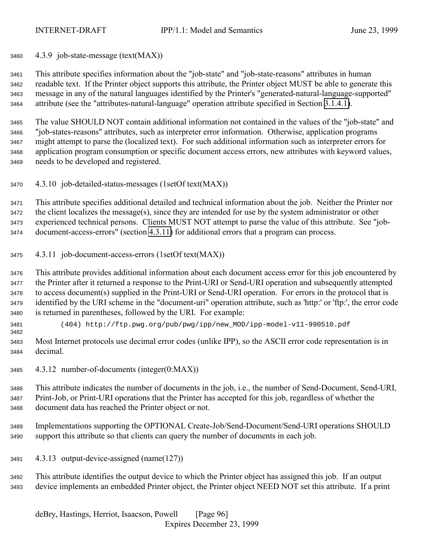<span id="page-95-0"></span>

4.3.9 job-state-message (text(MAX))

 This attribute specifies information about the "job-state" and "job-state-reasons" attributes in human readable text. If the Printer object supports this attribute, the Printer object MUST be able to generate this message in any of the natural languages identified by the Printer's "generated-natural-language-supported" attribute (see the "attributes-natural-language" operation attribute specified in Section [3.1.4.1\)](#page-23-0).

 The value SHOULD NOT contain additional information not contained in the values of the "job-state" and "job-states-reasons" attributes, such as interpreter error information. Otherwise, application programs might attempt to parse the (localized text). For such additional information such as interpreter errors for application program consumption or specific document access errors, new attributes with keyword values, needs to be developed and registered.

4.3.10 job-detailed-status-messages (1setOf text(MAX))

 This attribute specifies additional detailed and technical information about the job. Neither the Printer nor the client localizes the message(s), since they are intended for use by the system administrator or other experienced technical persons. Clients MUST NOT attempt to parse the value of this attribute. See "job-document-access-errors" (section 4.3.11) for additional errors that a program can process.

4.3.11 job-document-access-errors (1setOf text(MAX))

 This attribute provides additional information about each document access error for this job encountered by the Printer after it returned a response to the Print-URI or Send-URI operation and subsequently attempted to access document(s) supplied in the Print-URI or Send-URI operation. For errors in the protocol that is identified by the URI scheme in the "document-uri" operation attribute, such as 'http:' or 'ftp:', the error code is returned in parentheses, followed by the URI. For example:

- (404) http://ftp.pwg.org/pub/pwg/ipp/new\_MOD/ipp-model-v11-990510.pdf
- Most Internet protocols use decimal error codes (unlike IPP), so the ASCII error code representation is in decimal.
- 4.3.12 number-of-documents (integer(0:MAX))

 This attribute indicates the number of documents in the job, i.e., the number of Send-Document, Send-URI, Print-Job, or Print-URI operations that the Printer has accepted for this job, regardless of whether the document data has reached the Printer object or not.

- Implementations supporting the OPTIONAL Create-Job/Send-Document/Send-URI operations SHOULD support this attribute so that clients can query the number of documents in each job.
- 4.3.13 output-device-assigned (name(127))
- This attribute identifies the output device to which the Printer object has assigned this job. If an output device implements an embedded Printer object, the Printer object NEED NOT set this attribute. If a print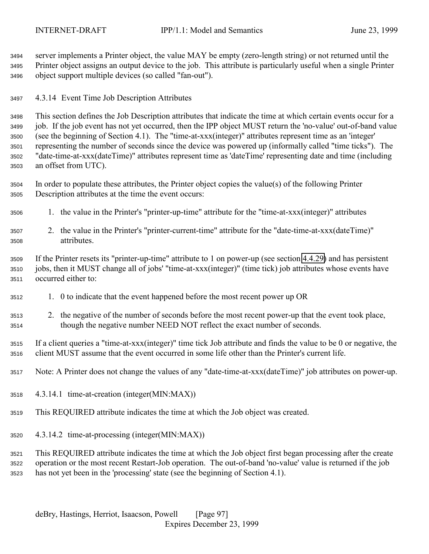server implements a Printer object, the value MAY be empty (zero-length string) or not returned until the Printer object assigns an output device to the job. This attribute is particularly useful when a single Printer object support multiple devices (so called "fan-out").

4.3.14 Event Time Job Description Attributes

 This section defines the Job Description attributes that indicate the time at which certain events occur for a job. If the job event has not yet occurred, then the IPP object MUST return the 'no-value' out-of-band value (see the beginning of Section 4.1). The "time-at-xxx(integer)" attributes represent time as an 'integer' representing the number of seconds since the device was powered up (informally called "time ticks"). The "date-time-at-xxx(dateTime)" attributes represent time as 'dateTime' representing date and time (including an offset from UTC).

 In order to populate these attributes, the Printer object copies the value(s) of the following Printer Description attributes at the time the event occurs:

- 1. the value in the Printer's "printer-up-time" attribute for the "time-at-xxx(integer)" attributes
- 2. the value in the Printer's "printer-current-time" attribute for the "date-time-at-xxx(dateTime)" attributes.

 If the Printer resets its "printer-up-time" attribute to 1 on power-up (see section [4.4.29\)](#page-113-0) and has persistent jobs, then it MUST change all of jobs' "time-at-xxx(integer)" (time tick) job attributes whose events have occurred either to:

- 1. 0 to indicate that the event happened before the most recent power up OR
- 2. the negative of the number of seconds before the most recent power-up that the event took place, though the negative number NEED NOT reflect the exact number of seconds.

 If a client queries a "time-at-xxx(integer)" time tick Job attribute and finds the value to be 0 or negative, the client MUST assume that the event occurred in some life other than the Printer's current life.

- Note: A Printer does not change the values of any "date-time-at-xxx(dateTime)" job attributes on power-up.
- 4.3.14.1 time-at-creation (integer(MIN:MAX))
- This REQUIRED attribute indicates the time at which the Job object was created.
- 4.3.14.2 time-at-processing (integer(MIN:MAX))

 This REQUIRED attribute indicates the time at which the Job object first began processing after the create operation or the most recent Restart-Job operation. The out-of-band 'no-value' value is returned if the job has not yet been in the 'processing' state (see the beginning of Section 4.1).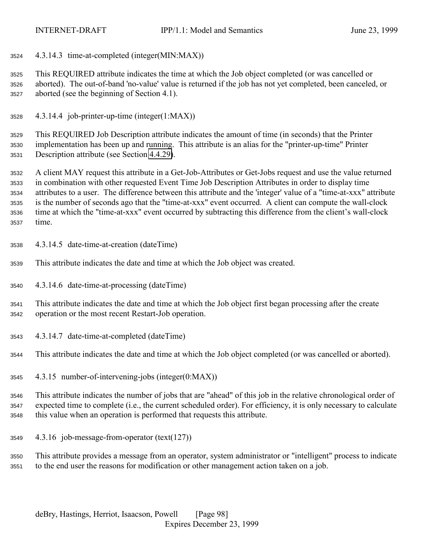4.3.14.3 time-at-completed (integer(MIN:MAX))

 This REQUIRED attribute indicates the time at which the Job object completed (or was cancelled or aborted). The out-of-band 'no-value' value is returned if the job has not yet completed, been canceled, or aborted (see the beginning of Section 4.1).

4.3.14.4 job-printer-up-time (integer(1:MAX))

 This REQUIRED Job Description attribute indicates the amount of time (in seconds) that the Printer implementation has been up and running. This attribute is an alias for the "printer-up-time" Printer Description attribute (see Section [4.4.29\)](#page-113-0).

 A client MAY request this attribute in a Get-Job-Attributes or Get-Jobs request and use the value returned in combination with other requested Event Time Job Description Attributes in order to display time attributes to a user. The difference between this attribute and the 'integer' value of a "time-at-xxx" attribute is the number of seconds ago that the "time-at-xxx" event occurred. A client can compute the wall-clock time at which the "time-at-xxx" event occurred by subtracting this difference from the client's wall-clock time.

- 4.3.14.5 date-time-at-creation (dateTime)
- This attribute indicates the date and time at which the Job object was created.
- 4.3.14.6 date-time-at-processing (dateTime)
- This attribute indicates the date and time at which the Job object first began processing after the create operation or the most recent Restart-Job operation.
- 4.3.14.7 date-time-at-completed (dateTime)
- This attribute indicates the date and time at which the Job object completed (or was cancelled or aborted).
- 4.3.15 number-of-intervening-jobs (integer(0:MAX))

 This attribute indicates the number of jobs that are "ahead" of this job in the relative chronological order of expected time to complete (i.e., the current scheduled order). For efficiency, it is only necessary to calculate this value when an operation is performed that requests this attribute.

4.3.16 job-message-from-operator (text(127))

 This attribute provides a message from an operator, system administrator or "intelligent" process to indicate to the end user the reasons for modification or other management action taken on a job.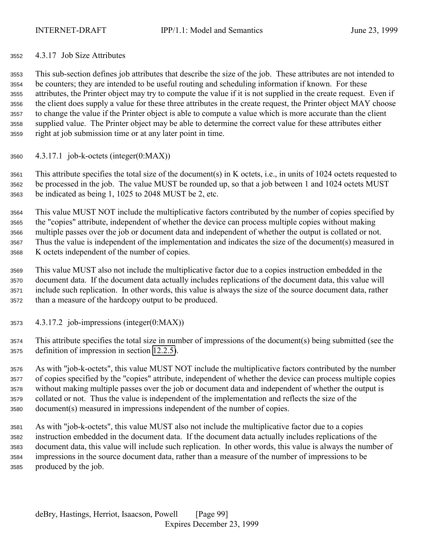# 4.3.17 Job Size Attributes

 This sub-section defines job attributes that describe the size of the job. These attributes are not intended to be counters; they are intended to be useful routing and scheduling information if known. For these attributes, the Printer object may try to compute the value if it is not supplied in the create request. Even if the client does supply a value for these three attributes in the create request, the Printer object MAY choose to change the value if the Printer object is able to compute a value which is more accurate than the client supplied value. The Printer object may be able to determine the correct value for these attributes either right at job submission time or at any later point in time.

4.3.17.1 job-k-octets (integer(0:MAX))

 This attribute specifies the total size of the document(s) in K octets, i.e., in units of 1024 octets requested to be processed in the job. The value MUST be rounded up, so that a job between 1 and 1024 octets MUST be indicated as being 1, 1025 to 2048 MUST be 2, etc.

 This value MUST NOT include the multiplicative factors contributed by the number of copies specified by the "copies" attribute, independent of whether the device can process multiple copies without making multiple passes over the job or document data and independent of whether the output is collated or not. Thus the value is independent of the implementation and indicates the size of the document(s) measured in K octets independent of the number of copies.

 This value MUST also not include the multiplicative factor due to a copies instruction embedded in the document data. If the document data actually includes replications of the document data, this value will include such replication. In other words, this value is always the size of the source document data, rather than a measure of the hardcopy output to be produced.

4.3.17.2 job-impressions (integer(0:MAX))

 This attribute specifies the total size in number of impressions of the document(s) being submitted (see the definition of impression in section [12.2.5\)](#page-143-0).

 As with "job-k-octets", this value MUST NOT include the multiplicative factors contributed by the number of copies specified by the "copies" attribute, independent of whether the device can process multiple copies without making multiple passes over the job or document data and independent of whether the output is collated or not. Thus the value is independent of the implementation and reflects the size of the document(s) measured in impressions independent of the number of copies.

 As with "job-k-octets", this value MUST also not include the multiplicative factor due to a copies instruction embedded in the document data. If the document data actually includes replications of the document data, this value will include such replication. In other words, this value is always the number of impressions in the source document data, rather than a measure of the number of impressions to be produced by the job.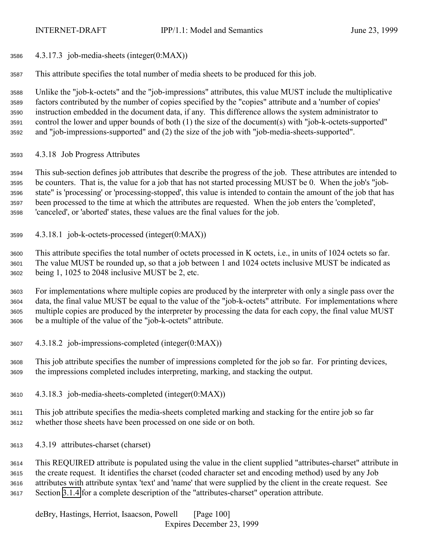4.3.17.3 job-media-sheets (integer(0:MAX))

This attribute specifies the total number of media sheets to be produced for this job.

 Unlike the "job-k-octets" and the "job-impressions" attributes, this value MUST include the multiplicative factors contributed by the number of copies specified by the "copies" attribute and a 'number of copies' instruction embedded in the document data, if any. This difference allows the system administrator to control the lower and upper bounds of both (1) the size of the document(s) with "job-k-octets-supported" and "job-impressions-supported" and (2) the size of the job with "job-media-sheets-supported".

4.3.18 Job Progress Attributes

 This sub-section defines job attributes that describe the progress of the job. These attributes are intended to be counters. That is, the value for a job that has not started processing MUST be 0. When the job's "job- state" is 'processing' or 'processing-stopped', this value is intended to contain the amount of the job that has been processed to the time at which the attributes are requested. When the job enters the 'completed', 'canceled', or 'aborted' states, these values are the final values for the job.

4.3.18.1 job-k-octets-processed (integer(0:MAX))

 This attribute specifies the total number of octets processed in K octets, i.e., in units of 1024 octets so far. The value MUST be rounded up, so that a job between 1 and 1024 octets inclusive MUST be indicated as being 1, 1025 to 2048 inclusive MUST be 2, etc.

 For implementations where multiple copies are produced by the interpreter with only a single pass over the data, the final value MUST be equal to the value of the "job-k-octets" attribute. For implementations where multiple copies are produced by the interpreter by processing the data for each copy, the final value MUST be a multiple of the value of the "job-k-octets" attribute.

4.3.18.2 job-impressions-completed (integer(0:MAX))

 This job attribute specifies the number of impressions completed for the job so far. For printing devices, the impressions completed includes interpreting, marking, and stacking the output.

4.3.18.3 job-media-sheets-completed (integer(0:MAX))

 This job attribute specifies the media-sheets completed marking and stacking for the entire job so far whether those sheets have been processed on one side or on both.

4.3.19 attributes-charset (charset)

 This REQUIRED attribute is populated using the value in the client supplied "attributes-charset" attribute in the create request. It identifies the charset (coded character set and encoding method) used by any Job attributes with attribute syntax 'text' and 'name' that were supplied by the client in the create request. See Section [3.1.4](#page-22-0) for a complete description of the "attributes-charset" operation attribute.

deBry, Hastings, Herriot, Isaacson, Powell [Page 100] Expires December 23, 1999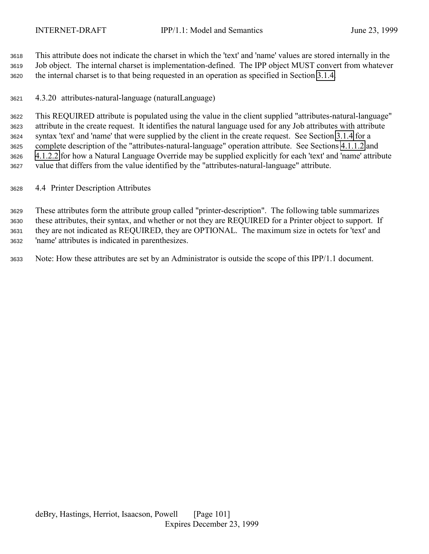This attribute does not indicate the charset in which the 'text' and 'name' values are stored internally in the Job object. The internal charset is implementation-defined. The IPP object MUST convert from whatever the internal charset is to that being requested in an operation as specified in Section [3.1.4.](#page-22-0)

4.3.20 attributes-natural-language (naturalLanguage)

 This REQUIRED attribute is populated using the value in the client supplied "attributes-natural-language" attribute in the create request. It identifies the natural language used for any Job attributes with attribute syntax 'text' and 'name' that were supplied by the client in the create request. See Section [3.1.4](#page-22-0) for a complete description of the "attributes-natural-language" operation attribute. See Sections [4.1.1.2](#page-65-0) and [4.1.2.2](#page-66-0) for how a Natural Language Override may be supplied explicitly for each 'text' and 'name' attribute value that differs from the value identified by the "attributes-natural-language" attribute.

# 4.4 Printer Description Attributes

 These attributes form the attribute group called "printer-description". The following table summarizes these attributes, their syntax, and whether or not they are REQUIRED for a Printer object to support. If they are not indicated as REQUIRED, they are OPTIONAL. The maximum size in octets for 'text' and 'name' attributes is indicated in parenthesizes.

Note: How these attributes are set by an Administrator is outside the scope of this IPP/1.1 document.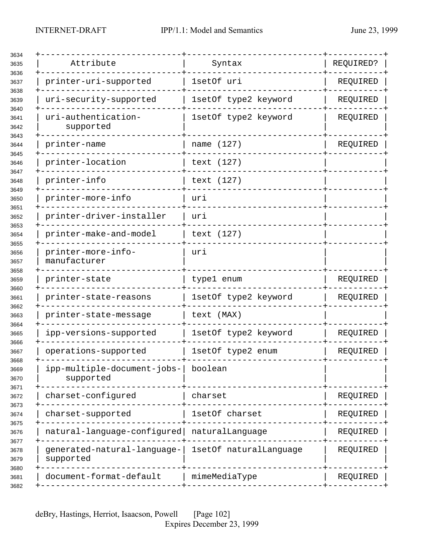| 3634                 |                                          |                        |           |
|----------------------|------------------------------------------|------------------------|-----------|
| 3635<br>3636         | Attribute                                | Syntax                 | REQUIRED? |
| 3637                 | printer-uri-supported                    | 1setOf uri             | REQUIRED  |
| 3638<br>3639         | uri-security-supported                   | 1setOf type2 keyword   | REQUIRED  |
| 3640<br>3641<br>3642 | uri-authentication-<br>supported         | 1setOf type2 keyword   | REQUIRED  |
| 3643<br>3644         | printer-name                             | name (127)             | REQUIRED  |
| 3645<br>3646         | printer-location                         | text (127)             |           |
| 3647<br>3648         | printer-info                             | text (127)             |           |
| 3649<br>3650         | printer-more-info                        | uri                    |           |
| 3651<br>3652         | printer-driver-installer                 | uri                    |           |
| 3653<br>3654         | printer-make-and-model                   | text (127)             |           |
| 3655<br>3656<br>3657 | printer-more-info-<br>manufacturer       | uri                    |           |
| 3658<br>3659         | printer-state                            | type1 enum             | REQUIRED  |
| 3660<br>3661         | printer-state-reasons                    | 1setOf type2 keyword   | REQUIRED  |
| 3662<br>3663         | printer-state-message                    | text (MAX)             |           |
| 3664<br>3665         | ipp-versions-supported                   | 1setOf type2 keyword   | REQUIRED  |
| 3666<br>3667         | operations-supported                     | 1setOf type2 enum      | REQUIRED  |
| 3668<br>3669<br>3670 | ipp-multiple-document-jobs-<br>supported | boolean                |           |
| 3671<br>3672         | charset-configured                       | charset                | REQUIRED  |
| 3673<br>3674         | charset-supported                        | 1setOf charset         | REQUIRED  |
| 3675<br>3676         | natural-language-configured              | naturalLanguage        | REQUIRED  |
| 3677<br>3678<br>3679 | generated-natural-language-<br>supported | 1setOf naturalLanguage | REQUIRED  |
| 3680<br>3681         | document-format-default                  | mimeMediaType          | REQUIRED  |
| 3682                 |                                          |                        |           |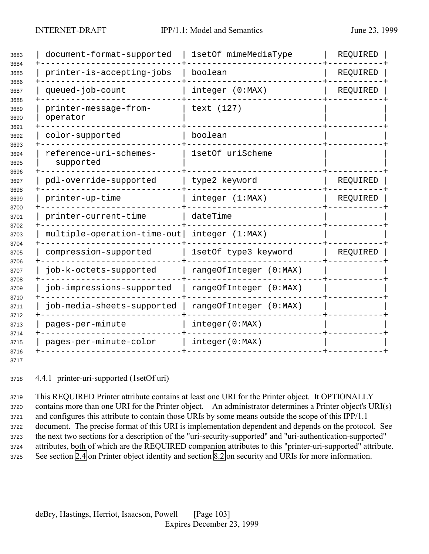| 3683<br>3684<br>3685<br>3686 | document-format-supported           | 1setOf mimeMediaType   | REQUIRED |
|------------------------------|-------------------------------------|------------------------|----------|
|                              | printer-is-accepting-jobs           | boolean                | REQUIRED |
| 3687                         | queued-job-count                    | integer (0:MAX)        | REQUIRED |
| 3688<br>3689<br>3690         | printer-message-from-<br>operator   | text (127)             |          |
| 3691<br>3692                 | color-supported                     | boolean                |          |
| 3693<br>3694<br>3695         | reference-uri-schemes-<br>supported | 1setOf uriScheme       |          |
| 3696<br>3697                 | pdl-override-supported              | type2 keyword          | REQUIRED |
| 3698<br>3699<br>3700         | printer-up-time                     | integer (1:MAX)        | REQUIRED |
| 3701                         | printer-current-time                | dateTime               |          |
| 3702<br>3703<br>3704         | multiple-operation-time-out         | integer (1:MAX)        |          |
| 3705<br>3706                 | compression-supported               | 1setOf type3 keyword   | REQUIRED |
| 3707<br>3708                 | job-k-octets-supported              | rangeOfInteger (0:MAX) |          |
|                              | job-impressions-supported           | rangeOfInteger (0:MAX) |          |
| 3710<br>3711<br>3712         | job-media-sheets-supported          | rangeOfInteger (0:MAX) |          |
|                              | pages-per-minute                    | integer(0:MAX)         |          |
| 3714                         | pages-per-minute-color              | integer(0:MAX)         |          |
| 3716<br>3717                 |                                     |                        |          |

4.4.1 printer-uri-supported (1setOf uri)

 This REQUIRED Printer attribute contains at least one URI for the Printer object. It OPTIONALLY contains more than one URI for the Printer object. An administrator determines a Printer object's URI(s) and configures this attribute to contain those URIs by some means outside the scope of this IPP/1.1 document. The precise format of this URI is implementation dependent and depends on the protocol. See the next two sections for a description of the "uri-security-supported" and "uri-authentication-supported" attributes, both of which are the REQUIRED companion attributes to this "printer-uri-supported" attribute. See section [2.4](#page-17-0) on Printer object identity and section [8.2](#page-129-0) on security and URIs for more information.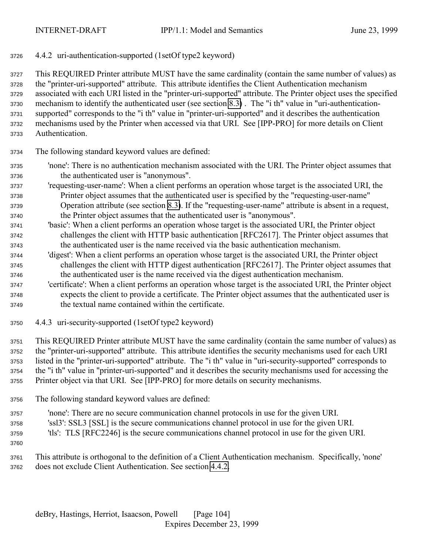4.4.2 uri-authentication-supported (1setOf type2 keyword)

 This REQUIRED Printer attribute MUST have the same cardinality (contain the same number of values) as the "printer-uri-supported" attribute. This attribute identifies the Client Authentication mechanism associated with each URI listed in the "printer-uri-supported" attribute. The Printer object uses the specified mechanism to identify the authenticated user (see section [8.3\)](#page-130-0) . The "i th" value in "uri-authentication- supported" corresponds to the "i th" value in "printer-uri-supported" and it describes the authentication mechanisms used by the Printer when accessed via that URI. See [IPP-PRO] for more details on Client Authentication.

- The following standard keyword values are defined:
- 'none': There is no authentication mechanism associated with the URI. The Printer object assumes that the authenticated user is "anonymous".
- 'requesting-user-name': When a client performs an operation whose target is the associated URI, the Printer object assumes that the authenticated user is specified by the "requesting-user-name" Operation attribute (see section [8.3\)](#page-130-0). If the "requesting-user-name" attribute is absent in a request, the Printer object assumes that the authenticated user is "anonymous".
- 'basic': When a client performs an operation whose target is the associated URI, the Printer object challenges the client with HTTP basic authentication [RFC2617]. The Printer object assumes that the authenticated user is the name received via the basic authentication mechanism.
- 'digest': When a client performs an operation whose target is the associated URI, the Printer object challenges the client with HTTP digest authentication [RFC2617]. The Printer object assumes that the authenticated user is the name received via the digest authentication mechanism.
- 'certificate': When a client performs an operation whose target is the associated URI, the Printer object expects the client to provide a certificate. The Printer object assumes that the authenticated user is the textual name contained within the certificate.
- 4.4.3 uri-security-supported (1setOf type2 keyword)

 This REQUIRED Printer attribute MUST have the same cardinality (contain the same number of values) as the "printer-uri-supported" attribute. This attribute identifies the security mechanisms used for each URI listed in the "printer-uri-supported" attribute. The "i th" value in "uri-security-supported" corresponds to the "i th" value in "printer-uri-supported" and it describes the security mechanisms used for accessing the Printer object via that URI. See [IPP-PRO] for more details on security mechanisms.

- The following standard keyword values are defined:
- 'none': There are no secure communication channel protocols in use for the given URI.
- 'ssl3': SSL3 [SSL] is the secure communications channel protocol in use for the given URI.
- 'tls': TLS [RFC2246] is the secure communications channel protocol in use for the given URI.
- 
- This attribute is orthogonal to the definition of a Client Authentication mechanism. Specifically, 'none' does not exclude Client Authentication. See section 4.4.2.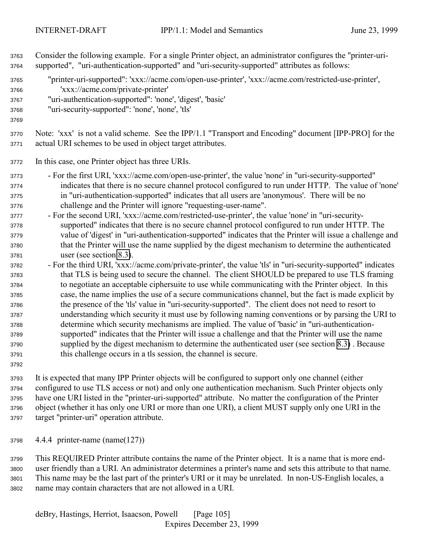Consider the following example. For a single Printer object, an administrator configures the "printer-uri- supported", "uri-authentication-supported" and "uri-security-supported" attributes as follows: "printer-uri-supported": 'xxx://acme.com/open-use-printer', 'xxx://acme.com/restricted-use-printer', 'xxx://acme.com/private-printer' "uri-authentication-supported": 'none', 'digest', 'basic' "uri-security-supported": 'none', 'none', 'tls' Note: 'xxx' is not a valid scheme. See the IPP/1.1 "Transport and Encoding" document [IPP-PRO] for the actual URI schemes to be used in object target attributes. In this case, one Printer object has three URIs. - For the first URI, 'xxx://acme.com/open-use-printer', the value 'none' in "uri-security-supported" indicates that there is no secure channel protocol configured to run under HTTP. The value of 'none' in "uri-authentication-supported" indicates that all users are 'anonymous'. There will be no challenge and the Printer will ignore "requesting-user-name". - For the second URI, 'xxx://acme.com/restricted-use-printer', the value 'none' in "uri-security- supported" indicates that there is no secure channel protocol configured to run under HTTP. The value of 'digest' in "uri-authentication-supported" indicates that the Printer will issue a challenge and that the Printer will use the name supplied by the digest mechanism to determine the authenticated user (see section [8.3\)](#page-130-0). - For the third URI, 'xxx://acme.com/private-printer', the value 'tls' in "uri-security-supported" indicates that TLS is being used to secure the channel. The client SHOULD be prepared to use TLS framing to negotiate an acceptable ciphersuite to use while communicating with the Printer object. In this case, the name implies the use of a secure communications channel, but the fact is made explicit by the presence of the 'tls' value in "uri-security-supported". The client does not need to resort to understanding which security it must use by following naming conventions or by parsing the URI to determine which security mechanisms are implied. The value of 'basic' in "uri-authentication- supported" indicates that the Printer will issue a challenge and that the Printer will use the name supplied by the digest mechanism to determine the authenticated user (see section [8.3\)](#page-130-0) . Because this challenge occurs in a tls session, the channel is secure. 

 It is expected that many IPP Printer objects will be configured to support only one channel (either configured to use TLS access or not) and only one authentication mechanism. Such Printer objects only have one URI listed in the "printer-uri-supported" attribute. No matter the configuration of the Printer object (whether it has only one URI or more than one URI), a client MUST supply only one URI in the target "printer-uri" operation attribute.

4.4.4 printer-name (name(127))

 This REQUIRED Printer attribute contains the name of the Printer object. It is a name that is more end- user friendly than a URI. An administrator determines a printer's name and sets this attribute to that name. This name may be the last part of the printer's URI or it may be unrelated. In non-US-English locales, a name may contain characters that are not allowed in a URI.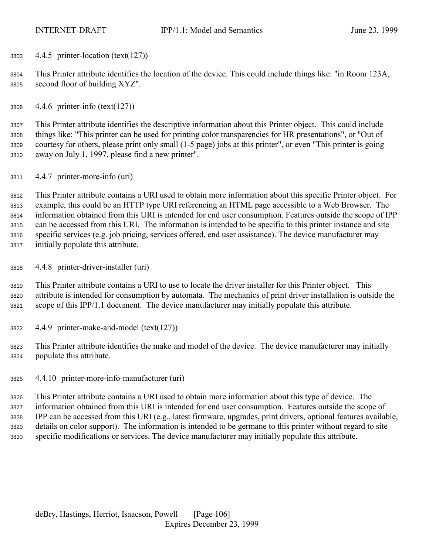4.4.5 printer-location (text(127))

 This Printer attribute identifies the location of the device. This could include things like: "in Room 123A, second floor of building XYZ".

4.4.6 printer-info (text(127))

 This Printer attribute identifies the descriptive information about this Printer object. This could include things like: "This printer can be used for printing color transparencies for HR presentations", or "Out of courtesy for others, please print only small (1-5 page) jobs at this printer", or even "This printer is going away on July 1, 1997, please find a new printer".

4.4.7 printer-more-info (uri)

 This Printer attribute contains a URI used to obtain more information about this specific Printer object. For example, this could be an HTTP type URI referencing an HTML page accessible to a Web Browser. The information obtained from this URI is intended for end user consumption. Features outside the scope of IPP can be accessed from this URI. The information is intended to be specific to this printer instance and site specific services (e.g. job pricing, services offered, end user assistance). The device manufacturer may initially populate this attribute.

4.4.8 printer-driver-installer (uri)

 This Printer attribute contains a URI to use to locate the driver installer for this Printer object. This attribute is intended for consumption by automata. The mechanics of print driver installation is outside the scope of this IPP/1.1 document. The device manufacturer may initially populate this attribute.

- 4.4.9 printer-make-and-model (text(127))
- This Printer attribute identifies the make and model of the device. The device manufacturer may initially populate this attribute.
- 4.4.10 printer-more-info-manufacturer (uri)

 This Printer attribute contains a URI used to obtain more information about this type of device. The information obtained from this URI is intended for end user consumption. Features outside the scope of IPP can be accessed from this URI (e.g., latest firmware, upgrades, print drivers, optional features available, details on color support). The information is intended to be germane to this printer without regard to site specific modifications or services. The device manufacturer may initially populate this attribute.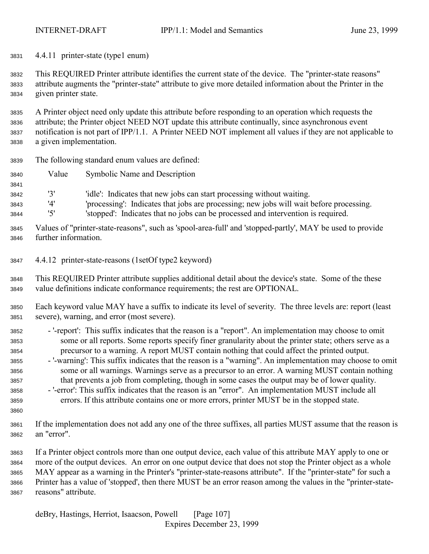4.4.11 printer-state (type1 enum)

 This REQUIRED Printer attribute identifies the current state of the device. The "printer-state reasons" attribute augments the "printer-state" attribute to give more detailed information about the Printer in the given printer state.

 A Printer object need only update this attribute before responding to an operation which requests the attribute; the Printer object NEED NOT update this attribute continually, since asynchronous event notification is not part of IPP/1.1. A Printer NEED NOT implement all values if they are not applicable to a given implementation.

- The following standard enum values are defined:
- Value Symbolic Name and Description
- '3' 'idle': Indicates that new jobs can start processing without waiting.
- '4' 'processing': Indicates that jobs are processing; new jobs will wait before processing.

'5' 'stopped': Indicates that no jobs can be processed and intervention is required.

- Values of "printer-state-reasons", such as 'spool-area-full' and 'stopped-partly', MAY be used to provide further information.
- 4.4.12 printer-state-reasons (1setOf type2 keyword)
- This REQUIRED Printer attribute supplies additional detail about the device's state. Some of the these value definitions indicate conformance requirements; the rest are OPTIONAL.
- Each keyword value MAY have a suffix to indicate its level of severity. The three levels are: report (least severe), warning, and error (most severe).
- '-report': This suffix indicates that the reason is a "report". An implementation may choose to omit some or all reports. Some reports specify finer granularity about the printer state; others serve as a precursor to a warning. A report MUST contain nothing that could affect the printed output.
- '-warning': This suffix indicates that the reason is a "warning". An implementation may choose to omit some or all warnings. Warnings serve as a precursor to an error. A warning MUST contain nothing that prevents a job from completing, though in some cases the output may be of lower quality.
- '-error': This suffix indicates that the reason is an "error". An implementation MUST include all errors. If this attribute contains one or more errors, printer MUST be in the stopped state.
- If the implementation does not add any one of the three suffixes, all parties MUST assume that the reason is an "error".

 If a Printer object controls more than one output device, each value of this attribute MAY apply to one or more of the output devices. An error on one output device that does not stop the Printer object as a whole MAY appear as a warning in the Printer's "printer-state-reasons attribute". If the "printer-state" for such a Printer has a value of 'stopped', then there MUST be an error reason among the values in the "printer-state-reasons" attribute.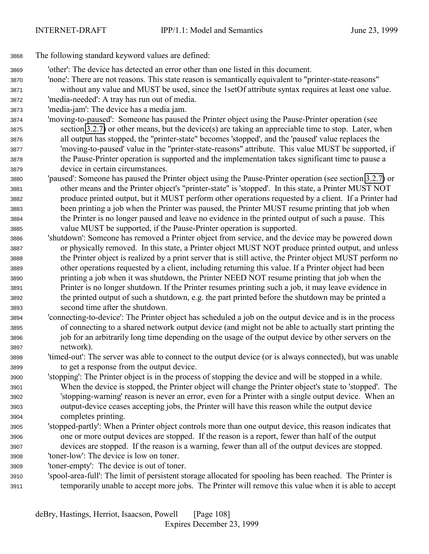- The following standard keyword values are defined:
- 'other': The device has detected an error other than one listed in this document.
- 'none': There are not reasons. This state reason is semantically equivalent to "printer-state-reasons"
- without any value and MUST be used, since the 1setOf attribute syntax requires at least one value.
- 'media-needed': A tray has run out of media.
- 'media-jam': The device has a media jam.
- 'moving-to-paused': Someone has paused the Printer object using the Pause-Printer operation (see section [3.2.7\)](#page-48-0) or other means, but the device(s) are taking an appreciable time to stop. Later, when all output has stopped, the "printer-state" becomes 'stopped', and the 'paused' value replaces the 'moving-to-paused' value in the "printer-state-reasons" attribute. This value MUST be supported, if the Pause-Printer operation is supported and the implementation takes significant time to pause a device in certain circumstances.
- 'paused': Someone has paused the Printer object using the Pause-Printer operation (see section [3.2.7\)](#page-48-0) or other means and the Printer object's "printer-state" is 'stopped'. In this state, a Printer MUST NOT produce printed output, but it MUST perform other operations requested by a client. If a Printer had been printing a job when the Printer was paused, the Printer MUST resume printing that job when the Printer is no longer paused and leave no evidence in the printed output of such a pause. This value MUST be supported, if the Pause-Printer operation is supported.
- 'shutdown': Someone has removed a Printer object from service, and the device may be powered down or physically removed. In this state, a Printer object MUST NOT produce printed output, and unless the Printer object is realized by a print server that is still active, the Printer object MUST perform no other operations requested by a client, including returning this value. If a Printer object had been printing a job when it was shutdown, the Printer NEED NOT resume printing that job when the Printer is no longer shutdown. If the Printer resumes printing such a job, it may leave evidence in the printed output of such a shutdown, e.g. the part printed before the shutdown may be printed a second time after the shutdown.
- 'connecting-to-device': The Printer object has scheduled a job on the output device and is in the process of connecting to a shared network output device (and might not be able to actually start printing the job for an arbitrarily long time depending on the usage of the output device by other servers on the network).
- 'timed-out': The server was able to connect to the output device (or is always connected), but was unable to get a response from the output device.
- 'stopping': The Printer object is in the process of stopping the device and will be stopped in a while. When the device is stopped, the Printer object will change the Printer object's state to 'stopped'. The 'stopping-warning' reason is never an error, even for a Printer with a single output device. When an output-device ceases accepting jobs, the Printer will have this reason while the output device completes printing.
- 'stopped-partly': When a Printer object controls more than one output device, this reason indicates that one or more output devices are stopped. If the reason is a report, fewer than half of the output devices are stopped. If the reason is a warning, fewer than all of the output devices are stopped. 'toner-low': The device is low on toner.
- 
- 'toner-empty': The device is out of toner.
- 'spool-area-full': The limit of persistent storage allocated for spooling has been reached. The Printer is temporarily unable to accept more jobs. The Printer will remove this value when it is able to accept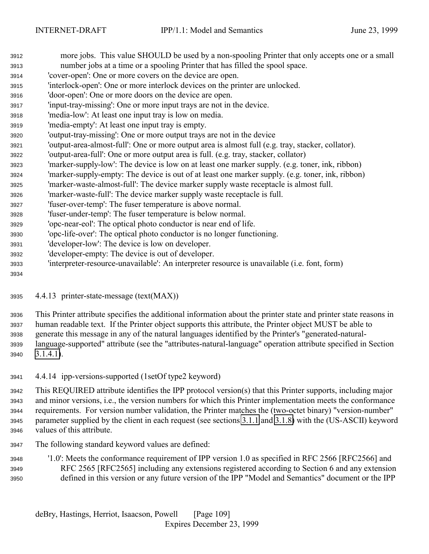- more jobs. This value SHOULD be used by a non-spooling Printer that only accepts one or a small number jobs at a time or a spooling Printer that has filled the spool space.
- 'cover-open': One or more covers on the device are open.
- 'interlock-open': One or more interlock devices on the printer are unlocked.
- 'door-open': One or more doors on the device are open.
- 'input-tray-missing': One or more input trays are not in the device.
- 'media-low': At least one input tray is low on media.
- 'media-empty': At least one input tray is empty.
- 'output-tray-missing': One or more output trays are not in the device
- 'output-area-almost-full': One or more output area is almost full (e.g. tray, stacker, collator).
- 'output-area-full': One or more output area is full. (e.g. tray, stacker, collator)
- 'marker-supply-low': The device is low on at least one marker supply. (e.g. toner, ink, ribbon)
- 'marker-supply-empty: The device is out of at least one marker supply. (e.g. toner, ink, ribbon)
- 'marker-waste-almost-full': The device marker supply waste receptacle is almost full.
- 'marker-waste-full': The device marker supply waste receptacle is full.
- 'fuser-over-temp': The fuser temperature is above normal.
- 'fuser-under-temp': The fuser temperature is below normal.
- 'opc-near-eol': The optical photo conductor is near end of life.
- 'opc-life-over': The optical photo conductor is no longer functioning.
- 'developer-low': The device is low on developer.
- 'developer-empty: The device is out of developer.
- 'interpreter-resource-unavailable': An interpreter resource is unavailable (i.e. font, form)
- 
- 4.4.13 printer-state-message (text(MAX))

 This Printer attribute specifies the additional information about the printer state and printer state reasons in human readable text. If the Printer object supports this attribute, the Printer object MUST be able to generate this message in any of the natural languages identified by the Printer's "generated-natural- language-supported" attribute (see the "attributes-natural-language" operation attribute specified in Section [3.1.4.1\)](#page-23-0).

4.4.14 ipp-versions-supported (1setOf type2 keyword)

 This REQUIRED attribute identifies the IPP protocol version(s) that this Printer supports, including major and minor versions, i.e., the version numbers for which this Printer implementation meets the conformance requirements. For version number validation, the Printer matches the (two-octet binary) "version-number" parameter supplied by the client in each request (see sections [3.1.1](#page-20-0) and [3.1.8\)](#page-31-0) with the (US-ASCII) keyword values of this attribute.

The following standard keyword values are defined:

 '1.0': Meets the conformance requirement of IPP version 1.0 as specified in RFC 2566 [RFC2566] and RFC 2565 [RFC2565] including any extensions registered according to Section 6 and any extension defined in this version or any future version of the IPP "Model and Semantics" document or the IPP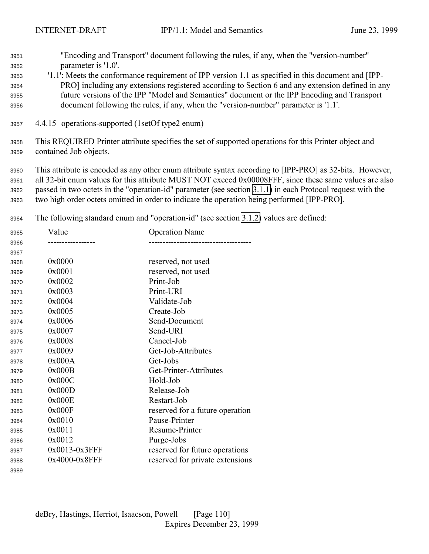<span id="page-109-0"></span>

| 3951 | "Encoding and Transport" document following the rules, if any, when the "version-number"            |
|------|-----------------------------------------------------------------------------------------------------|
| 3952 | parameter is '1.0'.                                                                                 |
| 3953 | '1.1': Meets the conformance requirement of IPP version 1.1 as specified in this document and [IPP- |
| 3954 | PRO] including any extensions registered according to Section 6 and any extension defined in any    |
| 3955 | future versions of the IPP "Model and Semantics" document or the IPP Encoding and Transport         |
| 3956 | document following the rules, if any, when the "version-number" parameter is '1.1'.                 |
| 3957 | 4.4.15 operations-supported (1setOf type2 enum)                                                     |

 This REQUIRED Printer attribute specifies the set of supported operations for this Printer object and contained Job objects.

 This attribute is encoded as any other enum attribute syntax according to [IPP-PRO] as 32-bits. However, all 32-bit enum values for this attribute MUST NOT exceed 0x00008FFF, since these same values are also passed in two octets in the "operation-id" parameter (see section [3.1.1\)](#page-20-0) in each Protocol request with the two high order octets omitted in order to indicate the operation being performed [IPP-PRO].

The following standard enum and "operation-id" (see section [3.1.2\)](#page-21-0) values are defined:

| 3965 | Value         | <b>Operation Name</b>           |
|------|---------------|---------------------------------|
| 3966 |               |                                 |
| 3967 |               |                                 |
| 3968 | 0x0000        | reserved, not used              |
| 3969 | 0x0001        | reserved, not used              |
| 3970 | 0x0002        | Print-Job                       |
| 3971 | 0x0003        | Print-URI                       |
| 3972 | 0x0004        | Validate-Job                    |
| 3973 | 0x0005        | Create-Job                      |
| 3974 | 0x0006        | Send-Document                   |
| 3975 | 0x0007        | Send-URI                        |
| 3976 | 0x0008        | Cancel-Job                      |
| 3977 | 0x0009        | Get-Job-Attributes              |
| 3978 | 0x000A        | Get-Jobs                        |
| 3979 | 0x000B        | Get-Printer-Attributes          |
| 3980 | 0x000C        | Hold-Job                        |
| 3981 | 0x000D        | Release-Job                     |
| 3982 | 0x000E        | Restart-Job                     |
| 3983 | 0x000F        | reserved for a future operation |
| 3984 | 0x0010        | Pause-Printer                   |
| 3985 | 0x0011        | Resume-Printer                  |
| 3986 | 0x0012        | Purge-Jobs                      |
| 3987 | 0x0013-0x3FFF | reserved for future operations  |
| 3988 | 0x4000-0x8FFF | reserved for private extensions |
| 3989 |               |                                 |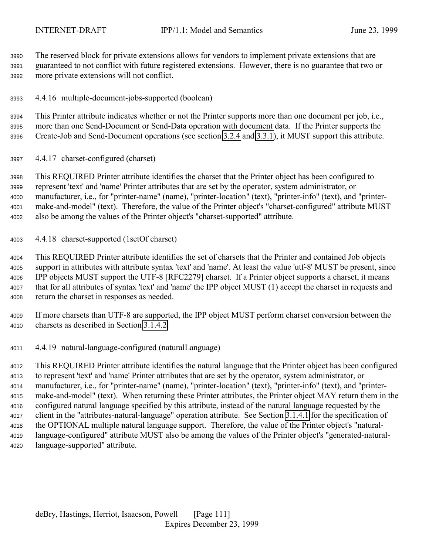The reserved block for private extensions allows for vendors to implement private extensions that are guaranteed to not conflict with future registered extensions. However, there is no guarantee that two or more private extensions will not conflict.

4.4.16 multiple-document-jobs-supported (boolean)

 This Printer attribute indicates whether or not the Printer supports more than one document per job, i.e., more than one Send-Document or Send-Data operation with document data. If the Printer supports the Create-Job and Send-Document operations (see section [3.2.4](#page-41-0) and [3.3.1\)](#page-51-0), it MUST support this attribute.

4.4.17 charset-configured (charset)

 This REQUIRED Printer attribute identifies the charset that the Printer object has been configured to represent 'text' and 'name' Printer attributes that are set by the operator, system administrator, or manufacturer, i.e., for "printer-name" (name), "printer-location" (text), "printer-info" (text), and "printer- make-and-model" (text). Therefore, the value of the Printer object's "charset-configured" attribute MUST also be among the values of the Printer object's "charset-supported" attribute.

4.4.18 charset-supported (1setOf charset)

 This REQUIRED Printer attribute identifies the set of charsets that the Printer and contained Job objects support in attributes with attribute syntax 'text' and 'name'. At least the value 'utf-8' MUST be present, since IPP objects MUST support the UTF-8 [RFC2279] charset. If a Printer object supports a charset, it means that for all attributes of syntax 'text' and 'name' the IPP object MUST (1) accept the charset in requests and return the charset in responses as needed.

 If more charsets than UTF-8 are supported, the IPP object MUST perform charset conversion between the charsets as described in Section [3.1.4.2.](#page-26-0)

4.4.19 natural-language-configured (naturalLanguage)

 This REQUIRED Printer attribute identifies the natural language that the Printer object has been configured to represent 'text' and 'name' Printer attributes that are set by the operator, system administrator, or manufacturer, i.e., for "printer-name" (name), "printer-location" (text), "printer-info" (text), and "printer- make-and-model" (text). When returning these Printer attributes, the Printer object MAY return them in the configured natural language specified by this attribute, instead of the natural language requested by the client in the "attributes-natural-language" operation attribute. See Section [3.1.4.1](#page-23-0) for the specification of the OPTIONAL multiple natural language support. Therefore, the value of the Printer object's "natural- language-configured" attribute MUST also be among the values of the Printer object's "generated-natural-language-supported" attribute.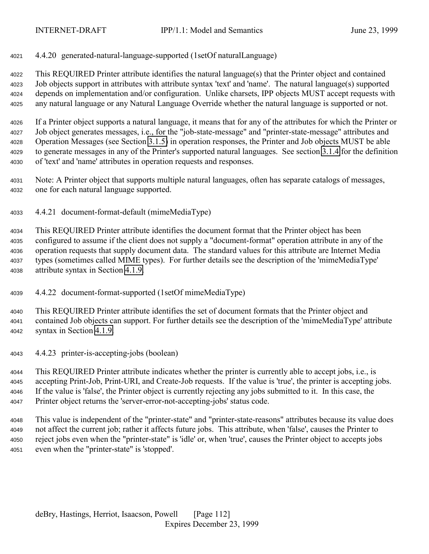4.4.20 generated-natural-language-supported (1setOf naturalLanguage)

 This REQUIRED Printer attribute identifies the natural language(s) that the Printer object and contained Job objects support in attributes with attribute syntax 'text' and 'name'. The natural language(s) supported depends on implementation and/or configuration. Unlike charsets, IPP objects MUST accept requests with any natural language or any Natural Language Override whether the natural language is supported or not.

 If a Printer object supports a natural language, it means that for any of the attributes for which the Printer or Job object generates messages, i.e., for the "job-state-message" and "printer-state-message" attributes and Operation Messages (see Section [3.1.5\)](#page-28-0) in operation responses, the Printer and Job objects MUST be able to generate messages in any of the Printer's supported natural languages. See section [3.1.4](#page-22-0) for the definition of 'text' and 'name' attributes in operation requests and responses.

 Note: A Printer object that supports multiple natural languages, often has separate catalogs of messages, one for each natural language supported.

4.4.21 document-format-default (mimeMediaType)

 This REQUIRED Printer attribute identifies the document format that the Printer object has been configured to assume if the client does not supply a "document-format" operation attribute in any of the operation requests that supply document data. The standard values for this attribute are Internet Media types (sometimes called MIME types). For further details see the description of the 'mimeMediaType' attribute syntax in Section [4.1.9.](#page-70-0)

4.4.22 document-format-supported (1setOf mimeMediaType)

 This REQUIRED Printer attribute identifies the set of document formats that the Printer object and contained Job objects can support. For further details see the description of the 'mimeMediaType' attribute syntax in Section [4.1.9.](#page-70-0)

4.4.23 printer-is-accepting-jobs (boolean)

 This REQUIRED Printer attribute indicates whether the printer is currently able to accept jobs, i.e., is accepting Print-Job, Print-URI, and Create-Job requests. If the value is 'true', the printer is accepting jobs. If the value is 'false', the Printer object is currently rejecting any jobs submitted to it. In this case, the Printer object returns the 'server-error-not-accepting-jobs' status code.

 This value is independent of the "printer-state" and "printer-state-reasons" attributes because its value does not affect the current job; rather it affects future jobs. This attribute, when 'false', causes the Printer to reject jobs even when the "printer-state" is 'idle' or, when 'true', causes the Printer object to accepts jobs even when the "printer-state" is 'stopped'.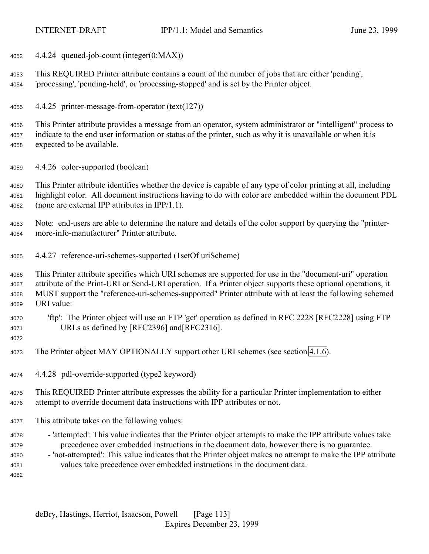4.4.24 queued-job-count (integer(0:MAX))

 This REQUIRED Printer attribute contains a count of the number of jobs that are either 'pending', 'processing', 'pending-held', or 'processing-stopped' and is set by the Printer object.

4.4.25 printer-message-from-operator (text(127))

 This Printer attribute provides a message from an operator, system administrator or "intelligent" process to indicate to the end user information or status of the printer, such as why it is unavailable or when it is expected to be available.

4.4.26 color-supported (boolean)

 This Printer attribute identifies whether the device is capable of any type of color printing at all, including highlight color. All document instructions having to do with color are embedded within the document PDL (none are external IPP attributes in IPP/1.1).

 Note: end-users are able to determine the nature and details of the color support by querying the "printer-more-info-manufacturer" Printer attribute.

4.4.27 reference-uri-schemes-supported (1setOf uriScheme)

 This Printer attribute specifies which URI schemes are supported for use in the "document-uri" operation attribute of the Print-URI or Send-URI operation. If a Printer object supports these optional operations, it MUST support the "reference-uri-schemes-supported" Printer attribute with at least the following schemed URI value:

- 'ftp': The Printer object will use an FTP 'get' operation as defined in RFC 2228 [RFC2228] using FTP URLs as defined by [RFC2396] and[RFC2316].
- 

The Printer object MAY OPTIONALLY support other URI schemes (see section [4.1.6\)](#page-69-0).

4.4.28 pdl-override-supported (type2 keyword)

 This REQUIRED Printer attribute expresses the ability for a particular Printer implementation to either attempt to override document data instructions with IPP attributes or not.

- This attribute takes on the following values:
- 'attempted': This value indicates that the Printer object attempts to make the IPP attribute values take precedence over embedded instructions in the document data, however there is no guarantee.
- 'not-attempted': This value indicates that the Printer object makes no attempt to make the IPP attribute values take precedence over embedded instructions in the document data.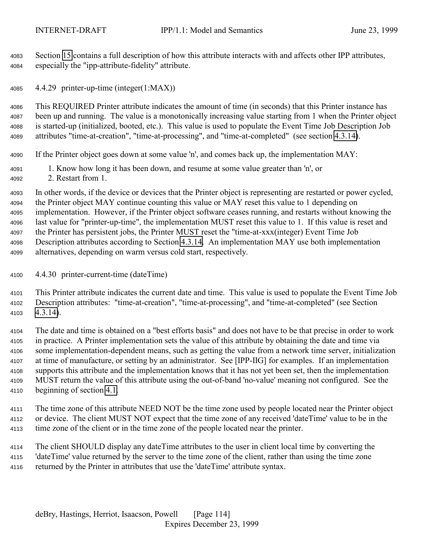Section [15](#page-158-0) contains a full description of how this attribute interacts with and affects other IPP attributes, especially the "ipp-attribute-fidelity" attribute.

4.4.29 printer-up-time (integer(1:MAX))

 This REQUIRED Printer attribute indicates the amount of time (in seconds) that this Printer instance has been up and running. The value is a monotonically increasing value starting from 1 when the Printer object is started-up (initialized, booted, etc.). This value is used to populate the Event Time Job Description Job attributes "time-at-creation", "time-at-processing", and "time-at-completed" (see section [4.3.14\)](#page-96-0).

If the Printer object goes down at some value 'n', and comes back up, the implementation MAY:

- 1. Know how long it has been down, and resume at some value greater than 'n', or
- 2. Restart from 1.

 In other words, if the device or devices that the Printer object is representing are restarted or power cycled, the Printer object MAY continue counting this value or MAY reset this value to 1 depending on implementation. However, if the Printer object software ceases running, and restarts without knowing the last value for "printer-up-time", the implementation MUST reset this value to 1. If this value is reset and the Printer has persistent jobs, the Printer MUST reset the "time-at-xxx(integer) Event Time Job Description attributes according to Section [4.3.14.](#page-96-0) An implementation MAY use both implementation alternatives, depending on warm versus cold start, respectively.

4.4.30 printer-current-time (dateTime)

 This Printer attribute indicates the current date and time. This value is used to populate the Event Time Job Description attributes: "time-at-creation", "time-at-processing", and "time-at-completed" (see Section [4.3.14\)](#page-96-0).

 The date and time is obtained on a "best efforts basis" and does not have to be that precise in order to work in practice. A Printer implementation sets the value of this attribute by obtaining the date and time via some implementation-dependent means, such as getting the value from a network time server, initialization at time of manufacture, or setting by an administrator. See [IPP-IIG] for examples. If an implementation supports this attribute and the implementation knows that it has not yet been set, then the implementation MUST return the value of this attribute using the out-of-band 'no-value' meaning not configured. See the beginning of section [4.1.](#page-63-0)

 The time zone of this attribute NEED NOT be the time zone used by people located near the Printer object or device. The client MUST NOT expect that the time zone of any received 'dateTime' value to be in the time zone of the client or in the time zone of the people located near the printer.

 The client SHOULD display any dateTime attributes to the user in client local time by converting the 'dateTime' value returned by the server to the time zone of the client, rather than using the time zone returned by the Printer in attributes that use the 'dateTime' attribute syntax.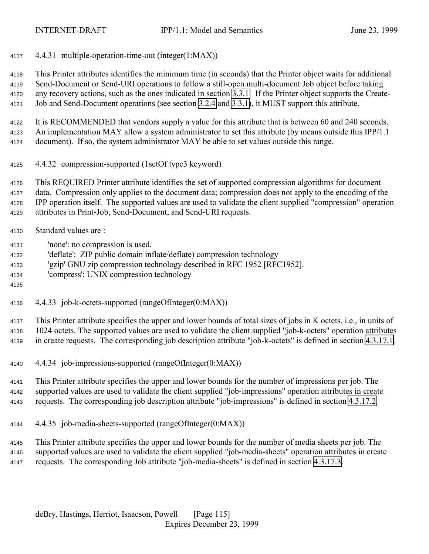4.4.31 multiple-operation-time-out (integer(1:MAX))

 This Printer attributes identifies the minimum time (in seconds) that the Printer object waits for additional Send-Document or Send-URI operations to follow a still-open multi-document Job object before taking any recovery actions, such as the ones indicated in section [3.3.1.](#page-51-0) If the Printer object supports the Create-Job and Send-Document operations (see section [3.2.4](#page-41-0) and [3.3.1\)](#page-51-0), it MUST support this attribute.

 It is RECOMMENDED that vendors supply a value for this attribute that is between 60 and 240 seconds. An implementation MAY allow a system administrator to set this attribute (by means outside this IPP/1.1 document). If so, the system administrator MAY be able to set values outside this range.

4.4.32 compression-supported (1setOf type3 keyword)

 This REQUIRED Printer attribute identifies the set of supported compression algorithms for document data. Compression only applies to the document data; compression does not apply to the encoding of the IPP operation itself. The supported values are used to validate the client supplied "compression" operation attributes in Print-Job, Send-Document, and Send-URI requests.

- Standard values are :
- 'none': no compression is used.
- 'deflate': ZIP public domain inflate/deflate) compression technology
- 'gzip' GNU zip compression technology described in RFC 1952 [RFC1952].
- 'compress': UNIX compression technology
- 
- 4.4.33 job-k-octets-supported (rangeOfInteger(0:MAX))

 This Printer attribute specifies the upper and lower bounds of total sizes of jobs in K octets, i.e., in units of 1024 octets. The supported values are used to validate the client supplied "job-k-octets" operation attributes in create requests. The corresponding job description attribute "job-k-octets" is defined in section [4.3.17.1.](#page-98-0)

4.4.34 job-impressions-supported (rangeOfInteger(0:MAX))

 This Printer attribute specifies the upper and lower bounds for the number of impressions per job. The supported values are used to validate the client supplied "job-impressions" operation attributes in create requests. The corresponding job description attribute "job-impressions" is defined in section [4.3.17.2.](#page-98-0)

4.4.35 job-media-sheets-supported (rangeOfInteger(0:MAX))

 This Printer attribute specifies the upper and lower bounds for the number of media sheets per job. The supported values are used to validate the client supplied "job-media-sheets" operation attributes in create requests. The corresponding Job attribute "job-media-sheets" is defined in section [4.3.17.3.](#page-99-0)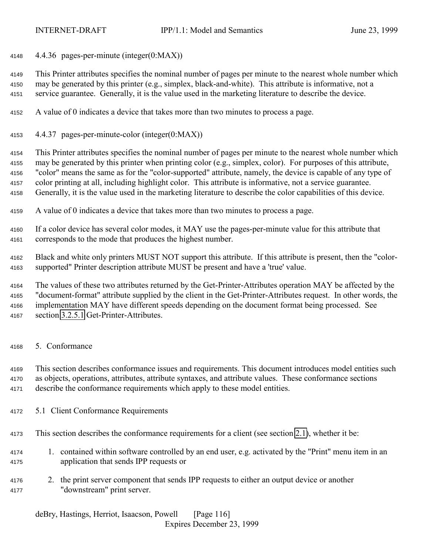4.4.36 pages-per-minute (integer(0:MAX))

 This Printer attributes specifies the nominal number of pages per minute to the nearest whole number which may be generated by this printer (e.g., simplex, black-and-white). This attribute is informative, not a service guarantee. Generally, it is the value used in the marketing literature to describe the device.

- A value of 0 indicates a device that takes more than two minutes to process a page.
- 4.4.37 pages-per-minute-color (integer(0:MAX))

 This Printer attributes specifies the nominal number of pages per minute to the nearest whole number which may be generated by this printer when printing color (e.g., simplex, color). For purposes of this attribute, "color" means the same as for the "color-supported" attribute, namely, the device is capable of any type of color printing at all, including highlight color. This attribute is informative, not a service guarantee. Generally, it is the value used in the marketing literature to describe the color capabilities of this device.

A value of 0 indicates a device that takes more than two minutes to process a page.

 If a color device has several color modes, it MAY use the pages-per-minute value for this attribute that corresponds to the mode that produces the highest number.

 Black and white only printers MUST NOT support this attribute. If this attribute is present, then the "color-supported" Printer description attribute MUST be present and have a 'true' value.

 The values of these two attributes returned by the Get-Printer-Attributes operation MAY be affected by the "document-format" attribute supplied by the client in the Get-Printer-Attributes request. In other words, the implementation MAY have different speeds depending on the document format being processed. See section [3.2.5.1](#page-42-0) Get-Printer-Attributes.

5. Conformance

 This section describes conformance issues and requirements. This document introduces model entities such as objects, operations, attributes, attribute syntaxes, and attribute values. These conformance sections describe the conformance requirements which apply to these model entities.

- 5.1 Client Conformance Requirements
- This section describes the conformance requirements for a client (see section [2.1\)](#page-12-0), whether it be:
- 1. contained within software controlled by an end user, e.g. activated by the "Print" menu item in an application that sends IPP requests or
- 2. the print server component that sends IPP requests to either an output device or another "downstream" print server.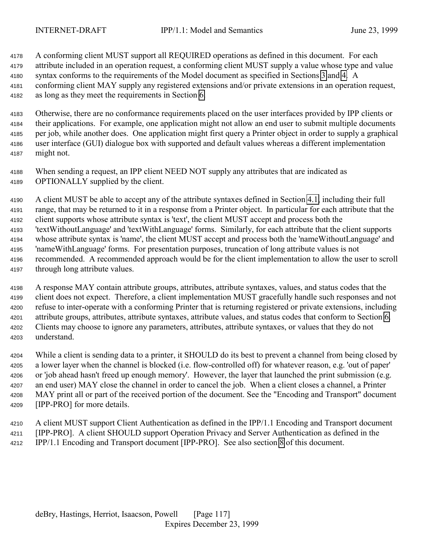A conforming client MUST support all REQUIRED operations as defined in this document. For each attribute included in an operation request, a conforming client MUST supply a value whose type and value syntax conforms to the requirements of the Model document as specified in Sections [3](#page-19-0) and [4.](#page-63-0) A conforming client MAY supply any registered extensions and/or private extensions in an operation request, as long as they meet the requirements in Section [6.](#page-120-0)

 Otherwise, there are no conformance requirements placed on the user interfaces provided by IPP clients or their applications. For example, one application might not allow an end user to submit multiple documents per job, while another does. One application might first query a Printer object in order to supply a graphical user interface (GUI) dialogue box with supported and default values whereas a different implementation might not.

 When sending a request, an IPP client NEED NOT supply any attributes that are indicated as OPTIONALLY supplied by the client.

 A client MUST be able to accept any of the attribute syntaxes defined in Section [4.1,](#page-63-0) including their full range, that may be returned to it in a response from a Printer object. In particular for each attribute that the client supports whose attribute syntax is 'text', the client MUST accept and process both the 'textWithoutLanguage' and 'textWithLanguage' forms. Similarly, for each attribute that the client supports whose attribute syntax is 'name', the client MUST accept and process both the 'nameWithoutLanguage' and 'nameWithLanguage' forms. For presentation purposes, truncation of long attribute values is not recommended. A recommended approach would be for the client implementation to allow the user to scroll through long attribute values.

 A response MAY contain attribute groups, attributes, attribute syntaxes, values, and status codes that the client does not expect. Therefore, a client implementation MUST gracefully handle such responses and not refuse to inter-operate with a conforming Printer that is returning registered or private extensions, including attribute groups, attributes, attribute syntaxes, attribute values, and status codes that conform to Section [6.](#page-120-0) Clients may choose to ignore any parameters, attributes, attribute syntaxes, or values that they do not understand.

 While a client is sending data to a printer, it SHOULD do its best to prevent a channel from being closed by a lower layer when the channel is blocked (i.e. flow-controlled off) for whatever reason, e.g. 'out of paper' or 'job ahead hasn't freed up enough memory'. However, the layer that launched the print submission (e.g. an end user) MAY close the channel in order to cancel the job. When a client closes a channel, a Printer MAY print all or part of the received portion of the document. See the "Encoding and Transport" document [IPP-PRO] for more details.

 A client MUST support Client Authentication as defined in the IPP/1.1 Encoding and Transport document [IPP-PRO]. A client SHOULD support Operation Privacy and Server Authentication as defined in the IPP/1.1 Encoding and Transport document [IPP-PRO]. See also section [8](#page-128-0) of this document.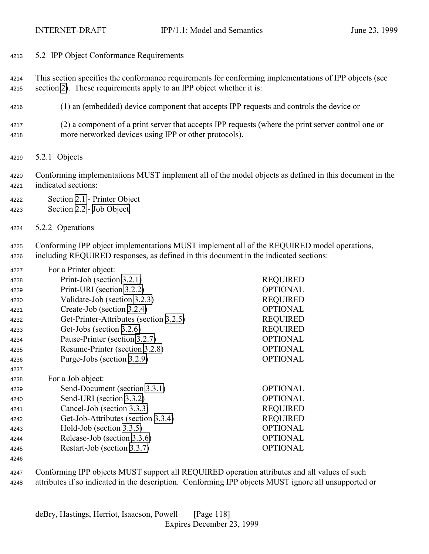- 5.2 IPP Object Conformance Requirements
- This section specifies the conformance requirements for conforming implementations of IPP objects (see section [2\)](#page-12-0). These requirements apply to an IPP object whether it is:
- (1) an (embedded) device component that accepts IPP requests and controls the device or
- (2) a component of a print server that accepts IPP requests (where the print server control one or more networked devices using IPP or other protocols).
- 5.2.1 Objects
- Conforming implementations MUST implement all of the model objects as defined in this document in the indicated sections:
- Section [2.1](#page-12-0)  Printer Object
- Section [2.2](#page-15-0) - [Job Object](#page-15-0)
- 5.2.2 Operations

 Conforming IPP object implementations MUST implement all of the REQUIRED model operations, including REQUIRED responses, as defined in this document in the indicated sections:

| 4227 | For a Printer object:                  |                 |
|------|----------------------------------------|-----------------|
| 4228 | Print-Job (section 3.2.1)              | <b>REQUIRED</b> |
| 4229 | Print-URI (section 3.2.2)              | <b>OPTIONAL</b> |
| 4230 | Validate-Job (section 3.2.3)           | <b>REQUIRED</b> |
| 4231 | Create-Job (section 3.2.4)             | <b>OPTIONAL</b> |
| 4232 | Get-Printer-Attributes (section 3.2.5) | <b>REQUIRED</b> |
| 4233 | Get-Jobs (section 3.2.6)               | <b>REQUIRED</b> |
| 4234 | Pause-Printer (section 3.2.7)          | <b>OPTIONAL</b> |
| 4235 | Resume-Printer (section 3.2.8)         | <b>OPTIONAL</b> |
| 4236 | Purge-Jobs (section 3.2.9)             | <b>OPTIONAL</b> |
| 4237 |                                        |                 |
| 4238 | For a Job object:                      |                 |
| 4239 | Send-Document (section 3.3.1)          | <b>OPTIONAL</b> |
| 4240 | Send-URI (section 3.3.2)               | <b>OPTIONAL</b> |
| 4241 | Cancel-Job (section 3.3.3)             | <b>REQUIRED</b> |
| 4242 | Get-Job-Attributes (section 3.3.4)     | <b>REQUIRED</b> |
| 4243 | Hold-Job (section 3.3.5)               | <b>OPTIONAL</b> |
| 4244 | Release-Job (section 3.3.6)            | <b>OPTIONAL</b> |
| 4245 | Restart-Job (section 3.3.7)            | <b>OPTIONAL</b> |
|      |                                        |                 |

 Conforming IPP objects MUST support all REQUIRED operation attributes and all values of such attributes if so indicated in the description. Conforming IPP objects MUST ignore all unsupported or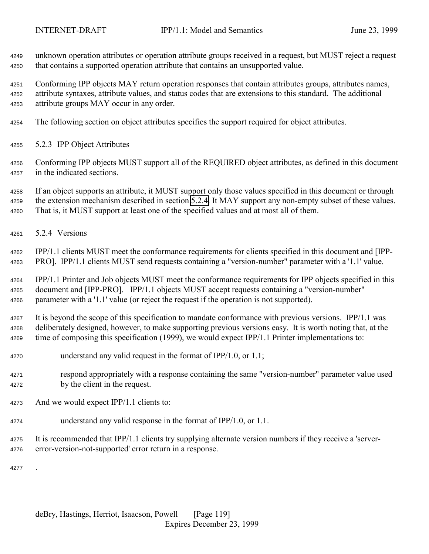unknown operation attributes or operation attribute groups received in a request, but MUST reject a request that contains a supported operation attribute that contains an unsupported value.

 Conforming IPP objects MAY return operation responses that contain attributes groups, attributes names, attribute syntaxes, attribute values, and status codes that are extensions to this standard. The additional attribute groups MAY occur in any order.

- The following section on object attributes specifies the support required for object attributes.
- 5.2.3 IPP Object Attributes
- Conforming IPP objects MUST support all of the REQUIRED object attributes, as defined in this document in the indicated sections.

 If an object supports an attribute, it MUST support only those values specified in this document or through the extension mechanism described in section [5.2.4.](#page-119-0) It MAY support any non-empty subset of these values. That is, it MUST support at least one of the specified values and at most all of them.

5.2.4 Versions

 IPP/1.1 clients MUST meet the conformance requirements for clients specified in this document and [IPP-PRO]. IPP/1.1 clients MUST send requests containing a "version-number" parameter with a '1.1' value.

 IPP/1.1 Printer and Job objects MUST meet the conformance requirements for IPP objects specified in this document and [IPP-PRO]. IPP/1.1 objects MUST accept requests containing a "version-number" parameter with a '1.1' value (or reject the request if the operation is not supported).

 It is beyond the scope of this specification to mandate conformance with previous versions. IPP/1.1 was deliberately designed, however, to make supporting previous versions easy. It is worth noting that, at the time of composing this specification (1999), we would expect IPP/1.1 Printer implementations to:

- understand any valid request in the format of IPP/1.0, or 1.1;
- respond appropriately with a response containing the same "version-number" parameter value used by the client in the request.
- And we would expect IPP/1.1 clients to:
- understand any valid response in the format of IPP/1.0, or 1.1.
- It is recommended that IPP/1.1 clients try supplying alternate version numbers if they receive a 'server-error-version-not-supported' error return in a response.

.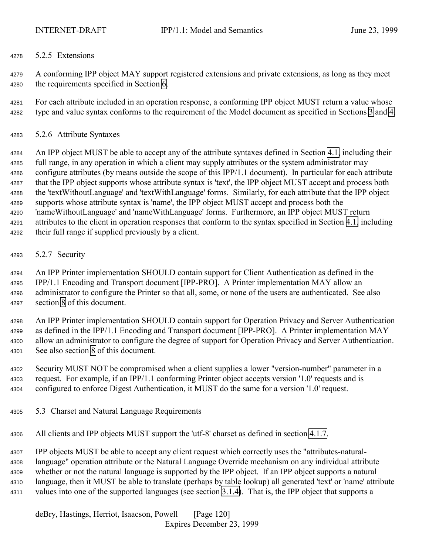## <span id="page-119-0"></span>5.2.5 Extensions

 A conforming IPP object MAY support registered extensions and private extensions, as long as they meet the requirements specified in Section [6.](#page-120-0)

 For each attribute included in an operation response, a conforming IPP object MUST return a value whose type and value syntax conforms to the requirement of the Model document as specified in Sections [3](#page-19-0) and [4.](#page-63-0)

5.2.6 Attribute Syntaxes

 An IPP object MUST be able to accept any of the attribute syntaxes defined in Section [4.1,](#page-63-0) including their full range, in any operation in which a client may supply attributes or the system administrator may configure attributes (by means outside the scope of this IPP/1.1 document). In particular for each attribute that the IPP object supports whose attribute syntax is 'text', the IPP object MUST accept and process both the 'textWithoutLanguage' and 'textWithLanguage' forms. Similarly, for each attribute that the IPP object supports whose attribute syntax is 'name', the IPP object MUST accept and process both the 'nameWithoutLanguage' and 'nameWithLanguage' forms. Furthermore, an IPP object MUST return attributes to the client in operation responses that conform to the syntax specified in Section [4.1,](#page-63-0) including their full range if supplied previously by a client.

5.2.7 Security

 An IPP Printer implementation SHOULD contain support for Client Authentication as defined in the IPP/1.1 Encoding and Transport document [IPP-PRO]. A Printer implementation MAY allow an administrator to configure the Printer so that all, some, or none of the users are authenticated. See also section [8](#page-128-0) of this document.

 An IPP Printer implementation SHOULD contain support for Operation Privacy and Server Authentication as defined in the IPP/1.1 Encoding and Transport document [IPP-PRO]. A Printer implementation MAY allow an administrator to configure the degree of support for Operation Privacy and Server Authentication. See also section [8](#page-128-0) of this document.

 Security MUST NOT be compromised when a client supplies a lower "version-number" parameter in a request. For example, if an IPP/1.1 conforming Printer object accepts version '1.0' requests and is configured to enforce Digest Authentication, it MUST do the same for a version '1.0' request.

5.3 Charset and Natural Language Requirements

All clients and IPP objects MUST support the 'utf-8' charset as defined in section [4.1.7.](#page-69-0)

 IPP objects MUST be able to accept any client request which correctly uses the "attributes-natural- language" operation attribute or the Natural Language Override mechanism on any individual attribute whether or not the natural language is supported by the IPP object. If an IPP object supports a natural language, then it MUST be able to translate (perhaps by table lookup) all generated 'text' or 'name' attribute values into one of the supported languages (see section [3.1.4\)](#page-22-0). That is, the IPP object that supports a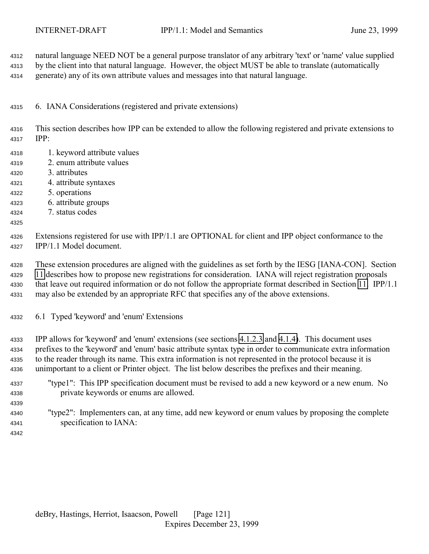<span id="page-120-0"></span> natural language NEED NOT be a general purpose translator of any arbitrary 'text' or 'name' value supplied by the client into that natural language. However, the object MUST be able to translate (automatically generate) any of its own attribute values and messages into that natural language.

6. IANA Considerations (registered and private extensions)

 This section describes how IPP can be extended to allow the following registered and private extensions to IPP:

- 1. keyword attribute values
- 2. enum attribute values
- 3. attributes
- 4. attribute syntaxes
- 5. operations
- 6. attribute groups
- 7. status codes
- 

 Extensions registered for use with IPP/1.1 are OPTIONAL for client and IPP object conformance to the IPP/1.1 Model document.

 These extension procedures are aligned with the guidelines as set forth by the IESG [IANA-CON]. Section [11](#page-137-0) describes how to propose new registrations for consideration. IANA will reject registration proposals that leave out required information or do not follow the appropriate format described in Section [11.](#page-137-0) IPP/1.1 may also be extended by an appropriate RFC that specifies any of the above extensions.

6.1 Typed 'keyword' and 'enum' Extensions

 IPP allows for 'keyword' and 'enum' extensions (see sections [4.1.2.3](#page-67-0) and [4.1.4\)](#page-68-0). This document uses prefixes to the 'keyword' and 'enum' basic attribute syntax type in order to communicate extra information to the reader through its name. This extra information is not represented in the protocol because it is unimportant to a client or Printer object. The list below describes the prefixes and their meaning.

- "type1": This IPP specification document must be revised to add a new keyword or a new enum. No private keywords or enums are allowed.
- "type2": Implementers can, at any time, add new keyword or enum values by proposing the complete specification to IANA:
-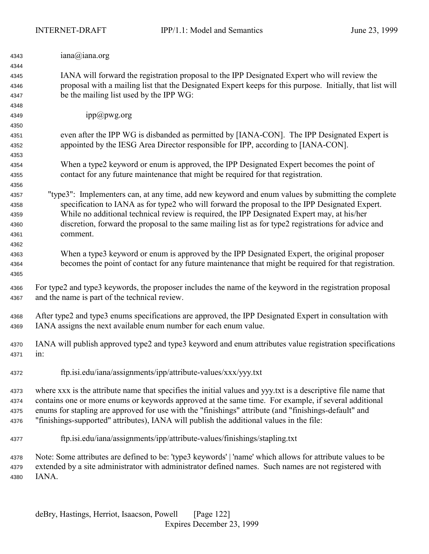| 4343 | iana@iana.org                                                                                                 |
|------|---------------------------------------------------------------------------------------------------------------|
| 4344 |                                                                                                               |
| 4345 | IANA will forward the registration proposal to the IPP Designated Expert who will review the                  |
| 4346 | proposal with a mailing list that the Designated Expert keeps for this purpose. Initially, that list will     |
| 4347 | be the mailing list used by the IPP WG:                                                                       |
| 4348 |                                                                                                               |
| 4349 | ipp@pwg.org                                                                                                   |
| 4350 |                                                                                                               |
| 4351 | even after the IPP WG is disbanded as permitted by [IANA-CON]. The IPP Designated Expert is                   |
| 4352 | appointed by the IESG Area Director responsible for IPP, according to [IANA-CON].                             |
| 4353 |                                                                                                               |
| 4354 | When a type2 keyword or enum is approved, the IPP Designated Expert becomes the point of                      |
| 4355 | contact for any future maintenance that might be required for that registration.                              |
| 4356 |                                                                                                               |
| 4357 | "type3": Implementers can, at any time, add new keyword and enum values by submitting the complete            |
| 4358 | specification to IANA as for type2 who will forward the proposal to the IPP Designated Expert.                |
| 4359 | While no additional technical review is required, the IPP Designated Expert may, at his/her                   |
| 4360 | discretion, forward the proposal to the same mailing list as for type2 registrations for advice and           |
| 4361 | comment.                                                                                                      |
| 4362 |                                                                                                               |
| 4363 | When a type3 keyword or enum is approved by the IPP Designated Expert, the original proposer                  |
| 4364 | becomes the point of contact for any future maintenance that might be required for that registration.         |
| 4365 |                                                                                                               |
|      | For type2 and type3 keywords, the proposer includes the name of the keyword in the registration proposal      |
| 4366 | and the name is part of the technical review.                                                                 |
| 4367 |                                                                                                               |
| 4368 | After type2 and type3 enums specifications are approved, the IPP Designated Expert in consultation with       |
| 4369 | IANA assigns the next available enum number for each enum value.                                              |
|      |                                                                                                               |
| 4370 | IANA will publish approved type2 and type3 keyword and enum attributes value registration specifications      |
| 4371 | $1n$ :                                                                                                        |
|      |                                                                                                               |
| 4372 | ftp.isi.edu/iana/assignments/ipp/attribute-values/xxx/yyy.txt                                                 |
|      |                                                                                                               |
| 4373 | where xxx is the attribute name that specifies the initial values and yyy.txt is a descriptive file name that |
| 4374 | contains one or more enums or keywords approved at the same time. For example, if several additional          |
| 4375 | enums for stapling are approved for use with the "finishings" attribute (and "finishings-default" and         |
| 4376 | "finishings-supported" attributes), IANA will publish the additional values in the file:                      |
| 4377 | ftp.isi.edu/iana/assignments/ipp/attribute-values/finishings/stapling.txt                                     |
| 4378 | Note: Some attributes are defined to be: 'type3 keywords'   'name' which allows for attribute values to be    |
| 4379 | extended by a site administrator with administrator defined names. Such names are not registered with         |
| 4380 | IANA.                                                                                                         |
|      |                                                                                                               |
|      |                                                                                                               |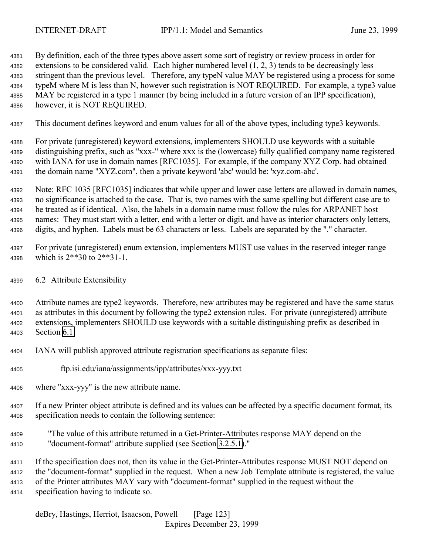<span id="page-122-0"></span> By definition, each of the three types above assert some sort of registry or review process in order for extensions to be considered valid. Each higher numbered level (1, 2, 3) tends to be decreasingly less stringent than the previous level. Therefore, any typeN value MAY be registered using a process for some typeM where M is less than N, however such registration is NOT REQUIRED. For example, a type3 value MAY be registered in a type 1 manner (by being included in a future version of an IPP specification), however, it is NOT REQUIRED.

This document defines keyword and enum values for all of the above types, including type3 keywords.

 For private (unregistered) keyword extensions, implementers SHOULD use keywords with a suitable distinguishing prefix, such as "xxx-" where xxx is the (lowercase) fully qualified company name registered with IANA for use in domain names [RFC1035]. For example, if the company XYZ Corp. had obtained the domain name "XYZ.com", then a private keyword 'abc' would be: 'xyz.com-abc'.

 Note: RFC 1035 [RFC1035] indicates that while upper and lower case letters are allowed in domain names, no significance is attached to the case. That is, two names with the same spelling but different case are to be treated as if identical. Also, the labels in a domain name must follow the rules for ARPANET host names: They must start with a letter, end with a letter or digit, and have as interior characters only letters, digits, and hyphen. Labels must be 63 characters or less. Labels are separated by the "." character.

 For private (unregistered) enum extension, implementers MUST use values in the reserved integer range which is 2\*\*30 to 2\*\*31-1.

6.2 Attribute Extensibility

 Attribute names are type2 keywords. Therefore, new attributes may be registered and have the same status as attributes in this document by following the type2 extension rules. For private (unregistered) attribute extensions, implementers SHOULD use keywords with a suitable distinguishing prefix as described in Section [6.1.](#page-120-0)

IANA will publish approved attribute registration specifications as separate files:

- ftp.isi.edu/iana/assignments/ipp/attributes/xxx-yyy.txt
- where "xxx-yyy" is the new attribute name.
- If a new Printer object attribute is defined and its values can be affected by a specific document format, its specification needs to contain the following sentence:
- "The value of this attribute returned in a Get-Printer-Attributes response MAY depend on the "document-format" attribute supplied (see Section [3.2.5.1\)](#page-42-0)."
- If the specification does not, then its value in the Get-Printer-Attributes response MUST NOT depend on the "document-format" supplied in the request. When a new Job Template attribute is registered, the value of the Printer attributes MAY vary with "document-format" supplied in the request without the

specification having to indicate so.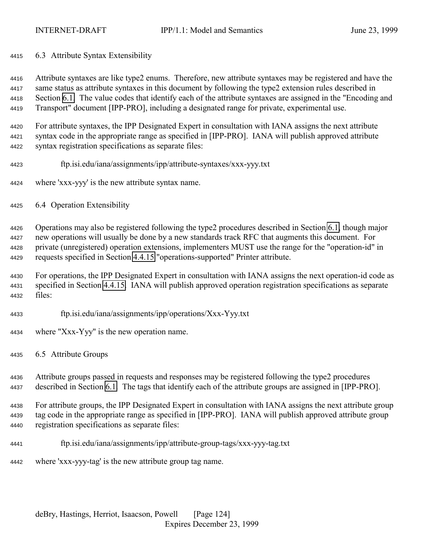6.3 Attribute Syntax Extensibility

 Attribute syntaxes are like type2 enums. Therefore, new attribute syntaxes may be registered and have the same status as attribute syntaxes in this document by following the type2 extension rules described in Section [6.1.](#page-120-0) The value codes that identify each of the attribute syntaxes are assigned in the "Encoding and Transport" document [IPP-PRO], including a designated range for private, experimental use.

 For attribute syntaxes, the IPP Designated Expert in consultation with IANA assigns the next attribute syntax code in the appropriate range as specified in [IPP-PRO]. IANA will publish approved attribute syntax registration specifications as separate files:

- ftp.isi.edu/iana/assignments/ipp/attribute-syntaxes/xxx-yyy.txt
- where 'xxx-yyy' is the new attribute syntax name.
- 6.4 Operation Extensibility

 Operations may also be registered following the type2 procedures described in Section [6.1,](#page-120-0) though major new operations will usually be done by a new standards track RFC that augments this document. For private (unregistered) operation extensions, implementers MUST use the range for the "operation-id" in requests specified in Section [4.4.15](#page-109-0) "operations-supported" Printer attribute.

 For operations, the IPP Designated Expert in consultation with IANA assigns the next operation-id code as specified in Section [4.4.15.](#page-109-0) IANA will publish approved operation registration specifications as separate files:

- ftp.isi.edu/iana/assignments/ipp/operations/Xxx-Yyy.txt
- where "Xxx-Yyy" is the new operation name.
- 6.5 Attribute Groups

 Attribute groups passed in requests and responses may be registered following the type2 procedures described in Section [6.1.](#page-120-0) The tags that identify each of the attribute groups are assigned in [IPP-PRO].

 For attribute groups, the IPP Designated Expert in consultation with IANA assigns the next attribute group tag code in the appropriate range as specified in [IPP-PRO]. IANA will publish approved attribute group registration specifications as separate files:

ftp.isi.edu/iana/assignments/ipp/attribute-group-tags/xxx-yyy-tag.txt

where 'xxx-yyy-tag' is the new attribute group tag name.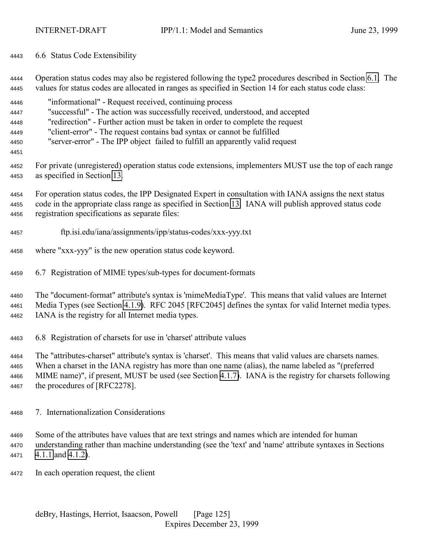- 6.6 Status Code Extensibility
- Operation status codes may also be registered following the type2 procedures described in Section [6.1.](#page-120-0) The values for status codes are allocated in ranges as specified in Section 14 for each status code class:
- "informational" Request received, continuing process "successful" - The action was successfully received, understood, and accepted "redirection" - Further action must be taken in order to complete the request
- "client-error" The request contains bad syntax or cannot be fulfilled
- "server-error" The IPP object failed to fulfill an apparently valid request
- 
- For private (unregistered) operation status code extensions, implementers MUST use the top of each range as specified in Section [13.](#page-143-0)
- For operation status codes, the IPP Designated Expert in consultation with IANA assigns the next status code in the appropriate class range as specified in Section [13.](#page-143-0) IANA will publish approved status code registration specifications as separate files:
- ftp.isi.edu/iana/assignments/ipp/status-codes/xxx-yyy.txt
- where "xxx-yyy" is the new operation status code keyword.
- 6.7 Registration of MIME types/sub-types for document-formats

 The "document-format" attribute's syntax is 'mimeMediaType'. This means that valid values are Internet Media Types (see Section [4.1.9\)](#page-70-0). RFC 2045 [RFC2045] defines the syntax for valid Internet media types. IANA is the registry for all Internet media types.

6.8 Registration of charsets for use in 'charset' attribute values

 The "attributes-charset" attribute's syntax is 'charset'. This means that valid values are charsets names. When a charset in the IANA registry has more than one name (alias), the name labeled as "(preferred MIME name)", if present, MUST be used (see Section [4.1.7\)](#page-69-0). IANA is the registry for charsets following the procedures of [RFC2278].

- 7. Internationalization Considerations
- Some of the attributes have values that are text strings and names which are intended for human understanding rather than machine understanding (see the 'text' and 'name' attribute syntaxes in Sections [4.1.1](#page-64-0) and [4.1.2\)](#page-66-0).
- In each operation request, the client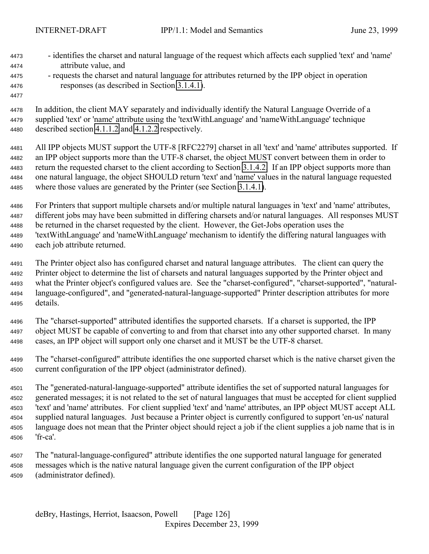- identifies the charset and natural language of the request which affects each supplied 'text' and 'name'

- attribute value, and - requests the charset and natural language for attributes returned by the IPP object in operation responses (as described in Section [3.1.4.1\)](#page-23-0). In addition, the client MAY separately and individually identify the Natural Language Override of a supplied 'text' or 'name' attribute using the 'textWithLanguage' and 'nameWithLanguage' technique described section [4.1.1.2](#page-65-0) and [4.1.2.2](#page-66-0) respectively. All IPP objects MUST support the UTF-8 [RFC2279] charset in all 'text' and 'name' attributes supported. If an IPP object supports more than the UTF-8 charset, the object MUST convert between them in order to return the requested charset to the client according to Section [3.1.4.2.](#page-26-0) If an IPP object supports more than one natural language, the object SHOULD return 'text' and 'name' values in the natural language requested where those values are generated by the Printer (see Section [3.1.4.1\)](#page-23-0). For Printers that support multiple charsets and/or multiple natural languages in 'text' and 'name' attributes, different jobs may have been submitted in differing charsets and/or natural languages. All responses MUST be returned in the charset requested by the client. However, the Get-Jobs operation uses the 'textWithLanguage' and 'nameWithLanguage' mechanism to identify the differing natural languages with each job attribute returned. The Printer object also has configured charset and natural language attributes. The client can query the Printer object to determine the list of charsets and natural languages supported by the Printer object and what the Printer object's configured values are. See the "charset-configured", "charset-supported", "natural- language-configured", and "generated-natural-language-supported" Printer description attributes for more details. The "charset-supported" attributed identifies the supported charsets. If a charset is supported, the IPP object MUST be capable of converting to and from that charset into any other supported charset. In many cases, an IPP object will support only one charset and it MUST be the UTF-8 charset. The "charset-configured" attribute identifies the one supported charset which is the native charset given the current configuration of the IPP object (administrator defined). The "generated-natural-language-supported" attribute identifies the set of supported natural languages for generated messages; it is not related to the set of natural languages that must be accepted for client supplied 'text' and 'name' attributes. For client supplied 'text' and 'name' attributes, an IPP object MUST accept ALL
- supplied natural languages. Just because a Printer object is currently configured to support 'en-us' natural language does not mean that the Printer object should reject a job if the client supplies a job name that is in 'fr-ca'.
- The "natural-language-configured" attribute identifies the one supported natural language for generated messages which is the native natural language given the current configuration of the IPP object (administrator defined).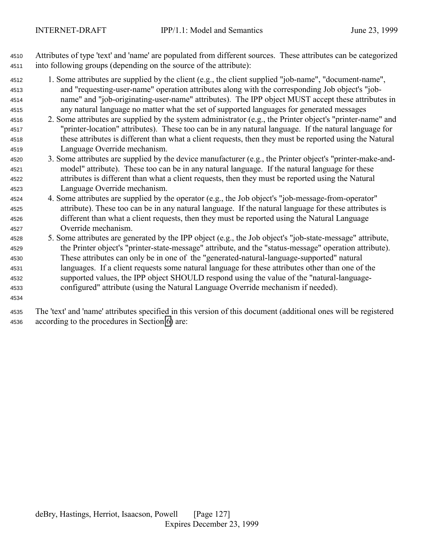Attributes of type 'text' and 'name' are populated from different sources. These attributes can be categorized into following groups (depending on the source of the attribute):

- 1. Some attributes are supplied by the client (e.g., the client supplied "job-name", "document-name", and "requesting-user-name" operation attributes along with the corresponding Job object's "job- name" and "job-originating-user-name" attributes). The IPP object MUST accept these attributes in any natural language no matter what the set of supported languages for generated messages
- 2. Some attributes are supplied by the system administrator (e.g., the Printer object's "printer-name" and "printer-location" attributes). These too can be in any natural language. If the natural language for these attributes is different than what a client requests, then they must be reported using the Natural Language Override mechanism.
- 3. Some attributes are supplied by the device manufacturer (e.g., the Printer object's "printer-make-and- model" attribute). These too can be in any natural language. If the natural language for these attributes is different than what a client requests, then they must be reported using the Natural Language Override mechanism.
- 4. Some attributes are supplied by the operator (e.g., the Job object's "job-message-from-operator" attribute). These too can be in any natural language. If the natural language for these attributes is different than what a client requests, then they must be reported using the Natural Language Override mechanism.
- 5. Some attributes are generated by the IPP object (e.g., the Job object's "job-state-message" attribute, the Printer object's "printer-state-message" attribute, and the "status-message" operation attribute). These attributes can only be in one of the "generated-natural-language-supported" natural languages. If a client requests some natural language for these attributes other than one of the supported values, the IPP object SHOULD respond using the value of the "natural-language-configured" attribute (using the Natural Language Override mechanism if needed).
- 

 The 'text' and 'name' attributes specified in this version of this document (additional ones will be registered according to the procedures in Section [6\)](#page-120-0) are: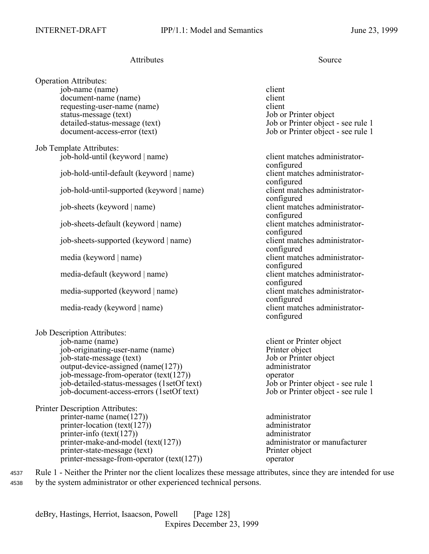# Attributes Source

Operation Attributes: job-name (name) client document-name (name) client requesting-user-name (name) client status-message (text) Job or Printer object

Job Template Attributes: job-hold-until (keyword | name) client matches administrator-

job-hold-until-default (keyword | name) client matches administrator-

 $job$ -hold-until-supported (keyword  $|name$ )

job-sheets-default (keyword | name)

job-sheets-supported (keyword | name) client matches administrator-

media-default (keyword | name) client matches administrator-

media-supported (keyword | name) client matches administrator-

media-ready (keyword | name) client matches administrator-

Job Description Attributes:

job-name (name) client or Printer object job-originating-user-name (name) Printer object job-state-message (text) Job or Printer object output-device-assigned (name(127)) administrator job-message-from-operator (text(127)) operator job-detailed-status-messages (1setOf text) Job or Printer object - see rule 1 job-document-access-errors (1setOf text) Job or Printer object - see rule 1

Printer Description Attributes: printer-name (name(127)) administrator printer-location (text(127)) administrator printer-info (text(127)) administrator printer-make-and-model (text(127)) administrator or manufacturer printer-state-message (text) Printer object printer-message-from-operator (text(127)) operator

detailed-status-message (text) Job or Printer object - see rule 1 document-access-error (text) Job or Printer object - see rule 1

configured configured<br>client matches administratorconfigured job-sheets (keyword | name) client matches administratorconfigured<br>client matches administratorconfigured configured media (keyword | name) client matches administratorconfigured configured configured configured

<sup>4537</sup> Rule 1 - Neither the Printer nor the client localizes these message attributes, since they are intended for use <sup>4538</sup> by the system administrator or other experienced technical persons.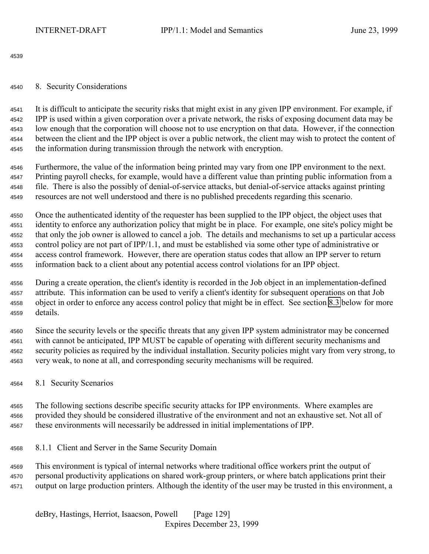<span id="page-128-0"></span>

## 8. Security Considerations

 It is difficult to anticipate the security risks that might exist in any given IPP environment. For example, if IPP is used within a given corporation over a private network, the risks of exposing document data may be low enough that the corporation will choose not to use encryption on that data. However, if the connection between the client and the IPP object is over a public network, the client may wish to protect the content of the information during transmission through the network with encryption.

 Furthermore, the value of the information being printed may vary from one IPP environment to the next. Printing payroll checks, for example, would have a different value than printing public information from a file. There is also the possibly of denial-of-service attacks, but denial-of-service attacks against printing resources are not well understood and there is no published precedents regarding this scenario.

 Once the authenticated identity of the requester has been supplied to the IPP object, the object uses that identity to enforce any authorization policy that might be in place. For example, one site's policy might be that only the job owner is allowed to cancel a job. The details and mechanisms to set up a particular access control policy are not part of IPP/1.1, and must be established via some other type of administrative or access control framework. However, there are operation status codes that allow an IPP server to return information back to a client about any potential access control violations for an IPP object.

 During a create operation, the client's identity is recorded in the Job object in an implementation-defined attribute. This information can be used to verify a client's identity for subsequent operations on that Job object in order to enforce any access control policy that might be in effect. See section [8.3](#page-130-0) below for more details.

 Since the security levels or the specific threats that any given IPP system administrator may be concerned with cannot be anticipated, IPP MUST be capable of operating with different security mechanisms and security policies as required by the individual installation. Security policies might vary from very strong, to very weak, to none at all, and corresponding security mechanisms will be required.

8.1 Security Scenarios

 The following sections describe specific security attacks for IPP environments. Where examples are provided they should be considered illustrative of the environment and not an exhaustive set. Not all of these environments will necessarily be addressed in initial implementations of IPP.

8.1.1 Client and Server in the Same Security Domain

 This environment is typical of internal networks where traditional office workers print the output of personal productivity applications on shared work-group printers, or where batch applications print their output on large production printers. Although the identity of the user may be trusted in this environment, a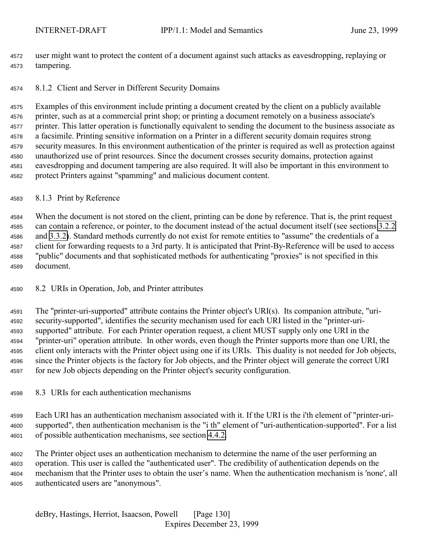user might want to protect the content of a document against such attacks as eavesdropping, replaying or tampering.

## 8.1.2 Client and Server in Different Security Domains

 Examples of this environment include printing a document created by the client on a publicly available printer, such as at a commercial print shop; or printing a document remotely on a business associate's printer. This latter operation is functionally equivalent to sending the document to the business associate as a facsimile. Printing sensitive information on a Printer in a different security domain requires strong security measures. In this environment authentication of the printer is required as well as protection against unauthorized use of print resources. Since the document crosses security domains, protection against eavesdropping and document tampering are also required. It will also be important in this environment to protect Printers against "spamming" and malicious document content.

## 8.1.3 Print by Reference

 When the document is not stored on the client, printing can be done by reference. That is, the print request can contain a reference, or pointer, to the document instead of the actual document itself (see sections [3.2.2](#page-40-0) and [3.3.2\)](#page-54-0). Standard methods currently do not exist for remote entities to "assume" the credentials of a client for forwarding requests to a 3rd party. It is anticipated that Print-By-Reference will be used to access "public" documents and that sophisticated methods for authenticating "proxies" is not specified in this document.

# 8.2 URIs in Operation, Job, and Printer attributes

 The "printer-uri-supported" attribute contains the Printer object's URI(s). Its companion attribute, "uri- security-supported", identifies the security mechanism used for each URI listed in the "printer-uri- supported" attribute. For each Printer operation request, a client MUST supply only one URI in the "printer-uri" operation attribute. In other words, even though the Printer supports more than one URI, the client only interacts with the Printer object using one if its URIs. This duality is not needed for Job objects, since the Printer objects is the factory for Job objects, and the Printer object will generate the correct URI for new Job objects depending on the Printer object's security configuration.

# 8.3 URIs for each authentication mechanisms

 Each URI has an authentication mechanism associated with it. If the URI is the i'th element of "printer-uri- supported", then authentication mechanism is the "i th" element of "uri-authentication-supported". For a list of possible authentication mechanisms, see section [4.4.2.](#page-103-0)

 The Printer object uses an authentication mechanism to determine the name of the user performing an operation. This user is called the "authenticated user". The credibility of authentication depends on the mechanism that the Printer uses to obtain the user's name. When the authentication mechanism is ′none′, all authenticated users are "anonymous".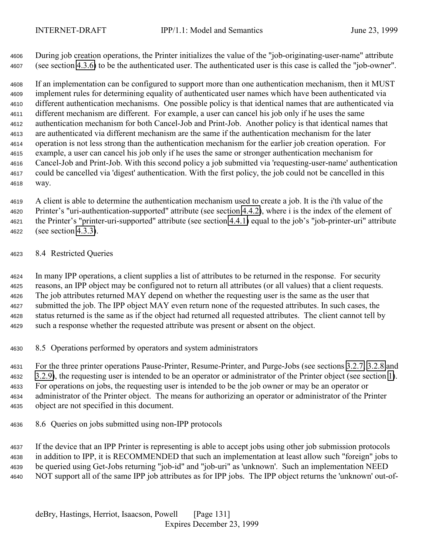<span id="page-130-0"></span> During job creation operations, the Printer initializes the value of the "job-originating-user-name" attribute (see section [4.3.6\)](#page-88-0) to be the authenticated user. The authenticated user is this case is called the "job-owner".

 If an implementation can be configured to support more than one authentication mechanism, then it MUST implement rules for determining equality of authenticated user names which have been authenticated via different authentication mechanisms. One possible policy is that identical names that are authenticated via different mechanism are different. For example, a user can cancel his job only if he uses the same authentication mechanism for both Cancel-Job and Print-Job. Another policy is that identical names that are authenticated via different mechanism are the same if the authentication mechanism for the later operation is not less strong than the authentication mechanism for the earlier job creation operation. For example, a user can cancel his job only if he uses the same or stronger authentication mechanism for Cancel-Job and Print-Job. With this second policy a job submitted via 'requesting-user-name' authentication could be cancelled via 'digest' authentication. With the first policy, the job could not be cancelled in this way.

 A client is able to determine the authentication mechanism used to create a job. It is the i'th value of the Printer's "uri-authentication-supported" attribute (see section [4.4.2\)](#page-103-0), where i is the index of the element of the Printer's "printer-uri-supported" attribute (see section [4.4.1\)](#page-102-0) equal to the job's "job-printer-uri" attribute (see section [4.3.3\)](#page-87-0).

8.4 Restricted Queries

 In many IPP operations, a client supplies a list of attributes to be returned in the response. For security reasons, an IPP object may be configured not to return all attributes (or all values) that a client requests. The job attributes returned MAY depend on whether the requesting user is the same as the user that submitted the job. The IPP object MAY even return none of the requested attributes. In such cases, the status returned is the same as if the object had returned all requested attributes. The client cannot tell by such a response whether the requested attribute was present or absent on the object.

8.5 Operations performed by operators and system administrators

 For the three printer operations Pause-Printer, Resume-Printer, and Purge-Jobs (see sections [3.2.7,](#page-48-0) [3.2.8](#page-50-0) and [3.2.9\)](#page-50-0), the requesting user is intended to be an operator or administrator of the Printer object (see section [1\)](#page-9-0). For operations on jobs, the requesting user is intended to be the job owner or may be an operator or administrator of the Printer object. The means for authorizing an operator or administrator of the Printer object are not specified in this document.

8.6 Queries on jobs submitted using non-IPP protocols

 If the device that an IPP Printer is representing is able to accept jobs using other job submission protocols in addition to IPP, it is RECOMMENDED that such an implementation at least allow such "foreign" jobs to be queried using Get-Jobs returning "job-id" and "job-uri" as 'unknown'. Such an implementation NEED NOT support all of the same IPP job attributes as for IPP jobs. The IPP object returns the 'unknown' out-of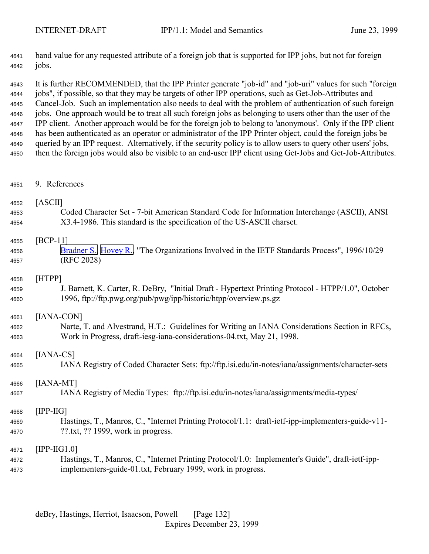band value for any requested attribute of a foreign job that is supported for IPP jobs, but not for foreign jobs.

 It is further RECOMMENDED, that the IPP Printer generate "job-id" and "job-uri" values for such "foreign jobs", if possible, so that they may be targets of other IPP operations, such as Get-Job-Attributes and Cancel-Job. Such an implementation also needs to deal with the problem of authentication of such foreign jobs. One approach would be to treat all such foreign jobs as belonging to users other than the user of the IPP client. Another approach would be for the foreign job to belong to 'anonymous'. Only if the IPP client has been authenticated as an operator or administrator of the IPP Printer object, could the foreign jobs be queried by an IPP request. Alternatively, if the security policy is to allow users to query other users' jobs, then the foreign jobs would also be visible to an end-user IPP client using Get-Jobs and Get-Job-Attributes.

9. References

## [ASCII]

 Coded Character Set - 7-bit American Standard Code for Information Interchange (ASCII), ANSI X3.4-1986. This standard is the specification of the US-ASCII charset.

## [BCP-11]

 Bradner S., Hovey R., "The Organizations Involved in the IETF Standards Process", 1996/10/29 (RFC 2028)

## [HTPP]

 J. Barnett, K. Carter, R. DeBry, "Initial Draft - Hypertext Printing Protocol - HTPP/1.0", October 1996, ftp://ftp.pwg.org/pub/pwg/ipp/historic/htpp/overview.ps.gz

## [IANA-CON]

 Narte, T. and Alvestrand, H.T.: Guidelines for Writing an IANA Considerations Section in RFCs, Work in Progress, draft-iesg-iana-considerations-04.txt, May 21, 1998.

# [IANA-CS]

IANA Registry of Coded Character Sets: ftp://ftp.isi.edu/in-notes/iana/assignments/character-sets

# [IANA-MT]

IANA Registry of Media Types: ftp://ftp.isi.edu/in-notes/iana/assignments/media-types/

## [IPP-IIG]

 Hastings, T., Manros, C., "Internet Printing Protocol/1.1: draft-ietf-ipp-implementers-guide-v11- ??.txt, ?? 1999, work in progress.

## [IPP-IIG1.0]

 Hastings, T., Manros, C., "Internet Printing Protocol/1.0: Implementer's Guide", draft-ietf-ipp-implementers-guide-01.txt, February 1999, work in progress.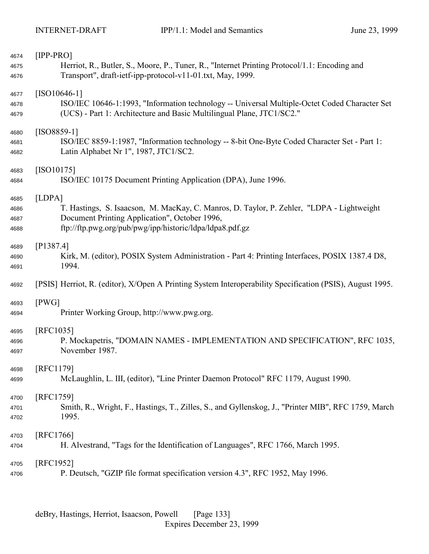| 4674 | $[IPP-PRO]$                                                                                               |
|------|-----------------------------------------------------------------------------------------------------------|
| 4675 | Herriot, R., Butler, S., Moore, P., Tuner, R., "Internet Printing Protocol/1.1: Encoding and              |
| 4676 | Transport", draft-ietf-ipp-protocol-v11-01.txt, May, 1999.                                                |
| 4677 | $[ISO10646-1]$                                                                                            |
| 4678 | ISO/IEC 10646-1:1993, "Information technology -- Universal Multiple-Octet Coded Character Set             |
| 4679 | (UCS) - Part 1: Architecture and Basic Multilingual Plane, JTC1/SC2."                                     |
| 4680 | $[ISO8859-1]$                                                                                             |
| 4681 | ISO/IEC 8859-1:1987, "Information technology -- 8-bit One-Byte Coded Character Set - Part 1:              |
| 4682 | Latin Alphabet Nr 1", 1987, JTC1/SC2.                                                                     |
| 4683 | $[ISO10175]$                                                                                              |
| 4684 | ISO/IEC 10175 Document Printing Application (DPA), June 1996.                                             |
| 4685 | [LDPA]                                                                                                    |
| 4686 | T. Hastings, S. Isaacson, M. MacKay, C. Manros, D. Taylor, P. Zehler, "LDPA - Lightweight                 |
| 4687 | Document Printing Application", October 1996,                                                             |
| 4688 | ftp://ftp.pwg.org/pub/pwg/ipp/historic/ldpa/ldpa8.pdf.gz                                                  |
| 4689 | [P1387.4]                                                                                                 |
| 4690 | Kirk, M. (editor), POSIX System Administration - Part 4: Printing Interfaces, POSIX 1387.4 D8,            |
| 4691 | 1994.                                                                                                     |
| 4692 | [PSIS] Herriot, R. (editor), X/Open A Printing System Interoperability Specification (PSIS), August 1995. |
| 4693 | [PWG]                                                                                                     |
| 4694 | Printer Working Group, http://www.pwg.org.                                                                |
| 4695 | [RFC1035]                                                                                                 |
| 4696 | P. Mockapetris, "DOMAIN NAMES - IMPLEMENTATION AND SPECIFICATION", RFC 1035,                              |
| 4697 | November 1987.                                                                                            |
| 4698 | [RFC1179]                                                                                                 |
| 4699 | McLaughlin, L. III, (editor), "Line Printer Daemon Protocol" RFC 1179, August 1990.                       |
| 4700 | [RFC1759]                                                                                                 |
| 4701 | Smith, R., Wright, F., Hastings, T., Zilles, S., and Gyllenskog, J., "Printer MIB", RFC 1759, March       |
| 4702 | 1995.                                                                                                     |
| 4703 | [RFC1766]                                                                                                 |
| 4704 | H. Alvestrand, "Tags for the Identification of Languages", RFC 1766, March 1995.                          |
| 4705 | [RFC1952]                                                                                                 |
| 4706 | P. Deutsch, "GZIP file format specification version 4.3", RFC 1952, May 1996.                             |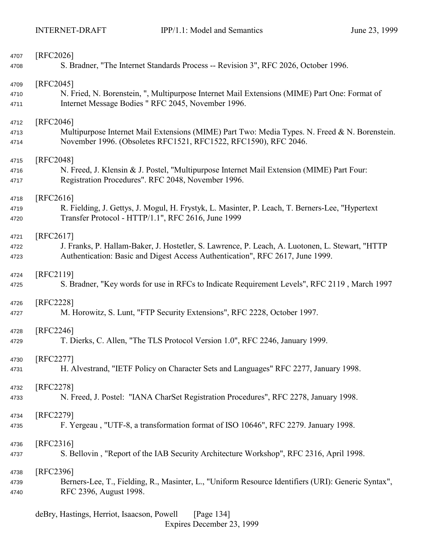| 4707 | [RFC2026]                                                                                          |
|------|----------------------------------------------------------------------------------------------------|
| 4708 | S. Bradner, "The Internet Standards Process -- Revision 3", RFC 2026, October 1996.                |
| 4709 | [RFC2045]                                                                                          |
| 4710 | N. Fried, N. Borenstein, ", Multipurpose Internet Mail Extensions (MIME) Part One: Format of       |
| 4711 | Internet Message Bodies "RFC 2045, November 1996.                                                  |
| 4712 | [RFC2046]                                                                                          |
| 4713 | Multipurpose Internet Mail Extensions (MIME) Part Two: Media Types. N. Freed & N. Borenstein.      |
| 4714 | November 1996. (Obsoletes RFC1521, RFC1522, RFC1590), RFC 2046.                                    |
| 4715 | [RFC2048]                                                                                          |
| 4716 | N. Freed, J. Klensin & J. Postel, "Multipurpose Internet Mail Extension (MIME) Part Four:          |
| 4717 | Registration Procedures". RFC 2048, November 1996.                                                 |
| 4718 | [RFC2616]                                                                                          |
| 4719 | R. Fielding, J. Gettys, J. Mogul, H. Frystyk, L. Masinter, P. Leach, T. Berners-Lee, "Hypertext    |
| 4720 | Transfer Protocol - HTTP/1.1", RFC 2616, June 1999                                                 |
| 4721 | $[RFC2617]$                                                                                        |
| 4722 | J. Franks, P. Hallam-Baker, J. Hostetler, S. Lawrence, P. Leach, A. Luotonen, L. Stewart, "HTTP    |
| 4723 | Authentication: Basic and Digest Access Authentication", RFC 2617, June 1999.                      |
| 4724 | [RFC2119]                                                                                          |
| 4725 | S. Bradner, "Key words for use in RFCs to Indicate Requirement Levels", RFC 2119, March 1997       |
| 4726 | [RFC2228]                                                                                          |
| 4727 | M. Horowitz, S. Lunt, "FTP Security Extensions", RFC 2228, October 1997.                           |
| 4728 | [RFC2246]                                                                                          |
| 4729 | T. Dierks, C. Allen, "The TLS Protocol Version 1.0", RFC 2246, January 1999.                       |
| 4730 | [RFC2277]                                                                                          |
| 4731 | H. Alvestrand, "IETF Policy on Character Sets and Languages" RFC 2277, January 1998.               |
| 4732 | [RFC2278]                                                                                          |
| 4733 | N. Freed, J. Postel: "IANA CharSet Registration Procedures", RFC 2278, January 1998.               |
| 4734 | [RFC2279]                                                                                          |
| 4735 | F. Yergeau, "UTF-8, a transformation format of ISO 10646", RFC 2279. January 1998.                 |
| 4736 | $[RFC2316]$                                                                                        |
| 4737 | S. Bellovin, "Report of the IAB Security Architecture Workshop", RFC 2316, April 1998.             |
| 4738 | [RFC2396]                                                                                          |
| 4739 | Berners-Lee, T., Fielding, R., Masinter, L., "Uniform Resource Identifiers (URI): Generic Syntax", |
| 4740 | RFC 2396, August 1998.                                                                             |
|      |                                                                                                    |

deBry, Hastings, Herriot, Isaacson, Powell [Page 134] Expires December 23, 1999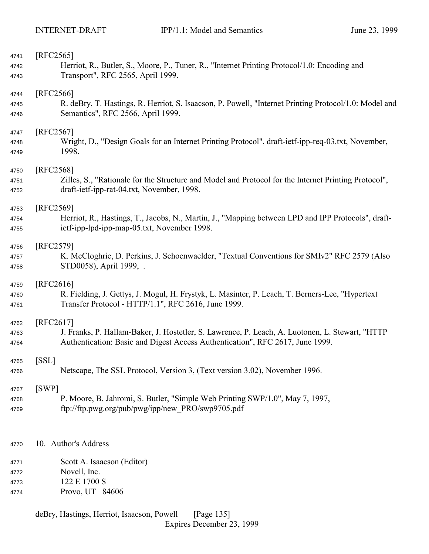| 4741 | [RFC2565]                                                                                             |
|------|-------------------------------------------------------------------------------------------------------|
| 4742 | Herriot, R., Butler, S., Moore, P., Tuner, R., "Internet Printing Protocol/1.0: Encoding and          |
| 4743 | Transport", RFC 2565, April 1999.                                                                     |
|      |                                                                                                       |
| 4744 | [RFC2566]                                                                                             |
| 4745 | R. deBry, T. Hastings, R. Herriot, S. Isaacson, P. Powell, "Internet Printing Protocol/1.0: Model and |
| 4746 | Semantics", RFC 2566, April 1999.                                                                     |
|      |                                                                                                       |
| 4747 | [RFC2567]                                                                                             |
| 4748 | Wright, D., "Design Goals for an Internet Printing Protocol", draft-ietf-ipp-req-03.txt, November,    |
| 4749 | 1998.                                                                                                 |
|      |                                                                                                       |
| 4750 | [RFC2568]                                                                                             |
| 4751 | Zilles, S., "Rationale for the Structure and Model and Protocol for the Internet Printing Protocol",  |
| 4752 | draft-ietf-ipp-rat-04.txt, November, 1998.                                                            |
|      |                                                                                                       |
| 4753 | [RFC2569]                                                                                             |
| 4754 | Herriot, R., Hastings, T., Jacobs, N., Martin, J., "Mapping between LPD and IPP Protocols", draft-    |
| 4755 | ietf-ipp-lpd-ipp-map-05.txt, November 1998.                                                           |
|      |                                                                                                       |
| 4756 | [RFC2579]                                                                                             |
| 4757 | K. McCloghrie, D. Perkins, J. Schoenwaelder, "Textual Conventions for SMIv2" RFC 2579 (Also           |
| 4758 | STD0058), April 1999, .                                                                               |
|      |                                                                                                       |
| 4759 | $[RFC2616]$                                                                                           |
| 4760 | R. Fielding, J. Gettys, J. Mogul, H. Frystyk, L. Masinter, P. Leach, T. Berners-Lee, "Hypertext       |
| 4761 | Transfer Protocol - HTTP/1.1", RFC 2616, June 1999.                                                   |
|      |                                                                                                       |
| 4762 | [RFC2617]                                                                                             |
| 4763 | J. Franks, P. Hallam-Baker, J. Hostetler, S. Lawrence, P. Leach, A. Luotonen, L. Stewart, "HTTP       |
| 4764 | Authentication: Basic and Digest Access Authentication", RFC 2617, June 1999.                         |
|      |                                                                                                       |
| 4765 | [SSL]                                                                                                 |
| 4766 | Netscape, The SSL Protocol, Version 3, (Text version 3.02), November 1996.                            |
|      |                                                                                                       |
| 4767 | [SWP]                                                                                                 |
| 4768 | P. Moore, B. Jahromi, S. Butler, "Simple Web Printing SWP/1.0", May 7, 1997,                          |
| 4769 | ftp://ftp.pwg.org/pub/pwg/ipp/new PRO/swp9705.pdf                                                     |
|      |                                                                                                       |
|      |                                                                                                       |
|      |                                                                                                       |
| 4770 | 10. Author's Address                                                                                  |
|      |                                                                                                       |
| 4771 | Scott A. Isaacson (Editor)                                                                            |
| 4772 | Novell, Inc.                                                                                          |
| 4773 | 122 E 1700 S                                                                                          |
| 4774 | Provo, UT 84606                                                                                       |
|      |                                                                                                       |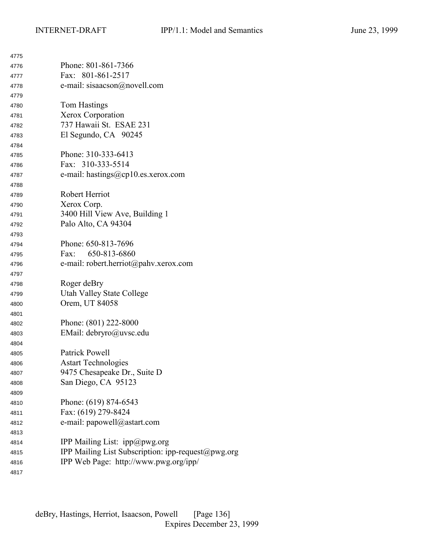| 4775 |                                                    |
|------|----------------------------------------------------|
| 4776 | Phone: 801-861-7366                                |
| 4777 | Fax: 801-861-2517                                  |
| 4778 | e-mail: sisaacson@novell.com                       |
| 4779 |                                                    |
| 4780 | Tom Hastings                                       |
| 4781 | Xerox Corporation                                  |
| 4782 | 737 Hawaii St. ESAE 231                            |
| 4783 | El Segundo, CA 90245                               |
| 4784 |                                                    |
| 4785 | Phone: 310-333-6413                                |
| 4786 | Fax: 310-333-5514                                  |
| 4787 | e-mail: hastings@cp10.es.xerox.com                 |
| 4788 |                                                    |
| 4789 | Robert Herriot                                     |
| 4790 | Xerox Corp.                                        |
| 4791 | 3400 Hill View Ave, Building 1                     |
| 4792 | Palo Alto, CA 94304                                |
| 4793 |                                                    |
| 4794 | Phone: 650-813-7696                                |
| 4795 | 650-813-6860<br>Fax:                               |
| 4796 | e-mail: robert.herriot@pahv.xerox.com              |
| 4797 |                                                    |
| 4798 | Roger deBry                                        |
| 4799 | <b>Utah Valley State College</b>                   |
| 4800 | Orem, UT 84058                                     |
| 4801 |                                                    |
| 4802 | Phone: (801) 222-8000                              |
| 4803 | EMail: debryro@uvsc.edu                            |
| 4804 |                                                    |
| 4805 | Patrick Powell                                     |
| 4806 | <b>Astart Technologies</b>                         |
| 4807 | 9475 Chesapeake Dr., Suite D                       |
| 4808 | San Diego, CA 95123                                |
| 4809 |                                                    |
| 4810 | Phone: (619) 874-6543                              |
| 4811 | Fax: (619) 279-8424                                |
| 4812 | e-mail: papowell@astart.com                        |
| 4813 |                                                    |
| 4814 | IPP Mailing List: ipp@pwg.org                      |
| 4815 | IPP Mailing List Subscription: ipp-request@pwg.org |
| 4816 | IPP Web Page: http://www.pwg.org/ipp/              |
| 4817 |                                                    |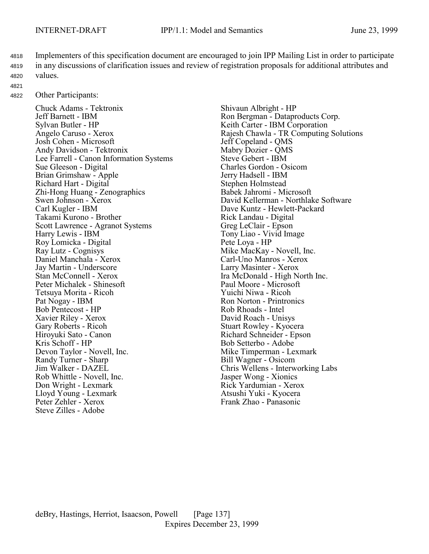- <sup>4818</sup> Implementers of this specification document are encouraged to join IPP Mailing List in order to participate <sup>4819</sup> in any discussions of clarification issues and review of registration proposals for additional attributes and <sup>4820</sup> values.
- 4821

<sup>4822</sup> Other Participants:

Chuck Adams - Tektronix Shivaun Albright - HP Jeff Barnett - IBM Ron Bergman - Dataproducts Corp.<br>Sylvan Butler - HP Keith Carter - IBM Corporation Josh Cohen - Microsoft<br>
Andy Davidson - Tektronix<br>
Mabry Dozier - QMS Andy Davidson - Tektronix Mabry Dozier - QM<br>
Lee Farrell - Canon Information Systems Steve Gebert - IBM Lee Farrell - Canon Information Systems Sue Gleeson - Digital Charles Gordon - Osicom Brian Grimshaw - Apple Jerry Hadsell - IBM Richard Hart - Digital Stephen Holmstead Zhi-Hong Huang - Zenographics<br>Swen Johnson - Xerox Carl Kugler - IBM Dave Kuntz - Hewlett-Packard Takami Kurono - Brother Scott Lawrence - Agranot Systems Greg LeClair - Epson Harry Lewis - IBM<br>
Roy Lomicka - Digital<br>
Pete Loya - HP Roy Lomicka - Digital Ray Lutz - Cognisys Mike MacKay - Novell, Inc.<br>
Daniel Manchala - Xerox Carl-Uno Manros - Xerox Jay Martin - Underscore Larry Masinter - Xerox Stan McConnell - Xerox Ira McDonald - High North Inc.<br>
Peter Michalek - Shinesoft **Inc.** Paul Moore - Microsoft Peter Michalek - Shinesoft<br>
Tetsuya Morita - Ricoh<br>
Paul Moore - Microsoft<br>
Yuichi Niwa - Ricoh Tetsuya Morita - Ricoh Pat Nogay - IBM Ron Norton - Printronics<br>
Bob Pentecost - HP Rob Rhoads - Intel Bob Pentecost - HP Xavier Riley - Xerox David Roach - Unisys Gary Roberts - Ricoh Stuart Rowley - Kyocera<br>Hiroyuki Sato - Canon Richard Schneider - Epsc Hiroyuki Sato - Canon Richard Schneider - Epson<br>
Kris Schoff - HP Bob Setterbo - Adobe Kris Schoff - HP<br>Devon Taylor - Novell, Inc.<br>Mike Timperman - Le Randy Turner - Sharp Bill Wagner - Osicom Jim Walker - DAZEL Chris Wellens - Interworking Labs<br>
Rob Whittle - Novell, Inc. Sasper Wong - Xionics Rob Whittle - Novell, Inc.<br>Don Wright - Lexmark Lloyd Young - Lexmark Atsushi Yuki - Kyocera<br>Peter Zehler - Xerox Frank Zhao - Panasonic Steve Zilles - Adobe

Keith Carter - IBM Corporation Angelo Caruso - Xerox Rajesh Chawla - TR Computing Solutions David Kellerman - Northlake Software Carl-Uno Manros - Xerox Mike Timperman - Lexmark Rick Yardumian - Xerox Frank Zhao - Panasonic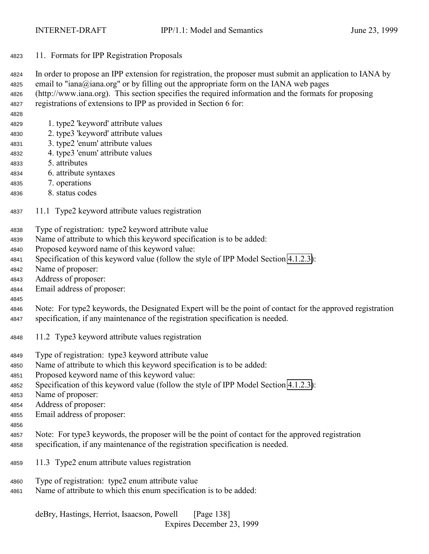<span id="page-137-0"></span>11. Formats for IPP Registration Proposals

 In order to propose an IPP extension for registration, the proposer must submit an application to IANA by email to "iana@iana.org" or by filling out the appropriate form on the IANA web pages (http://www.iana.org). This section specifies the required information and the formats for proposing registrations of extensions to IPP as provided in Section 6 for:

- 1. type2 'keyword' attribute values
- 2. type3 'keyword' attribute values
- 3. type2 'enum' attribute values
- 4. type3 'enum' attribute values
- 5. attributes
- 6. attribute syntaxes
- 7. operations
- 8. status codes
- 11.1 Type2 keyword attribute values registration
- Type of registration: type2 keyword attribute value
- Name of attribute to which this keyword specification is to be added:
- Proposed keyword name of this keyword value:
- Specification of this keyword value (follow the style of IPP Model Section [4.1.2.3\)](#page-67-0):
- Name of proposer:
- Address of proposer:
- Email address of proposer:
- 

 Note: For type2 keywords, the Designated Expert will be the point of contact for the approved registration specification, if any maintenance of the registration specification is needed.

- 11.2 Type3 keyword attribute values registration
- Type of registration: type3 keyword attribute value
- Name of attribute to which this keyword specification is to be added:
- Proposed keyword name of this keyword value:
- Specification of this keyword value (follow the style of IPP Model Section [4.1.2.3\)](#page-67-0):
- Name of proposer:
- Address of proposer:
- Email address of proposer:
- 
- Note: For type3 keywords, the proposer will be the point of contact for the approved registration specification, if any maintenance of the registration specification is needed.
- 11.3 Type2 enum attribute values registration
- Type of registration: type2 enum attribute value
- Name of attribute to which this enum specification is to be added: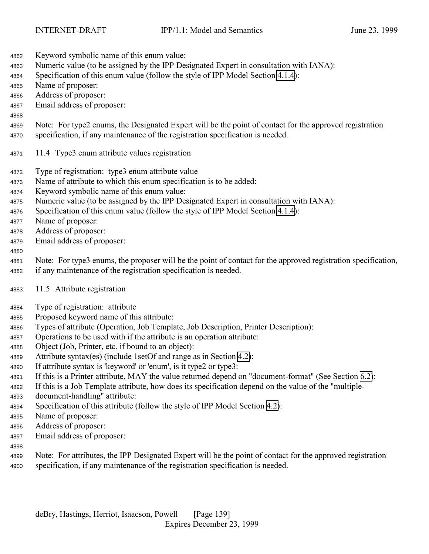- Keyword symbolic name of this enum value: Numeric value (to be assigned by the IPP Designated Expert in consultation with IANA): Specification of this enum value (follow the style of IPP Model Section [4.1.4\)](#page-68-0): Name of proposer: Address of proposer: Email address of proposer: Note: For type2 enums, the Designated Expert will be the point of contact for the approved registration specification, if any maintenance of the registration specification is needed. 11.4 Type3 enum attribute values registration Type of registration: type3 enum attribute value Name of attribute to which this enum specification is to be added: Keyword symbolic name of this enum value: Numeric value (to be assigned by the IPP Designated Expert in consultation with IANA): Specification of this enum value (follow the style of IPP Model Section [4.1.4\)](#page-68-0): Name of proposer: Address of proposer: Email address of proposer: Note: For type3 enums, the proposer will be the point of contact for the approved registration specification, if any maintenance of the registration specification is needed. 11.5 Attribute registration Type of registration: attribute Proposed keyword name of this attribute: Types of attribute (Operation, Job Template, Job Description, Printer Description): Operations to be used with if the attribute is an operation attribute: Object (Job, Printer, etc. if bound to an object): Attribute syntax(es) (include 1setOf and range as in Section [4.2\)](#page-73-0): If attribute syntax is 'keyword' or 'enum', is it type2 or type3: If this is a Printer attribute, MAY the value returned depend on "document-format" (See Section [6.2\)](#page-122-0): If this is a Job Template attribute, how does its specification depend on the value of the "multiple- document-handling" attribute: Specification of this attribute (follow the style of IPP Model Section [4.2\)](#page-73-0): Name of proposer: Address of proposer: Email address of proposer:
- 
- Note: For attributes, the IPP Designated Expert will be the point of contact for the approved registration specification, if any maintenance of the registration specification is needed.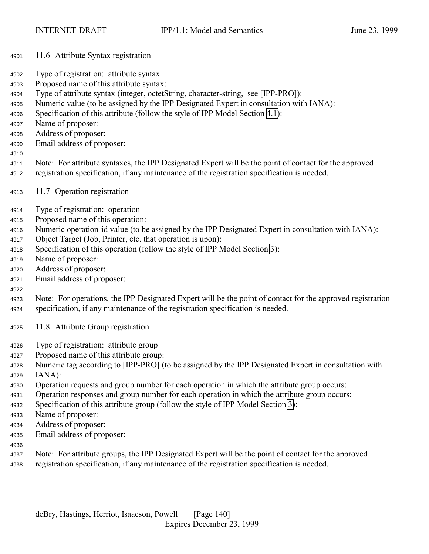- 11.6 Attribute Syntax registration
- Type of registration: attribute syntax
- Proposed name of this attribute syntax:
- Type of attribute syntax (integer, octetString, character-string, see [IPP-PRO]):
- Numeric value (to be assigned by the IPP Designated Expert in consultation with IANA):
- Specification of this attribute (follow the style of IPP Model Section [4.1\)](#page-63-0):
- Name of proposer:
- Address of proposer:
- Email address of proposer:
- 
- Note: For attribute syntaxes, the IPP Designated Expert will be the point of contact for the approved registration specification, if any maintenance of the registration specification is needed.
- 11.7 Operation registration
- Type of registration: operation
- Proposed name of this operation:
- Numeric operation-id value (to be assigned by the IPP Designated Expert in consultation with IANA):
- Object Target (Job, Printer, etc. that operation is upon):
- Specification of this operation (follow the style of IPP Model Section [3\)](#page-19-0):
- Name of proposer:
- Address of proposer:
- Email address of proposer:

- Note: For operations, the IPP Designated Expert will be the point of contact for the approved registration specification, if any maintenance of the registration specification is needed.
- 11.8 Attribute Group registration
- Type of registration: attribute group
- Proposed name of this attribute group:
- Numeric tag according to [IPP-PRO] (to be assigned by the IPP Designated Expert in consultation with IANA):
- Operation requests and group number for each operation in which the attribute group occurs:
- Operation responses and group number for each operation in which the attribute group occurs:
- Specification of this attribute group (follow the style of IPP Model Section [3\)](#page-19-0):
- Name of proposer:
- Address of proposer:
- Email address of proposer:
- 
- Note: For attribute groups, the IPP Designated Expert will be the point of contact for the approved registration specification, if any maintenance of the registration specification is needed.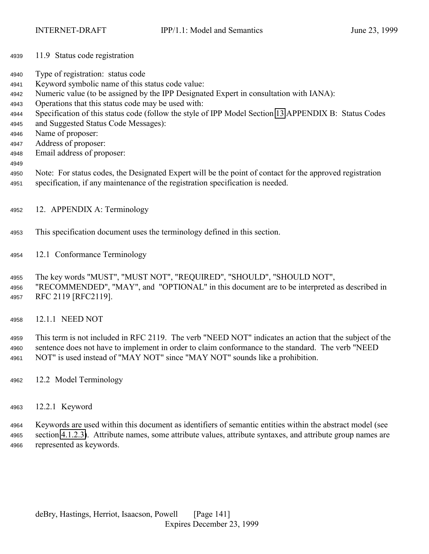- 11.9 Status code registration
- Type of registration: status code
- Keyword symbolic name of this status code value:
- Numeric value (to be assigned by the IPP Designated Expert in consultation with IANA):
- Operations that this status code may be used with:
- Specification of this status code (follow the style of IPP Model Section [13](#page-143-0) APPENDIX B: Status Codes
- and Suggested Status Code Messages):
- Name of proposer:
- Address of proposer:
- Email address of proposer:
- 
- Note: For status codes, the Designated Expert will be the point of contact for the approved registration specification, if any maintenance of the registration specification is needed.
- 12. APPENDIX A: Terminology
- This specification document uses the terminology defined in this section.
- 12.1 Conformance Terminology

 The key words "MUST", "MUST NOT", "REQUIRED", "SHOULD", "SHOULD NOT", "RECOMMENDED", "MAY", and "OPTIONAL" in this document are to be interpreted as described in RFC 2119 [RFC2119].

12.1.1 NEED NOT

 This term is not included in RFC 2119. The verb "NEED NOT" indicates an action that the subject of the sentence does not have to implement in order to claim conformance to the standard. The verb "NEED NOT" is used instead of "MAY NOT" since "MAY NOT" sounds like a prohibition.

- 12.2 Model Terminology
- 12.2.1 Keyword

 Keywords are used within this document as identifiers of semantic entities within the abstract model (see section [4.1.2.3\)](#page-67-0). Attribute names, some attribute values, attribute syntaxes, and attribute group names are represented as keywords.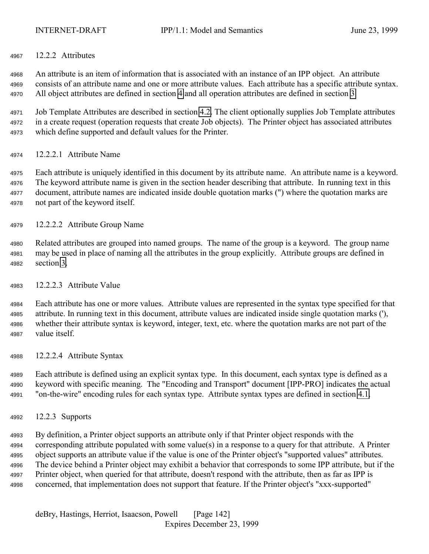12.2.2 Attributes

 An attribute is an item of information that is associated with an instance of an IPP object. An attribute consists of an attribute name and one or more attribute values. Each attribute has a specific attribute syntax. All object attributes are defined in section [4](#page-63-0) and all operation attributes are defined in section [3.](#page-19-0)

 Job Template Attributes are described in section [4.2.](#page-73-0) The client optionally supplies Job Template attributes in a create request (operation requests that create Job objects). The Printer object has associated attributes which define supported and default values for the Printer.

12.2.2.1 Attribute Name

 Each attribute is uniquely identified in this document by its attribute name. An attribute name is a keyword. The keyword attribute name is given in the section header describing that attribute. In running text in this document, attribute names are indicated inside double quotation marks (") where the quotation marks are not part of the keyword itself.

- 12.2.2.2 Attribute Group Name
- Related attributes are grouped into named groups. The name of the group is a keyword. The group name may be used in place of naming all the attributes in the group explicitly. Attribute groups are defined in section [3.](#page-19-0)
- 12.2.2.3 Attribute Value

 Each attribute has one or more values. Attribute values are represented in the syntax type specified for that attribute. In running text in this document, attribute values are indicated inside single quotation marks ('), whether their attribute syntax is keyword, integer, text, etc. where the quotation marks are not part of the value itself.

12.2.2.4 Attribute Syntax

 Each attribute is defined using an explicit syntax type. In this document, each syntax type is defined as a keyword with specific meaning. The "Encoding and Transport" document [IPP-PRO] indicates the actual "on-the-wire" encoding rules for each syntax type. Attribute syntax types are defined in section [4.1.](#page-63-0)

12.2.3 Supports

 By definition, a Printer object supports an attribute only if that Printer object responds with the corresponding attribute populated with some value(s) in a response to a query for that attribute. A Printer object supports an attribute value if the value is one of the Printer object's "supported values" attributes. The device behind a Printer object may exhibit a behavior that corresponds to some IPP attribute, but if the Printer object, when queried for that attribute, doesn't respond with the attribute, then as far as IPP is concerned, that implementation does not support that feature. If the Printer object's "xxx-supported"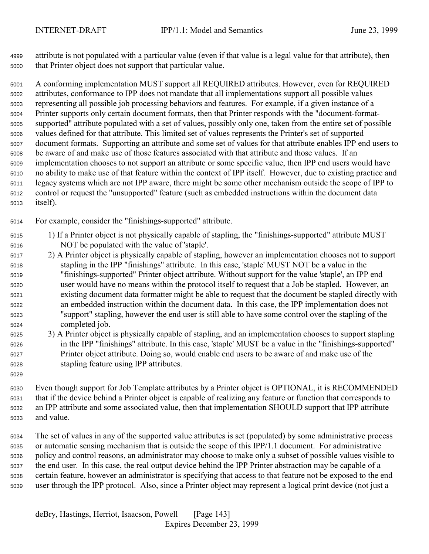attribute is not populated with a particular value (even if that value is a legal value for that attribute), then that Printer object does not support that particular value.

 A conforming implementation MUST support all REQUIRED attributes. However, even for REQUIRED attributes, conformance to IPP does not mandate that all implementations support all possible values representing all possible job processing behaviors and features. For example, if a given instance of a Printer supports only certain document formats, then that Printer responds with the "document-format- supported" attribute populated with a set of values, possibly only one, taken from the entire set of possible values defined for that attribute. This limited set of values represents the Printer's set of supported document formats. Supporting an attribute and some set of values for that attribute enables IPP end users to be aware of and make use of those features associated with that attribute and those values. If an implementation chooses to not support an attribute or some specific value, then IPP end users would have no ability to make use of that feature within the context of IPP itself. However, due to existing practice and legacy systems which are not IPP aware, there might be some other mechanism outside the scope of IPP to control or request the "unsupported" feature (such as embedded instructions within the document data itself).

For example, consider the "finishings-supported" attribute.

- 1) If a Printer object is not physically capable of stapling, the "finishings-supported" attribute MUST NOT be populated with the value of 'staple'.
- 2) A Printer object is physically capable of stapling, however an implementation chooses not to support stapling in the IPP "finishings" attribute. In this case, 'staple' MUST NOT be a value in the "finishings-supported" Printer object attribute. Without support for the value 'staple', an IPP end user would have no means within the protocol itself to request that a Job be stapled. However, an existing document data formatter might be able to request that the document be stapled directly with an embedded instruction within the document data. In this case, the IPP implementation does not "support" stapling, however the end user is still able to have some control over the stapling of the completed job.
- 3) A Printer object is physically capable of stapling, and an implementation chooses to support stapling in the IPP "finishings" attribute. In this case, 'staple' MUST be a value in the "finishings-supported" Printer object attribute. Doing so, would enable end users to be aware of and make use of the stapling feature using IPP attributes.
- Even though support for Job Template attributes by a Printer object is OPTIONAL, it is RECOMMENDED that if the device behind a Printer object is capable of realizing any feature or function that corresponds to an IPP attribute and some associated value, then that implementation SHOULD support that IPP attribute and value.
- The set of values in any of the supported value attributes is set (populated) by some administrative process or automatic sensing mechanism that is outside the scope of this IPP/1.1 document. For administrative policy and control reasons, an administrator may choose to make only a subset of possible values visible to the end user. In this case, the real output device behind the IPP Printer abstraction may be capable of a certain feature, however an administrator is specifying that access to that feature not be exposed to the end user through the IPP protocol. Also, since a Printer object may represent a logical print device (not just a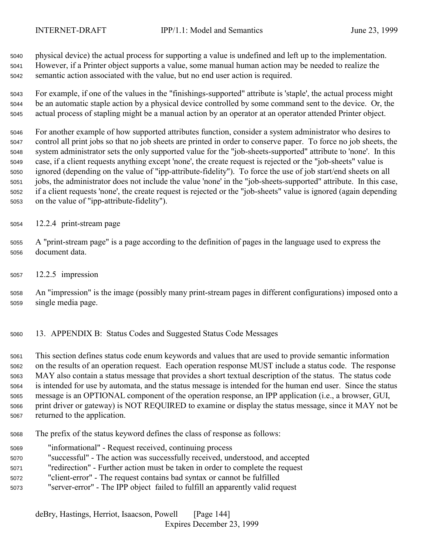<span id="page-143-0"></span>

 physical device) the actual process for supporting a value is undefined and left up to the implementation. However, if a Printer object supports a value, some manual human action may be needed to realize the semantic action associated with the value, but no end user action is required.

 For example, if one of the values in the "finishings-supported" attribute is 'staple', the actual process might be an automatic staple action by a physical device controlled by some command sent to the device. Or, the actual process of stapling might be a manual action by an operator at an operator attended Printer object.

 For another example of how supported attributes function, consider a system administrator who desires to control all print jobs so that no job sheets are printed in order to conserve paper. To force no job sheets, the system administrator sets the only supported value for the "job-sheets-supported" attribute to 'none'. In this case, if a client requests anything except 'none', the create request is rejected or the "job-sheets" value is ignored (depending on the value of "ipp-attribute-fidelity"). To force the use of job start/end sheets on all jobs, the administrator does not include the value 'none' in the "job-sheets-supported" attribute. In this case, if a client requests 'none', the create request is rejected or the "job-sheets" value is ignored (again depending on the value of "ipp-attribute-fidelity").

- 12.2.4 print-stream page
- A "print-stream page" is a page according to the definition of pages in the language used to express the document data.
- 12.2.5 impression

 An "impression" is the image (possibly many print-stream pages in different configurations) imposed onto a single media page.

13. APPENDIX B: Status Codes and Suggested Status Code Messages

 This section defines status code enum keywords and values that are used to provide semantic information on the results of an operation request. Each operation response MUST include a status code. The response MAY also contain a status message that provides a short textual description of the status. The status code is intended for use by automata, and the status message is intended for the human end user. Since the status message is an OPTIONAL component of the operation response, an IPP application (i.e., a browser, GUI, print driver or gateway) is NOT REQUIRED to examine or display the status message, since it MAY not be returned to the application.

- The prefix of the status keyword defines the class of response as follows:
- "informational" Request received, continuing process
- "successful" The action was successfully received, understood, and accepted
- "redirection" Further action must be taken in order to complete the request
- "client-error" The request contains bad syntax or cannot be fulfilled
- "server-error" The IPP object failed to fulfill an apparently valid request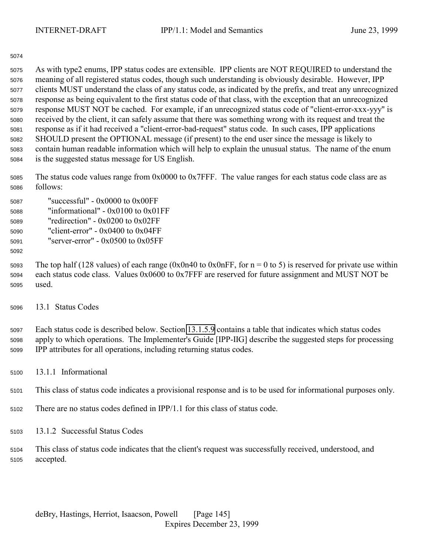As with type2 enums, IPP status codes are extensible. IPP clients are NOT REQUIRED to understand the meaning of all registered status codes, though such understanding is obviously desirable. However, IPP clients MUST understand the class of any status code, as indicated by the prefix, and treat any unrecognized response as being equivalent to the first status code of that class, with the exception that an unrecognized response MUST NOT be cached. For example, if an unrecognized status code of "client-error-xxx-yyy" is received by the client, it can safely assume that there was something wrong with its request and treat the response as if it had received a "client-error-bad-request" status code. In such cases, IPP applications SHOULD present the OPTIONAL message (if present) to the end user since the message is likely to contain human readable information which will help to explain the unusual status. The name of the enum is the suggested status message for US English.

 The status code values range from 0x0000 to 0x7FFF. The value ranges for each status code class are as follows:

| 5087 | "successful" - $0x0000$ to $0x00FF$    |
|------|----------------------------------------|
| 5088 | "informational" - $0x0100$ to $0x01FF$ |
| 5089 | "redirection" - $0x0200$ to $0x02FF$   |
| 5090 | "client-error" - $0x0400$ to $0x04FF$  |
| 5091 | "server-error" - $0x0500$ to $0x05FF$  |

5093 The top half (128 values) of each range (0x0n40 to 0x0nFF, for  $n = 0$  to 5) is reserved for private use within each status code class. Values 0x0600 to 0x7FFF are reserved for future assignment and MUST NOT be used.

13.1 Status Codes

 Each status code is described below. Section [13.1.5.9](#page-152-0) contains a table that indicates which status codes apply to which operations. The Implementer's Guide [IPP-IIG] describe the suggested steps for processing IPP attributes for all operations, including returning status codes.

13.1.1 Informational

This class of status code indicates a provisional response and is to be used for informational purposes only.

- There are no status codes defined in IPP/1.1 for this class of status code.
- 13.1.2 Successful Status Codes
- This class of status code indicates that the client's request was successfully received, understood, and accepted.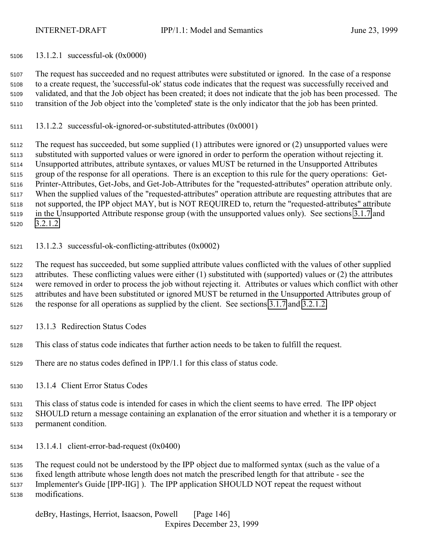<span id="page-145-0"></span>13.1.2.1 successful-ok (0x0000)

 The request has succeeded and no request attributes were substituted or ignored. In the case of a response to a create request, the 'successful-ok' status code indicates that the request was successfully received and validated, and that the Job object has been created; it does not indicate that the job has been processed. The transition of the Job object into the 'completed' state is the only indicator that the job has been printed.

13.1.2.2 successful-ok-ignored-or-substituted-attributes (0x0001)

 The request has succeeded, but some supplied (1) attributes were ignored or (2) unsupported values were substituted with supported values or were ignored in order to perform the operation without rejecting it. Unsupported attributes, attribute syntaxes, or values MUST be returned in the Unsupported Attributes group of the response for all operations. There is an exception to this rule for the query operations: Get- Printer-Attributes, Get-Jobs, and Get-Job-Attributes for the "requested-attributes" operation attribute only. When the supplied values of the "requested-attributes" operation attribute are requesting attributes that are not supported, the IPP object MAY, but is NOT REQUIRED to, return the "requested-attributes" attribute in the Unsupported Attribute response group (with the unsupported values only). See sections [3.1.7](#page-30-0) and [3.2.1.2.](#page-38-0)

13.1.2.3 successful-ok-conflicting-attributes (0x0002)

 The request has succeeded, but some supplied attribute values conflicted with the values of other supplied attributes. These conflicting values were either (1) substituted with (supported) values or (2) the attributes were removed in order to process the job without rejecting it. Attributes or values which conflict with other attributes and have been substituted or ignored MUST be returned in the Unsupported Attributes group of the response for all operations as supplied by the client. See sections [3.1.7](#page-30-0) and [3.2.1.2.](#page-38-0)

- 13.1.3 Redirection Status Codes
- This class of status code indicates that further action needs to be taken to fulfill the request.
- There are no status codes defined in IPP/1.1 for this class of status code.
- 13.1.4 Client Error Status Codes

 This class of status code is intended for cases in which the client seems to have erred. The IPP object SHOULD return a message containing an explanation of the error situation and whether it is a temporary or permanent condition.

13.1.4.1 client-error-bad-request (0x0400)

 The request could not be understood by the IPP object due to malformed syntax (such as the value of a fixed length attribute whose length does not match the prescribed length for that attribute - see the Implementer's Guide [IPP-IIG] ). The IPP application SHOULD NOT repeat the request without modifications.

deBry, Hastings, Herriot, Isaacson, Powell [Page 146] Expires December 23, 1999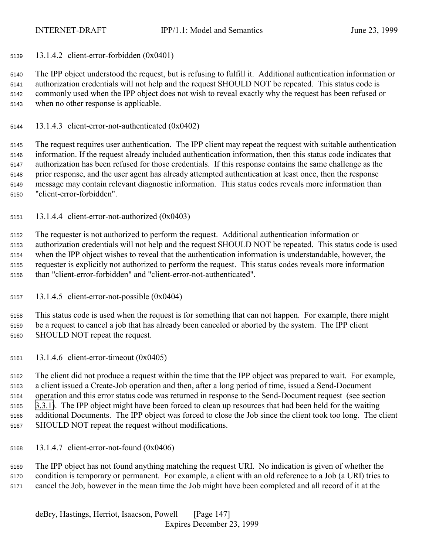13.1.4.2 client-error-forbidden (0x0401)

 The IPP object understood the request, but is refusing to fulfill it. Additional authentication information or authorization credentials will not help and the request SHOULD NOT be repeated. This status code is commonly used when the IPP object does not wish to reveal exactly why the request has been refused or when no other response is applicable.

13.1.4.3 client-error-not-authenticated (0x0402)

 The request requires user authentication. The IPP client may repeat the request with suitable authentication information. If the request already included authentication information, then this status code indicates that authorization has been refused for those credentials. If this response contains the same challenge as the prior response, and the user agent has already attempted authentication at least once, then the response message may contain relevant diagnostic information. This status codes reveals more information than "client-error-forbidden".

13.1.4.4 client-error-not-authorized (0x0403)

 The requester is not authorized to perform the request. Additional authentication information or authorization credentials will not help and the request SHOULD NOT be repeated. This status code is used when the IPP object wishes to reveal that the authentication information is understandable, however, the requester is explicitly not authorized to perform the request. This status codes reveals more information than "client-error-forbidden" and "client-error-not-authenticated".

13.1.4.5 client-error-not-possible (0x0404)

 This status code is used when the request is for something that can not happen. For example, there might be a request to cancel a job that has already been canceled or aborted by the system. The IPP client SHOULD NOT repeat the request.

13.1.4.6 client-error-timeout (0x0405)

 The client did not produce a request within the time that the IPP object was prepared to wait. For example, a client issued a Create-Job operation and then, after a long period of time, issued a Send-Document operation and this error status code was returned in response to the Send-Document request (see section [3.3.1\)](#page-51-0). The IPP object might have been forced to clean up resources that had been held for the waiting additional Documents. The IPP object was forced to close the Job since the client took too long. The client SHOULD NOT repeat the request without modifications.

13.1.4.7 client-error-not-found (0x0406)

 The IPP object has not found anything matching the request URI. No indication is given of whether the condition is temporary or permanent. For example, a client with an old reference to a Job (a URI) tries to cancel the Job, however in the mean time the Job might have been completed and all record of it at the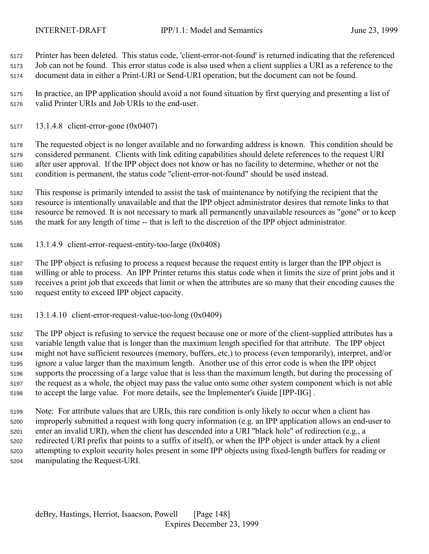Printer has been deleted. This status code, 'client-error-not-found' is returned indicating that the referenced Job can not be found. This error status code is also used when a client supplies a URI as a reference to the document data in either a Print-URI or Send-URI operation, but the document can not be found.

 In practice, an IPP application should avoid a not found situation by first querying and presenting a list of valid Printer URIs and Job URIs to the end-user.

13.1.4.8 client-error-gone (0x0407)

 The requested object is no longer available and no forwarding address is known. This condition should be considered permanent. Clients with link editing capabilities should delete references to the request URI after user approval. If the IPP object does not know or has no facility to determine, whether or not the condition is permanent, the status code "client-error-not-found" should be used instead.

 This response is primarily intended to assist the task of maintenance by notifying the recipient that the resource is intentionally unavailable and that the IPP object administrator desires that remote links to that resource be removed. It is not necessary to mark all permanently unavailable resources as "gone" or to keep the mark for any length of time -- that is left to the discretion of the IPP object administrator.

13.1.4.9 client-error-request-entity-too-large (0x0408)

 The IPP object is refusing to process a request because the request entity is larger than the IPP object is willing or able to process. An IPP Printer returns this status code when it limits the size of print jobs and it receives a print job that exceeds that limit or when the attributes are so many that their encoding causes the request entity to exceed IPP object capacity.

13.1.4.10 client-error-request-value-too-long (0x0409)

 The IPP object is refusing to service the request because one or more of the client-supplied attributes has a variable length value that is longer than the maximum length specified for that attribute. The IPP object might not have sufficient resources (memory, buffers, etc.) to process (even temporarily), interpret, and/or ignore a value larger than the maximum length. Another use of this error code is when the IPP object supports the processing of a large value that is less than the maximum length, but during the processing of the request as a whole, the object may pass the value onto some other system component which is not able to accept the large value. For more details, see the Implementer's Guide [IPP-IIG] .

 Note: For attribute values that are URIs, this rare condition is only likely to occur when a client has improperly submitted a request with long query information (e.g. an IPP application allows an end-user to enter an invalid URI), when the client has descended into a URI "black hole" of redirection (e.g., a redirected URI prefix that points to a suffix of itself), or when the IPP object is under attack by a client attempting to exploit security holes present in some IPP objects using fixed-length buffers for reading or manipulating the Request-URI.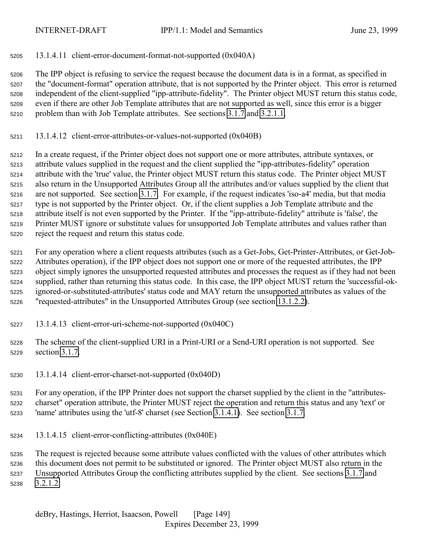13.1.4.11 client-error-document-format-not-supported (0x040A)

 The IPP object is refusing to service the request because the document data is in a format, as specified in the "document-format" operation attribute, that is not supported by the Printer object. This error is returned independent of the client-supplied "ipp-attribute-fidelity". The Printer object MUST return this status code, even if there are other Job Template attributes that are not supported as well, since this error is a bigger problem than with Job Template attributes. See sections [3.1.7](#page-30-0) and [3.2.1.1.](#page-35-0)

13.1.4.12 client-error-attributes-or-values-not-supported (0x040B)

 In a create request, if the Printer object does not support one or more attributes, attribute syntaxes, or attribute values supplied in the request and the client supplied the "ipp-attributes-fidelity" operation attribute with the 'true' value, the Printer object MUST return this status code. The Printer object MUST also return in the Unsupported Attributes Group all the attributes and/or values supplied by the client that are not supported. See section [3.1.7.](#page-30-0) For example, if the request indicates 'iso-a4' media, but that media type is not supported by the Printer object. Or, if the client supplies a Job Template attribute and the attribute itself is not even supported by the Printer. If the "ipp-attribute-fidelity" attribute is 'false', the Printer MUST ignore or substitute values for unsupported Job Template attributes and values rather than reject the request and return this status code.

 For any operation where a client requests attributes (such as a Get-Jobs, Get-Printer-Attributes, or Get-Job- Attributes operation), if the IPP object does not support one or more of the requested attributes, the IPP object simply ignores the unsupported requested attributes and processes the request as if they had not been supplied, rather than returning this status code. In this case, the IPP object MUST return the 'successful-ok- ignored-or-substituted-attributes' status code and MAY return the unsupported attributes as values of the "requested-attributes" in the Unsupported Attributes Group (see section [13.1.2.2\)](#page-145-0).

- 13.1.4.13 client-error-uri-scheme-not-supported (0x040C)
- The scheme of the client-supplied URI in a Print-URI or a Send-URI operation is not supported. See section [3.1.7.](#page-30-0)
- 13.1.4.14 client-error-charset-not-supported (0x040D)

 For any operation, if the IPP Printer does not support the charset supplied by the client in the "attributes- charset" operation attribute, the Printer MUST reject the operation and return this status and any 'text' or 'name' attributes using the 'utf-8' charset (see Section [3.1.4.1\)](#page-23-0). See section [3.1.7.](#page-30-0)

13.1.4.15 client-error-conflicting-attributes (0x040E)

 The request is rejected because some attribute values conflicted with the values of other attributes which this document does not permit to be substituted or ignored. The Printer object MUST also return in the Unsupported Attributes Group the conflicting attributes supplied by the client. See sections [3.1.7](#page-30-0) and [3.2.1.2.](#page-38-0)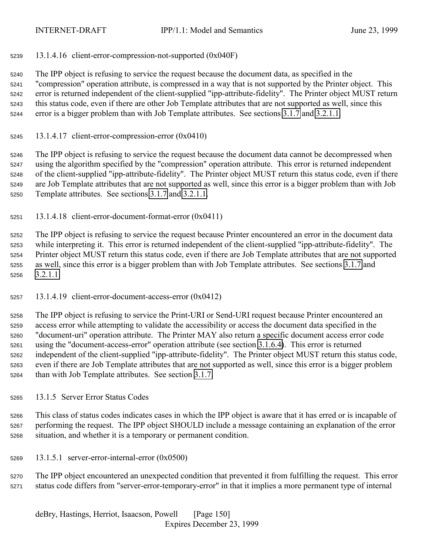<span id="page-149-0"></span>13.1.4.16 client-error-compression-not-supported (0x040F)

 The IPP object is refusing to service the request because the document data, as specified in the "compression" operation attribute, is compressed in a way that is not supported by the Printer object. This error is returned independent of the client-supplied "ipp-attribute-fidelity". The Printer object MUST return this status code, even if there are other Job Template attributes that are not supported as well, since this error is a bigger problem than with Job Template attributes. See sections [3.1.7](#page-30-0) and [3.2.1.1.](#page-35-0)

13.1.4.17 client-error-compression-error  $(0x0410)$ 

 The IPP object is refusing to service the request because the document data cannot be decompressed when using the algorithm specified by the "compression" operation attribute. This error is returned independent of the client-supplied "ipp-attribute-fidelity". The Printer object MUST return this status code, even if there are Job Template attributes that are not supported as well, since this error is a bigger problem than with Job Template attributes. See sections [3.1.7](#page-30-0) and [3.2.1.1.](#page-35-0)

13.1.4.18 client-error-document-format-error (0x0411)

 The IPP object is refusing to service the request because Printer encountered an error in the document data while interpreting it. This error is returned independent of the client-supplied "ipp-attribute-fidelity". The Printer object MUST return this status code, even if there are Job Template attributes that are not supported as well, since this error is a bigger problem than with Job Template attributes. See sections [3.1.7](#page-30-0) and [3.2.1.1.](#page-35-0)

13.1.4.19 client-error-document-access-error (0x0412)

 The IPP object is refusing to service the Print-URI or Send-URI request because Printer encountered an access error while attempting to validate the accessibility or access the document data specified in the "document-uri" operation attribute. The Printer MAY also return a specific document access error code using the "document-access-error" operation attribute (see section [3.1.6.4\)](#page-29-0). This error is returned independent of the client-supplied "ipp-attribute-fidelity". The Printer object MUST return this status code, even if there are Job Template attributes that are not supported as well, since this error is a bigger problem than with Job Template attributes. See section [3.1.7.](#page-30-0)

13.1.5 Server Error Status Codes

 This class of status codes indicates cases in which the IPP object is aware that it has erred or is incapable of performing the request. The IPP object SHOULD include a message containing an explanation of the error situation, and whether it is a temporary or permanent condition.

13.1.5.1 server-error-internal-error (0x0500)

 The IPP object encountered an unexpected condition that prevented it from fulfilling the request. This error status code differs from "server-error-temporary-error" in that it implies a more permanent type of internal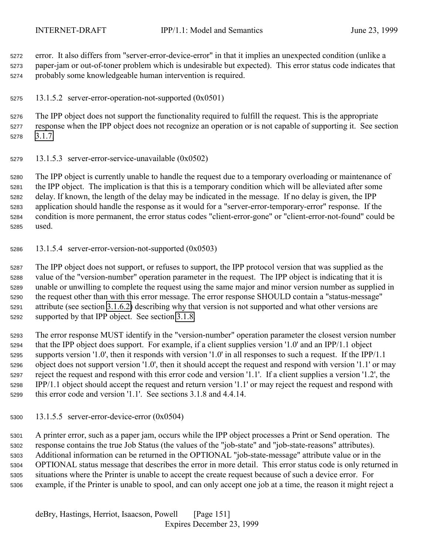<span id="page-150-0"></span> error. It also differs from "server-error-device-error" in that it implies an unexpected condition (unlike a paper-jam or out-of-toner problem which is undesirable but expected). This error status code indicates that probably some knowledgeable human intervention is required.

13.1.5.2 server-error-operation-not-supported (0x0501)

 The IPP object does not support the functionality required to fulfill the request. This is the appropriate response when the IPP object does not recognize an operation or is not capable of supporting it. See section [3.1.7.](#page-30-0)

13.1.5.3 server-error-service-unavailable (0x0502)

 The IPP object is currently unable to handle the request due to a temporary overloading or maintenance of the IPP object. The implication is that this is a temporary condition which will be alleviated after some delay. If known, the length of the delay may be indicated in the message. If no delay is given, the IPP application should handle the response as it would for a "server-error-temporary-error" response. If the condition is more permanent, the error status codes "client-error-gone" or "client-error-not-found" could be used.

13.1.5.4 server-error-version-not-supported (0x0503)

 The IPP object does not support, or refuses to support, the IPP protocol version that was supplied as the value of the "version-number" operation parameter in the request. The IPP object is indicating that it is unable or unwilling to complete the request using the same major and minor version number as supplied in the request other than with this error message. The error response SHOULD contain a "status-message" attribute (see section [3.1.6.2\)](#page-28-0) describing why that version is not supported and what other versions are supported by that IPP object. See section [3.1.8.](#page-31-0)

 The error response MUST identify in the "version-number" operation parameter the closest version number that the IPP object does support. For example, if a client supplies version '1.0' and an IPP/1.1 object supports version '1.0', then it responds with version '1.0' in all responses to such a request. If the IPP/1.1 object does not support version '1.0', then it should accept the request and respond with version '1.1' or may reject the request and respond with this error code and version '1.1'. If a client supplies a version '1.2', the IPP/1.1 object should accept the request and return version '1.1' or may reject the request and respond with this error code and version '1.1'. See sections 3.1.8 and 4.4.14.

13.1.5.5 server-error-device-error (0x0504)

 A printer error, such as a paper jam, occurs while the IPP object processes a Print or Send operation. The response contains the true Job Status (the values of the "job-state" and "job-state-reasons" attributes). Additional information can be returned in the OPTIONAL "job-state-message" attribute value or in the OPTIONAL status message that describes the error in more detail. This error status code is only returned in situations where the Printer is unable to accept the create request because of such a device error. For example, if the Printer is unable to spool, and can only accept one job at a time, the reason it might reject a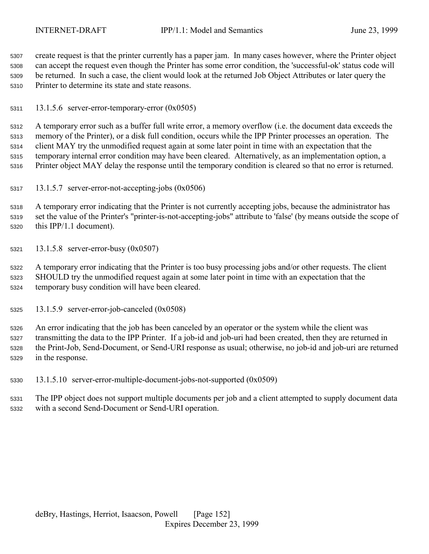<span id="page-151-0"></span> create request is that the printer currently has a paper jam. In many cases however, where the Printer object can accept the request even though the Printer has some error condition, the 'successful-ok' status code will be returned. In such a case, the client would look at the returned Job Object Attributes or later query the Printer to determine its state and state reasons.

13.1.5.6 server-error-temporary-error (0x0505)

 A temporary error such as a buffer full write error, a memory overflow (i.e. the document data exceeds the memory of the Printer), or a disk full condition, occurs while the IPP Printer processes an operation. The client MAY try the unmodified request again at some later point in time with an expectation that the temporary internal error condition may have been cleared. Alternatively, as an implementation option, a Printer object MAY delay the response until the temporary condition is cleared so that no error is returned.

13.1.5.7 server-error-not-accepting-jobs (0x0506)

 A temporary error indicating that the Printer is not currently accepting jobs, because the administrator has set the value of the Printer's "printer-is-not-accepting-jobs" attribute to 'false' (by means outside the scope of this IPP/1.1 document).

13.1.5.8 server-error-busy (0x0507)

 A temporary error indicating that the Printer is too busy processing jobs and/or other requests. The client SHOULD try the unmodified request again at some later point in time with an expectation that the temporary busy condition will have been cleared.

13.1.5.9 server-error-job-canceled (0x0508)

 An error indicating that the job has been canceled by an operator or the system while the client was transmitting the data to the IPP Printer. If a job-id and job-uri had been created, then they are returned in the Print-Job, Send-Document, or Send-URI response as usual; otherwise, no job-id and job-uri are returned in the response.

13.1.5.10 server-error-multiple-document-jobs-not-supported (0x0509)

 The IPP object does not support multiple documents per job and a client attempted to supply document data with a second Send-Document or Send-URI operation.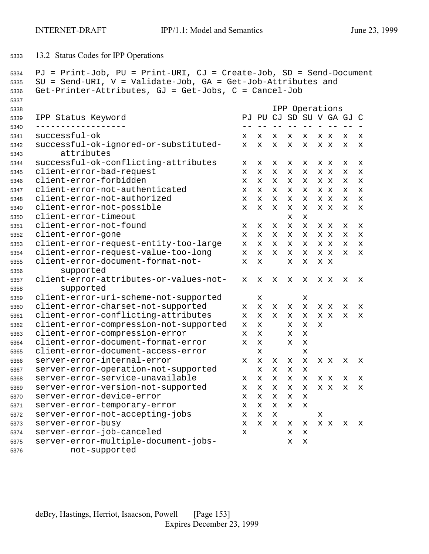```
5333 13.2 Status Codes for IPP Operations
```

```
5334 PJ = Print-Job, PU = Print-URI, CJ = Create-Job, SD = Send-Document
5335 SU = Send-URI, V = Validate-Job, GA = Get-Job-Attributes and
5336 Get-Printer-Attributes, GJ = Get-Jobs, C = Cancel-Job
5337
5338 IPP Operations
5339 IPP Status Keyword PJ PU CJ SD SU V GA GJ C
5340 ------------------ -- -- -- -- -- - -- -- -
5341 successful-ok x x x x x xx x x
5342 successful-ok-ignored-or-substituted- x x x x x xx x x
5343 attributes
5344 successful-ok-conflicting-attributes x x x x x xx x x
5345 client-error-bad-request x x x x x xx x x
5346 client-error-forbidden x x x x x xx x x
5347 client-error-not-authenticated x x x x x xx x x
5348 client-error-not-authorized x x x x x xx x x
5349 client-error-not-possible x x x x x xx x x
5350 client-error-timeout x x
5351 client-error-not-found x x x x x xx x x
5352 client-error-gone x x x x x xx x x
5353 client-error-request-entity-too-large x x x x x xx x x
5354 client-error-request-value-too-long x x x x x xx x x
5355 client-error-document-format-not- x x x x x x
5356 supported
5357 client-error-attributes-or-values-not- x x x x x x x x x x
5358 supported
5359 client-error-uri-scheme-not-supported x x
5360 client-error-charset-not-supported x x x x x xx x x
5361 client-error-conflicting-attributes x x x x x xx x x
5362 client-error-compression-not-supported x x x x x
5363 client-error-compression-error x x x x
5364 client-error-document-format-error x x x x
5365 client-error-document-access-error x x
5366 server-error-internal-error x x x x x xx x x
5367 server-error-operation-not-supported xxxx
5368 server-error-service-unavailable x x x x x xx x x
5369 server-error-version-not-supported x x x x x xx x x
5370 server-error-device-error xxxxx
5371 server-error-temporary-error xxxxx
5372 server-error-not-accepting-jobs x x x x
5373 server-error-busy x x x x x xx x x
5374 server-error-job-canceled x x x
5375 server-error-multiple-document-jobs- x x
5376 not-supported
```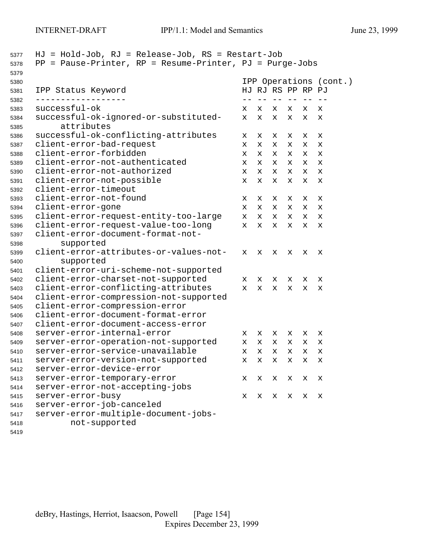| 5378<br>5379 | = Pause-Printer, RP = Resume-Printer, PJ = Purge-Jobs<br>$\rm PP$ |   |                        |            |            |   |             |
|--------------|-------------------------------------------------------------------|---|------------------------|------------|------------|---|-------------|
| 5380         |                                                                   |   | IPP Operations (cont.) |            |            |   |             |
| 5381         | IPP Status Keyword                                                |   | HJ RJ RS PP RP PJ      |            |            |   |             |
| 5382<br>5383 | successful-ok                                                     | x | $ -$<br>x              | $- -$<br>x | $- -$<br>x | x | х           |
| 5384<br>5385 | successful-ok-ignored-or-substituted-<br>attributes               | x | X                      | X          | X          | X | x           |
| 5386         | successful-ok-conflicting-attributes                              | x | x                      | x          | x          | x | х           |
| 5387         | client-error-bad-request                                          | x | X                      | X          | X          | X | X           |
| 5388         | client-error-forbidden                                            | x | X                      | x          | х          | x | $\mathbf x$ |
| 5389         | client-error-not-authenticated                                    | x | X                      | x          | х          | х | х           |
| 5390         | client-error-not-authorized                                       | x | X                      | х          | х          | х | x           |
| 5391         | client-error-not-possible                                         | X | X                      | х          | х          | х | x           |
| 5392         | client-error-timeout                                              |   |                        |            |            |   |             |
| 5393         | client-error-not-found                                            | х | х                      | x          | х          | х | х           |
| 5394         | client-error-gone                                                 | x | X                      | x          | x          | x | х           |
| 5395         | client-error-request-entity-too-large                             | x | X                      | x          | x          | x | X           |
| 5396         | client-error-request-value-too-long                               | x | X                      | X          | x          | X | X           |
| 5397         | client-error-document-format-not-                                 |   |                        |            |            |   |             |
| 5398         | supported                                                         |   |                        |            |            |   |             |
| 5399         | client-error-attributes-or-values-not-                            | x | х                      | x          | х          | х | х           |
| 5400         | supported                                                         |   |                        |            |            |   |             |
| 5401         | client-error-uri-scheme-not-supported                             |   |                        |            |            |   |             |
| 5402         | client-error-charset-not-supported                                | x | x                      | x          | x          | х | х           |
| 5403         | client-error-conflicting-attributes                               | x | X                      | x          | x          | х | х           |
| 5404         | client-error-compression-not-supported                            |   |                        |            |            |   |             |
| 5405         | client-error-compression-error                                    |   |                        |            |            |   |             |
| 5406         | client-error-document-format-error                                |   |                        |            |            |   |             |
| 5407         | client-error-document-access-error                                |   |                        |            |            |   |             |
| 5408         | server-error-internal-error                                       | x | x                      | x          | x          | х | х           |
| 5409         | server-error-operation-not-supported                              | x | X                      | x          | x          | x | х           |
| 5410         | server-error-service-unavailable                                  | x | X                      | X          | X          | x | X           |
| 5411         | server-error-version-not-supported                                | х | х                      | х          | x          | х | Х           |
| 5412         | server-error-device-error                                         |   |                        |            |            |   |             |
| 5413         | server-error-temporary-error                                      | x | x                      | х          | x          | x | х           |
| 5414         | server-error-not-accepting-jobs                                   |   |                        |            |            |   |             |
| 5415         | server-error-busy                                                 | x | х                      | x          | х          | х | х           |
| 5416         | server-error-job-canceled                                         |   |                        |            |            |   |             |
| 5417         | server-error-multiple-document-jobs-                              |   |                        |            |            |   |             |
| 5418         | not-supported                                                     |   |                        |            |            |   |             |
| 5419         |                                                                   |   |                        |            |            |   |             |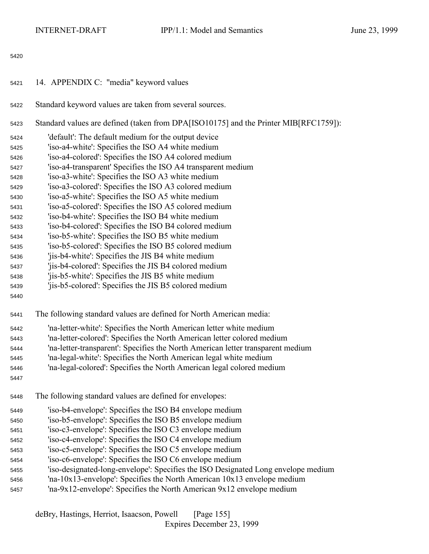- <span id="page-154-0"></span>14. APPENDIX C: "media" keyword values
- Standard keyword values are taken from several sources.
- Standard values are defined (taken from DPA[ISO10175] and the Printer MIB[RFC1759]):
- 'default': The default medium for the output device
- 'iso-a4-white': Specifies the ISO A4 white medium
- 'iso-a4-colored': Specifies the ISO A4 colored medium
- 'iso-a4-transparent' Specifies the ISO A4 transparent medium
- 'iso-a3-white': Specifies the ISO A3 white medium
- 'iso-a3-colored': Specifies the ISO A3 colored medium
- 'iso-a5-white': Specifies the ISO A5 white medium
- 'iso-a5-colored': Specifies the ISO A5 colored medium
- 'iso-b4-white': Specifies the ISO B4 white medium
- 'iso-b4-colored': Specifies the ISO B4 colored medium
- 'iso-b5-white': Specifies the ISO B5 white medium
- 'iso-b5-colored': Specifies the ISO B5 colored medium
- 'jis-b4-white': Specifies the JIS B4 white medium
- 'jis-b4-colored': Specifies the JIS B4 colored medium
- 'jis-b5-white': Specifies the JIS B5 white medium
- 'jis-b5-colored': Specifies the JIS B5 colored medium
- 
- The following standard values are defined for North American media:
- 'na-letter-white': Specifies the North American letter white medium
- 'na-letter-colored': Specifies the North American letter colored medium
- 'na-letter-transparent': Specifies the North American letter transparent medium
- 'na-legal-white': Specifies the North American legal white medium
- 'na-legal-colored': Specifies the North American legal colored medium
- 
- The following standard values are defined for envelopes:
- 'iso-b4-envelope': Specifies the ISO B4 envelope medium
- 'iso-b5-envelope': Specifies the ISO B5 envelope medium
- 'iso-c3-envelope': Specifies the ISO C3 envelope medium
- 'iso-c4-envelope': Specifies the ISO C4 envelope medium
- 'iso-c5-envelope': Specifies the ISO C5 envelope medium
- 'iso-c6-envelope': Specifies the ISO C6 envelope medium
- 'iso-designated-long-envelope': Specifies the ISO Designated Long envelope medium
- 'na-10x13-envelope': Specifies the North American 10x13 envelope medium
- 'na-9x12-envelope': Specifies the North American 9x12 envelope medium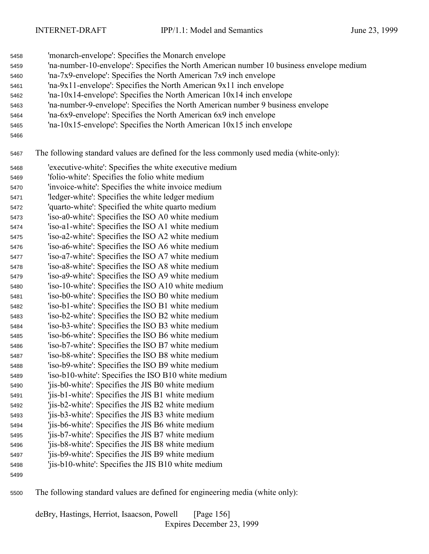- 'monarch-envelope': Specifies the Monarch envelope
- 'na-number-10-envelope': Specifies the North American number 10 business envelope medium
- 'na-7x9-envelope': Specifies the North American 7x9 inch envelope
- 'na-9x11-envelope': Specifies the North American 9x11 inch envelope
- 'na-10x14-envelope': Specifies the North American 10x14 inch envelope
- 'na-number-9-envelope': Specifies the North American number 9 business envelope
- 'na-6x9-envelope': Specifies the North American 6x9 inch envelope
- 'na-10x15-envelope': Specifies the North American 10x15 inch envelope
- 

The following standard values are defined for the less commonly used media (white-only):

- 'executive-white': Specifies the white executive medium
- 'folio-white': Specifies the folio white medium
- 'invoice-white': Specifies the white invoice medium
- 'ledger-white': Specifies the white ledger medium
- 'quarto-white': Specified the white quarto medium
- 'iso-a0-white': Specifies the ISO A0 white medium
- 'iso-a1-white': Specifies the ISO A1 white medium 'iso-a2-white': Specifies the ISO A2 white medium
- 'iso-a6-white': Specifies the ISO A6 white medium
- 'iso-a7-white': Specifies the ISO A7 white medium
- 'iso-a8-white': Specifies the ISO A8 white medium
- 'iso-a9-white': Specifies the ISO A9 white medium
- 'iso-10-white': Specifies the ISO A10 white medium
- 'iso-b0-white': Specifies the ISO B0 white medium
- 'iso-b1-white': Specifies the ISO B1 white medium 'iso-b2-white': Specifies the ISO B2 white medium
- 'iso-b3-white': Specifies the ISO B3 white medium
- 'iso-b6-white': Specifies the ISO B6 white medium
- 'iso-b7-white': Specifies the ISO B7 white medium
- 'iso-b8-white': Specifies the ISO B8 white medium
- 'iso-b9-white': Specifies the ISO B9 white medium
- 'iso-b10-white': Specifies the ISO B10 white medium
- 'jis-b0-white': Specifies the JIS B0 white medium
- 'jis-b1-white': Specifies the JIS B1 white medium 'jis-b2-white': Specifies the JIS B2 white medium
- 
- 'jis-b3-white': Specifies the JIS B3 white medium 'jis-b6-white': Specifies the JIS B6 white medium
- 'jis-b7-white': Specifies the JIS B7 white medium
- 'jis-b8-white': Specifies the JIS B8 white medium
- 'jis-b9-white': Specifies the JIS B9 white medium
- 'jis-b10-white': Specifies the JIS B10 white medium
- 
- The following standard values are defined for engineering media (white only):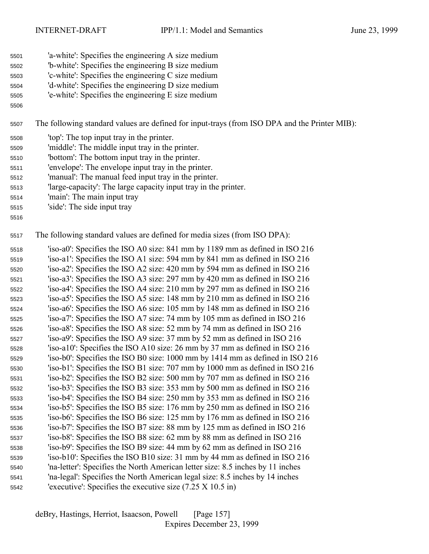- 'a-white': Specifies the engineering A size medium
- 'b-white': Specifies the engineering B size medium
- 'c-white': Specifies the engineering C size medium
- 'd-white': Specifies the engineering D size medium
- 'e-white': Specifies the engineering E size medium
- 

The following standard values are defined for input-trays (from ISO DPA and the Printer MIB):

- 'top': The top input tray in the printer.
- 'middle': The middle input tray in the printer.
- 'bottom': The bottom input tray in the printer.
- 'envelope': The envelope input tray in the printer.
- 'manual': The manual feed input tray in the printer.
- 'large-capacity': The large capacity input tray in the printer.
- 'main': The main input tray
- 'side': The side input tray
- 

The following standard values are defined for media sizes (from ISO DPA):

 'iso-a0': Specifies the ISO A0 size: 841 mm by 1189 mm as defined in ISO 216 'iso-a1': Specifies the ISO A1 size: 594 mm by 841 mm as defined in ISO 216 'iso-a2': Specifies the ISO A2 size: 420 mm by 594 mm as defined in ISO 216 'iso-a3': Specifies the ISO A3 size: 297 mm by 420 mm as defined in ISO 216 'iso-a4': Specifies the ISO A4 size: 210 mm by 297 mm as defined in ISO 216 'iso-a5': Specifies the ISO A5 size: 148 mm by 210 mm as defined in ISO 216 'iso-a6': Specifies the ISO A6 size: 105 mm by 148 mm as defined in ISO 216 'iso-a7': Specifies the ISO A7 size: 74 mm by 105 mm as defined in ISO 216 'iso-a8': Specifies the ISO A8 size: 52 mm by 74 mm as defined in ISO 216 'iso-a9': Specifies the ISO A9 size: 37 mm by 52 mm as defined in ISO 216 'iso-a10': Specifies the ISO A10 size: 26 mm by 37 mm as defined in ISO 216 'iso-b0': Specifies the ISO B0 size: 1000 mm by 1414 mm as defined in ISO 216 'iso-b1': Specifies the ISO B1 size: 707 mm by 1000 mm as defined in ISO 216 'iso-b2': Specifies the ISO B2 size: 500 mm by 707 mm as defined in ISO 216 'iso-b3': Specifies the ISO B3 size: 353 mm by 500 mm as defined in ISO 216 'iso-b4': Specifies the ISO B4 size: 250 mm by 353 mm as defined in ISO 216 'iso-b5': Specifies the ISO B5 size: 176 mm by 250 mm as defined in ISO 216 'iso-b6': Specifies the ISO B6 size: 125 mm by 176 mm as defined in ISO 216 'iso-b7': Specifies the ISO B7 size: 88 mm by 125 mm as defined in ISO 216 'iso-b8': Specifies the ISO B8 size: 62 mm by 88 mm as defined in ISO 216 'iso-b9': Specifies the ISO B9 size: 44 mm by 62 mm as defined in ISO 216 'iso-b10': Specifies the ISO B10 size: 31 mm by 44 mm as defined in ISO 216 'na-letter': Specifies the North American letter size: 8.5 inches by 11 inches 'na-legal': Specifies the North American legal size: 8.5 inches by 14 inches 'executive': Specifies the executive size (7.25 X 10.5 in)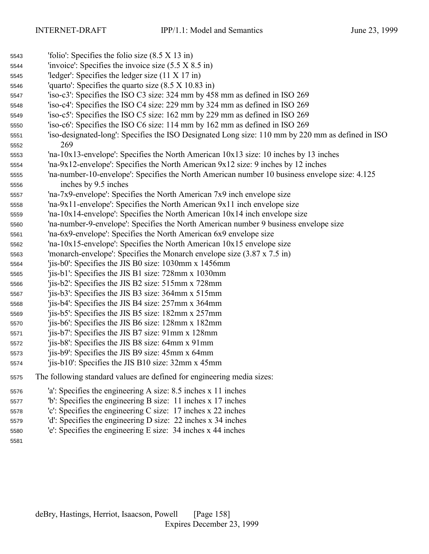| 5543 | 'folio': Specifies the folio size $(8.5 \times 13 \text{ in})$                                    |
|------|---------------------------------------------------------------------------------------------------|
| 5544 | 'invoice': Specifies the invoice size $(5.5 \times 8.5 \text{ in})$                               |
| 5545 | 'ledger': Specifies the ledger size $(11 \times 17 \text{ in})$                                   |
| 5546 | 'quarto': Specifies the quarto size $(8.5 \times 10.83 \text{ in})$                               |
| 5547 | 'iso-c3': Specifies the ISO C3 size: 324 mm by 458 mm as defined in ISO 269                       |
| 5548 | 'iso-c4': Specifies the ISO C4 size: 229 mm by 324 mm as defined in ISO 269                       |
| 5549 | 'iso-c5': Specifies the ISO C5 size: 162 mm by 229 mm as defined in ISO 269                       |
| 5550 | 'iso-c6': Specifies the ISO C6 size: 114 mm by 162 mm as defined in ISO 269                       |
| 5551 | 'iso-designated-long': Specifies the ISO Designated Long size: 110 mm by 220 mm as defined in ISO |
| 5552 | 269                                                                                               |
| 5553 | 'na-10x13-envelope': Specifies the North American $10x13$ size: 10 inches by 13 inches            |
| 5554 | 'na-9x12-envelope': Specifies the North American 9x12 size: 9 inches by 12 inches                 |
| 5555 | 'na-number-10-envelope': Specifies the North American number 10 business envelope size: 4.125     |
| 5556 | inches by 9.5 inches                                                                              |
| 5557 | 'na-7x9-envelope': Specifies the North American 7x9 inch envelope size                            |
| 5558 | $\text{Yna-9x11-envelope}$ : Specifies the North American $9x11$ inch envelope size               |
| 5559 | 'na-10x14-envelope': Specifies the North American $10x14$ inch envelope size                      |
| 5560 | 'na-number-9-envelope': Specifies the North American number 9 business envelope size              |
| 5561 | 'na-6x9-envelope': Specifies the North American 6x9 envelope size                                 |
| 5562 | 'na-10x15-envelope': Specifies the North American 10x15 envelope size                             |
| 5563 | 'monarch-envelope': Specifies the Monarch envelope size $(3.87 \times 7.5 \text{ in})$            |
| 5564 | 'jis-b0': Specifies the JIS B0 size: $1030$ mm x $1456$ mm                                        |
| 5565 | 'jis-b1': Specifies the JIS B1 size: 728mm x 1030mm                                               |
| 5566 | 'jis-b2': Specifies the JIS B2 size: 515mm x 728mm                                                |
| 5567 | 'jis-b3': Specifies the JIS B3 size: 364mm x 515mm                                                |
| 5568 | 'jis-b4': Specifies the JIS B4 size: 257mm x 364mm                                                |
| 5569 | 'jis-b5': Specifies the JIS B5 size: 182mm x 257mm                                                |
| 5570 | 'jis-b6': Specifies the JIS B6 size: 128mm x 182mm                                                |
| 5571 | 'jis-b7': Specifies the JIS B7 size: 91mm x 128mm                                                 |
| 5572 | 'jis-b8': Specifies the JIS B8 size: 64mm x 91mm                                                  |
| 5573 | 'jis-b9': Specifies the JIS B9 size: 45mm x 64mm                                                  |
| 5574 | 'jis-b10': Specifies the JIS B10 size: 32mm x 45mm                                                |
| 5575 | The following standard values are defined for engineering media sizes:                            |
| 5576 | 'a': Specifies the engineering A size: 8.5 inches x 11 inches                                     |
| 5577 | "b': Specifies the engineering B size: 11 inches x 17 inches                                      |
| 5578 | 'c': Specifies the engineering C size: $17$ inches x 22 inches                                    |
| 5579 | 'd': Specifies the engineering D size: 22 inches x 34 inches                                      |
| 5580 | 'e': Specifies the engineering E size: 34 inches x 44 inches                                      |
| 5581 |                                                                                                   |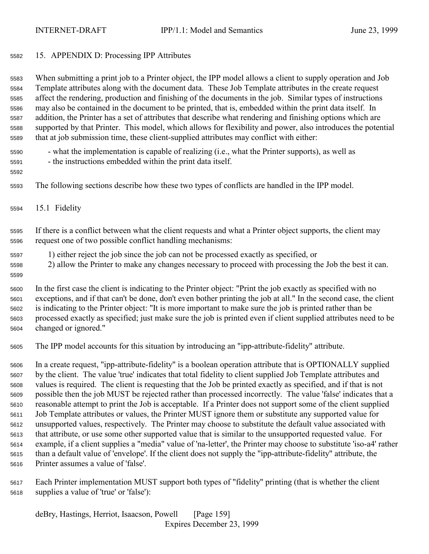## 15. APPENDIX D: Processing IPP Attributes

 When submitting a print job to a Printer object, the IPP model allows a client to supply operation and Job Template attributes along with the document data. These Job Template attributes in the create request affect the rendering, production and finishing of the documents in the job. Similar types of instructions may also be contained in the document to be printed, that is, embedded within the print data itself. In addition, the Printer has a set of attributes that describe what rendering and finishing options which are supported by that Printer. This model, which allows for flexibility and power, also introduces the potential that at job submission time, these client-supplied attributes may conflict with either:

- what the implementation is capable of realizing (i.e., what the Printer supports), as well as
- the instructions embedded within the print data itself.
- 
- The following sections describe how these two types of conflicts are handled in the IPP model.
- 15.1 Fidelity

 If there is a conflict between what the client requests and what a Printer object supports, the client may request one of two possible conflict handling mechanisms:

- 1) either reject the job since the job can not be processed exactly as specified, or
- 2) allow the Printer to make any changes necessary to proceed with processing the Job the best it can.
- 

 In the first case the client is indicating to the Printer object: "Print the job exactly as specified with no exceptions, and if that can't be done, don't even bother printing the job at all." In the second case, the client is indicating to the Printer object: "It is more important to make sure the job is printed rather than be processed exactly as specified; just make sure the job is printed even if client supplied attributes need to be

changed or ignored."

The IPP model accounts for this situation by introducing an "ipp-attribute-fidelity" attribute.

 In a create request, "ipp-attribute-fidelity" is a boolean operation attribute that is OPTIONALLY supplied by the client. The value 'true' indicates that total fidelity to client supplied Job Template attributes and values is required. The client is requesting that the Job be printed exactly as specified, and if that is not possible then the job MUST be rejected rather than processed incorrectly. The value 'false' indicates that a reasonable attempt to print the Job is acceptable. If a Printer does not support some of the client supplied Job Template attributes or values, the Printer MUST ignore them or substitute any supported value for unsupported values, respectively. The Printer may choose to substitute the default value associated with that attribute, or use some other supported value that is similar to the unsupported requested value. For example, if a client supplies a "media" value of 'na-letter', the Printer may choose to substitute 'iso-a4' rather than a default value of 'envelope'. If the client does not supply the "ipp-attribute-fidelity" attribute, the Printer assumes a value of 'false'.

 Each Printer implementation MUST support both types of "fidelity" printing (that is whether the client supplies a value of 'true' or 'false'):

deBry, Hastings, Herriot, Isaacson, Powell [Page 159] Expires December 23, 1999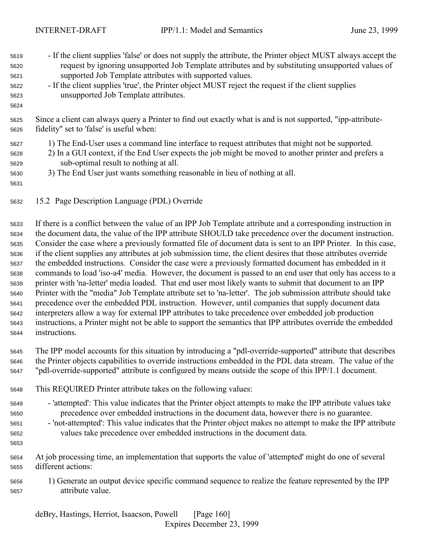| 5619<br>5620<br>5621<br>5622<br>5623<br>5624 | - If the client supplies 'false' or does not supply the attribute, the Printer object MUST always accept the<br>request by ignoring unsupported Job Template attributes and by substituting unsupported values of<br>supported Job Template attributes with supported values.<br>- If the client supplies 'true', the Printer object MUST reject the request if the client supplies<br>unsupported Job Template attributes. |
|----------------------------------------------|-----------------------------------------------------------------------------------------------------------------------------------------------------------------------------------------------------------------------------------------------------------------------------------------------------------------------------------------------------------------------------------------------------------------------------|
| 5625<br>5626                                 | Since a client can always query a Printer to find out exactly what is and is not supported, "ipp-attribute-<br>fidelity" set to 'false' is useful when:                                                                                                                                                                                                                                                                     |
| 5627<br>5628<br>5629<br>5630<br>5631         | 1) The End-User uses a command line interface to request attributes that might not be supported.<br>2) In a GUI context, if the End User expects the job might be moved to another printer and prefers a<br>sub-optimal result to nothing at all.<br>3) The End User just wants something reasonable in lieu of nothing at all.                                                                                             |

15.2 Page Description Language (PDL) Override

 If there is a conflict between the value of an IPP Job Template attribute and a corresponding instruction in the document data, the value of the IPP attribute SHOULD take precedence over the document instruction. Consider the case where a previously formatted file of document data is sent to an IPP Printer. In this case, if the client supplies any attributes at job submission time, the client desires that those attributes override the embedded instructions. Consider the case were a previously formatted document has embedded in it commands to load 'iso-a4' media. However, the document is passed to an end user that only has access to a printer with 'na-letter' media loaded. That end user most likely wants to submit that document to an IPP Printer with the "media" Job Template attribute set to 'na-letter'. The job submission attribute should take precedence over the embedded PDL instruction. However, until companies that supply document data interpreters allow a way for external IPP attributes to take precedence over embedded job production instructions, a Printer might not be able to support the semantics that IPP attributes override the embedded instructions.

 The IPP model accounts for this situation by introducing a "pdl-override-supported" attribute that describes the Printer objects capabilities to override instructions embedded in the PDL data stream. The value of the "pdl-override-supported" attribute is configured by means outside the scope of this IPP/1.1 document.

- This REQUIRED Printer attribute takes on the following values:
- 'attempted': This value indicates that the Printer object attempts to make the IPP attribute values take precedence over embedded instructions in the document data, however there is no guarantee.
- 'not-attempted': This value indicates that the Printer object makes no attempt to make the IPP attribute values take precedence over embedded instructions in the document data.
- 

 At job processing time, an implementation that supports the value of 'attempted' might do one of several different actions:

 1) Generate an output device specific command sequence to realize the feature represented by the IPP attribute value.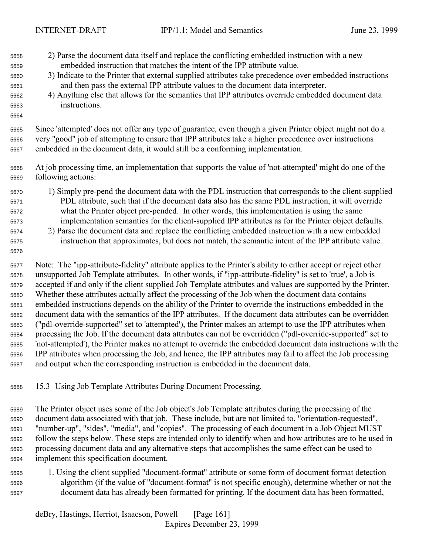- 2) Parse the document data itself and replace the conflicting embedded instruction with a new embedded instruction that matches the intent of the IPP attribute value.
- 3) Indicate to the Printer that external supplied attributes take precedence over embedded instructions and then pass the external IPP attribute values to the document data interpreter.
- 4) Anything else that allows for the semantics that IPP attributes override embedded document data instructions.

 Since 'attempted' does not offer any type of guarantee, even though a given Printer object might not do a very "good" job of attempting to ensure that IPP attributes take a higher precedence over instructions embedded in the document data, it would still be a conforming implementation.

- At job processing time, an implementation that supports the value of 'not-attempted' might do one of the following actions:
- 1) Simply pre-pend the document data with the PDL instruction that corresponds to the client-supplied PDL attribute, such that if the document data also has the same PDL instruction, it will override what the Printer object pre-pended. In other words, this implementation is using the same implementation semantics for the client-supplied IPP attributes as for the Printer object defaults.
- 2) Parse the document data and replace the conflicting embedded instruction with a new embedded instruction that approximates, but does not match, the semantic intent of the IPP attribute value.
- Note: The "ipp-attribute-fidelity" attribute applies to the Printer's ability to either accept or reject other unsupported Job Template attributes. In other words, if "ipp-attribute-fidelity" is set to 'true', a Job is accepted if and only if the client supplied Job Template attributes and values are supported by the Printer. Whether these attributes actually affect the processing of the Job when the document data contains embedded instructions depends on the ability of the Printer to override the instructions embedded in the document data with the semantics of the IPP attributes. If the document data attributes can be overridden ("pdl-override-supported" set to 'attempted'), the Printer makes an attempt to use the IPP attributes when processing the Job. If the document data attributes can not be overridden ("pdl-override-supported" set to 'not-attempted'), the Printer makes no attempt to override the embedded document data instructions with the IPP attributes when processing the Job, and hence, the IPP attributes may fail to affect the Job processing and output when the corresponding instruction is embedded in the document data.
- 15.3 Using Job Template Attributes During Document Processing.
- The Printer object uses some of the Job object's Job Template attributes during the processing of the document data associated with that job. These include, but are not limited to, "orientation-requested", "number-up", "sides", "media", and "copies". The processing of each document in a Job Object MUST follow the steps below. These steps are intended only to identify when and how attributes are to be used in processing document data and any alternative steps that accomplishes the same effect can be used to implement this specification document.
- 1. Using the client supplied "document-format" attribute or some form of document format detection algorithm (if the value of "document-format" is not specific enough), determine whether or not the document data has already been formatted for printing. If the document data has been formatted,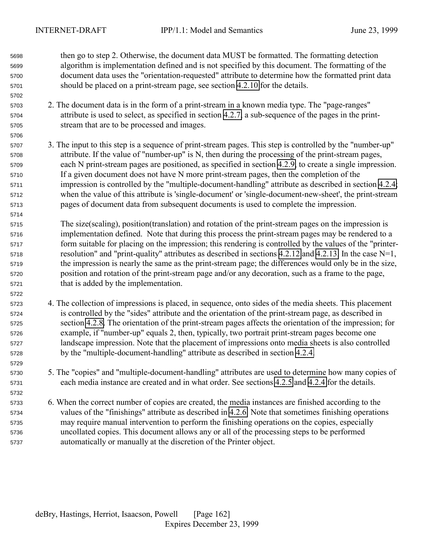then go to step 2. Otherwise, the document data MUST be formatted. The formatting detection algorithm is implementation defined and is not specified by this document. The formatting of the document data uses the "orientation-requested" attribute to determine how the formatted print data should be placed on a print-stream page, see section [4.2.10](#page-83-0) for the details.

- 2. The document data is in the form of a print-stream in a known media type. The "page-ranges" attribute is used to select, as specified in section [4.2.7,](#page-81-0) a sub-sequence of the pages in the print-stream that are to be processed and images.
- 3. The input to this step is a sequence of print-stream pages. This step is controlled by the "number-up" attribute. If the value of "number-up" is N, then during the processing of the print-stream pages, each N print-stream pages are positioned, as specified in section [4.2.9,](#page-82-0) to create a single impression. If a given document does not have N more print-stream pages, then the completion of the impression is controlled by the "multiple-document-handling" attribute as described in section [4.2.4;](#page-78-0) when the value of this attribute is 'single-document' or 'single-document-new-sheet', the print-stream pages of document data from subsequent documents is used to complete the impression.
- The size(scaling), position(translation) and rotation of the print-stream pages on the impression is implementation defined. Note that during this process the print-stream pages may be rendered to a form suitable for placing on the impression; this rendering is controlled by the values of the "printer- resolution" and "print-quality" attributes as described in sections [4.2.12](#page-84-0) and [4.2.13.](#page-84-0) In the case N=1, the impression is nearly the same as the print-stream page; the differences would only be in the size, position and rotation of the print-stream page and/or any decoration, such as a frame to the page, that is added by the implementation.
- 4. The collection of impressions is placed, in sequence, onto sides of the media sheets. This placement is controlled by the "sides" attribute and the orientation of the print-stream page, as described in section [4.2.8.](#page-82-0) The orientation of the print-stream pages affects the orientation of the impression; for example, if "number-up" equals 2, then, typically, two portrait print-stream pages become one landscape impression. Note that the placement of impressions onto media sheets is also controlled by the "multiple-document-handling" attribute as described in section [4.2.4.](#page-78-0)
- 5. The "copies" and "multiple-document-handling" attributes are used to determine how many copies of each media instance are created and in what order. See sections [4.2.5](#page-79-0) and [4.2.4](#page-78-0) for the details.

 6. When the correct number of copies are created, the media instances are finished according to the values of the "finishings" attribute as described in [4.2.6.](#page-79-0) Note that sometimes finishing operations may require manual intervention to perform the finishing operations on the copies, especially uncollated copies. This document allows any or all of the processing steps to be performed automatically or manually at the discretion of the Printer object.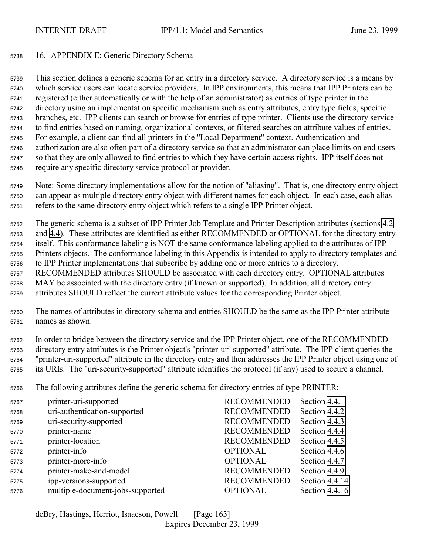## <span id="page-162-0"></span>16. APPENDIX E: Generic Directory Schema

 This section defines a generic schema for an entry in a directory service. A directory service is a means by which service users can locate service providers. In IPP environments, this means that IPP Printers can be registered (either automatically or with the help of an administrator) as entries of type printer in the directory using an implementation specific mechanism such as entry attributes, entry type fields, specific branches, etc. IPP clients can search or browse for entries of type printer. Clients use the directory service to find entries based on naming, organizational contexts, or filtered searches on attribute values of entries. For example, a client can find all printers in the "Local Department" context. Authentication and authorization are also often part of a directory service so that an administrator can place limits on end users so that they are only allowed to find entries to which they have certain access rights. IPP itself does not require any specific directory service protocol or provider.

 Note: Some directory implementations allow for the notion of "aliasing". That is, one directory entry object can appear as multiple directory entry object with different names for each object. In each case, each alias refers to the same directory entry object which refers to a single IPP Printer object.

 The generic schema is a subset of IPP Printer Job Template and Printer Description attributes (sections [4.2](#page-73-0) and [4.4\)](#page-100-0). These attributes are identified as either RECOMMENDED or OPTIONAL for the directory entry itself. This conformance labeling is NOT the same conformance labeling applied to the attributes of IPP Printers objects. The conformance labeling in this Appendix is intended to apply to directory templates and to IPP Printer implementations that subscribe by adding one or more entries to a directory. RECOMMENDED attributes SHOULD be associated with each directory entry. OPTIONAL attributes MAY be associated with the directory entry (if known or supported). In addition, all directory entry attributes SHOULD reflect the current attribute values for the corresponding Printer object.

 The names of attributes in directory schema and entries SHOULD be the same as the IPP Printer attribute names as shown.

 In order to bridge between the directory service and the IPP Printer object, one of the RECOMMENDED directory entry attributes is the Printer object's "printer-uri-supported" attribute. The IPP client queries the "printer-uri-supported" attribute in the directory entry and then addresses the IPP Printer object using one of its URIs. The "uri-security-supported" attribute identifies the protocol (if any) used to secure a channel.

The following attributes define the generic schema for directory entries of type PRINTER:

| 5767 | printer-uri-supported            | <b>RECOMMENDED</b> | Section 4.4.1  |
|------|----------------------------------|--------------------|----------------|
| 5768 | uri-authentication-supported     | <b>RECOMMENDED</b> | Section 4.4.2  |
| 5769 | uri-security-supported           | <b>RECOMMENDED</b> | Section 4.4.3  |
| 5770 | printer-name                     | <b>RECOMMENDED</b> | Section 4.4.4  |
| 5771 | printer-location                 | <b>RECOMMENDED</b> | Section 4.4.5  |
| 5772 | printer-info                     | <b>OPTIONAL</b>    | Section 4.4.6  |
| 5773 | printer-more-info                | <b>OPTIONAL</b>    | Section 4.4.7  |
| 5774 | printer-make-and-model           | <b>RECOMMENDED</b> | Section 4.4.9  |
| 5775 | ipp-versions-supported           | <b>RECOMMENDED</b> | Section 4.4.14 |
| 5776 | multiple-document-jobs-supported | <b>OPTIONAL</b>    | Section 4.4.16 |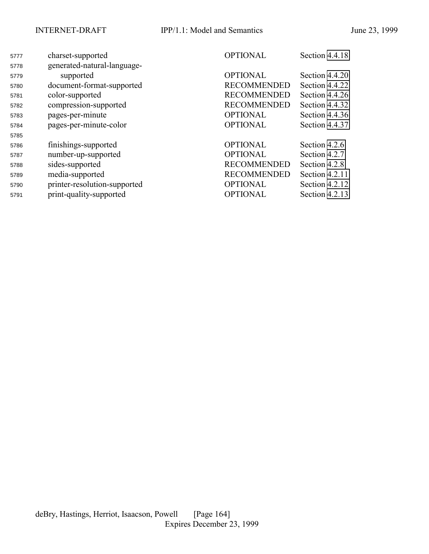| 5777 | charset-supported            | <b>OPTIONAL</b>    | Section 4.4.18 |
|------|------------------------------|--------------------|----------------|
| 5778 | generated-natural-language-  |                    |                |
| 5779 | supported                    | <b>OPTIONAL</b>    | Section 4.4.20 |
| 5780 | document-format-supported    | <b>RECOMMENDED</b> | Section 4.4.22 |
| 5781 | color-supported              | <b>RECOMMENDED</b> | Section 4.4.26 |
| 5782 | compression-supported        | <b>RECOMMENDED</b> | Section 4.4.32 |
| 5783 | pages-per-minute             | <b>OPTIONAL</b>    | Section 4.4.36 |
| 5784 | pages-per-minute-color       | <b>OPTIONAL</b>    | Section 4.4.37 |
| 5785 |                              |                    |                |
| 5786 | finishings-supported         | <b>OPTIONAL</b>    | Section 4.2.6  |
| 5787 | number-up-supported          | <b>OPTIONAL</b>    | Section 4.2.7  |
| 5788 | sides-supported              | <b>RECOMMENDED</b> | Section 4.2.8  |
| 5789 | media-supported              | <b>RECOMMENDED</b> | Section 4.2.11 |
| 5790 | printer-resolution-supported | <b>OPTIONAL</b>    | Section 4.2.12 |
| 5791 | print-quality-supported      | <b>OPTIONAL</b>    | Section 4.2.13 |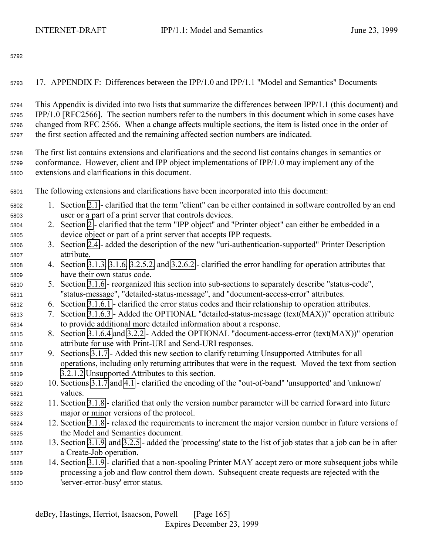17. APPENDIX F: Differences between the IPP/1.0 and IPP/1.1 "Model and Semantics" Documents

 This Appendix is divided into two lists that summarize the differences between IPP/1.1 (this document) and IPP/1.0 [RFC2566]. The section numbers refer to the numbers in this document which in some cases have changed from RFC 2566. When a change affects multiple sections, the item is listed once in the order of the first section affected and the remaining affected section numbers are indicated.

 The first list contains extensions and clarifications and the second list contains changes in semantics or conformance. However, client and IPP object implementations of IPP/1.0 may implement any of the extensions and clarifications in this document.

The following extensions and clarifications have been incorporated into this document:

- 1. Section [2.1](#page-12-0)  clarified that the term "client" can be either contained in software controlled by an end user or a part of a print server that controls devices.
- 2. Section [2](#page-12-0)  clarified that the term "IPP object" and "Printer object" can either be embedded in a device object or part of a print server that accepts IPP requests.
- 3. Section [2.4](#page-17-0)  added the description of the new "uri-authentication-supported" Printer Description attribute.
- 4. Section [3.1.3,](#page-21-0) [3.1.6,](#page-28-0) [3.2.5.2,](#page-44-0) and [3.2.6.2](#page-46-0)  clarified the error handling for operation attributes that have their own status code.
- 5. Section [3.1.6](#page-28-0)  reorganized this section into sub-sections to separately describe "status-code", "status-message", "detailed-status-message", and "document-access-error" attributes.
- 6. Section [3.1.6.1](#page-28-0)  clarified the error status codes and their relationship to operation attributes.
- 7. Section [3.1.6.3](#page-29-0)  Added the OPTIONAL "detailed-status-message (text(MAX))" operation attribute to provide additional more detailed information about a response.
- 8. Section [3.1.6.4](#page-29-0) and [3.2.2](#page-40-0)  Added the OPTIONAL "document-access-error (text(MAX))" operation attribute for use with Print-URI and Send-URI responses.
- 9. Sections [3.1.7](#page-30-0)  Added this new section to clarify returning Unsupported Attributes for all operations, including only returning attributes that were in the request. Moved the text from section [3.2.1.2](#page-38-0) Unsupported Attributes to this section.
- 10. Sections [3.1.7](#page-30-0) and [4.1](#page-63-0)  clarified the encoding of the "out-of-band" 'unsupported' and 'unknown' values.
- 11. Section [3.1.8](#page-31-0)  clarified that only the version number parameter will be carried forward into future major or minor versions of the protocol.
- 12. Section [3.1.8](#page-31-0)  relaxed the requirements to increment the major version number in future versions of the Model and Semantics document.
- 13. Section [3.1.9,](#page-32-0) and [3.2.5](#page-42-0)  added the 'processing' state to the list of job states that a job can be in after a Create-Job operation.
- 14. Section [3.1.9](#page-32-0)  clarified that a non-spooling Printer MAY accept zero or more subsequent jobs while processing a job and flow control them down. Subsequent create requests are rejected with the 'server-error-busy' error status.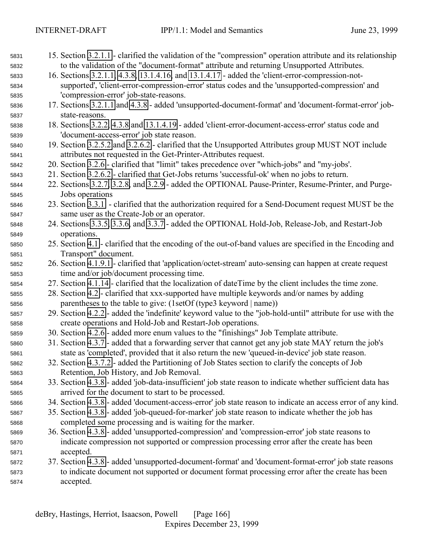| 5831 | 15. Section 3.2.1.1 - clarified the validation of the "compression" operation attribute and its relationship |
|------|--------------------------------------------------------------------------------------------------------------|
| 5832 | to the validation of the "document-format" attribute and returning Unsupported Attributes.                   |
| 5833 | 16. Sections 3.2.1.1, 4.3.8, 13.1.4.16, and 13.1.4.17 - added the 'client-error-compression-not-             |
| 5834 | supported', 'client-error-compression-error' status codes and the 'unsupported-compression' and              |
| 5835 | 'compression-error' job-state-reasons.                                                                       |
| 5836 | 17. Sections 3.2.1.1 and 4.3.8 - added 'unsupported-document-format' and 'document-format-error' job-        |
| 5837 | state-reasons.                                                                                               |
| 5838 | 18. Sections 3.2.2, 4.3.8 and 13.1.4.19 - added 'client-error-document-access-error' status code and         |
| 5839 | 'document-access-error' job state reason.                                                                    |
| 5840 | 19. Section 3.2.5.2 and 3.2.6.2 - clarified that the Unsupported Attributes group MUST NOT include           |
| 5841 | attributes not requested in the Get-Printer-Attributes request.                                              |
| 5842 | 20. Section 3.2.6 - clarified that "limit" takes precedence over "which-jobs" and "my-jobs'.                 |
| 5843 | 21. Section 3.2.6.2 - clarified that Get-Jobs returns 'successful-ok' when no jobs to return.                |
| 5844 | 22. Sections 3.2.7, 3.2.8, and 3.2.9 - added the OPTIONAL Pause-Printer, Resume-Printer, and Purge-          |
| 5845 | Jobs operations                                                                                              |
| 5846 | 23. Section 3.3.1 - clarified that the authorization required for a Send-Document request MUST be the        |
| 5847 | same user as the Create-Job or an operator.                                                                  |
| 5848 | 24. Sections 3.3.5, 3.3.6, and 3.3.7 - added the OPTIONAL Hold-Job, Release-Job, and Restart-Job             |
| 5849 | operations.                                                                                                  |
| 5850 | 25. Section 4.1 - clarified that the encoding of the out-of-band values are specified in the Encoding and    |
| 5851 | Transport" document.                                                                                         |
| 5852 | 26. Section 4.1.9.1 - clarified that 'application/octet-stream' auto-sensing can happen at create request    |
| 5853 | time and/or job/document processing time.                                                                    |
| 5854 | 27. Section 4.1.14 - clarified that the localization of dateTime by the client includes the time zone.       |
| 5855 | 28. Section 4.2 - clarified that xxx-supported have multiple keywords and/or names by adding                 |
| 5856 | parentheses to the table to give: (1setOf (type3 keyword   name))                                            |
| 5857 | 29. Section 4.2.2 - added the 'indefinite' keyword value to the "job-hold-until" attribute for use with the  |
| 5858 | create operations and Hold-Job and Restart-Job operations.                                                   |
| 5859 | 30. Section 4.2.6 - added more enum values to the "finishings" Job Template attribute.                       |
| 5860 | 31. Section 4.3.7 - added that a forwarding server that cannot get any job state MAY return the job's        |
| 5861 | state as 'completed', provided that it also return the new 'queued-in-device' job state reason.              |
| 5862 | 32. Section 4.3.7.2 - added the Partitioning of Job States section to clarify the concepts of Job            |
| 5863 | Retention, Job History, and Job Removal.                                                                     |
| 5864 | 33. Section 4.3.8 - added 'job-data-insufficient' job state reason to indicate whether sufficient data has   |
| 5865 | arrived for the document to start to be processed.                                                           |
| 5866 | 34. Section 4.3.8 - added 'document-access-error' job state reason to indicate an access error of any kind.  |
| 5867 | 35. Section 4.3.8 - added 'job-queued-for-marker' job state reason to indicate whether the job has           |
| 5868 | completed some processing and is waiting for the marker.                                                     |
| 5869 | 36. Section 4.3.8 - added 'unsupported-compression' and 'compression-error' job state reasons to             |
| 5870 | indicate compression not supported or compression processing error after the create has been                 |
| 5871 | accepted.                                                                                                    |
| 5872 | 37. Section 4.3.8 - added 'unsupported-document-format' and 'document-format-error' job state reasons        |
| 5873 | to indicate document not supported or document format processing error after the create has been             |
| 5874 | accepted.                                                                                                    |
|      |                                                                                                              |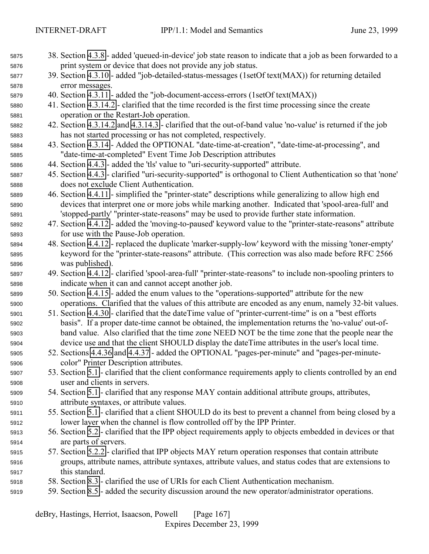38. Section [4.3.8](#page-92-0) - added 'queued-in-device' job state reason to indicate that a job as been forwarded to a print system or device that does not provide any job status. 39. Section [4.3.10](#page-95-0) - added "job-detailed-status-messages (1setOf text(MAX)) for returning detailed error messages. 40. Section [4.3.11](#page-95-0) - added the "job-document-access-errors (1setOf text(MAX)) 41. Section [4.3.14.2](#page-96-0) - clarified that the time recorded is the first time processing since the create operation or the Restart-Job operation. 42. Section [4.3.14.2](#page-96-0) and [4.3.14.3](#page-97-0) - clarified that the out-of-band value 'no-value' is returned if the job has not started processing or has not completed, respectively. 43. Section [4.3.14](#page-96-0) - Added the OPTIONAL "date-time-at-creation", "date-time-at-processing", and "date-time-at-completed" Event Time Job Description attributes 44. Section [4.4.3](#page-103-0) - added the 'tls' value to "uri-security-supported" attribute. 45. Section [4.4.3](#page-103-0) - clarified "uri-security-supported" is orthogonal to Client Authentication so that 'none' does not exclude Client Authentication. 46. Section [4.4.11](#page-106-0) - simplified the "printer-state" descriptions while generalizing to allow high end devices that interpret one or more jobs while marking another. Indicated that 'spool-area-full' and 'stopped-partly' "printer-state-reasons" may be used to provide further state information. 47. Section [4.4.12](#page-106-0) - added the 'moving-to-paused' keyword value to the "printer-state-reasons" attribute for use with the Pause-Job operation. 48. Section [4.4.12](#page-106-0) - replaced the duplicate 'marker-supply-low' keyword with the missing 'toner-empty' keyword for the "printer-state-reasons" attribute. (This correction was also made before RFC 2566 was published). 49. Section [4.4.12](#page-106-0) - clarified 'spool-area-full' "printer-state-reasons" to include non-spooling printers to indicate when it can and cannot accept another job. 50. Section [4.4.15](#page-109-0) - added the enum values to the "operations-supported" attribute for the new operations. Clarified that the values of this attribute are encoded as any enum, namely 32-bit values. 51. Section [4.4.30](#page-113-0) - clarified that the dateTime value of "printer-current-time" is on a "best efforts basis". If a proper date-time cannot be obtained, the implementation returns the 'no-value' out-of- band value. Also clarified that the time zone NEED NOT be the time zone that the people near the device use and that the client SHOULD display the dateTime attributes in the user's local time. 52. Sections [4.4.36](#page-115-0) and [4.4.37](#page-115-0) - added the OPTIONAL "pages-per-minute" and "pages-per-minute- color" Printer Description attributes. 53. Section [5.1](#page-115-0) - clarified that the client conformance requirements apply to clients controlled by an end user and clients in servers. 54. Section [5.1](#page-115-0) - clarified that any response MAY contain additional attribute groups, attributes, attribute syntaxes, or attribute values. 55. Section [5.1](#page-115-0) - clarified that a client SHOULD do its best to prevent a channel from being closed by a lower layer when the channel is flow controlled off by the IPP Printer. 56. Section [5.2](#page-117-0) - clarified that the IPP object requirements apply to objects embedded in devices or that are parts of servers. 57. Section [5.2.2](#page-117-0) - clarified that IPP objects MAY return operation responses that contain attribute groups, attribute names, attribute syntaxes, attribute values, and status codes that are extensions to this standard. 58. Section [8.3](#page-130-0) - clarified the use of URIs for each Client Authentication mechanism. 59. Section [8.5](#page-130-0) - added the security discussion around the new operator/administrator operations.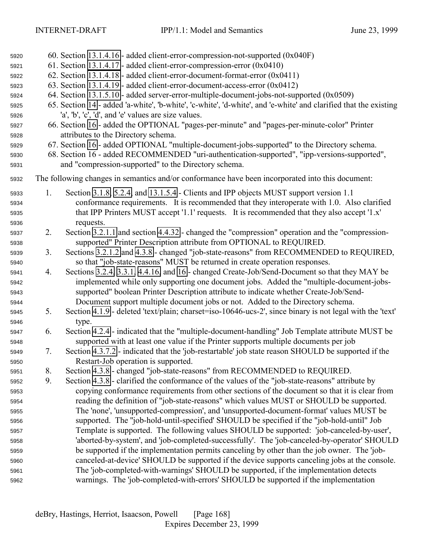| 5920         |    | 60. Section 13.1.4.16 - added client-error-compression-not-supported (0x040F)                                    |
|--------------|----|------------------------------------------------------------------------------------------------------------------|
| 5921         |    | 61. Section 13.1.4.17 - added client-error-compression-error $(0x0410)$                                          |
| 5922         |    | 62. Section 13.1.4.18 - added client-error-document-format-error (0x0411)                                        |
| 5923         |    | 63. Section 13.1.4.19 - added client-error-document-access-error (0x0412)                                        |
| 5924         |    | 64. Section 13.1.5.10 - added server-error-multiple-document-jobs-not-supported (0x0509)                         |
| 5925         |    | 65. Section 14 - added 'a-white', 'b-white', 'c-white', 'd-white', and 'e-white' and clarified that the existing |
| 5926         |    | 'a', 'b', 'c', 'd', and 'e' values are size values.                                                              |
| 5927         |    | 66. Section 16 - added the OPTIONAL "pages-per-minute" and "pages-per-minute-color" Printer                      |
| 5928         |    | attributes to the Directory schema.                                                                              |
| 5929         |    | 67. Section 16 - added OPTIONAL "multiple-document-jobs-supported" to the Directory schema.                      |
| 5930         |    | 68. Section 16 - added RECOMMENDED "uri-authentication-supported", "ipp-versions-supported",                     |
| 5931         |    | and "compression-supported" to the Directory schema.                                                             |
| 5932         |    | The following changes in semantics and/or conformance have been incorporated into this document:                 |
| 5933         | 1. | Section 3.1.8, 5.2.4, and 13.1.5.4 - Clients and IPP objects MUST support version 1.1                            |
| 5934         |    | conformance requirements. It is recommended that they interoperate with 1.0. Also clarified                      |
| 5935         |    | that IPP Printers MUST accept '1.1' requests. It is recommended that they also accept '1.x'                      |
| 5936         |    | requests.                                                                                                        |
| 5937         | 2. | Section 3.2.1.1 and section 4.4.32 - changed the "compression" operation and the "compression-                   |
| 5938         |    | supported" Printer Description attribute from OPTIONAL to REQUIRED.                                              |
| 5939         | 3. | Sections 3.2.1.2 and 4.3.8 - changed "job-state-reasons" from RECOMMENDED to REQUIRED,                           |
|              |    | so that "job-state-reasons" MUST be returned in create operation responses.                                      |
| 5940<br>5941 | 4. | Sections 3.2.4, 3.3.1, 4.4.16, and 16 - changed Create-Job/Send-Document so that they MAY be                     |
| 5942         |    | implemented while only supporting one document jobs. Added the "multiple-document-jobs-                          |
|              |    | supported" boolean Printer Description attribute to indicate whether Create-Job/Send-                            |
| 5943<br>5944 |    | Document support multiple document jobs or not. Added to the Directory schema.                                   |
| 5945         | 5. | Section 4.1.9 - deleted 'text/plain; charset=iso-10646-ucs-2', since binary is not legal with the 'text'         |
| 5946         |    | type.                                                                                                            |
| 5947         | 6. | Section 4.2.4 - indicated that the "multiple-document-handling" Job Template attribute MUST be                   |
| 5948         |    | supported with at least one value if the Printer supports multiple documents per job                             |
| 5949         | 7. | Section 4.3.7.2 - indicated that the 'job-restartable' job state reason SHOULD be supported if the               |
| 5950         |    | Restart-Job operation is supported.                                                                              |
| 5951         | 8. | Section 4.3.8 - changed "job-state-reasons" from RECOMMENDED to REQUIRED.                                        |
| 5952         | 9. | Section 4.3.8 - clarified the conformance of the values of the "job-state-reasons" attribute by                  |
| 5953         |    | copying conformance requirements from other sections of the document so that it is clear from                    |
| 5954         |    | reading the definition of "job-state-reasons" which values MUST or SHOULD be supported.                          |
| 5955         |    | The 'none', 'unsupported-compression', and 'unsupported-document-format' values MUST be                          |
| 5956         |    | supported. The "job-hold-until-specified' SHOULD be specified if the "job-hold-until" Job                        |
| 5957         |    | Template is supported. The following values SHOULD be supported: 'job-canceled-by-user',                         |
| 5958         |    | 'aborted-by-system', and 'job-completed-successfully'. The 'job-canceled-by-operator' SHOULD                     |
| 5959         |    | be supported if the implementation permits canceling by other than the job owner. The 'job-                      |
|              |    | canceled-at-device' SHOULD be supported if the device supports canceling jobs at the console.                    |
| 5960         |    | The 'job-completed-with-warnings' SHOULD be supported, if the implementation detects                             |
| 5961         |    | warnings. The 'job-completed-with-errors' SHOULD be supported if the implementation                              |
| 5962         |    |                                                                                                                  |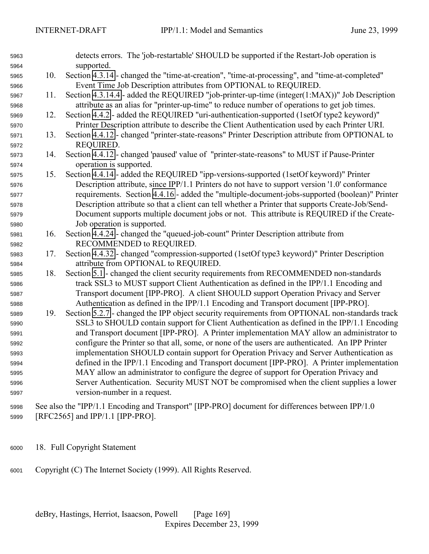| 5963 |     | detects errors. The 'job-restartable' SHOULD be supported if the Restart-Job operation is        |
|------|-----|--------------------------------------------------------------------------------------------------|
| 5964 |     | supported.                                                                                       |
| 5965 | 10. | Section 4.3.14 - changed the "time-at-creation", "time-at-processing", and "time-at-completed"   |
| 5966 |     | Event Time Job Description attributes from OPTIONAL to REQUIRED.                                 |
| 5967 | 11. | Section 4.3.14.4 - added the REQUIRED "job-printer-up-time (integer(1:MAX))" Job Description     |
| 5968 |     | attribute as an alias for "printer-up-time" to reduce number of operations to get job times.     |
| 5969 | 12. | Section 4.4.2 - added the REQUIRED "uri-authentication-supported (1setOf type2 keyword)"         |
| 5970 |     | Printer Description attribute to describe the Client Authentication used by each Printer URI.    |
| 5971 | 13. | Section 4.4.12 - changed "printer-state-reasons" Printer Description attribute from OPTIONAL to  |
| 5972 |     | REQUIRED.                                                                                        |
| 5973 | 14. | Section 4.4.12 - changed 'paused' value of "printer-state-reasons" to MUST if Pause-Printer      |
| 5974 |     | operation is supported.                                                                          |
| 5975 | 15. | Section 4.4.14 - added the REQUIRED "ipp-versions-supported (1setOf keyword)" Printer            |
| 5976 |     | Description attribute, since IPP/1.1 Printers do not have to support version '1.0' conformance   |
| 5977 |     | requirements. Section 4.4.16 - added the "multiple-document-jobs-supported (boolean)" Printer    |
| 5978 |     | Description attribute so that a client can tell whether a Printer that supports Create-Job/Send- |
| 5979 |     | Document supports multiple document jobs or not. This attribute is REQUIRED if the Create-       |
| 5980 |     | Job operation is supported.                                                                      |
| 5981 | 16. | Section 4.4.24 - changed the "queued-job-count" Printer Description attribute from               |
| 5982 |     | RECOMMENDED to REQUIRED.                                                                         |
| 5983 | 17. | Section 4.4.32 - changed "compression-supported (1setOf type3 keyword)" Printer Description      |
| 5984 |     | attribute from OPTIONAL to REQUIRED.                                                             |
| 5985 | 18. | Section 5.1 - changed the client security requirements from RECOMMENDED non-standards            |
| 5986 |     | track SSL3 to MUST support Client Authentication as defined in the IPP/1.1 Encoding and          |
| 5987 |     | Transport document [IPP-PRO]. A client SHOULD support Operation Privacy and Server               |
| 5988 |     | Authentication as defined in the IPP/1.1 Encoding and Transport document [IPP-PRO].              |
| 5989 | 19. | Section 5.2.7 - changed the IPP object security requirements from OPTIONAL non-standards track   |
| 5990 |     | SSL3 to SHOULD contain support for Client Authentication as defined in the IPP/1.1 Encoding      |
| 5991 |     | and Transport document [IPP-PRO]. A Printer implementation MAY allow an administrator to         |
| 5992 |     | configure the Printer so that all, some, or none of the users are authenticated. An IPP Printer  |
| 5993 |     | implementation SHOULD contain support for Operation Privacy and Server Authentication as         |
| 5994 |     | defined in the IPP/1.1 Encoding and Transport document [IPP-PRO]. A Printer implementation       |
| 5995 |     | MAY allow an administrator to configure the degree of support for Operation Privacy and          |
| 5996 |     | Server Authentication. Security MUST NOT be compromised when the client supplies a lower         |
| 5997 |     | version-number in a request.                                                                     |
| 5998 |     | See also the "IPP/1.1 Encoding and Transport" [IPP-PRO] document for differences between IPP/1.0 |
| 5999 |     | [RFC2565] and IPP/1.1 [IPP-PRO].                                                                 |

- 18. Full Copyright Statement
- Copyright (C) The Internet Society (1999). All Rights Reserved.